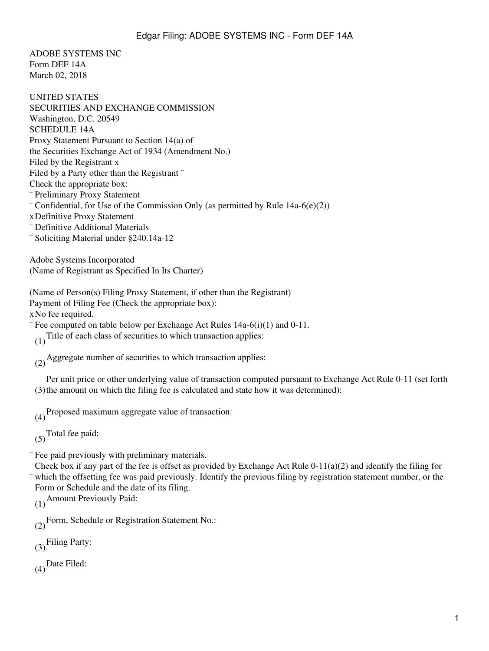ADOBE SYSTEMS INC Form DEF 14A March 02, 2018

UNITED STATES SECURITIES AND EXCHANGE COMMISSION Washington, D.C. 20549 SCHEDULE 14A Proxy Statement Pursuant to Section 14(a) of the Securities Exchange Act of 1934 (Amendment No.) Filed by the Registrant x Filed by a Party other than the Registrant " Check the appropriate box: ¨ Preliminary Proxy Statement ¨ Confidential, for Use of the Commission Only (as permitted by Rule 14a-6(e)(2)) xDefinitive Proxy Statement ¨ Definitive Additional Materials ¨ Soliciting Material under §240.14a-12

Adobe Systems Incorporated (Name of Registrant as Specified In Its Charter)

(Name of Person(s) Filing Proxy Statement, if other than the Registrant) Payment of Filing Fee (Check the appropriate box): xNo fee required.

¨ Fee computed on table below per Exchange Act Rules 14a-6(i)(1) and 0-11.

(1) Title of each class of securities to which transaction applies:

(2)Aggregate number of securities to which transaction applies:

(3) the amount on which the filing fee is calculated and state how it was determined): Per unit price or other underlying value of transaction computed pursuant to Exchange Act Rule 0-11 (set forth

(4)Proposed maximum aggregate value of transaction:

 $(5)$ Total fee paid:

¨ Fee paid previously with preliminary materials.

¨ Check box if any part of the fee is offset as provided by Exchange Act Rule  $0-11(a)(2)$  and identify the filing for which the offsetting fee was paid previously. Identify the previous filing by registration statement number, or the Form or Schedule and the date of its filing.

(1)Amount Previously Paid:

(2)Form, Schedule or Registration Statement No.:

(3)Filing Party:

 $(4)$ Date Filed: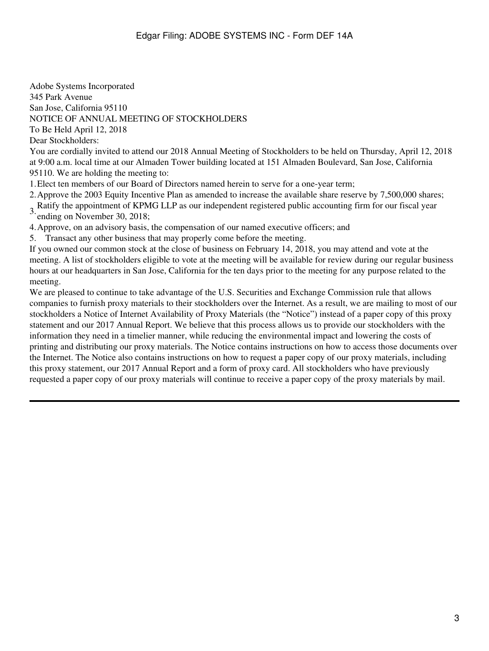Adobe Systems Incorporated 345 Park Avenue San Jose, California 95110 NOTICE OF ANNUAL MEETING OF STOCKHOLDERS To Be Held April 12, 2018

Dear Stockholders: You are cordially invited to attend our 2018 Annual Meeting of Stockholders to be held on Thursday, April 12, 2018 at 9:00 a.m. local time at our Almaden Tower building located at 151 Almaden Boulevard, San Jose, California 95110. We are holding the meeting to:

1.Elect ten members of our Board of Directors named herein to serve for a one-year term;

2.Approve the 2003 Equity Incentive Plan as amended to increase the available share reserve by 7,500,000 shares;

3. Ratify the appointment of KPMG LLP as our independent registered public accounting firm for our fiscal year ending on November 30, 2018;

4.Approve, on an advisory basis, the compensation of our named executive officers; and

5. Transact any other business that may properly come before the meeting.

If you owned our common stock at the close of business on February 14, 2018, you may attend and vote at the meeting. A list of stockholders eligible to vote at the meeting will be available for review during our regular business hours at our headquarters in San Jose, California for the ten days prior to the meeting for any purpose related to the meeting.

We are pleased to continue to take advantage of the U.S. Securities and Exchange Commission rule that allows companies to furnish proxy materials to their stockholders over the Internet. As a result, we are mailing to most of our stockholders a Notice of Internet Availability of Proxy Materials (the "Notice") instead of a paper copy of this proxy statement and our 2017 Annual Report. We believe that this process allows us to provide our stockholders with the information they need in a timelier manner, while reducing the environmental impact and lowering the costs of printing and distributing our proxy materials. The Notice contains instructions on how to access those documents over the Internet. The Notice also contains instructions on how to request a paper copy of our proxy materials, including this proxy statement, our 2017 Annual Report and a form of proxy card. All stockholders who have previously requested a paper copy of our proxy materials will continue to receive a paper copy of the proxy materials by mail.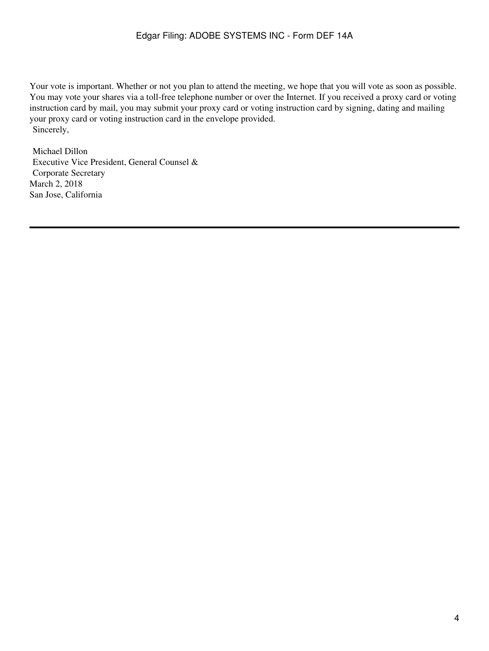Your vote is important. Whether or not you plan to attend the meeting, we hope that you will vote as soon as possible. You may vote your shares via a toll-free telephone number or over the Internet. If you received a proxy card or voting instruction card by mail, you may submit your proxy card or voting instruction card by signing, dating and mailing your proxy card or voting instruction card in the envelope provided. Sincerely,

Michael Dillon Executive Vice President, General Counsel & Corporate Secretary March 2, 2018 San Jose, California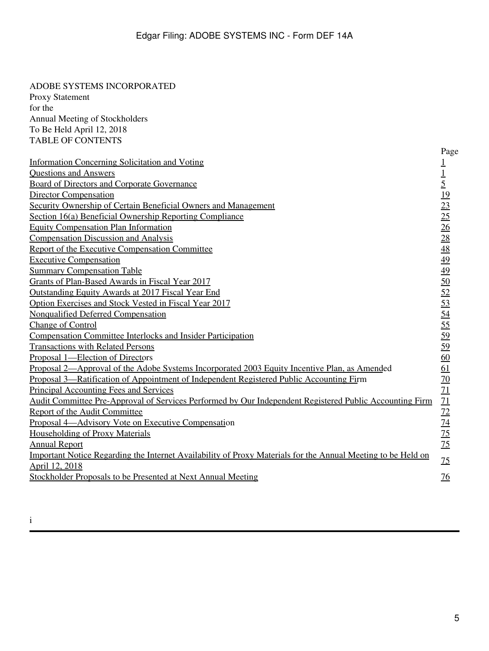| ADOBE SYSTEMS INCORPORATED                                                                                   |                                                                                                                 |  |
|--------------------------------------------------------------------------------------------------------------|-----------------------------------------------------------------------------------------------------------------|--|
| <b>Proxy Statement</b>                                                                                       |                                                                                                                 |  |
| for the                                                                                                      |                                                                                                                 |  |
| Annual Meeting of Stockholders                                                                               |                                                                                                                 |  |
| To Be Held April 12, 2018                                                                                    |                                                                                                                 |  |
| <b>TABLE OF CONTENTS</b>                                                                                     |                                                                                                                 |  |
|                                                                                                              | Page                                                                                                            |  |
| <b>Information Concerning Solicitation and Voting</b>                                                        | $\overline{1}$                                                                                                  |  |
| <b>Questions and Answers</b>                                                                                 | $\underline{1}$                                                                                                 |  |
| <b>Board of Directors and Corporate Governance</b>                                                           | $\overline{5}$                                                                                                  |  |
| <b>Director Compensation</b>                                                                                 | <u>19</u>                                                                                                       |  |
| Security Ownership of Certain Beneficial Owners and Management                                               | $\overline{23}$                                                                                                 |  |
| Section 16(a) Beneficial Ownership Reporting Compliance                                                      | 25                                                                                                              |  |
| <b>Equity Compensation Plan Information</b>                                                                  | $\frac{26}{5}$                                                                                                  |  |
| <b>Compensation Discussion and Analysis</b>                                                                  | $\overline{28}$                                                                                                 |  |
| Report of the Executive Compensation Committee                                                               |                                                                                                                 |  |
| <b>Executive Compensation</b>                                                                                |                                                                                                                 |  |
| <b>Summary Compensation Table</b>                                                                            |                                                                                                                 |  |
| Grants of Plan-Based Awards in Fiscal Year 2017                                                              |                                                                                                                 |  |
| <b>Outstanding Equity Awards at 2017 Fiscal Year End</b>                                                     | $\frac{48}{49}$ $\frac{49}{10}$ $\frac{50}{12}$ $\frac{53}{12}$ $\frac{53}{12}$ $\frac{53}{12}$ $\frac{53}{12}$ |  |
| Option Exercises and Stock Vested in Fiscal Year 2017                                                        |                                                                                                                 |  |
| Nonqualified Deferred Compensation                                                                           |                                                                                                                 |  |
| <b>Change of Control</b>                                                                                     |                                                                                                                 |  |
| <b>Compensation Committee Interlocks and Insider Participation</b>                                           |                                                                                                                 |  |
| <b>Transactions with Related Persons</b>                                                                     |                                                                                                                 |  |
| Proposal 1—Election of Directors                                                                             | 60                                                                                                              |  |
| <u>Proposal 2—Approval of the Adobe Systems Incorporated 2003 Equity Incentive Plan, as Amended</u>          | 61                                                                                                              |  |
| <u>Proposal 3—Ratification of Appointment of Independent Registered Public Accounting Firm</u>               | <u>70</u>                                                                                                       |  |
| <b>Principal Accounting Fees and Services</b>                                                                |                                                                                                                 |  |
| Audit Committee Pre-Approval of Services Performed by Our Independent Registered Public Accounting Firm      | $\frac{71}{71}$                                                                                                 |  |
| Report of the Audit Committee                                                                                |                                                                                                                 |  |
| Proposal 4—Advisory Vote on Executive Compensation                                                           | $\frac{72}{14}$<br>$\frac{75}{15}$                                                                              |  |
| <b>Householding of Proxy Materials</b>                                                                       |                                                                                                                 |  |
| <b>Annual Report</b>                                                                                         |                                                                                                                 |  |
| Important Notice Regarding the Internet Availability of Proxy Materials for the Annual Meeting to be Held on |                                                                                                                 |  |
| April 12, 2018                                                                                               | 75                                                                                                              |  |
| Stockholder Proposals to be Presented at Next Annual Meeting                                                 | $\overline{16}$                                                                                                 |  |

i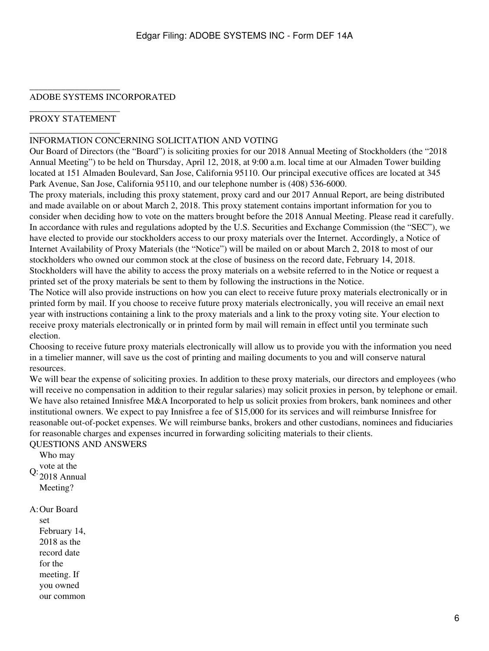#### \_\_\_\_\_\_\_\_\_\_\_\_\_\_\_\_\_\_\_\_ ADOBE SYSTEMS INCORPORATED

#### \_\_\_\_\_\_\_\_\_\_\_\_\_\_\_\_\_\_\_\_ PROXY STATEMENT \_\_\_\_\_\_\_\_\_\_\_\_\_\_\_\_\_\_\_\_

#### <span id="page-5-0"></span>INFORMATION CONCERNING SOLICITATION AND VOTING

Our Board of Directors (the "Board") is soliciting proxies for our 2018 Annual Meeting of Stockholders (the "2018 Annual Meeting") to be held on Thursday, April 12, 2018, at 9:00 a.m. local time at our Almaden Tower building located at 151 Almaden Boulevard, San Jose, California 95110. Our principal executive offices are located at 345 Park Avenue, San Jose, California 95110, and our telephone number is (408) 536-6000.

The proxy materials, including this proxy statement, proxy card and our 2017 Annual Report, are being distributed and made available on or about March 2, 2018. This proxy statement contains important information for you to consider when deciding how to vote on the matters brought before the 2018 Annual Meeting. Please read it carefully. In accordance with rules and regulations adopted by the U.S. Securities and Exchange Commission (the "SEC"), we have elected to provide our stockholders access to our proxy materials over the Internet. Accordingly, a Notice of Internet Availability of Proxy Materials (the "Notice") will be mailed on or about March 2, 2018 to most of our stockholders who owned our common stock at the close of business on the record date, February 14, 2018. Stockholders will have the ability to access the proxy materials on a website referred to in the Notice or request a printed set of the proxy materials be sent to them by following the instructions in the Notice.

The Notice will also provide instructions on how you can elect to receive future proxy materials electronically or in printed form by mail. If you choose to receive future proxy materials electronically, you will receive an email next year with instructions containing a link to the proxy materials and a link to the proxy voting site. Your election to receive proxy materials electronically or in printed form by mail will remain in effect until you terminate such election.

Choosing to receive future proxy materials electronically will allow us to provide you with the information you need in a timelier manner, will save us the cost of printing and mailing documents to you and will conserve natural resources.

We will bear the expense of soliciting proxies. In addition to these proxy materials, our directors and employees (who will receive no compensation in addition to their regular salaries) may solicit proxies in person, by telephone or email. We have also retained Innisfree M&A Incorporated to help us solicit proxies from brokers, bank nominees and other institutional owners. We expect to pay Innisfree a fee of \$15,000 for its services and will reimburse Innisfree for reasonable out-of-pocket expenses. We will reimburse banks, brokers and other custodians, nominees and fiduciaries for reasonable charges and expenses incurred in forwarding soliciting materials to their clients.

<span id="page-5-1"></span>QUESTIONS AND ANSWERS

Q:  $\frac{\text{vote at the}}{\text{2018 A}}$ Who may 2018 Annual Meeting?

#### A:Our Board

set February 14, 2018 as the record date for the meeting. If you owned our common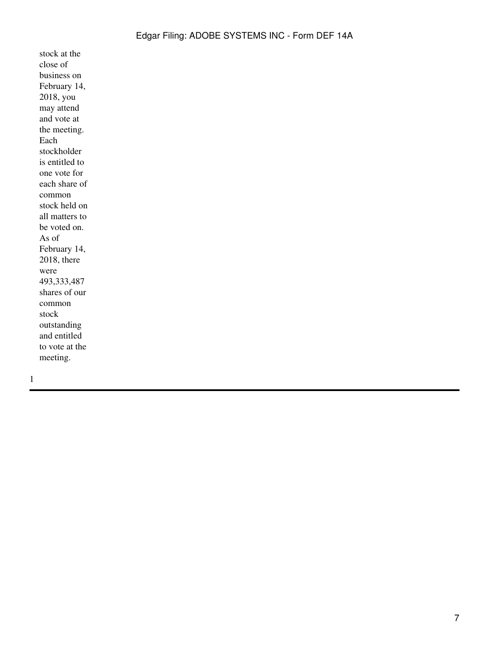stock at the close of business on February 14, 2018, you may attend and vote at the meeting. Each stockholder is entitled to one vote for each share of common stock held on all matters to be voted on. As of February 14, 2018, there were 493,333,487 shares of our common stock outstanding and entitled to vote at the meeting.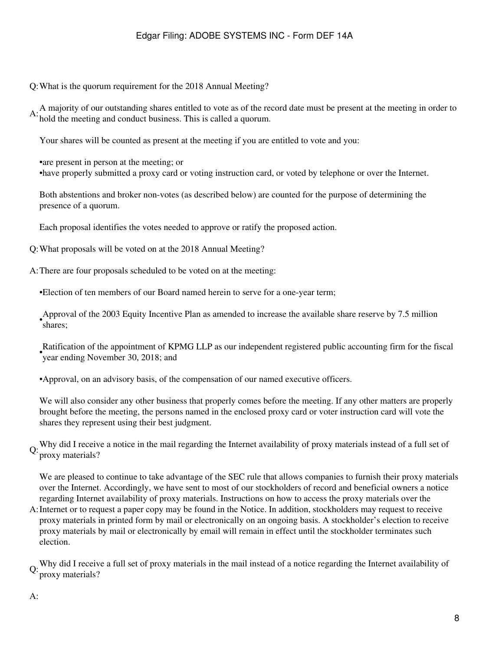Q:What is the quorum requirement for the 2018 Annual Meeting?

A: A majority of our outstanding shares entitled to vote as of the record date must be present at the meeting in order to  $\overline{A}$ : hold the meeting and conduct business. This is called a quorum.

Your shares will be counted as present at the meeting if you are entitled to vote and you:

•are present in person at the meeting; or •have properly submitted a proxy card or voting instruction card, or voted by telephone or over the Internet.

Both abstentions and broker non-votes (as described below) are counted for the purpose of determining the presence of a quorum.

Each proposal identifies the votes needed to approve or ratify the proposed action.

Q:What proposals will be voted on at the 2018 Annual Meeting?

A:There are four proposals scheduled to be voted on at the meeting:

•Election of ten members of our Board named herein to serve for a one-year term;

Approval of the 2003 Equity Incentive Plan as amended to increase the available share reserve by 7.5 million shares;

Ratification of the appointment of KPMG LLP as our independent registered public accounting firm for the fiscal<br>example Navamber 20, 2018; and year ending November 30, 2018; and

•Approval, on an advisory basis, of the compensation of our named executive officers.

We will also consider any other business that properly comes before the meeting. If any other matters are properly brought before the meeting, the persons named in the enclosed proxy card or voter instruction card will vote the shares they represent using their best judgment.

Q: Why did I receive a notice in the mail regarding the Internet availability of proxy materials instead of a full set of proxy materials?

We are pleased to continue to take advantage of the SEC rule that allows companies to furnish their proxy materials over the Internet. Accordingly, we have sent to most of our stockholders of record and beneficial owners a notice regarding Internet availability of proxy materials. Instructions on how to access the proxy materials over the

A: Internet or to request a paper copy may be found in the Notice. In addition, stockholders may request to receive proxy materials in printed form by mail or electronically on an ongoing basis. A stockholder's election to receive proxy materials by mail or electronically by email will remain in effect until the stockholder terminates such election.

Q: Why did I receive a full set of proxy materials in the mail instead of a notice regarding the Internet availability of proxy materials?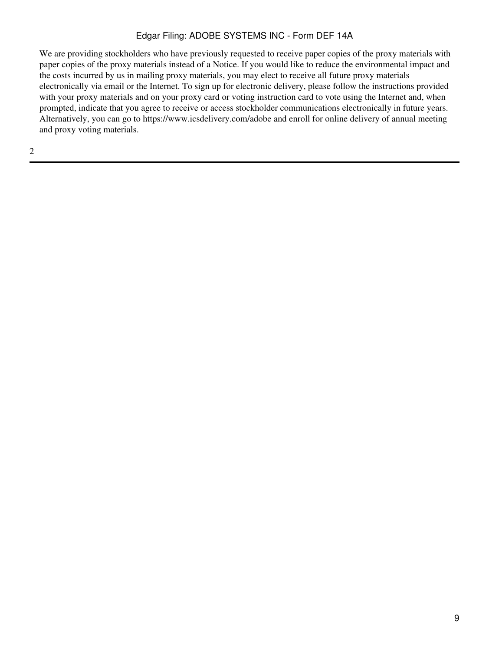We are providing stockholders who have previously requested to receive paper copies of the proxy materials with paper copies of the proxy materials instead of a Notice. If you would like to reduce the environmental impact and the costs incurred by us in mailing proxy materials, you may elect to receive all future proxy materials electronically via email or the Internet. To sign up for electronic delivery, please follow the instructions provided with your proxy materials and on your proxy card or voting instruction card to vote using the Internet and, when prompted, indicate that you agree to receive or access stockholder communications electronically in future years. Alternatively, you can go to https://www.icsdelivery.com/adobe and enroll for online delivery of annual meeting and proxy voting materials.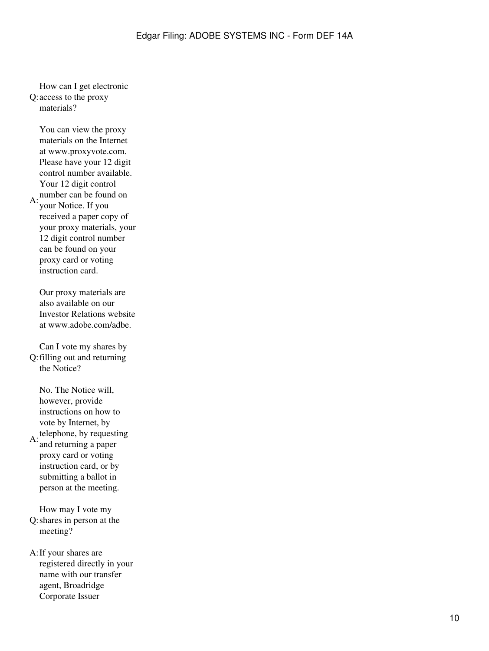Q: access to the proxy How can I get electronic materials?

 $A:$  number can be found on You can view the proxy materials on the Internet at www.proxyvote.com. Please have your 12 digit control number available. Your 12 digit control your Notice. If you received a paper copy of your proxy materials, your 12 digit control number can be found on your proxy card or voting instruction card.

Our proxy materials are also available on our Investor Relations website at www.adobe.com/adbe.

Q: filling out and returning Can I vote my shares by the Notice?

 $A:$  telephone, by requesting No. The Notice will, however, provide instructions on how to vote by Internet, by and returning a paper proxy card or voting instruction card, or by submitting a ballot in person at the meeting.

Q: shares in person at the How may I vote my meeting?

A:If your shares are registered directly in your name with our transfer agent, Broadridge Corporate Issuer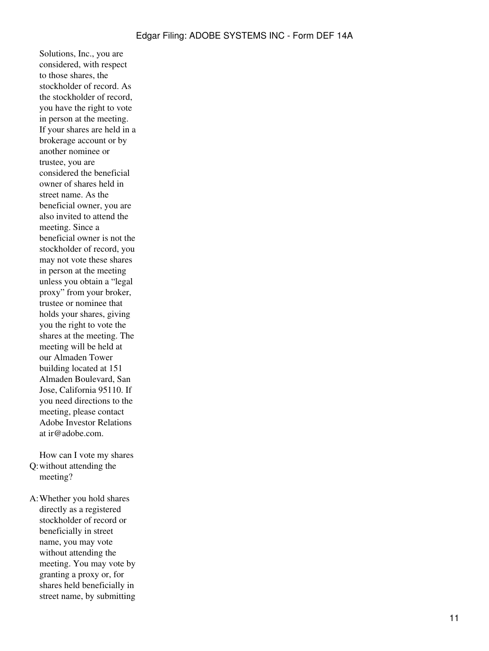Solutions, Inc., you are considered, with respect to those shares, the stockholder of record. As the stockholder of record, you have the right to vote in person at the meeting. If your shares are held in a brokerage account or by another nominee or trustee, you are considered the beneficial owner of shares held in street name. As the beneficial owner, you are also invited to attend the meeting. Since a beneficial owner is not the stockholder of record, you may not vote these shares in person at the meeting unless you obtain a "legal proxy" from your broker, trustee or nominee that holds your shares, giving you the right to vote the shares at the meeting. The meeting will be held at our Almaden Tower building located at 151 Almaden Boulevard, San Jose, California 95110. If you need directions to the meeting, please contact Adobe Investor Relations at ir@adobe.com.

Q: without attending the How can I vote my shares meeting?

A:Whether you hold shares directly as a registered stockholder of record or beneficially in street name, you may vote without attending the meeting. You may vote by granting a proxy or, for shares held beneficially in street name, by submitting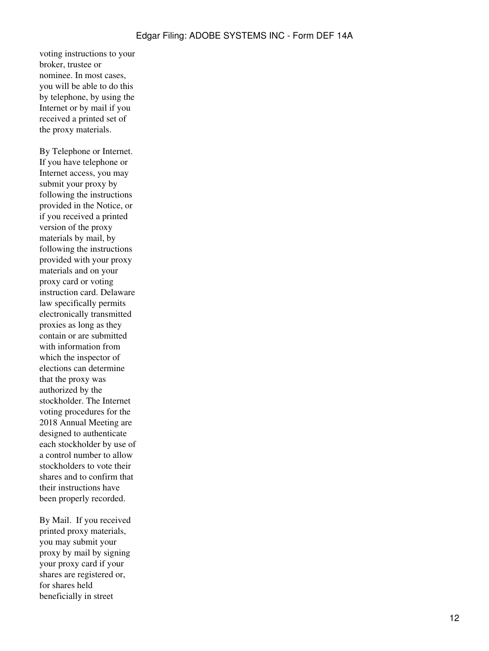voting instructions to your broker, trustee or nominee. In most cases, you will be able to do this by telephone, by using the Internet or by mail if you received a printed set of the proxy materials.

By Telephone or Internet. If you have telephone or Internet access, you may submit your proxy by following the instructions provided in the Notice, or if you received a printed version of the proxy materials by mail, by following the instructions provided with your proxy materials and on your proxy card or voting instruction card. Delaware law specifically permits electronically transmitted proxies as long as they contain or are submitted with information from which the inspector of elections can determine that the proxy was authorized by the stockholder. The Internet voting procedures for the 2018 Annual Meeting are designed to authenticate each stockholder by use of a control number to allow stockholders to vote their shares and to confirm that their instructions have been properly recorded.

By Mail. If you received printed proxy materials, you may submit your proxy by mail by signing your proxy card if your shares are registered or, for shares held beneficially in street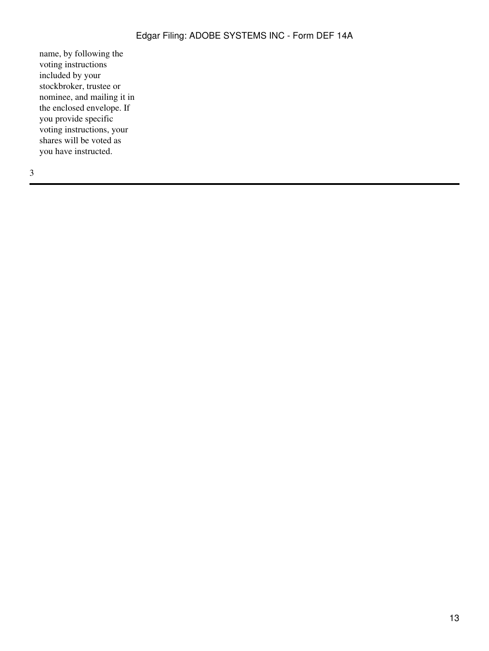name, by following the voting instructions included by your stockbroker, trustee or nominee, and mailing it in the enclosed envelope. If you provide specific voting instructions, your shares will be voted as you have instructed.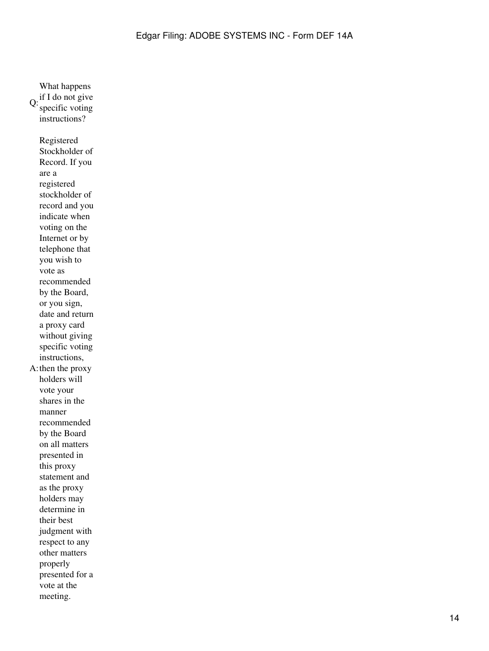$Q:$  if I do not give specific voting instructions? A: then the proxy Registered Stockholder of Record. If you are a registered stockholder of record and you indicate when voting on the Internet or by telephone that you wish to vote as recommended by the Board, or you sign, date and return a proxy card without giving specific voting instructions, holders will vote your shares in the manner recommended by the Board on all matters presented in this proxy statement and as the proxy holders may determine in their best judgment with respect to any other matters properly presented for a vote at the meeting.

What happens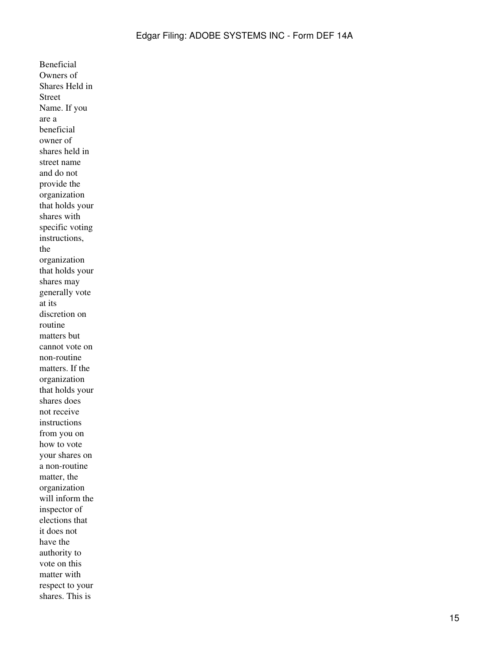Beneficial Owners of Shares Held in Street Name. If you are a beneficial owner of shares held in street name and do not provide the organization that holds your shares with specific voting instructions, the organization that holds your shares may generally vote at its discretion on routine matters but cannot vote on non-routine matters. If the organization that holds your shares does not receive instructions from you on how to vote your shares on a non-routine matter, the organization will inform the inspector of elections that it does not have the authority to vote on this matter with respect to your shares. This is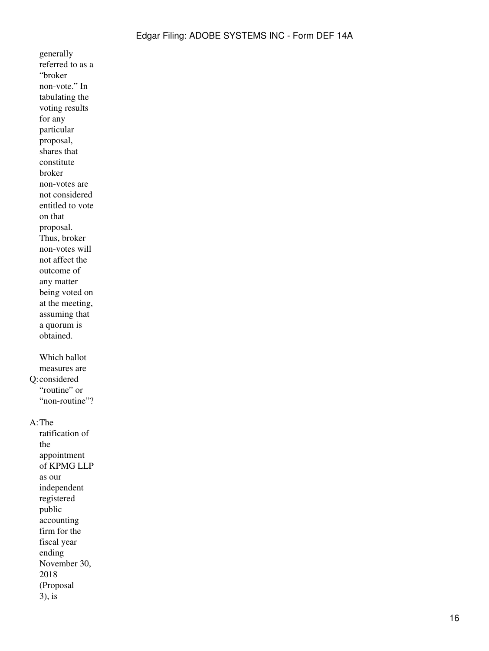generally referred to as a "broker non-vote." In tabulating the voting results for any particular proposal, shares that constitute broker non-votes are not considered entitled to vote on that proposal. Thus, broker non-votes will not affect the outcome of any matter being voted on at the meeting, assuming that a quorum is obtained. Q: considered Which ballot measures are "routine" or "non-routine"?

#### A:The

ratification of the appointment of KPMG LLP as our independent registered public accounting firm for the fiscal year ending November 30, 2018 (Proposal 3), is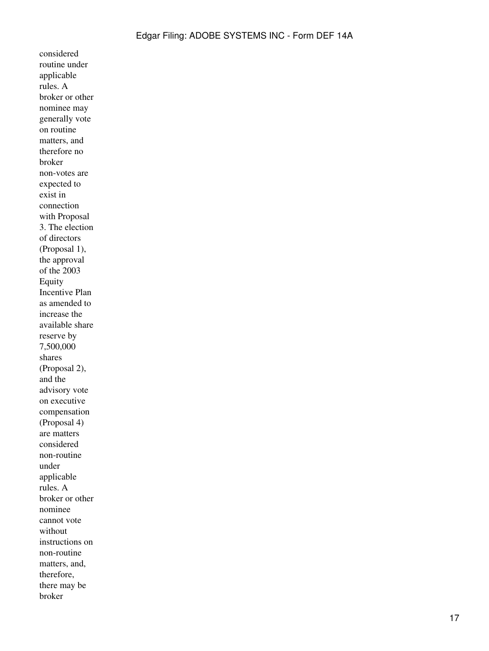considered routine under applicable rules. A broker or other nominee may generally vote on routine matters, and therefore no broker non-votes are expected to exist in connection with Proposal 3. The election of directors (Proposal 1), the approval of the 2003 Equity Incentive Plan as amended to increase the available share reserve by 7,500,000 shares (Proposal 2), and the advisory vote on executive compensation (Proposal 4) are matters considered non-routine under applicable rules. A broker or other nominee cannot vote without instructions on non-routine matters, and, therefore, there may be broker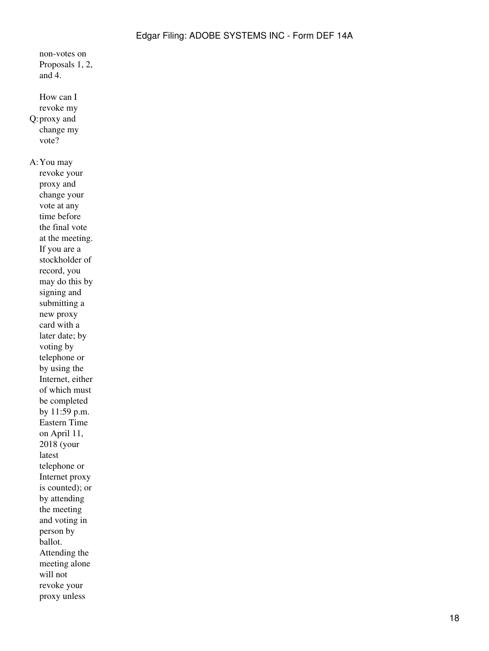Proposals 1, 2, and 4. Q: proxy and How can I revoke my change my vote? A:You may revoke your proxy and change your vote at any time before the final vote at the meeting. If you are a stockholder of record, you may do this by signing and submitting a new proxy card with a later date; by voting by telephone or by using the Internet, either of which must be completed by 11:59 p.m. Eastern Time on April 11, 2018 (your latest telephone or Internet proxy is counted); or by attending the meeting and voting in person by ballot. Attending the meeting alone will not revoke your proxy unless

non-votes on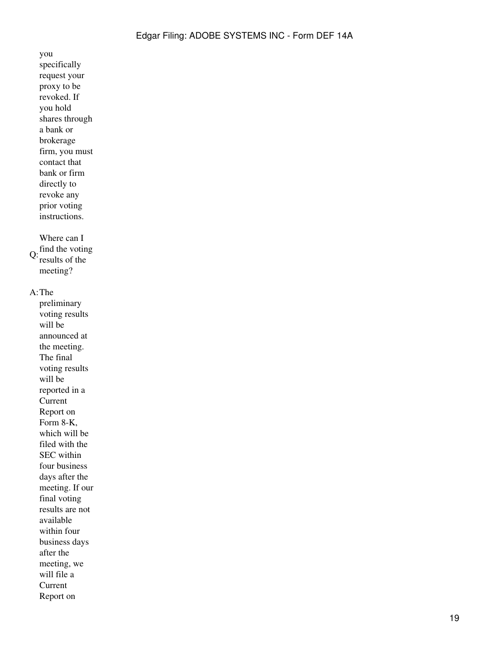you specifically request your proxy to be revoked. If you hold shares through a bank or brokerage firm, you must contact that bank or firm directly to revoke any prior voting instructions.  $Q:$  find the voting Where can I results of the meeting? A:The preliminary voting results will be announced at the meeting. The final voting results will be reported in a Current Report on Form 8-K, which will be filed with the SEC within four business days after the meeting. If our final voting results are not available within four business days after the meeting, we will file a Current Report on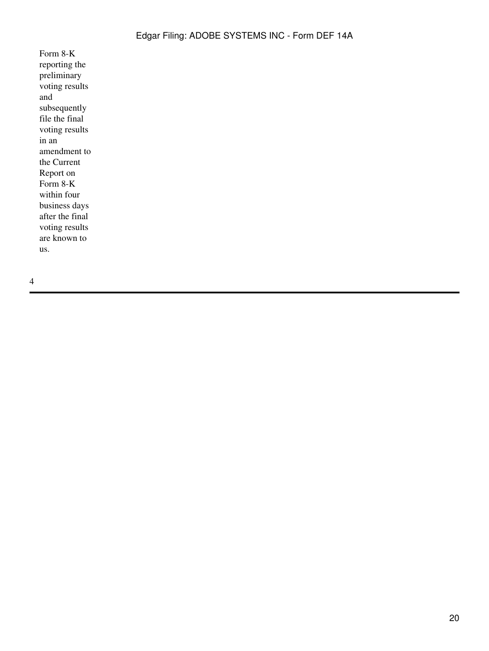Form 8-K reporting the preliminary voting results and subsequently file the final voting results in an amendment to the Current Report on Form 8-K within four business days after the final voting results are known to us.

4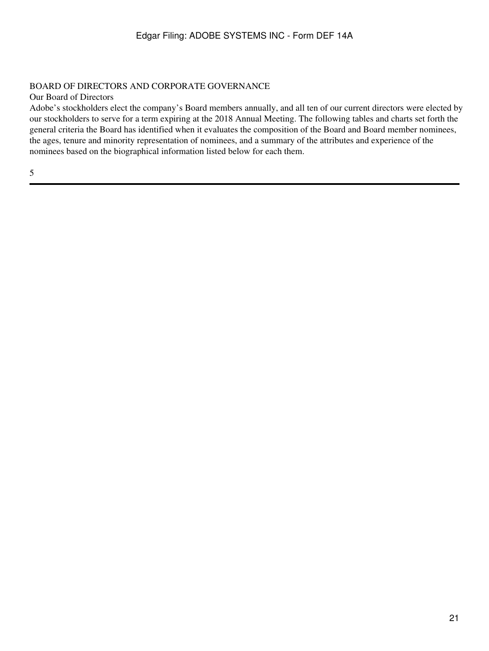# <span id="page-20-0"></span>BOARD OF DIRECTORS AND CORPORATE GOVERNANCE

Our Board of Directors

Adobe's stockholders elect the company's Board members annually, and all ten of our current directors were elected by our stockholders to serve for a term expiring at the 2018 Annual Meeting. The following tables and charts set forth the general criteria the Board has identified when it evaluates the composition of the Board and Board member nominees, the ages, tenure and minority representation of nominees, and a summary of the attributes and experience of the nominees based on the biographical information listed below for each them.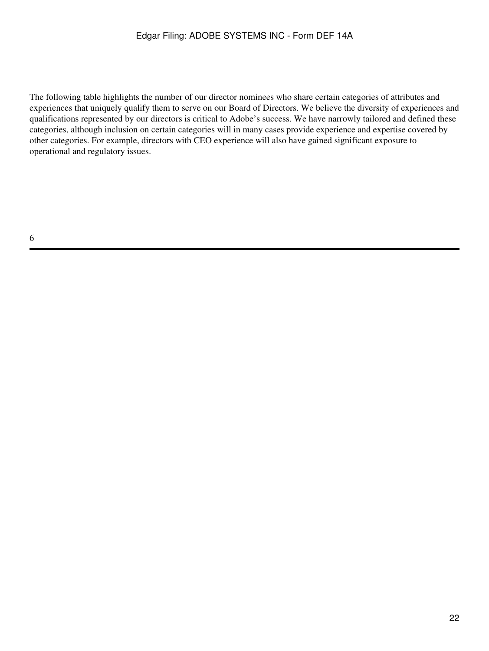The following table highlights the number of our director nominees who share certain categories of attributes and experiences that uniquely qualify them to serve on our Board of Directors. We believe the diversity of experiences and qualifications represented by our directors is critical to Adobe's success. We have narrowly tailored and defined these categories, although inclusion on certain categories will in many cases provide experience and expertise covered by other categories. For example, directors with CEO experience will also have gained significant exposure to operational and regulatory issues.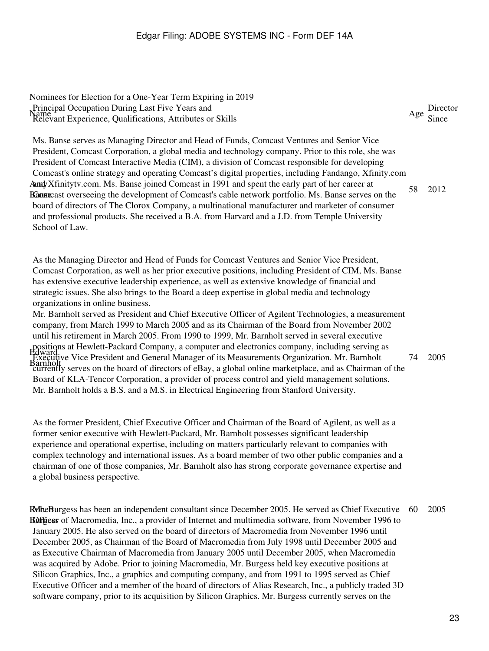Nominees for Election for a One-Year Term Expiring in 2019 Principal Occupation During Last Five Years and<br>Name Age Director<br>Relevant Experience, Qualifications, Attributes or Skills Age Since

AmdyXfinitytv.com. Ms. Banse joined Comcast in 1991 and spent the early part of her career at Ransecast overseeing the development of Comcast's cable network portfolio. Ms. Banse serves on the Ms. Banse serves as Managing Director and Head of Funds, Comcast Ventures and Senior Vice President, Comcast Corporation, a global media and technology company. Prior to this role, she was President of Comcast Interactive Media (CIM), a division of Comcast responsible for developing Comcast's online strategy and operating Comcast's digital properties, including Fandango, Xfinity.com board of directors of The Clorox Company, a multinational manufacturer and marketer of consumer and professional products. She received a B.A. from Harvard and a J.D. from Temple University School of Law. 58 2012

As the Managing Director and Head of Funds for Comcast Ventures and Senior Vice President, Comcast Corporation, as well as her prior executive positions, including President of CIM, Ms. Banse has extensive executive leadership experience, as well as extensive knowledge of financial and strategic issues. She also brings to the Board a deep expertise in global media and technology organizations in online business.

positions at Hewlett-Packard Company, a computer and electronics company, including serving as<br>Hyward:... Vice Dresident and Concrel Manager of its Macayraments Organization, Mr. Bernholt Executive Vice President and General Manager of its Measurements Organization. Mr. Barnholt<br>Barnholt Mr. Barnholt served as President and Chief Executive Officer of Agilent Technologies, a measurement company, from March 1999 to March 2005 and as its Chairman of the Board from November 2002 until his retirement in March 2005. From 1990 to 1999, Mr. Barnholt served in several executive currently serves on the board of directors of eBay, a global online marketplace, and as Chairman of the Board of KLA-Tencor Corporation, a provider of process control and yield management solutions. Mr. Barnholt holds a B.S. and a M.S. in Electrical Engineering from Stanford University. 74 2005

As the former President, Chief Executive Officer and Chairman of the Board of Agilent, as well as a former senior executive with Hewlett-Packard, Mr. Barnholt possesses significant leadership experience and operational expertise, including on matters particularly relevant to companies with complex technology and international issues. As a board member of two other public companies and a chairman of one of those companies, Mr. Barnholt also has strong corporate governance expertise and a global business perspective.

RobeBurgess has been an independent consultant since December 2005. He served as Chief Executive **Buffices** of Macromedia, Inc., a provider of Internet and multimedia software, from November 1996 to January 2005. He also served on the board of directors of Macromedia from November 1996 until December 2005, as Chairman of the Board of Macromedia from July 1998 until December 2005 and as Executive Chairman of Macromedia from January 2005 until December 2005, when Macromedia was acquired by Adobe. Prior to joining Macromedia, Mr. Burgess held key executive positions at Silicon Graphics, Inc., a graphics and computing company, and from 1991 to 1995 served as Chief Executive Officer and a member of the board of directors of Alias Research, Inc., a publicly traded 3D software company, prior to its acquisition by Silicon Graphics. Mr. Burgess currently serves on the 60 2005

23

Age Director<br>Since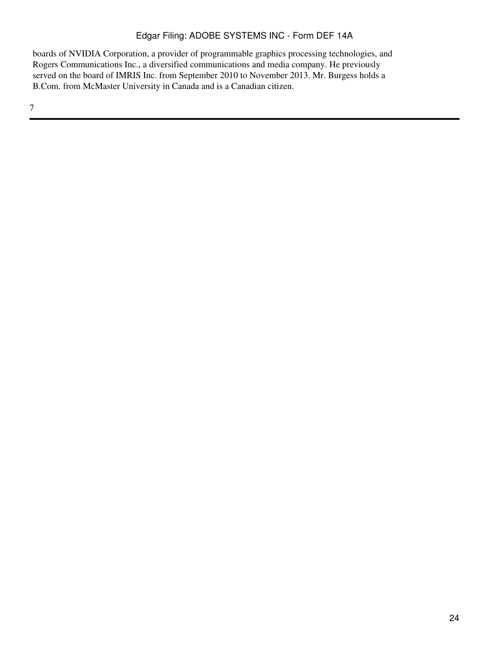boards of NVIDIA Corporation, a provider of programmable graphics processing technologies, and Rogers Communications Inc., a diversified communications and media company. He previously served on the board of IMRIS Inc. from September 2010 to November 2013. Mr. Burgess holds a B.Com. from McMaster University in Canada and is a Canadian citizen.

7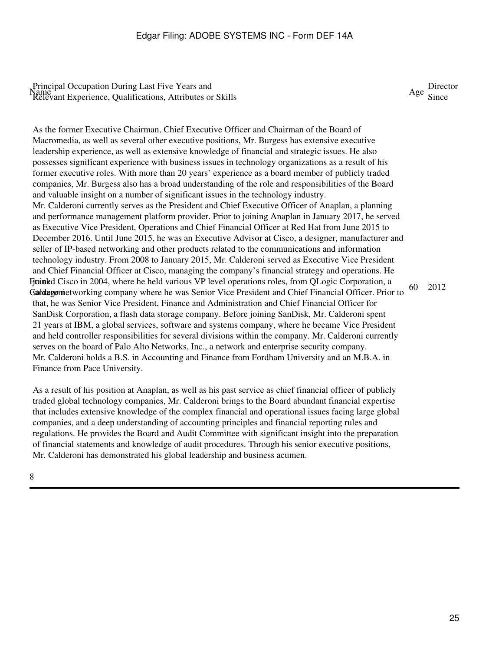Age Director<br>Since

As the former Executive Chairman, Chief Executive Officer and Chairman of the Board of Macromedia, as well as several other executive positions, Mr. Burgess has extensive executive leadership experience, as well as extensive knowledge of financial and strategic issues. He also possesses significant experience with business issues in technology organizations as a result of his former executive roles. With more than 20 years' experience as a board member of publicly traded companies, Mr. Burgess also has a broad understanding of the role and responsibilities of the Board and valuable insight on a number of significant issues in the technology industry. Firained Cisco in 2004, where he held various VP level operations roles, from QLogic Corporation, a Gaddagemietworking company where he was Senior Vice President and Chief Financial Officer. Prior to Mr. Calderoni currently serves as the President and Chief Executive Officer of Anaplan, a planning and performance management platform provider. Prior to joining Anaplan in January 2017, he served as Executive Vice President, Operations and Chief Financial Officer at Red Hat from June 2015 to December 2016. Until June 2015, he was an Executive Advisor at Cisco, a designer, manufacturer and seller of IP-based networking and other products related to the communications and information technology industry. From 2008 to January 2015, Mr. Calderoni served as Executive Vice President and Chief Financial Officer at Cisco, managing the company's financial strategy and operations. He that, he was Senior Vice President, Finance and Administration and Chief Financial Officer for SanDisk Corporation, a flash data storage company. Before joining SanDisk, Mr. Calderoni spent 21 years at IBM, a global services, software and systems company, where he became Vice President and held controller responsibilities for several divisions within the company. Mr. Calderoni currently serves on the board of Palo Alto Networks, Inc., a network and enterprise security company. Mr. Calderoni holds a B.S. in Accounting and Finance from Fordham University and an M.B.A. in Finance from Pace University. 60 2012

As a result of his position at Anaplan, as well as his past service as chief financial officer of publicly traded global technology companies, Mr. Calderoni brings to the Board abundant financial expertise that includes extensive knowledge of the complex financial and operational issues facing large global companies, and a deep understanding of accounting principles and financial reporting rules and regulations. He provides the Board and Audit Committee with significant insight into the preparation of financial statements and knowledge of audit procedures. Through his senior executive positions, Mr. Calderoni has demonstrated his global leadership and business acumen.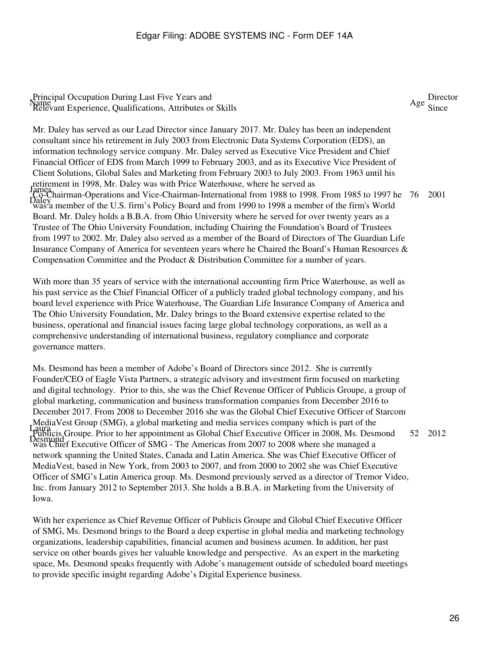James Co-Chairman-Operations and Vice-Chairman-International from 1988 to 1998. From 1985 to 1997 he<br>Daley momber of the U.S. firm's Deliau Board and from 1999 to 1998 a mamber of the firm's World Mr. Daley has served as our Lead Director since January 2017. Mr. Daley has been an independent consultant since his retirement in July 2003 from Electronic Data Systems Corporation (EDS), an information technology service company. Mr. Daley served as Executive Vice President and Chief Financial Officer of EDS from March 1999 to February 2003, and as its Executive Vice President of Client Solutions, Global Sales and Marketing from February 2003 to July 2003. From 1963 until his retirement in 1998, Mr. Daley was with Price Waterhouse, where he served as was a member of the U.S. firm's Policy Board and from 1990 to 1998 a member of the firm's World Board. Mr. Daley holds a B.B.A. from Ohio University where he served for over twenty years as a Trustee of The Ohio University Foundation, including Chairing the Foundation's Board of Trustees from 1997 to 2002. Mr. Daley also served as a member of the Board of Directors of The Guardian Life Insurance Company of America for seventeen years where he Chaired the Board's Human Resources & Compensation Committee and the Product & Distribution Committee for a number of years. 76 2001

With more than 35 years of service with the international accounting firm Price Waterhouse, as well as his past service as the Chief Financial Officer of a publicly traded global technology company, and his board level experience with Price Waterhouse, The Guardian Life Insurance Company of America and The Ohio University Foundation, Mr. Daley brings to the Board extensive expertise related to the business, operational and financial issues facing large global technology corporations, as well as a comprehensive understanding of international business, regulatory compliance and corporate governance matters.

Laura Publicis Groupe. Prior to her appointment as Global Chief Executive Officer in 2008, Ms. Desmond Desmond was Chief Executive Officer of SMG - The Americas from 2007 to 2008 where she managed a Ms. Desmond has been a member of Adobe's Board of Directors since 2012. She is currently Founder/CEO of Eagle Vista Partners, a strategic advisory and investment firm focused on marketing and digital technology. Prior to this, she was the Chief Revenue Officer of Publicis Groupe, a group of global marketing, communication and business transformation companies from December 2016 to December 2017. From 2008 to December 2016 she was the Global Chief Executive Officer of Starcom MediaVest Group (SMG), a global marketing and media services company which is part of the network spanning the United States, Canada and Latin America. She was Chief Executive Officer of MediaVest, based in New York, from 2003 to 2007, and from 2000 to 2002 she was Chief Executive Officer of SMG's Latin America group. Ms. Desmond previously served as a director of Tremor Video, Inc. from January 2012 to September 2013. She holds a B.B.A. in Marketing from the University of Iowa. 52 2012

With her experience as Chief Revenue Officer of Publicis Groupe and Global Chief Executive Officer of SMG, Ms. Desmond brings to the Board a deep expertise in global media and marketing technology organizations, leadership capabilities, financial acumen and business acumen. In addition, her past service on other boards gives her valuable knowledge and perspective. As an expert in the marketing space, Ms. Desmond speaks frequently with Adobe's management outside of scheduled board meetings to provide specific insight regarding Adobe's Digital Experience business.

Age Director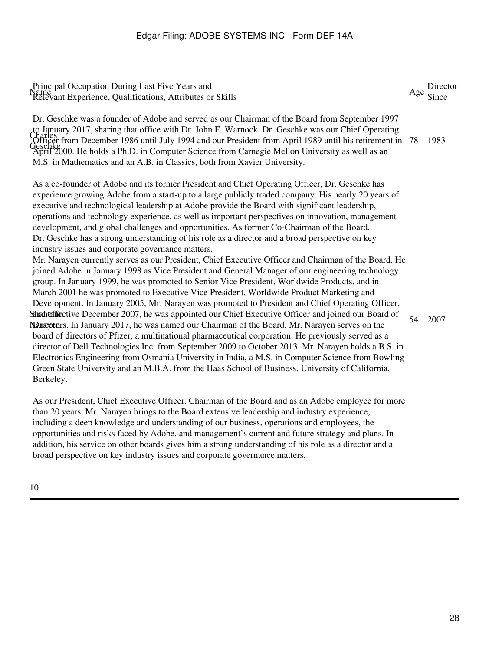Charles Officer from December 1986 until July 1994 and our President from April 1989 until his retirement in Geschke<br>April 2000. He holds a Ph.D. in Computer Science from Carnegie Mellon University as well as an Dr. Geschke was a founder of Adobe and served as our Chairman of the Board from September 1997 to January 2017, sharing that office with Dr. John E. Warnock. Dr. Geschke was our Chief Operating M.S. in Mathematics and an A.B. in Classics, both from Xavier University. 1983

As a co-founder of Adobe and its former President and Chief Operating Officer, Dr. Geschke has experience growing Adobe from a start-up to a large publicly traded company. His nearly 20 years of executive and technological leadership at Adobe provide the Board with significant leadership, operations and technology experience, as well as important perspectives on innovation, management development, and global challenges and opportunities. As former Co-Chairman of the Board, Dr. Geschke has a strong understanding of his role as a director and a broad perspective on key industry issues and corporate governance matters.

Sthanten free tive December 2007, he was appointed our Chief Executive Officer and joined our Board of Narayetors. In January 2017, he was named our Chairman of the Board. Mr. Narayen serves on the Mr. Narayen currently serves as our President, Chief Executive Officer and Chairman of the Board. He joined Adobe in January 1998 as Vice President and General Manager of our engineering technology group. In January 1999, he was promoted to Senior Vice President, Worldwide Products, and in March 2001 he was promoted to Executive Vice President, Worldwide Product Marketing and Development. In January 2005, Mr. Narayen was promoted to President and Chief Operating Officer, board of directors of Pfizer, a multinational pharmaceutical corporation. He previously served as a director of Dell Technologies Inc. from September 2009 to October 2013. Mr. Narayen holds a B.S. in Electronics Engineering from Osmania University in India, a M.S. in Computer Science from Bowling Green State University and an M.B.A. from the Haas School of Business, University of California, Berkeley. 54 2007

As our President, Chief Executive Officer, Chairman of the Board and as an Adobe employee for more than 20 years, Mr. Narayen brings to the Board extensive leadership and industry experience, including a deep knowledge and understanding of our business, operations and employees, the opportunities and risks faced by Adobe, and management's current and future strategy and plans. In addition, his service on other boards gives him a strong understanding of his role as a director and a broad perspective on key industry issues and corporate governance matters.

10

Age Director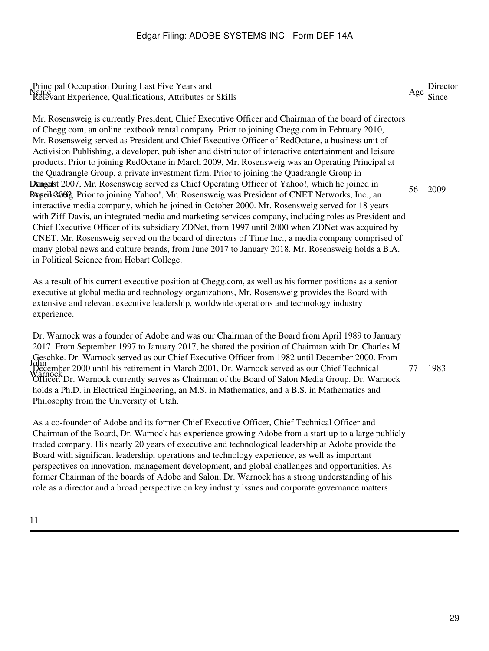Dangedst 2007, Mr. Rosensweig served as Chief Operating Officer of Yahoo!, which he joined in RopenSOO2. Prior to joining Yahoo!, Mr. Rosensweig was President of CNET Networks, Inc., an Mr. Rosensweig is currently President, Chief Executive Officer and Chairman of the board of directors of Chegg.com, an online textbook rental company. Prior to joining Chegg.com in February 2010, Mr. Rosensweig served as President and Chief Executive Officer of RedOctane, a business unit of Activision Publishing, a developer, publisher and distributor of interactive entertainment and leisure products. Prior to joining RedOctane in March 2009, Mr. Rosensweig was an Operating Principal at the Quadrangle Group, a private investment firm. Prior to joining the Quadrangle Group in interactive media company, which he joined in October 2000. Mr. Rosensweig served for 18 years with Ziff-Davis, an integrated media and marketing services company, including roles as President and Chief Executive Officer of its subsidiary ZDNet, from 1997 until 2000 when ZDNet was acquired by CNET. Mr. Rosensweig served on the board of directors of Time Inc., a media company comprised of many global news and culture brands, from June 2017 to January 2018. Mr. Rosensweig holds a B.A. in Political Science from Hobart College. 56 2009

As a result of his current executive position at Chegg.com, as well as his former positions as a senior executive at global media and technology organizations, Mr. Rosensweig provides the Board with extensive and relevant executive leadership, worldwide operations and technology industry experience.

John December 2000 until his retirement in March 2001, Dr. Warnock served as our Chief Technical<br>Warnock Dr. Warnock sympathy serves as Chairman of the Board of Salan Madie Group, Dr. Wa Dr. Warnock was a founder of Adobe and was our Chairman of the Board from April 1989 to January 2017. From September 1997 to January 2017, he shared the position of Chairman with Dr. Charles M. Geschke. Dr. Warnock served as our Chief Executive Officer from 1982 until December 2000. From Officer. Dr. Warnock currently serves as Chairman of the Board of Salon Media Group. Dr. Warnock holds a Ph.D. in Electrical Engineering, an M.S. in Mathematics, and a B.S. in Mathematics and Philosophy from the University of Utah. 77 1983

As a co-founder of Adobe and its former Chief Executive Officer, Chief Technical Officer and Chairman of the Board, Dr. Warnock has experience growing Adobe from a start-up to a large publicly traded company. His nearly 20 years of executive and technological leadership at Adobe provide the Board with significant leadership, operations and technology experience, as well as important perspectives on innovation, management development, and global challenges and opportunities. As former Chairman of the boards of Adobe and Salon, Dr. Warnock has a strong understanding of his role as a director and a broad perspective on key industry issues and corporate governance matters.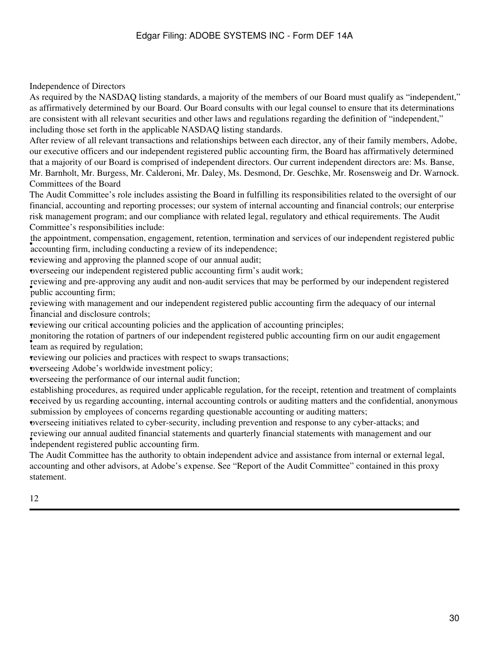Independence of Directors

As required by the NASDAQ listing standards, a majority of the members of our Board must qualify as "independent," as affirmatively determined by our Board. Our Board consults with our legal counsel to ensure that its determinations are consistent with all relevant securities and other laws and regulations regarding the definition of "independent," including those set forth in the applicable NASDAQ listing standards.

After review of all relevant transactions and relationships between each director, any of their family members, Adobe, our executive officers and our independent registered public accounting firm, the Board has affirmatively determined that a majority of our Board is comprised of independent directors. Our current independent directors are: Ms. Banse, Mr. Barnholt, Mr. Burgess, Mr. Calderoni, Mr. Daley, Ms. Desmond, Dr. Geschke, Mr. Rosensweig and Dr. Warnock. Committees of the Board

The Audit Committee's role includes assisting the Board in fulfilling its responsibilities related to the oversight of our financial, accounting and reporting processes; our system of internal accounting and financial controls; our enterprise risk management program; and our compliance with related legal, regulatory and ethical requirements. The Audit Committee's responsibilities include:

are appointment, compensation, engagement, retention, termination accounting firm, including conducting a review of its independence; the appointment, compensation, engagement, retention, termination and services of our independent registered public

•reviewing and approving the planned scope of our annual audit;

•overseeing our independent registered public accounting firm's audit work;

which accounting firm; reviewing and pre-approving any audit and non-audit services that may be performed by our independent registered

**FULLARY WITH THANGE CONTROL**<br>financial and disclosure controls; reviewing with management and our independent registered public accounting firm the adequacy of our internal

•reviewing our critical accounting policies and the application of accounting principles;

**the contract of the set of the set of the set of the set of the set of the set of the set of the set of the set of the set of the set of the set of the set of the set of the set of the set of the set of the set of the set** monitoring the rotation of partners of our independent registered public accounting firm on our audit engagement

•reviewing our policies and practices with respect to swaps transactions;

•overseeing Adobe's worldwide investment policy;

•overseeing the performance of our internal audit function;

• received by us regarding accounting, internal accounting controls or auditing matters and the confidential, anonymous establishing procedures, as required under applicable regulation, for the receipt, retention and treatment of complaints submission by employees of concerns regarding questionable accounting or auditing matters;

•overseeing initiatives related to cyber-security, including prevention and response to any cyber-attacks; and independent registered public accounting firm. reviewing our annual audited financial statements and quarterly financial statements with management and our

The Audit Committee has the authority to obtain independent advice and assistance from internal or external legal, accounting and other advisors, at Adobe's expense. See "Report of the Audit Committee" contained in this proxy statement.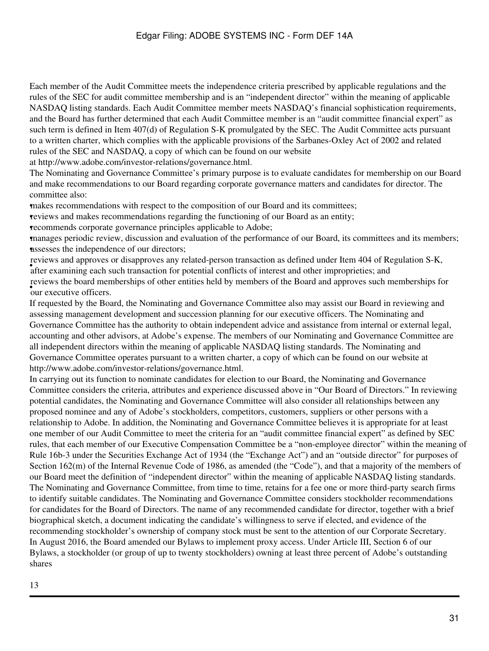Each member of the Audit Committee meets the independence criteria prescribed by applicable regulations and the rules of the SEC for audit committee membership and is an "independent director" within the meaning of applicable NASDAQ listing standards. Each Audit Committee member meets NASDAQ's financial sophistication requirements, and the Board has further determined that each Audit Committee member is an "audit committee financial expert" as such term is defined in Item 407(d) of Regulation S-K promulgated by the SEC. The Audit Committee acts pursuant to a written charter, which complies with the applicable provisions of the Sarbanes-Oxley Act of 2002 and related rules of the SEC and NASDAQ, a copy of which can be found on our website

at http://www.adobe.com/investor-relations/governance.html.

The Nominating and Governance Committee's primary purpose is to evaluate candidates for membership on our Board and make recommendations to our Board regarding corporate governance matters and candidates for director. The committee also:

•makes recommendations with respect to the composition of our Board and its committees;

•reviews and makes recommendations regarding the functioning of our Board as an entity;

•recommends corporate governance principles applicable to Adobe;

•manages periodic review, discussion and evaluation of the performance of our Board, its committees and its members; **assesses** the independence of our directors;

Forces and approves or anapproves any related person transaction as defined ander from 404 of K<br>after examining each such transaction for potential conflicts of interest and other improprieties; and reviews and approves or disapproves any related-person transaction as defined under Item 404 of Regulation S-K, • **COVIDENS** the board men reviews the board memberships of other entities held by members of the Board and approves such memberships for

If requested by the Board, the Nominating and Governance Committee also may assist our Board in reviewing and assessing management development and succession planning for our executive officers. The Nominating and Governance Committee has the authority to obtain independent advice and assistance from internal or external legal, accounting and other advisors, at Adobe's expense. The members of our Nominating and Governance Committee are all independent directors within the meaning of applicable NASDAQ listing standards. The Nominating and Governance Committee operates pursuant to a written charter, a copy of which can be found on our website at http://www.adobe.com/investor-relations/governance.html.

In carrying out its function to nominate candidates for election to our Board, the Nominating and Governance Committee considers the criteria, attributes and experience discussed above in "Our Board of Directors." In reviewing potential candidates, the Nominating and Governance Committee will also consider all relationships between any proposed nominee and any of Adobe's stockholders, competitors, customers, suppliers or other persons with a relationship to Adobe. In addition, the Nominating and Governance Committee believes it is appropriate for at least one member of our Audit Committee to meet the criteria for an "audit committee financial expert" as defined by SEC rules, that each member of our Executive Compensation Committee be a "non-employee director" within the meaning of Rule 16b-3 under the Securities Exchange Act of 1934 (the "Exchange Act") and an "outside director" for purposes of Section 162(m) of the Internal Revenue Code of 1986, as amended (the "Code"), and that a majority of the members of our Board meet the definition of "independent director" within the meaning of applicable NASDAQ listing standards. The Nominating and Governance Committee, from time to time, retains for a fee one or more third-party search firms to identify suitable candidates. The Nominating and Governance Committee considers stockholder recommendations for candidates for the Board of Directors. The name of any recommended candidate for director, together with a brief biographical sketch, a document indicating the candidate's willingness to serve if elected, and evidence of the recommending stockholder's ownership of company stock must be sent to the attention of our Corporate Secretary. In August 2016, the Board amended our Bylaws to implement proxy access. Under Article III, Section 6 of our Bylaws, a stockholder (or group of up to twenty stockholders) owning at least three percent of Adobe's outstanding shares

13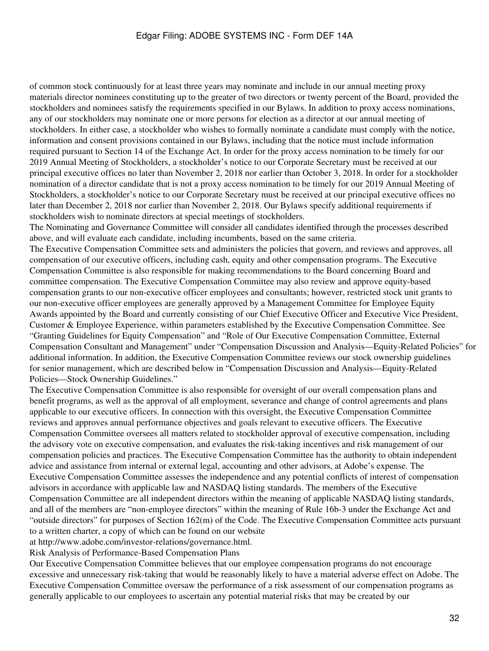of common stock continuously for at least three years may nominate and include in our annual meeting proxy materials director nominees constituting up to the greater of two directors or twenty percent of the Board, provided the stockholders and nominees satisfy the requirements specified in our Bylaws. In addition to proxy access nominations, any of our stockholders may nominate one or more persons for election as a director at our annual meeting of stockholders. In either case, a stockholder who wishes to formally nominate a candidate must comply with the notice, information and consent provisions contained in our Bylaws, including that the notice must include information required pursuant to Section 14 of the Exchange Act. In order for the proxy access nomination to be timely for our 2019 Annual Meeting of Stockholders, a stockholder's notice to our Corporate Secretary must be received at our principal executive offices no later than November 2, 2018 nor earlier than October 3, 2018. In order for a stockholder nomination of a director candidate that is not a proxy access nomination to be timely for our 2019 Annual Meeting of Stockholders, a stockholder's notice to our Corporate Secretary must be received at our principal executive offices no later than December 2, 2018 nor earlier than November 2, 2018. Our Bylaws specify additional requirements if stockholders wish to nominate directors at special meetings of stockholders.

The Nominating and Governance Committee will consider all candidates identified through the processes described above, and will evaluate each candidate, including incumbents, based on the same criteria.

The Executive Compensation Committee sets and administers the policies that govern, and reviews and approves, all compensation of our executive officers, including cash, equity and other compensation programs. The Executive Compensation Committee is also responsible for making recommendations to the Board concerning Board and committee compensation. The Executive Compensation Committee may also review and approve equity-based compensation grants to our non-executive officer employees and consultants; however, restricted stock unit grants to our non-executive officer employees are generally approved by a Management Committee for Employee Equity Awards appointed by the Board and currently consisting of our Chief Executive Officer and Executive Vice President, Customer & Employee Experience, within parameters established by the Executive Compensation Committee. See "Granting Guidelines for Equity Compensation" and "Role of Our Executive Compensation Committee, External Compensation Consultant and Management" under "Compensation Discussion and Analysis—Equity-Related Policies" for additional information. In addition, the Executive Compensation Committee reviews our stock ownership guidelines for senior management, which are described below in "Compensation Discussion and Analysis—Equity-Related Policies—Stock Ownership Guidelines."

The Executive Compensation Committee is also responsible for oversight of our overall compensation plans and benefit programs, as well as the approval of all employment, severance and change of control agreements and plans applicable to our executive officers. In connection with this oversight, the Executive Compensation Committee reviews and approves annual performance objectives and goals relevant to executive officers. The Executive Compensation Committee oversees all matters related to stockholder approval of executive compensation, including the advisory vote on executive compensation, and evaluates the risk-taking incentives and risk management of our compensation policies and practices. The Executive Compensation Committee has the authority to obtain independent advice and assistance from internal or external legal, accounting and other advisors, at Adobe's expense. The Executive Compensation Committee assesses the independence and any potential conflicts of interest of compensation advisors in accordance with applicable law and NASDAQ listing standards. The members of the Executive Compensation Committee are all independent directors within the meaning of applicable NASDAQ listing standards, and all of the members are "non-employee directors" within the meaning of Rule 16b-3 under the Exchange Act and "outside directors" for purposes of Section 162(m) of the Code. The Executive Compensation Committee acts pursuant to a written charter, a copy of which can be found on our website

at http://www.adobe.com/investor-relations/governance.html.

Risk Analysis of Performance-Based Compensation Plans

Our Executive Compensation Committee believes that our employee compensation programs do not encourage excessive and unnecessary risk-taking that would be reasonably likely to have a material adverse effect on Adobe. The Executive Compensation Committee oversaw the performance of a risk assessment of our compensation programs as generally applicable to our employees to ascertain any potential material risks that may be created by our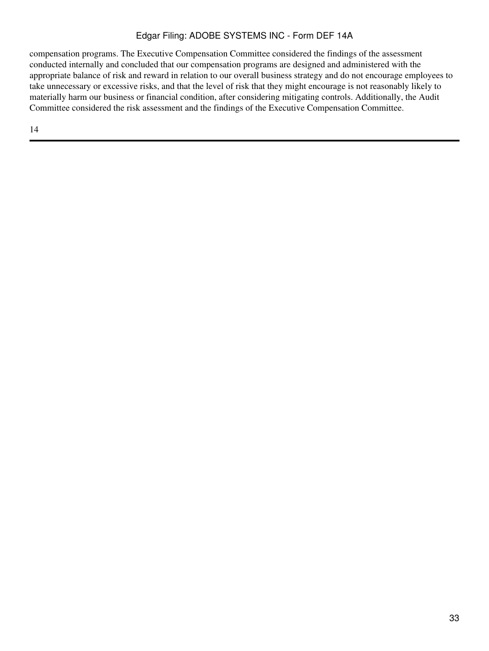compensation programs. The Executive Compensation Committee considered the findings of the assessment conducted internally and concluded that our compensation programs are designed and administered with the appropriate balance of risk and reward in relation to our overall business strategy and do not encourage employees to take unnecessary or excessive risks, and that the level of risk that they might encourage is not reasonably likely to materially harm our business or financial condition, after considering mitigating controls. Additionally, the Audit Committee considered the risk assessment and the findings of the Executive Compensation Committee.

14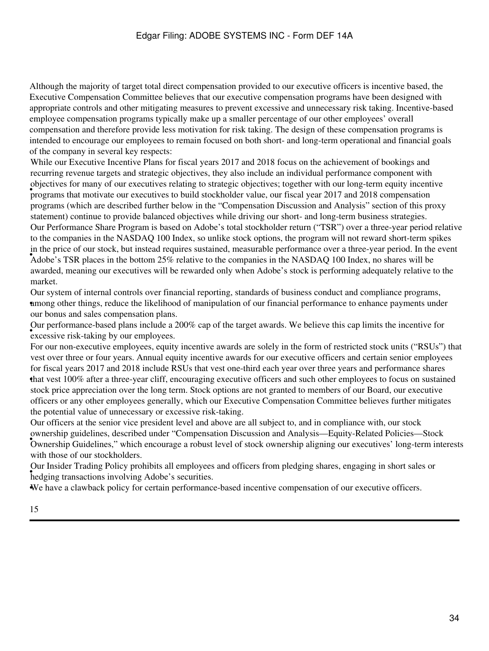Although the majority of target total direct compensation provided to our executive officers is incentive based, the Executive Compensation Committee believes that our executive compensation programs have been designed with appropriate controls and other mitigating measures to prevent excessive and unnecessary risk taking. Incentive-based employee compensation programs typically make up a smaller percentage of our other employees' overall compensation and therefore provide less motivation for risk taking. The design of these compensation programs is intended to encourage our employees to remain focused on both short- and long-term operational and financial goals of the company in several key respects:

• programs that motivate our executives to build stockholder value, our fiscal year 2017 and 2018 compensation While our Executive Incentive Plans for fiscal years 2017 and 2018 focus on the achievement of bookings and recurring revenue targets and strategic objectives, they also include an individual performance component with objectives for many of our executives relating to strategic objectives; together with our long-term equity incentive programs (which are described further below in the "Compensation Discussion and Analysis" section of this proxy statement) continue to provide balanced objectives while driving our short- and long-term business strategies. Adobe's TSR places in the bottom 25% relative to the companies in the NASDAQ 100 Index, no shares will be Our Performance Share Program is based on Adobe's total stockholder return ("TSR") over a three-year period relative to the companies in the NASDAQ 100 Index, so unlike stock options, the program will not reward short-term spikes in the price of our stock, but instead requires sustained, measurable performance over a three-year period. In the event awarded, meaning our executives will be rewarded only when Adobe's stock is performing adequately relative to the market.

among other things, reduce the likelihood of manipulation of our financial performance to enhance payments under Our system of internal controls over financial reporting, standards of business conduct and compliance programs, our bonus and sales compensation plans.

• excessive risk-taking by our employees. Our performance-based plans include a 200% cap of the target awards. We believe this cap limits the incentive for

• that vest 100% after a three-year cliff, encouraging executive officers and such other employees to focus on sustained For our non-executive employees, equity incentive awards are solely in the form of restricted stock units ("RSUs") that vest over three or four years. Annual equity incentive awards for our executive officers and certain senior employees for fiscal years 2017 and 2018 include RSUs that vest one-third each year over three years and performance shares stock price appreciation over the long term. Stock options are not granted to members of our Board, our executive officers or any other employees generally, which our Executive Compensation Committee believes further mitigates the potential value of unnecessary or excessive risk-taking.

• Ownership Guidelines," which encourage a robust level of stock ownership aligning our executives' long-term interests Our officers at the senior vice president level and above are all subject to, and in compliance with, our stock ownership guidelines, described under "Compensation Discussion and Analysis—Equity-Related Policies—Stock with those of our stockholders.

Four fisted Trading Foncy promotes an employees hedging transactions involving Adobe's securities. Our Insider Trading Policy prohibits all employees and officers from pledging shares, engaging in short sales or

•We have a clawback policy for certain performance-based incentive compensation of our executive officers.

15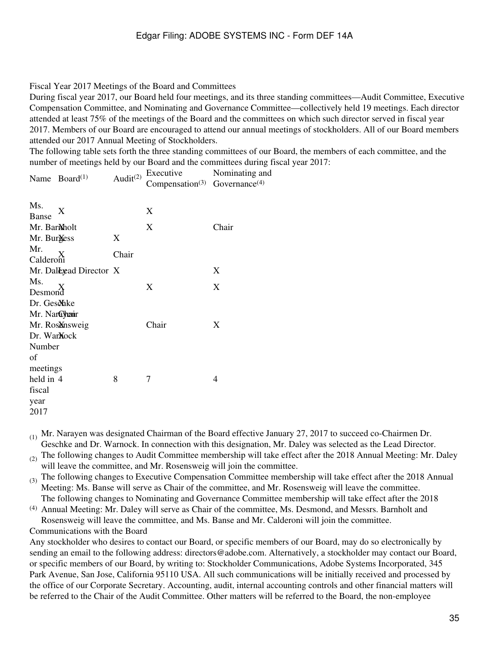#### Fiscal Year 2017 Meetings of the Board and Committees

During fiscal year 2017, our Board held four meetings, and its three standing committees—Audit Committee, Executive Compensation Committee, and Nominating and Governance Committee—collectively held 19 meetings. Each director attended at least 75% of the meetings of the Board and the committees on which such director served in fiscal year 2017. Members of our Board are encouraged to attend our annual meetings of stockholders. All of our Board members attended our 2017 Annual Meeting of Stockholders.

The following table sets forth the three standing committees of our Board, the members of each committee, and the number of meetings held by our Board and the committees during fiscal year 2017:

| Name $Board^{(1)}$            | Audit <sup>(2)</sup> | Executive<br>Compensation <sup>(3)</sup> Governance <sup>(4)</sup> | Nominating and |
|-------------------------------|----------------------|--------------------------------------------------------------------|----------------|
| Ms.<br>X<br>Banse             |                      | X                                                                  |                |
| Mr. BarMholt                  |                      | X                                                                  | Chair          |
| Mr. Burgess                   | X                    |                                                                    |                |
| Mr.<br>X<br>Calderoni         | Chair                |                                                                    |                |
| Mr. Daleyead Director X       |                      |                                                                    | X              |
| Ms.<br>Desmond                |                      | X                                                                  | X              |
| Dr. Ges&hke                   |                      |                                                                    |                |
| Mr. Narayhenir                |                      |                                                                    |                |
| Mr. Rosansweig                |                      | Chair                                                              | X              |
| Dr. War <b>Nock</b><br>Number |                      |                                                                    |                |
| of                            |                      |                                                                    |                |
| meetings<br>held in 4         | 8                    | 7                                                                  | 4              |
| fiscal                        |                      |                                                                    |                |
| year                          |                      |                                                                    |                |
| 2017                          |                      |                                                                    |                |
|                               |                      |                                                                    |                |

(1) Mr. Narayen was designated Chairman of the Board effective January 27, 2017 to succeed co-Chairmen Dr. Geschke and Dr. Warnock. In connection with this designation, Mr. Daley was selected as the Lead Director.

 $(2)$  The following changes to Audit Committee membership will take effect after the 2018 Annual Meeting: Mr. Daley will leave the committee, and Mr. Rosensweig will join the committee.

 $(3)$  The following changes to Executive Compensation Committee membership will take effect after the 2018 Annual Meeting: Ms. Banse will serve as Chair of the committee, and Mr. Rosensweig will leave the committee. The following changes to Nominating and Governance Committee membership will take effect after the 2018

(4) Annual Meeting: Mr. Daley will serve as Chair of the committee, Ms. Desmond, and Messrs. Barnholt and Rosensweig will leave the committee, and Ms. Banse and Mr. Calderoni will join the committee.

Communications with the Board

Any stockholder who desires to contact our Board, or specific members of our Board, may do so electronically by sending an email to the following address: directors@adobe.com. Alternatively, a stockholder may contact our Board, or specific members of our Board, by writing to: Stockholder Communications, Adobe Systems Incorporated, 345 Park Avenue, San Jose, California 95110 USA. All such communications will be initially received and processed by the office of our Corporate Secretary. Accounting, audit, internal accounting controls and other financial matters will be referred to the Chair of the Audit Committee. Other matters will be referred to the Board, the non-employee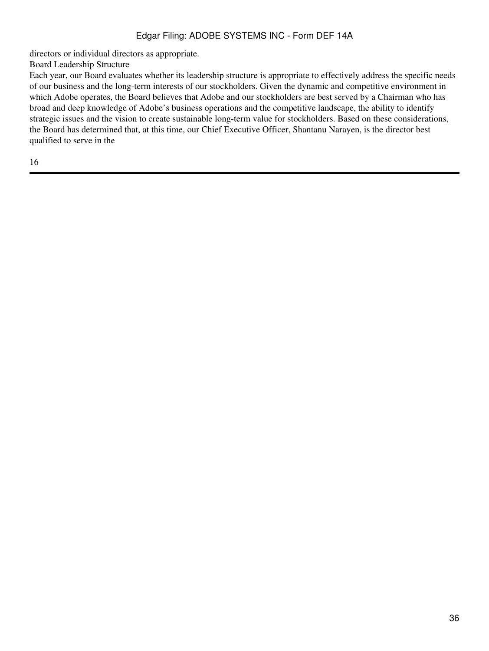directors or individual directors as appropriate.

Board Leadership Structure

Each year, our Board evaluates whether its leadership structure is appropriate to effectively address the specific needs of our business and the long-term interests of our stockholders. Given the dynamic and competitive environment in which Adobe operates, the Board believes that Adobe and our stockholders are best served by a Chairman who has broad and deep knowledge of Adobe's business operations and the competitive landscape, the ability to identify strategic issues and the vision to create sustainable long-term value for stockholders. Based on these considerations, the Board has determined that, at this time, our Chief Executive Officer, Shantanu Narayen, is the director best qualified to serve in the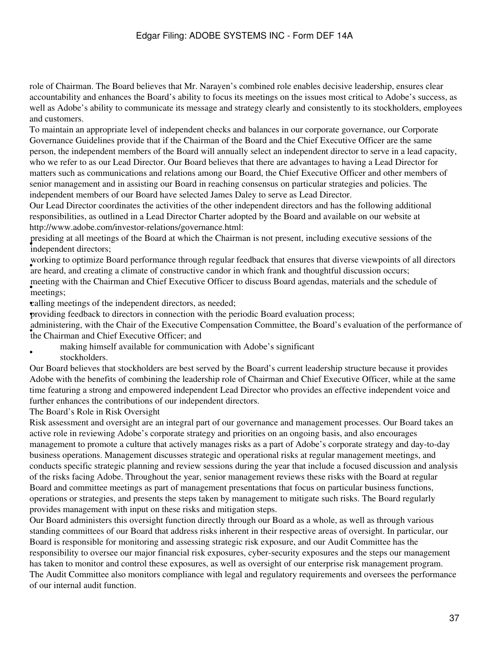role of Chairman. The Board believes that Mr. Narayen's combined role enables decisive leadership, ensures clear accountability and enhances the Board's ability to focus its meetings on the issues most critical to Adobe's success, as well as Adobe's ability to communicate its message and strategy clearly and consistently to its stockholders, employees and customers.

To maintain an appropriate level of independent checks and balances in our corporate governance, our Corporate Governance Guidelines provide that if the Chairman of the Board and the Chief Executive Officer are the same person, the independent members of the Board will annually select an independent director to serve in a lead capacity, who we refer to as our Lead Director. Our Board believes that there are advantages to having a Lead Director for matters such as communications and relations among our Board, the Chief Executive Officer and other members of senior management and in assisting our Board in reaching consensus on particular strategies and policies. The independent members of our Board have selected James Daley to serve as Lead Director.

Our Lead Director coordinates the activities of the other independent directors and has the following additional responsibilities, as outlined in a Lead Director Charter adopted by the Board and available on our website at http://www.adobe.com/investor-relations/governance.html:

pressuing at an incentipresiding at all meetings of the Board at which the Chairman is not present, including executive sessions of the

working to optimize Board performance alroagh regard recebeats that ensures that diverse viewpoints of are heard, and creating a climate of constructive candor in which frank and thoughtful discussion occurs; working to optimize Board performance through regular feedback that ensures that diverse viewpoints of all directors meetings; meeting with the Chairman and Chief Executive Officer to discuss Board agendas, materials and the schedule of

•calling meetings of the independent directors, as needed;

•providing feedback to directors in connection with the periodic Board evaluation process;

the Chairman and Chief Executive Officer; and administering, with the Chair of the Executive Compensation Committee, the Board's evaluation of the performance of

making himself available for communication with Adobe's significant

• stockholders.

Our Board believes that stockholders are best served by the Board's current leadership structure because it provides Adobe with the benefits of combining the leadership role of Chairman and Chief Executive Officer, while at the same time featuring a strong and empowered independent Lead Director who provides an effective independent voice and further enhances the contributions of our independent directors.

The Board's Role in Risk Oversight

Risk assessment and oversight are an integral part of our governance and management processes. Our Board takes an active role in reviewing Adobe's corporate strategy and priorities on an ongoing basis, and also encourages management to promote a culture that actively manages risks as a part of Adobe's corporate strategy and day-to-day business operations. Management discusses strategic and operational risks at regular management meetings, and conducts specific strategic planning and review sessions during the year that include a focused discussion and analysis of the risks facing Adobe. Throughout the year, senior management reviews these risks with the Board at regular Board and committee meetings as part of management presentations that focus on particular business functions, operations or strategies, and presents the steps taken by management to mitigate such risks. The Board regularly provides management with input on these risks and mitigation steps.

Our Board administers this oversight function directly through our Board as a whole, as well as through various standing committees of our Board that address risks inherent in their respective areas of oversight. In particular, our Board is responsible for monitoring and assessing strategic risk exposure, and our Audit Committee has the responsibility to oversee our major financial risk exposures, cyber-security exposures and the steps our management has taken to monitor and control these exposures, as well as oversight of our enterprise risk management program. The Audit Committee also monitors compliance with legal and regulatory requirements and oversees the performance of our internal audit function.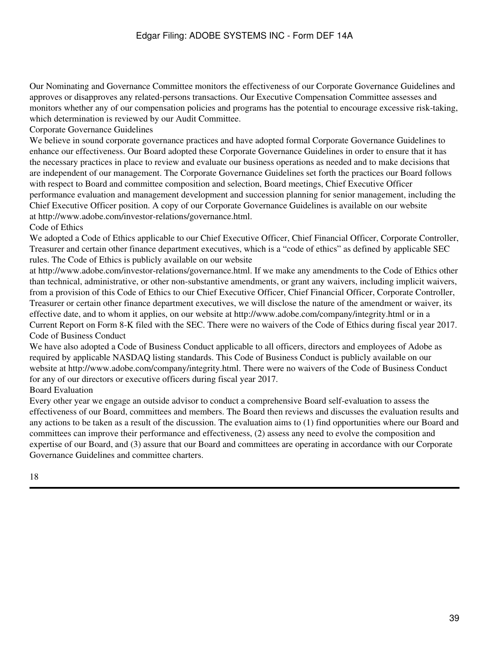Our Nominating and Governance Committee monitors the effectiveness of our Corporate Governance Guidelines and approves or disapproves any related-persons transactions. Our Executive Compensation Committee assesses and monitors whether any of our compensation policies and programs has the potential to encourage excessive risk-taking, which determination is reviewed by our Audit Committee.

Corporate Governance Guidelines

We believe in sound corporate governance practices and have adopted formal Corporate Governance Guidelines to enhance our effectiveness. Our Board adopted these Corporate Governance Guidelines in order to ensure that it has the necessary practices in place to review and evaluate our business operations as needed and to make decisions that are independent of our management. The Corporate Governance Guidelines set forth the practices our Board follows with respect to Board and committee composition and selection, Board meetings, Chief Executive Officer performance evaluation and management development and succession planning for senior management, including the Chief Executive Officer position. A copy of our Corporate Governance Guidelines is available on our website at http://www.adobe.com/investor-relations/governance.html.

#### Code of Ethics

We adopted a Code of Ethics applicable to our Chief Executive Officer, Chief Financial Officer, Corporate Controller, Treasurer and certain other finance department executives, which is a "code of ethics" as defined by applicable SEC rules. The Code of Ethics is publicly available on our website

at http://www.adobe.com/investor-relations/governance.html. If we make any amendments to the Code of Ethics other than technical, administrative, or other non-substantive amendments, or grant any waivers, including implicit waivers, from a provision of this Code of Ethics to our Chief Executive Officer, Chief Financial Officer, Corporate Controller, Treasurer or certain other finance department executives, we will disclose the nature of the amendment or waiver, its effective date, and to whom it applies, on our website at http://www.adobe.com/company/integrity.html or in a Current Report on Form 8-K filed with the SEC. There were no waivers of the Code of Ethics during fiscal year 2017. Code of Business Conduct

We have also adopted a Code of Business Conduct applicable to all officers, directors and employees of Adobe as required by applicable NASDAQ listing standards. This Code of Business Conduct is publicly available on our website at http://www.adobe.com/company/integrity.html. There were no waivers of the Code of Business Conduct for any of our directors or executive officers during fiscal year 2017.

Board Evaluation

Every other year we engage an outside advisor to conduct a comprehensive Board self-evaluation to assess the effectiveness of our Board, committees and members. The Board then reviews and discusses the evaluation results and any actions to be taken as a result of the discussion. The evaluation aims to (1) find opportunities where our Board and committees can improve their performance and effectiveness, (2) assess any need to evolve the composition and expertise of our Board, and (3) assure that our Board and committees are operating in accordance with our Corporate Governance Guidelines and committee charters.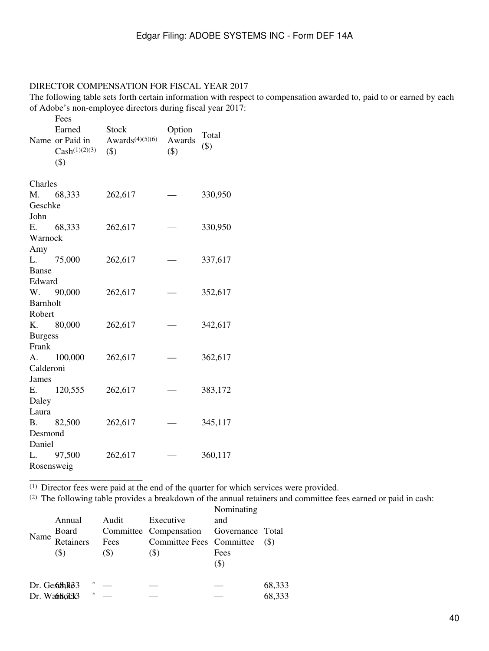### DIRECTOR COMPENSATION FOR FISCAL YEAR 2017

The following table sets forth certain information with respect to compensation awarded to, paid to or earned by each of Adobe's non-employee directors during fiscal year 2017:

|                 | Fees               |                    |        |         |
|-----------------|--------------------|--------------------|--------|---------|
|                 | Earned             | <b>Stock</b>       | Option | Total   |
|                 | Name or Paid in    | Awards $(4)(5)(6)$ | Awards | $(\$)$  |
|                 | $Cash^{(1)(2)(3)}$ | $(\$)$             | \$)    |         |
|                 | $($ \$)            |                    |        |         |
| Charles         |                    |                    |        |         |
|                 | M. 68,333          | 262,617            |        | 330,950 |
| Geschke         |                    |                    |        |         |
| John            |                    |                    |        |         |
|                 | E. 68,333          | 262,617            |        | 330,950 |
| Warnock         |                    |                    |        |         |
| Amy             |                    |                    |        |         |
|                 | L. 75,000          | 262,617            |        | 337,617 |
| Banse           |                    |                    |        |         |
| Edward          |                    |                    |        |         |
|                 | W. 90,000          | 262,617            |        | 352,617 |
| <b>Barnholt</b> |                    |                    |        |         |
| Robert          |                    |                    |        |         |
|                 | K. 80,000          | 262,617            |        | 342,617 |
| <b>Burgess</b>  |                    |                    |        |         |
| Frank           |                    |                    |        |         |
|                 | A. 100,000         | 262,617            |        | 362,617 |
| Calderoni       |                    |                    |        |         |
| James           |                    |                    |        |         |
|                 | E. 120,555         | 262,617            |        | 383,172 |
| Daley           |                    |                    |        |         |
| Laura           |                    |                    |        |         |
|                 | B. 82,500          | 262,617            |        | 345,117 |
| Desmond         |                    |                    |        |         |
| Daniel          |                    |                    |        |         |
|                 | L. 97,500          | 262,617            |        | 360,117 |
| Rosensweig      |                    |                    |        |         |

\_\_\_\_\_\_\_\_\_\_\_\_\_\_\_\_\_\_\_\_\_\_\_\_\_

 $<sup>(1)</sup>$  Director fees were paid at the end of the quarter for which services were provided.</sup>

(2) The following table provides a breakdown of the annual retainers and committee fees earned or paid in cash: Nominating

|      | Annual             |        | Audit | Executive                               | <b>NOTHERTHIS</b><br>and |        |
|------|--------------------|--------|-------|-----------------------------------------|--------------------------|--------|
|      |                    |        |       | Committee Compensation Governance Total |                          |        |
| Name | Board<br>Retainers |        | Fees  | Committee Fees Committee                |                          | (S)    |
|      | (\$)               |        | (\$)  | (S)                                     | Fees<br>$(\$)$           |        |
|      |                    |        |       |                                         |                          |        |
|      | Dr. GesshR83       | $*$    |       |                                         |                          | 68,333 |
|      | Dr. Watboard       | $\ast$ |       |                                         |                          | 68,333 |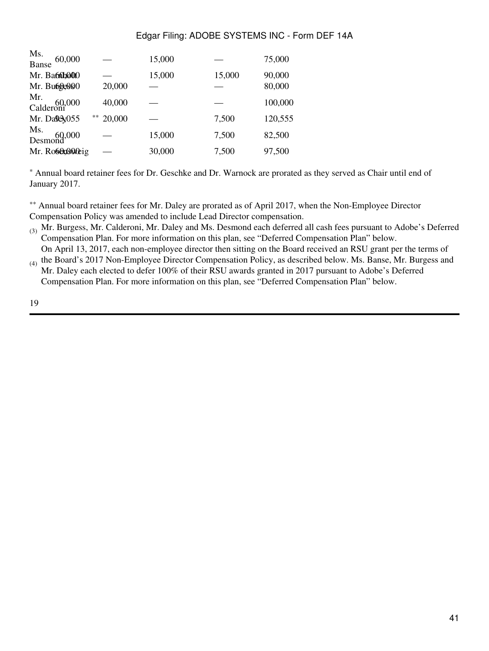| Ms.<br>Banse 60,000                |        | 15,000 |        | 75,000           |
|------------------------------------|--------|--------|--------|------------------|
| Mr. Ba60b000<br>Mr. Bu60e000       | 20,000 | 15,000 | 15,000 | 90,000<br>80,000 |
| Mr.<br>Calderoni <sup>00,000</sup> | 40,000 |        |        | 100,000          |
| **<br>Mr. Dalexy055                | 20,000 |        | 7,500  | 120,555          |
| Ms.<br>Desmond <sup>.000</sup>     |        | 15,000 | 7,500  | 82,500           |
| Mr. Rosensoreig                    |        | 30,000 | 7,500  | 97,500           |

\* Annual board retainer fees for Dr. Geschke and Dr. Warnock are prorated as they served as Chair until end of January 2017.

\*\* Annual board retainer fees for Mr. Daley are prorated as of April 2017, when the Non-Employee Director Compensation Policy was amended to include Lead Director compensation.

(3) Mr. Burgess, Mr. Calderoni, Mr. Daley and Ms. Desmond each deferred all cash fees pursuant to Adobe's Deferred Compensation Plan. For more information on this plan, see "Deferred Compensation Plan" below.

 $_{(4)}$  the Board's 2017 Non-Employee Director Compensation Policy, as described below. Ms. Banse, Mr. Burgess and On April 13, 2017, each non-employee director then sitting on the Board received an RSU grant per the terms of

Mr. Daley each elected to defer 100% of their RSU awards granted in 2017 pursuant to Adobe's Deferred Compensation Plan. For more information on this plan, see "Deferred Compensation Plan" below.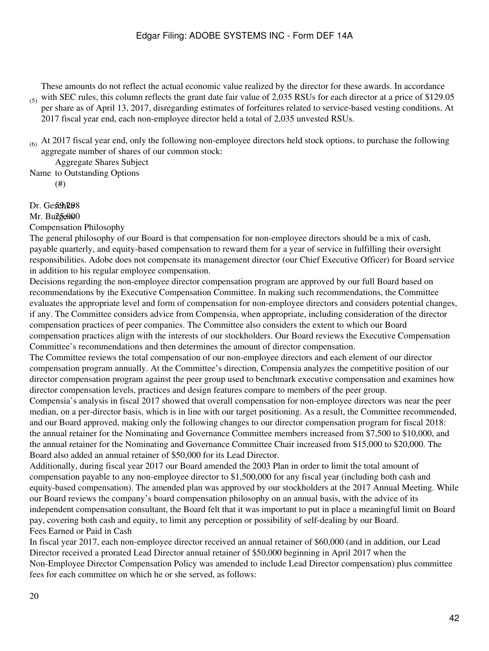These amounts do not reflect the actual economic value realized by the director for these awards. In accordance

- (5) with SEC rules, this column reflects the grant date fair value of 2,035 RSUs for each director at a price of \$129.05 per share as of April 13, 2017, disregarding estimates of forfeitures related to service-based vesting conditions. At 2017 fiscal year end, each non-employee director held a total of 2,035 unvested RSUs.
- $(6)$  At 2017 fiscal year end, only the following non-employee directors held stock options, to purchase the following aggregate number of shares of our common stock:

Name to Outstanding Options Aggregate Shares Subject

(#)

## Dr. Geschke8

### Mr. Bulgeos0

Compensation Philosophy

The general philosophy of our Board is that compensation for non-employee directors should be a mix of cash, payable quarterly, and equity-based compensation to reward them for a year of service in fulfilling their oversight responsibilities. Adobe does not compensate its management director (our Chief Executive Officer) for Board service in addition to his regular employee compensation.

Decisions regarding the non-employee director compensation program are approved by our full Board based on recommendations by the Executive Compensation Committee. In making such recommendations, the Committee evaluates the appropriate level and form of compensation for non-employee directors and considers potential changes, if any. The Committee considers advice from Compensia, when appropriate, including consideration of the director compensation practices of peer companies. The Committee also considers the extent to which our Board compensation practices align with the interests of our stockholders. Our Board reviews the Executive Compensation Committee's recommendations and then determines the amount of director compensation.

The Committee reviews the total compensation of our non-employee directors and each element of our director compensation program annually. At the Committee's direction, Compensia analyzes the competitive position of our director compensation program against the peer group used to benchmark executive compensation and examines how director compensation levels, practices and design features compare to members of the peer group.

Compensia's analysis in fiscal 2017 showed that overall compensation for non-employee directors was near the peer median, on a per-director basis, which is in line with our target positioning. As a result, the Committee recommended, and our Board approved, making only the following changes to our director compensation program for fiscal 2018: the annual retainer for the Nominating and Governance Committee members increased from \$7,500 to \$10,000, and the annual retainer for the Nominating and Governance Committee Chair increased from \$15,000 to \$20,000. The Board also added an annual retainer of \$50,000 for its Lead Director.

Additionally, during fiscal year 2017 our Board amended the 2003 Plan in order to limit the total amount of compensation payable to any non-employee director to \$1,500,000 for any fiscal year (including both cash and equity-based compensation). The amended plan was approved by our stockholders at the 2017 Annual Meeting. While our Board reviews the company's board compensation philosophy on an annual basis, with the advice of its independent compensation consultant, the Board felt that it was important to put in place a meaningful limit on Board pay, covering both cash and equity, to limit any perception or possibility of self-dealing by our Board. Fees Earned or Paid in Cash

In fiscal year 2017, each non-employee director received an annual retainer of \$60,000 (and in addition, our Lead Director received a prorated Lead Director annual retainer of \$50,000 beginning in April 2017 when the Non-Employee Director Compensation Policy was amended to include Lead Director compensation) plus committee fees for each committee on which he or she served, as follows: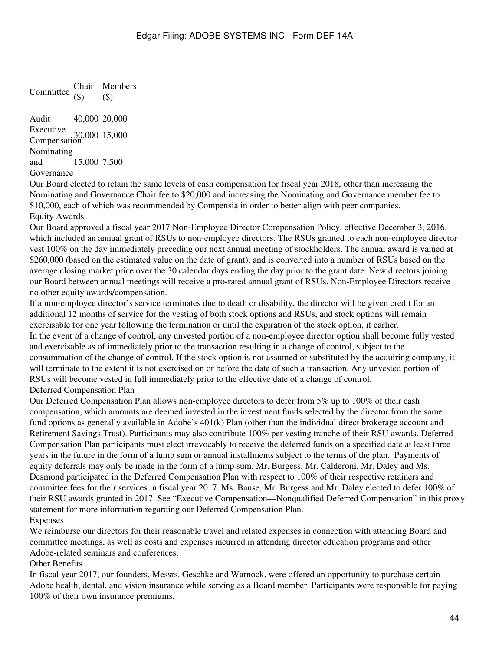Committee (\$) Chair Members (\$)

Audit 40,000 20,000 Executive<br>Compensation 15,000 Nominating and Governance 15,000 7,500

Our Board elected to retain the same levels of cash compensation for fiscal year 2018, other than increasing the Nominating and Governance Chair fee to \$20,000 and increasing the Nominating and Governance member fee to \$10,000, each of which was recommended by Compensia in order to better align with peer companies. Equity Awards

Our Board approved a fiscal year 2017 Non-Employee Director Compensation Policy, effective December 3, 2016, which included an annual grant of RSUs to non-employee directors. The RSUs granted to each non-employee director vest 100% on the day immediately preceding our next annual meeting of stockholders. The annual award is valued at \$260,000 (based on the estimated value on the date of grant), and is converted into a number of RSUs based on the average closing market price over the 30 calendar days ending the day prior to the grant date. New directors joining our Board between annual meetings will receive a pro-rated annual grant of RSUs. Non-Employee Directors receive no other equity awards/compensation.

If a non-employee director's service terminates due to death or disability, the director will be given credit for an additional 12 months of service for the vesting of both stock options and RSUs, and stock options will remain exercisable for one year following the termination or until the expiration of the stock option, if earlier. In the event of a change of control, any unvested portion of a non-employee director option shall become fully vested and exercisable as of immediately prior to the transaction resulting in a change of control, subject to the consummation of the change of control. If the stock option is not assumed or substituted by the acquiring company, it will terminate to the extent it is not exercised on or before the date of such a transaction. Any unvested portion of RSUs will become vested in full immediately prior to the effective date of a change of control. Deferred Compensation Plan

Our Deferred Compensation Plan allows non-employee directors to defer from 5% up to 100% of their cash compensation, which amounts are deemed invested in the investment funds selected by the director from the same fund options as generally available in Adobe's 401(k) Plan (other than the individual direct brokerage account and Retirement Savings Trust). Participants may also contribute 100% per vesting tranche of their RSU awards. Deferred Compensation Plan participants must elect irrevocably to receive the deferred funds on a specified date at least three years in the future in the form of a lump sum or annual installments subject to the terms of the plan. Payments of equity deferrals may only be made in the form of a lump sum. Mr. Burgess, Mr. Calderoni, Mr. Daley and Ms. Desmond participated in the Deferred Compensation Plan with respect to 100% of their respective retainers and committee fees for their services in fiscal year 2017. Ms. Banse, Mr. Burgess and Mr. Daley elected to defer 100% of their RSU awards granted in 2017. See "Executive Compensation—Nonqualified Deferred Compensation" in this proxy statement for more information regarding our Deferred Compensation Plan. Expenses

We reimburse our directors for their reasonable travel and related expenses in connection with attending Board and committee meetings, as well as costs and expenses incurred in attending director education programs and other Adobe-related seminars and conferences.

Other Benefits

In fiscal year 2017, our founders, Messrs. Geschke and Warnock, were offered an opportunity to purchase certain Adobe health, dental, and vision insurance while serving as a Board member. Participants were responsible for paying 100% of their own insurance premiums.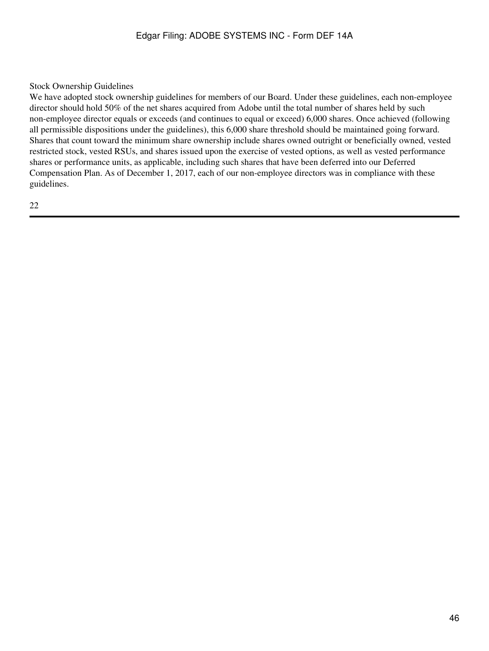Stock Ownership Guidelines

We have adopted stock ownership guidelines for members of our Board. Under these guidelines, each non-employee director should hold 50% of the net shares acquired from Adobe until the total number of shares held by such non-employee director equals or exceeds (and continues to equal or exceed) 6,000 shares. Once achieved (following all permissible dispositions under the guidelines), this 6,000 share threshold should be maintained going forward. Shares that count toward the minimum share ownership include shares owned outright or beneficially owned, vested restricted stock, vested RSUs, and shares issued upon the exercise of vested options, as well as vested performance shares or performance units, as applicable, including such shares that have been deferred into our Deferred Compensation Plan. As of December 1, 2017, each of our non-employee directors was in compliance with these guidelines.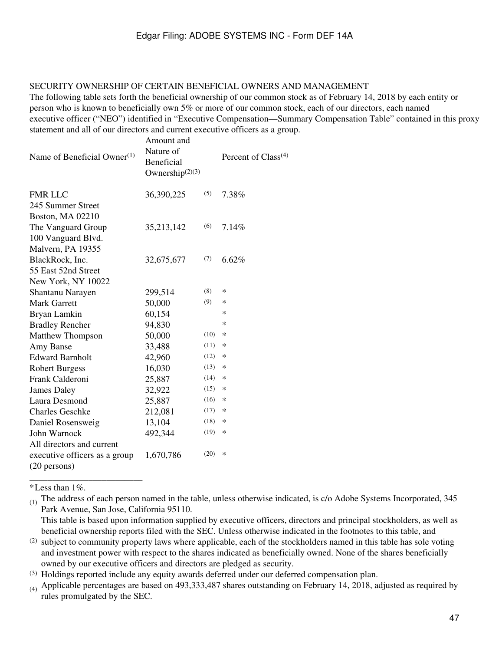#### SECURITY OWNERSHIP OF CERTAIN BENEFICIAL OWNERS AND MANAGEMENT

The following table sets forth the beneficial ownership of our common stock as of February 14, 2018 by each entity or person who is known to beneficially own 5% or more of our common stock, each of our directors, each named executive officer ("NEO") identified in "Executive Compensation—Summary Compensation Table" contained in this proxy statement and all of our directors and current executive officers as a group.

| Name of Beneficial Owner $(1)$ | Amount and<br>Nature of<br><b>Beneficial</b><br>Ownership $(2)(3)$ |      | Percent of $Class(4)$ |
|--------------------------------|--------------------------------------------------------------------|------|-----------------------|
| <b>FMR LLC</b>                 | 36,390,225                                                         | (5)  | 7.38%                 |
| 245 Summer Street              |                                                                    |      |                       |
| Boston, MA 02210               |                                                                    |      |                       |
| The Vanguard Group             | 35,213,142                                                         | (6)  | 7.14%                 |
| 100 Vanguard Blvd.             |                                                                    |      |                       |
| Malvern, PA 19355              |                                                                    |      |                       |
| BlackRock, Inc.                | 32,675,677                                                         | (7)  | $6.62\%$              |
| 55 East 52nd Street            |                                                                    |      |                       |
| New York, NY 10022             |                                                                    |      |                       |
| Shantanu Narayen               | 299,514                                                            | (8)  | ∗                     |
| <b>Mark Garrett</b>            | 50,000                                                             | (9)  | ∗                     |
| Bryan Lamkin                   | 60,154                                                             |      | $\ast$                |
| <b>Bradley Rencher</b>         | 94,830                                                             |      | $\ast$                |
| <b>Matthew Thompson</b>        | 50,000                                                             | (10) | $\ast$                |
| Amy Banse                      | 33,488                                                             | (11) | ∗                     |
| <b>Edward Barnholt</b>         | 42,960                                                             | (12) | $\ast$                |
| <b>Robert Burgess</b>          | 16,030                                                             | (13) | ∗                     |
| Frank Calderoni                | 25,887                                                             | (14) | $\ast$                |
| James Daley                    | 32,922                                                             | (15) | $\ast$                |
| Laura Desmond                  | 25,887                                                             | (16) | $\ast$                |
| <b>Charles Geschke</b>         | 212,081                                                            | (17) | $\ast$                |
| Daniel Rosensweig              | 13,104                                                             | (18) | ∗                     |
| John Warnock                   | 492,344                                                            | (19) | ∗                     |
| All directors and current      |                                                                    |      |                       |
| executive officers as a group  | 1,670,786                                                          | (20) | $\ast$                |
| $(20$ persons)                 |                                                                    |      |                       |

\*Less than 1%.

\_\_\_\_\_\_\_\_\_\_\_\_\_\_\_\_\_\_\_\_\_\_\_\_\_

This table is based upon information supplied by executive officers, directors and principal stockholders, as well as beneficial ownership reports filed with the SEC. Unless otherwise indicated in the footnotes to this table, and

 $^{(2)}$  subject to community property laws where applicable, each of the stockholders named in this table has sole voting and investment power with respect to the shares indicated as beneficially owned. None of the shares beneficially owned by our executive officers and directors are pledged as security.

(3) Holdings reported include any equity awards deferred under our deferred compensation plan.

(4) Applicable percentages are based on 493,333,487 shares outstanding on February 14, 2018, adjusted as required by rules promulgated by the SEC.

<sup>(1)</sup> The address of each person named in the table, unless otherwise indicated, is c/o Adobe Systems Incorporated, 345 Park Avenue, San Jose, California 95110.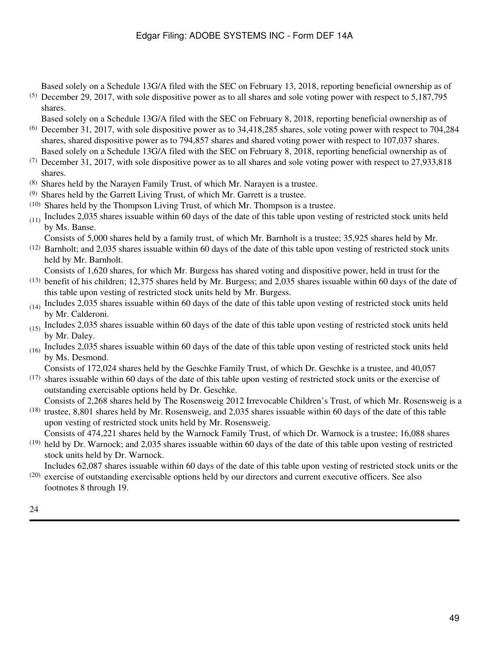Based solely on a Schedule 13G/A filed with the SEC on February 13, 2018, reporting beneficial ownership as of

(5) December 29, 2017, with sole dispositive power as to all shares and sole voting power with respect to 5,187,795 shares.

Based solely on a Schedule 13G/A filed with the SEC on February 8, 2018, reporting beneficial ownership as of

- (6) December 31, 2017, with sole dispositive power as to 34,418,285 shares, sole voting power with respect to 704,284 shares, shared dispositive power as to 794,857 shares and shared voting power with respect to 107,037 shares. Based solely on a Schedule 13G/A filed with the SEC on February 8, 2018, reporting beneficial ownership as of
- $(7)$  December 31, 2017, with sole dispositive power as to all shares and sole voting power with respect to 27,933,818 shares.
- (8) Shares held by the Narayen Family Trust, of which Mr. Narayen is a trustee.
- (9) Shares held by the Garrett Living Trust, of which Mr. Garrett is a trustee.
- (10) Shares held by the Thompson Living Trust, of which Mr. Thompson is a trustee.
- $(11)$  Includes 2,035 shares issuable within 60 days of the date of this table upon vesting of restricted stock units held by Ms. Banse.

Consists of 5,000 shares held by a family trust, of which Mr. Barnholt is a trustee; 35,925 shares held by Mr.

- $(12)$  Barnholt; and 2,035 shares issuable within 60 days of the date of this table upon vesting of restricted stock units held by Mr. Barnholt.
- Consists of 1,620 shares, for which Mr. Burgess has shared voting and dispositive power, held in trust for the
- $(13)$  benefit of his children; 12,375 shares held by Mr. Burgess; and 2,035 shares issuable within 60 days of the date of this table upon vesting of restricted stock units held by Mr. Burgess.
- $(14)$  Includes 2,035 shares issuable within 60 days of the date of this table upon vesting of restricted stock units held by Mr. Calderoni.
- $(15)$  Includes 2,035 shares issuable within 60 days of the date of this table upon vesting of restricted stock units held by Mr. Daley.
- $(16)$  Includes 2,035 shares issuable within 60 days of the date of this table upon vesting of restricted stock units held by Ms. Desmond.

Consists of 172,024 shares held by the Geschke Family Trust, of which Dr. Geschke is a trustee, and 40,057

(17) shares issuable within 60 days of the date of this table upon vesting of restricted stock units or the exercise of outstanding exercisable options held by Dr. Geschke.

Consists of 2,268 shares held by The Rosensweig 2012 Irrevocable Children's Trust, of which Mr. Rosensweig is a

- (18) trustee, 8,801 shares held by Mr. Rosensweig, and 2,035 shares issuable within 60 days of the date of this table upon vesting of restricted stock units held by Mr. Rosensweig.
- $(19)$  held by Dr. Warnock; and 2,035 shares issuable within 60 days of the date of this table upon vesting of restricted Consists of 474,221 shares held by the Warnock Family Trust, of which Dr. Warnock is a trustee; 16,088 shares stock units held by Dr. Warnock.

(20) exercise of outstanding exercisable options held by our directors and current executive officers. See also Includes 62,087 shares issuable within 60 days of the date of this table upon vesting of restricted stock units or the

footnotes 8 through 19.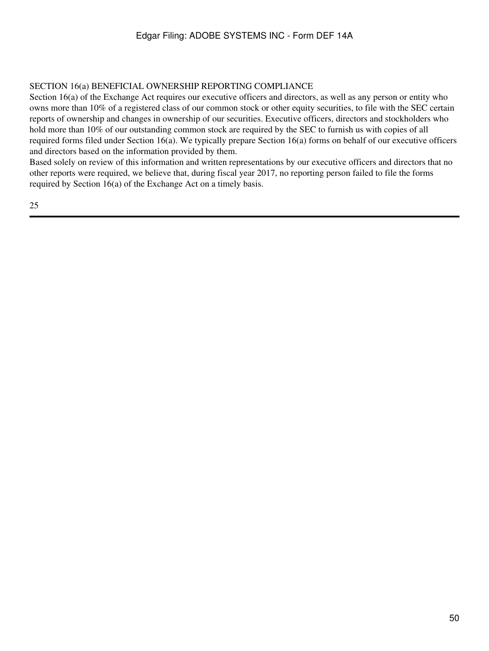### SECTION 16(a) BENEFICIAL OWNERSHIP REPORTING COMPLIANCE

Section 16(a) of the Exchange Act requires our executive officers and directors, as well as any person or entity who owns more than 10% of a registered class of our common stock or other equity securities, to file with the SEC certain reports of ownership and changes in ownership of our securities. Executive officers, directors and stockholders who hold more than 10% of our outstanding common stock are required by the SEC to furnish us with copies of all required forms filed under Section 16(a). We typically prepare Section 16(a) forms on behalf of our executive officers and directors based on the information provided by them.

Based solely on review of this information and written representations by our executive officers and directors that no other reports were required, we believe that, during fiscal year 2017, no reporting person failed to file the forms required by Section 16(a) of the Exchange Act on a timely basis.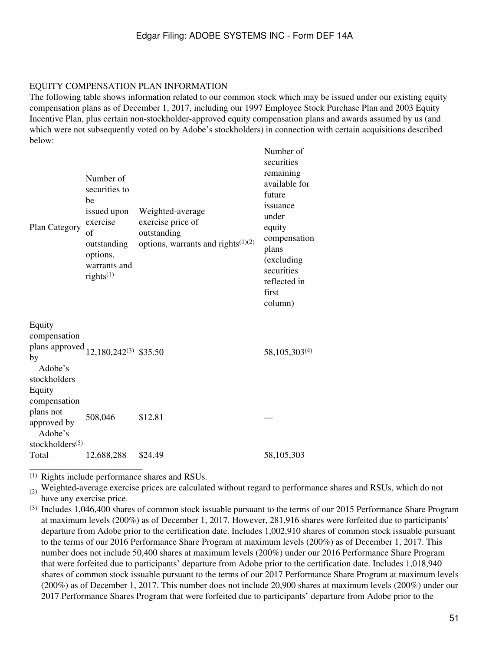#### EQUITY COMPENSATION PLAN INFORMATION

The following table shows information related to our common stock which may be issued under our existing equity compensation plans as of December 1, 2017, including our 1997 Employee Stock Purchase Plan and 2003 Equity Incentive Plan, plus certain non-stockholder-approved equity compensation plans and awards assumed by us (and which were not subsequently voted on by Adobe's stockholders) in connection with certain acquisitions described below:

| Plan Category                                                                                                         | Number of<br>securities to<br>he<br>issued upon<br>exercise<br>of<br>outstanding<br>options,<br>warrants and<br>rights <sup>(1)</sup> | Weighted-average<br>exercise price of<br>outstanding<br>options, warrants and rights <sup>(1)(2)</sup> | Number of<br>securities<br>remaining<br>available for<br>future<br>issuance<br>under<br>equity<br>compensation<br>plans<br>(excluding<br>securities<br>reflected in<br>first<br>column) |
|-----------------------------------------------------------------------------------------------------------------------|---------------------------------------------------------------------------------------------------------------------------------------|--------------------------------------------------------------------------------------------------------|-----------------------------------------------------------------------------------------------------------------------------------------------------------------------------------------|
| Equity<br>compensation<br>plans approved 12,180,242 <sup>(3)</sup> \$35.50<br>by<br>Adobe's<br>stockholders<br>Equity |                                                                                                                                       |                                                                                                        | 58, 105, 303 <sup>(4)</sup>                                                                                                                                                             |
| compensation<br>plans not<br>approved by<br>Adobe's                                                                   | 508,046                                                                                                                               | \$12.81                                                                                                |                                                                                                                                                                                         |
| stockholders $(5)$<br>Total                                                                                           | 12,688,288                                                                                                                            | \$24.49                                                                                                | 58,105,303                                                                                                                                                                              |

(1) Rights include performance shares and RSUs.

 $(2)$  Weighted-average exercise prices are calculated without regard to performance shares and RSUs, which do not have any exercise price.

(3) Includes 1,046,400 shares of common stock issuable pursuant to the terms of our 2015 Performance Share Program at maximum levels (200%) as of December 1, 2017. However, 281,916 shares were forfeited due to participants' departure from Adobe prior to the certification date. Includes 1,002,910 shares of common stock issuable pursuant to the terms of our 2016 Performance Share Program at maximum levels (200%) as of December 1, 2017. This number does not include 50,400 shares at maximum levels (200%) under our 2016 Performance Share Program that were forfeited due to participants' departure from Adobe prior to the certification date. Includes 1,018,940 shares of common stock issuable pursuant to the terms of our 2017 Performance Share Program at maximum levels (200%) as of December 1, 2017. This number does not include 20,900 shares at maximum levels (200%) under our 2017 Performance Shares Program that were forfeited due to participants' departure from Adobe prior to the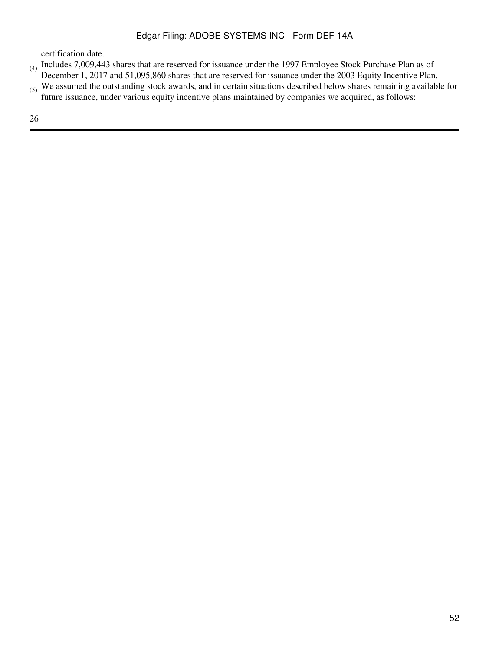certification date.

- (4) Includes 7,009,443 shares that are reserved for issuance under the 1997 Employee Stock Purchase Plan as of December 1, 2017 and 51,095,860 shares that are reserved for issuance under the 2003 Equity Incentive Plan.
- (5) We assumed the outstanding stock awards, and in certain situations described below shares remaining available for future issuance, under various equity incentive plans maintained by companies we acquired, as follows: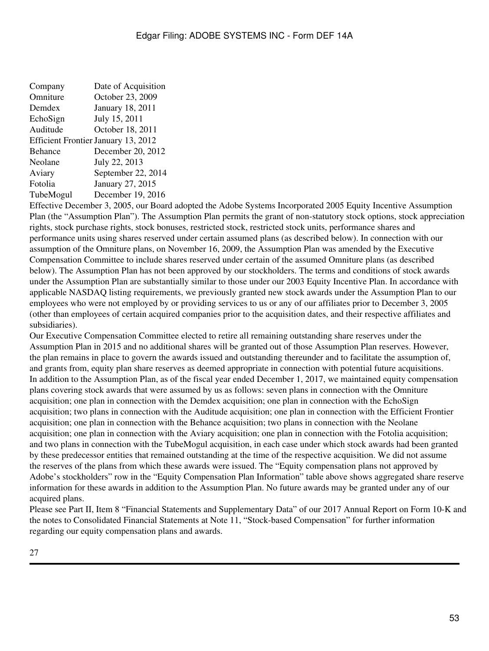| Company   | Date of Acquisition                        |
|-----------|--------------------------------------------|
| Omniture  | October 23, 2009                           |
| Demdex    | January 18, 2011                           |
| EchoSign  | July 15, 2011                              |
| Auditude  | October 18, 2011                           |
|           | <b>Efficient Frontier January 13, 2012</b> |
| Behance   | December 20, 2012                          |
| Neolane   | July 22, 2013                              |
| Aviary    | September 22, 2014                         |
| Fotolia   | January 27, 2015                           |
| TubeMogul | December 19, 2016                          |
|           |                                            |

Effective December 3, 2005, our Board adopted the Adobe Systems Incorporated 2005 Equity Incentive Assumption Plan (the "Assumption Plan"). The Assumption Plan permits the grant of non-statutory stock options, stock appreciation rights, stock purchase rights, stock bonuses, restricted stock, restricted stock units, performance shares and performance units using shares reserved under certain assumed plans (as described below). In connection with our assumption of the Omniture plans, on November 16, 2009, the Assumption Plan was amended by the Executive Compensation Committee to include shares reserved under certain of the assumed Omniture plans (as described below). The Assumption Plan has not been approved by our stockholders. The terms and conditions of stock awards under the Assumption Plan are substantially similar to those under our 2003 Equity Incentive Plan. In accordance with applicable NASDAQ listing requirements, we previously granted new stock awards under the Assumption Plan to our employees who were not employed by or providing services to us or any of our affiliates prior to December 3, 2005 (other than employees of certain acquired companies prior to the acquisition dates, and their respective affiliates and subsidiaries).

Our Executive Compensation Committee elected to retire all remaining outstanding share reserves under the Assumption Plan in 2015 and no additional shares will be granted out of those Assumption Plan reserves. However, the plan remains in place to govern the awards issued and outstanding thereunder and to facilitate the assumption of, and grants from, equity plan share reserves as deemed appropriate in connection with potential future acquisitions. In addition to the Assumption Plan, as of the fiscal year ended December 1, 2017, we maintained equity compensation plans covering stock awards that were assumed by us as follows: seven plans in connection with the Omniture acquisition; one plan in connection with the Demdex acquisition; one plan in connection with the EchoSign acquisition; two plans in connection with the Auditude acquisition; one plan in connection with the Efficient Frontier acquisition; one plan in connection with the Behance acquisition; two plans in connection with the Neolane acquisition; one plan in connection with the Aviary acquisition; one plan in connection with the Fotolia acquisition; and two plans in connection with the TubeMogul acquisition, in each case under which stock awards had been granted by these predecessor entities that remained outstanding at the time of the respective acquisition. We did not assume the reserves of the plans from which these awards were issued. The "Equity compensation plans not approved by Adobe's stockholders" row in the "Equity Compensation Plan Information" table above shows aggregated share reserve information for these awards in addition to the Assumption Plan. No future awards may be granted under any of our acquired plans.

Please see Part II, Item 8 "Financial Statements and Supplementary Data" of our 2017 Annual Report on Form 10-K and the notes to Consolidated Financial Statements at Note 11, "Stock-based Compensation" for further information regarding our equity compensation plans and awards.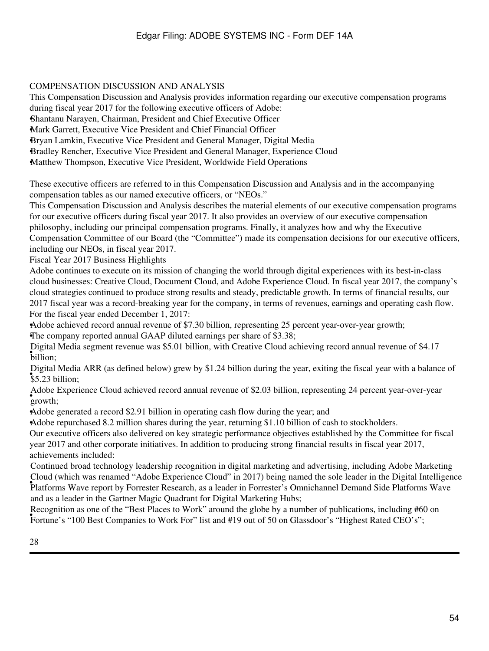### COMPENSATION DISCUSSION AND ANALYSIS

This Compensation Discussion and Analysis provides information regarding our executive compensation programs during fiscal year 2017 for the following executive officers of Adobe: •Shantanu Narayen, Chairman, President and Chief Executive Officer •Mark Garrett, Executive Vice President and Chief Financial Officer •Bryan Lamkin, Executive Vice President and General Manager, Digital Media •Bradley Rencher, Executive Vice President and General Manager, Experience Cloud •Matthew Thompson, Executive Vice President, Worldwide Field Operations

These executive officers are referred to in this Compensation Discussion and Analysis and in the accompanying compensation tables as our named executive officers, or "NEOs."

This Compensation Discussion and Analysis describes the material elements of our executive compensation programs for our executive officers during fiscal year 2017. It also provides an overview of our executive compensation philosophy, including our principal compensation programs. Finally, it analyzes how and why the Executive Compensation Committee of our Board (the "Committee") made its compensation decisions for our executive officers, including our NEOs, in fiscal year 2017.

Fiscal Year 2017 Business Highlights

Adobe continues to execute on its mission of changing the world through digital experiences with its best-in-class cloud businesses: Creative Cloud, Document Cloud, and Adobe Experience Cloud. In fiscal year 2017, the company's cloud strategies continued to produce strong results and steady, predictable growth. In terms of financial results, our 2017 fiscal year was a record-breaking year for the company, in terms of revenues, earnings and operating cash flow. For the fiscal year ended December 1, 2017:

•Adobe achieved record annual revenue of \$7.30 billion, representing 25 percent year-over-year growth;

•The company reported annual GAAP diluted earnings per share of \$3.38;

• billion; Digital Media segment revenue was \$5.01 billion, with Creative Cloud achieving record annual revenue of \$4.17

• \$5.23 billion; Digital Media ARR (as defined below) grew by \$1.24 billion during the year, exiting the fiscal year with a balance of

• growth; Adobe Experience Cloud achieved record annual revenue of \$2.03 billion, representing 24 percent year-over-year

•Adobe generated a record \$2.91 billion in operating cash flow during the year; and

•Adobe repurchased 8.2 million shares during the year, returning \$1.10 billion of cash to stockholders.

Our executive officers also delivered on key strategic performance objectives established by the Committee for fiscal year 2017 and other corporate initiatives. In addition to producing strong financial results in fiscal year 2017, achievements included:

• Platforms Wave report by Forrester Research, as a leader in Forrester's Omnichannel Demand Side Platforms Wave Continued broad technology leadership recognition in digital marketing and advertising, including Adobe Marketing Cloud (which was renamed "Adobe Experience Cloud" in 2017) being named the sole leader in the Digital Intelligence and as a leader in the Gartner Magic Quadrant for Digital Marketing Hubs;

Fortune's "100 Best Companies to Work For" list and #19 out of 50 on Glassdoor's "Highest Rated CEO's"; Recognition as one of the "Best Places to Work" around the globe by a number of publications, including #60 on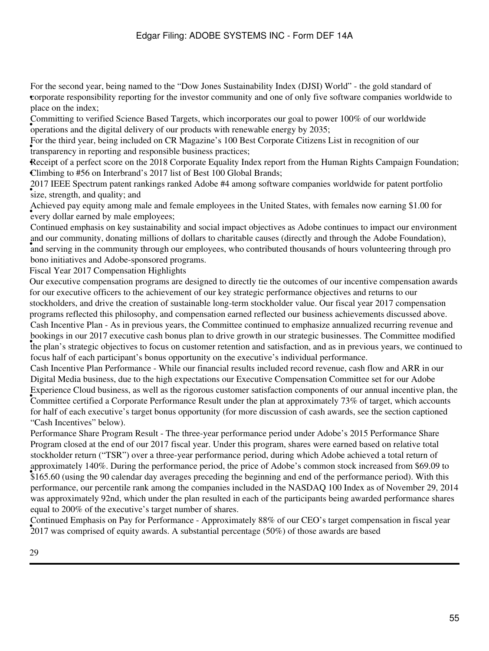• corporate responsibility reporting for the investor community and one of only five software companies worldwide to For the second year, being named to the "Dow Jones Sustainability Index (DJSI) World" - the gold standard of place on the index;

• operations and the digital delivery of our products with renewable energy by 2035; Committing to verified Science Based Targets, which incorporates our goal to power 100% of our worldwide

If or the time year, being included on EX Magazine 5 100 Be transparency in reporting and responsible business practices; For the third year, being included on CR Magazine's 100 Best Corporate Citizens List in recognition of our

Receipt of a perfect score on the 2018 Corporate Equality Index report from the Human Rights Campaign Foundation; •Climbing to #56 on Interbrand's 2017 list of Best 100 Global Brands;

• 2017 IEEE Spectrum patch ra 2017 IEEE Spectrum patent rankings ranked Adobe #4 among software companies worldwide for patent portfolio

• every dollar earned by male employees; Achieved pay equity among male and female employees in the United States, with females now earning \$1.00 for

and serving in the community through our employees, who contributed thousands of hours volunteering through pro Continued emphasis on key sustainability and social impact objectives as Adobe continues to impact our environment and our community, donating millions of dollars to charitable causes (directly and through the Adobe Foundation), bono initiatives and Adobe-sponsored programs.

Fiscal Year 2017 Compensation Highlights

Our executive compensation programs are designed to directly tie the outcomes of our incentive compensation awards for our executive officers to the achievement of our key strategic performance objectives and returns to our stockholders, and drive the creation of sustainable long-term stockholder value. Our fiscal year 2017 compensation programs reflected this philosophy, and compensation earned reflected our business achievements discussed above. the plan's strategic objectives to focus on customer retention and satisfaction, and as in previous years, we continued to the plan's strategic objectives to focus on customer retention and satisfaction, and as in previous Cash Incentive Plan - As in previous years, the Committee continued to emphasize annualized recurring revenue and bookings in our 2017 executive cash bonus plan to drive growth in our strategic businesses. The Committee modified focus half of each participant's bonus opportunity on the executive's individual performance.

• Committee certified a Corporate Performance Result under the plan at approximately 73% of target, which accounts Cash Incentive Plan Performance - While our financial results included record revenue, cash flow and ARR in our Digital Media business, due to the high expectations our Executive Compensation Committee set for our Adobe Experience Cloud business, as well as the rigorous customer satisfaction components of our annual incentive plan, the for half of each executive's target bonus opportunity (for more discussion of cash awards, see the section captioned "Cash Incentives" below).

**Express matery 140%.** But the performance period, the price of Adobe's common stock increased from \$09.09 to \$165.60 (using the 90 calendar day averages preceding the beginning and end of the performance period). With thi Performance Share Program Result - The three-year performance period under Adobe's 2015 Performance Share Program closed at the end of our 2017 fiscal year. Under this program, shares were earned based on relative total stockholder return ("TSR") over a three-year performance period, during which Adobe achieved a total return of approximately 140%. During the performance period, the price of Adobe's common stock increased from \$69.09 to performance, our percentile rank among the companies included in the NASDAQ 100 Index as of November 29, 2014 was approximately 92nd, which under the plan resulted in each of the participants being awarded performance shares equal to 200% of the executive's target number of shares.

• 2017 was comprised of equity awards. A substantial percentage (50%) of those awards are based Continued Emphasis on Pay for Performance - Approximately 88% of our CEO's target compensation in fiscal year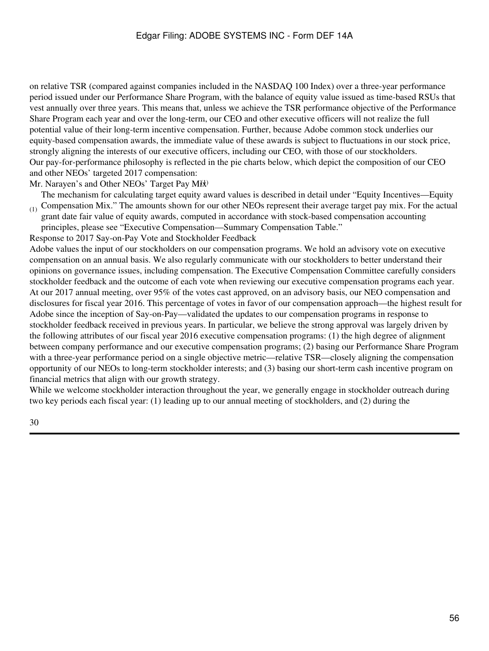on relative TSR (compared against companies included in the NASDAQ 100 Index) over a three-year performance period issued under our Performance Share Program, with the balance of equity value issued as time-based RSUs that vest annually over three years. This means that, unless we achieve the TSR performance objective of the Performance Share Program each year and over the long-term, our CEO and other executive officers will not realize the full potential value of their long-term incentive compensation. Further, because Adobe common stock underlies our equity-based compensation awards, the immediate value of these awards is subject to fluctuations in our stock price, strongly aligning the interests of our executive officers, including our CEO, with those of our stockholders. Our pay-for-performance philosophy is reflected in the pie charts below, which depict the composition of our CEO and other NEOs' targeted 2017 compensation:

Mr. Narayen's and Other NEOs' Target Pay Mix

 $_{(1)}$  Compensation Mix." The amounts shown for our other NEOs represent their average target pay mix. For the actual The mechanism for calculating target equity award values is described in detail under "Equity Incentives—Equity

grant date fair value of equity awards, computed in accordance with stock-based compensation accounting principles, please see "Executive Compensation—Summary Compensation Table."

Response to 2017 Say-on-Pay Vote and Stockholder Feedback

Adobe values the input of our stockholders on our compensation programs. We hold an advisory vote on executive compensation on an annual basis. We also regularly communicate with our stockholders to better understand their opinions on governance issues, including compensation. The Executive Compensation Committee carefully considers stockholder feedback and the outcome of each vote when reviewing our executive compensation programs each year. At our 2017 annual meeting, over 95% of the votes cast approved, on an advisory basis, our NEO compensation and disclosures for fiscal year 2016. This percentage of votes in favor of our compensation approach—the highest result for Adobe since the inception of Say-on-Pay—validated the updates to our compensation programs in response to stockholder feedback received in previous years. In particular, we believe the strong approval was largely driven by the following attributes of our fiscal year 2016 executive compensation programs: (1) the high degree of alignment between company performance and our executive compensation programs; (2) basing our Performance Share Program with a three-year performance period on a single objective metric—relative TSR—closely aligning the compensation opportunity of our NEOs to long-term stockholder interests; and (3) basing our short-term cash incentive program on financial metrics that align with our growth strategy.

While we welcome stockholder interaction throughout the year, we generally engage in stockholder outreach during two key periods each fiscal year: (1) leading up to our annual meeting of stockholders, and (2) during the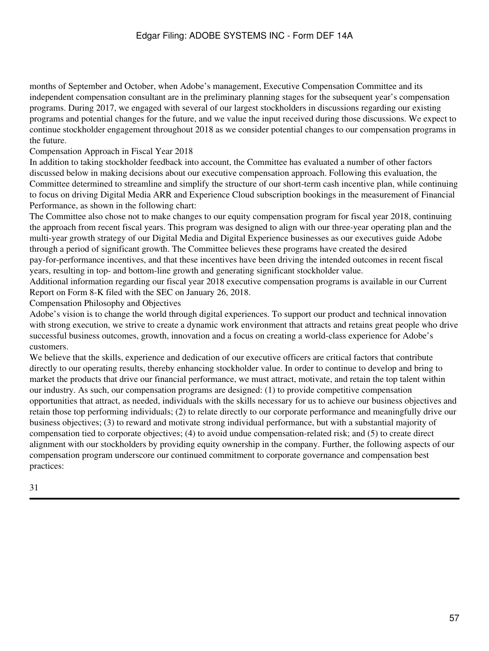months of September and October, when Adobe's management, Executive Compensation Committee and its independent compensation consultant are in the preliminary planning stages for the subsequent year's compensation programs. During 2017, we engaged with several of our largest stockholders in discussions regarding our existing programs and potential changes for the future, and we value the input received during those discussions. We expect to continue stockholder engagement throughout 2018 as we consider potential changes to our compensation programs in the future.

Compensation Approach in Fiscal Year 2018

In addition to taking stockholder feedback into account, the Committee has evaluated a number of other factors discussed below in making decisions about our executive compensation approach. Following this evaluation, the Committee determined to streamline and simplify the structure of our short-term cash incentive plan, while continuing to focus on driving Digital Media ARR and Experience Cloud subscription bookings in the measurement of Financial Performance, as shown in the following chart:

The Committee also chose not to make changes to our equity compensation program for fiscal year 2018, continuing the approach from recent fiscal years. This program was designed to align with our three-year operating plan and the multi-year growth strategy of our Digital Media and Digital Experience businesses as our executives guide Adobe through a period of significant growth. The Committee believes these programs have created the desired pay-for-performance incentives, and that these incentives have been driving the intended outcomes in recent fiscal years, resulting in top- and bottom-line growth and generating significant stockholder value.

Additional information regarding our fiscal year 2018 executive compensation programs is available in our Current Report on Form 8-K filed with the SEC on January 26, 2018.

Compensation Philosophy and Objectives

Adobe's vision is to change the world through digital experiences. To support our product and technical innovation with strong execution, we strive to create a dynamic work environment that attracts and retains great people who drive successful business outcomes, growth, innovation and a focus on creating a world-class experience for Adobe's customers.

We believe that the skills, experience and dedication of our executive officers are critical factors that contribute directly to our operating results, thereby enhancing stockholder value. In order to continue to develop and bring to market the products that drive our financial performance, we must attract, motivate, and retain the top talent within our industry. As such, our compensation programs are designed: (1) to provide competitive compensation opportunities that attract, as needed, individuals with the skills necessary for us to achieve our business objectives and retain those top performing individuals; (2) to relate directly to our corporate performance and meaningfully drive our business objectives; (3) to reward and motivate strong individual performance, but with a substantial majority of compensation tied to corporate objectives; (4) to avoid undue compensation-related risk; and (5) to create direct alignment with our stockholders by providing equity ownership in the company. Further, the following aspects of our compensation program underscore our continued commitment to corporate governance and compensation best practices: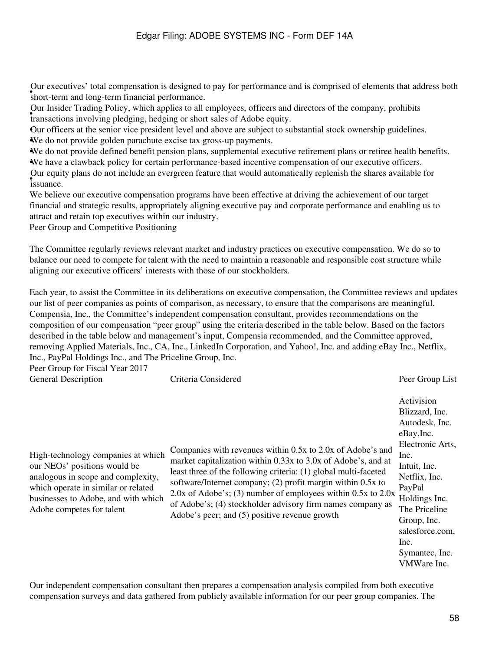• short-term and long-term financial performance. Our executives' total compensation is designed to pay for performance and is comprised of elements that address both

Four mister Friending Foney, which applies to an employees, officers and transactions involving pledging, hedging or short sales of Adobe equity. Our Insider Trading Policy, which applies to all employees, officers and directors of the company, prohibits

•Our officers at the senior vice president level and above are subject to substantial stock ownership guidelines. •We do not provide golden parachute excise tax gross-up payments.

•We do not provide defined benefit pension plans, supplemental executive retirement plans or retiree health benefits. •We have a clawback policy for certain performance-based incentive compensation of our executive officers. • issuance. Our equity plans do not include an evergreen feature that would automatically replenish the shares available for

We believe our executive compensation programs have been effective at driving the achievement of our target financial and strategic results, appropriately aligning executive pay and corporate performance and enabling us to attract and retain top executives within our industry.

Peer Group and Competitive Positioning

The Committee regularly reviews relevant market and industry practices on executive compensation. We do so to balance our need to compete for talent with the need to maintain a reasonable and responsible cost structure while aligning our executive officers' interests with those of our stockholders.

Each year, to assist the Committee in its deliberations on executive compensation, the Committee reviews and updates our list of peer companies as points of comparison, as necessary, to ensure that the comparisons are meaningful. Compensia, Inc., the Committee's independent compensation consultant, provides recommendations on the composition of our compensation "peer group" using the criteria described in the table below. Based on the factors described in the table below and management's input, Compensia recommended, and the Committee approved, removing Applied Materials, Inc., CA, Inc., LinkedIn Corporation, and Yahoo!, Inc. and adding eBay Inc., Netflix, Inc., PayPal Holdings Inc., and The Priceline Group, Inc.

Peer Group for Fiscal Year 2017

| $1 \text{ cm}$ or $10 \text{ cm}$ $1 \text{ cm}$ $1 \text{ cm}$ $201 \text{ cm}$<br><b>General Description</b>                                                                                                      | Criteria Considered                                                                                                                                                                                                                                                                                                                                                                                                                              | Peer Group List                                                                                                                                                                                                                                  |
|---------------------------------------------------------------------------------------------------------------------------------------------------------------------------------------------------------------------|--------------------------------------------------------------------------------------------------------------------------------------------------------------------------------------------------------------------------------------------------------------------------------------------------------------------------------------------------------------------------------------------------------------------------------------------------|--------------------------------------------------------------------------------------------------------------------------------------------------------------------------------------------------------------------------------------------------|
| High-technology companies at which<br>our NEOs' positions would be<br>analogous in scope and complexity,<br>which operate in similar or related<br>businesses to Adobe, and with which<br>Adobe competes for talent | Companies with revenues within 0.5x to 2.0x of Adobe's and<br>market capitalization within 0.33x to 3.0x of Adobe's, and at<br>least three of the following criteria: (1) global multi-faceted<br>software/Internet company; (2) profit margin within 0.5x to<br>2.0x of Adobe's; (3) number of employees within $0.5x$ to $2.0x$<br>of Adobe's; (4) stockholder advisory firm names company as<br>Adobe's peer; and (5) positive revenue growth | Activision<br>Blizzard, Inc.<br>Autodesk, Inc.<br>eBay, Inc.<br>Electronic Arts,<br>Inc.<br>Intuit, Inc.<br>Netflix, Inc.<br>PayPal<br>Holdings Inc.<br>The Priceline<br>Group, Inc.<br>salesforce.com,<br>Inc.<br>Symantec, Inc.<br>VMWare Inc. |

Our independent compensation consultant then prepares a compensation analysis compiled from both executive compensation surveys and data gathered from publicly available information for our peer group companies. The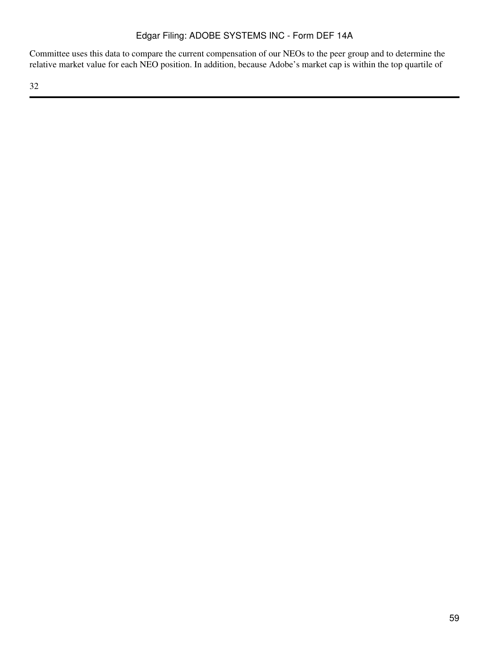Committee uses this data to compare the current compensation of our NEOs to the peer group and to determine the relative market value for each NEO position. In addition, because Adobe's market cap is within the top quartile of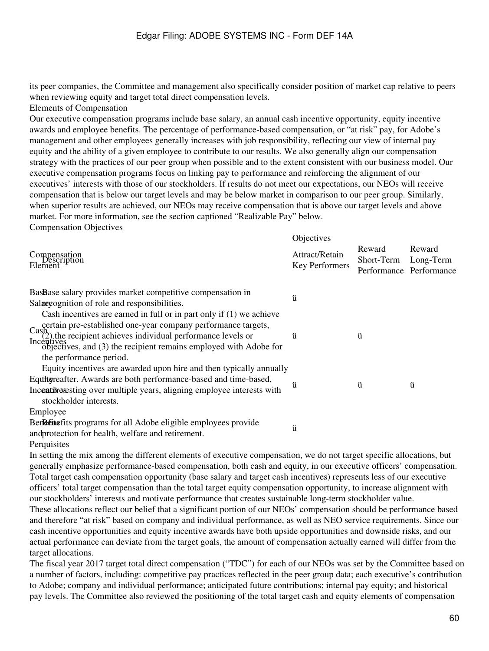its peer companies, the Committee and management also specifically consider position of market cap relative to peers when reviewing equity and target total direct compensation levels.

Elements of Compensation

Our executive compensation programs include base salary, an annual cash incentive opportunity, equity incentive awards and employee benefits. The percentage of performance-based compensation, or "at risk" pay, for Adobe's management and other employees generally increases with job responsibility, reflecting our view of internal pay equity and the ability of a given employee to contribute to our results. We also generally align our compensation strategy with the practices of our peer group when possible and to the extent consistent with our business model. Our executive compensation programs focus on linking pay to performance and reinforcing the alignment of our executives' interests with those of our stockholders. If results do not meet our expectations, our NEOs will receive compensation that is below our target levels and may be below market in comparison to our peer group. Similarly, when superior results are achieved, our NEOs may receive compensation that is above our target levels and above market. For more information, see the section captioned "Realizable Pay" below. Compensation Objectives

|                                                                                                                                                        | Objectives                       |                                                           |        |
|--------------------------------------------------------------------------------------------------------------------------------------------------------|----------------------------------|-----------------------------------------------------------|--------|
| Compensation<br>Element<br>Element                                                                                                                     | Attract/Retain<br>Key Performers | Reward<br>Short-Term Long-Term<br>Performance Performance | Reward |
| BasBase salary provides market competitive compensation in                                                                                             | ü                                |                                                           |        |
| Salaeyognition of role and responsibilities.                                                                                                           |                                  |                                                           |        |
| Cash incentives are earned in full or in part only if $(1)$ we achieve                                                                                 |                                  |                                                           |        |
| certain pre-established one-year company performance targets,                                                                                          |                                  |                                                           |        |
| Cash<br>(2) the recipient achieves individual performance levels or<br>Incentives<br>objectives, and (3) the recipient remains employed with Adobe for | ü                                | ü                                                         |        |
|                                                                                                                                                        |                                  |                                                           |        |
| the performance period.                                                                                                                                |                                  |                                                           |        |
| Equity incentives are awarded upon hire and then typically annually                                                                                    |                                  |                                                           |        |
| Equilityreafter. Awards are both performance-based and time-based,                                                                                     | ü                                | ü                                                         | ü      |
| Incentive sesting over multiple years, aligning employee interests with                                                                                |                                  |                                                           |        |
| stockholder interests.                                                                                                                                 |                                  |                                                           |        |
| Employee                                                                                                                                               |                                  |                                                           |        |
| BenBent estis programs for all Adobe eligible employees provide                                                                                        | ü                                |                                                           |        |
| andprotection for health, welfare and retirement.                                                                                                      |                                  |                                                           |        |

**Perquisites** 

In setting the mix among the different elements of executive compensation, we do not target specific allocations, but generally emphasize performance-based compensation, both cash and equity, in our executive officers' compensation. Total target cash compensation opportunity (base salary and target cash incentives) represents less of our executive officers' total target compensation than the total target equity compensation opportunity, to increase alignment with our stockholders' interests and motivate performance that creates sustainable long-term stockholder value. These allocations reflect our belief that a significant portion of our NEOs' compensation should be performance based and therefore "at risk" based on company and individual performance, as well as NEO service requirements. Since our cash incentive opportunities and equity incentive awards have both upside opportunities and downside risks, and our actual performance can deviate from the target goals, the amount of compensation actually earned will differ from the target allocations.

The fiscal year 2017 target total direct compensation ("TDC") for each of our NEOs was set by the Committee based on a number of factors, including: competitive pay practices reflected in the peer group data; each executive's contribution to Adobe; company and individual performance; anticipated future contributions; internal pay equity; and historical pay levels. The Committee also reviewed the positioning of the total target cash and equity elements of compensation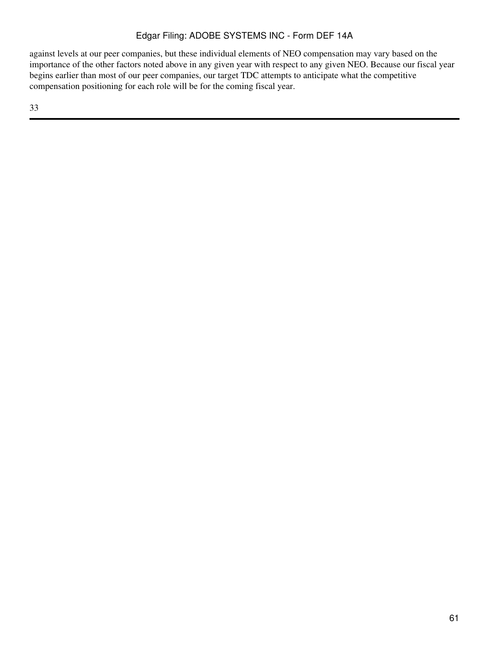against levels at our peer companies, but these individual elements of NEO compensation may vary based on the importance of the other factors noted above in any given year with respect to any given NEO. Because our fiscal year begins earlier than most of our peer companies, our target TDC attempts to anticipate what the competitive compensation positioning for each role will be for the coming fiscal year.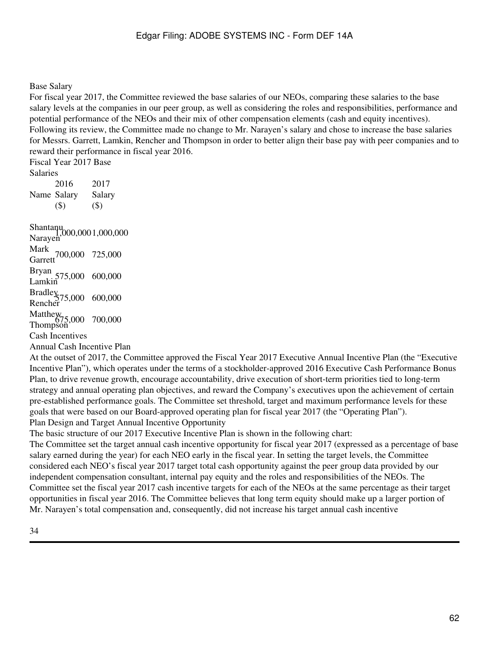### Base Salary

For fiscal year 2017, the Committee reviewed the base salaries of our NEOs, comparing these salaries to the base salary levels at the companies in our peer group, as well as considering the roles and responsibilities, performance and potential performance of the NEOs and their mix of other compensation elements (cash and equity incentives). Following its review, the Committee made no change to Mr. Narayen's salary and chose to increase the base salaries for Messrs. Garrett, Lamkin, Rencher and Thompson in order to better align their base pay with peer companies and to reward their performance in fiscal year 2016.

Fiscal Year 2017 Base Salaries Name Salary 2016 (\$) 2017 Salary (\$)

Shantanu<br>Narayen<sup>,</sup>000,000 1,000,000<br> Mark<br>Garrett <sup>700,000</sup> 725,000 Bryan<br>Lamkin 575,000 600,000 Bradley<br>Rencher<br>T Matthew<br>675,000 700,000<br>Thompson Cash Incentives Annual Cash Incentive Plan

At the outset of 2017, the Committee approved the Fiscal Year 2017 Executive Annual Incentive Plan (the "Executive Incentive Plan"), which operates under the terms of a stockholder-approved 2016 Executive Cash Performance Bonus Plan, to drive revenue growth, encourage accountability, drive execution of short-term priorities tied to long-term strategy and annual operating plan objectives, and reward the Company's executives upon the achievement of certain pre-established performance goals. The Committee set threshold, target and maximum performance levels for these goals that were based on our Board-approved operating plan for fiscal year 2017 (the "Operating Plan"). Plan Design and Target Annual Incentive Opportunity

The basic structure of our 2017 Executive Incentive Plan is shown in the following chart:

The Committee set the target annual cash incentive opportunity for fiscal year 2017 (expressed as a percentage of base salary earned during the year) for each NEO early in the fiscal year. In setting the target levels, the Committee considered each NEO's fiscal year 2017 target total cash opportunity against the peer group data provided by our independent compensation consultant, internal pay equity and the roles and responsibilities of the NEOs. The Committee set the fiscal year 2017 cash incentive targets for each of the NEOs at the same percentage as their target opportunities in fiscal year 2016. The Committee believes that long term equity should make up a larger portion of Mr. Narayen's total compensation and, consequently, did not increase his target annual cash incentive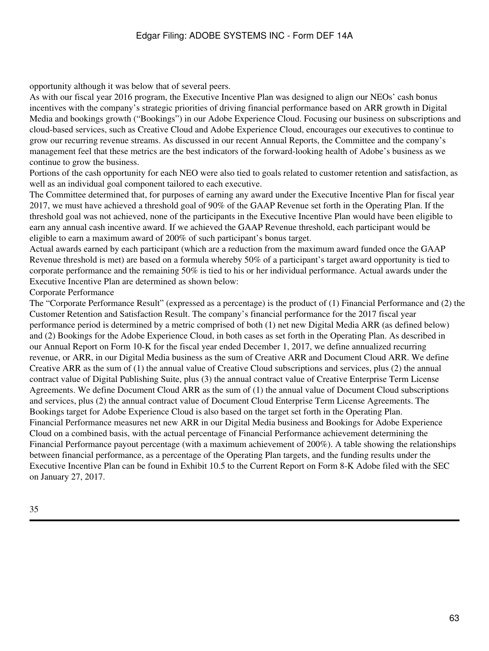opportunity although it was below that of several peers.

As with our fiscal year 2016 program, the Executive Incentive Plan was designed to align our NEOs' cash bonus incentives with the company's strategic priorities of driving financial performance based on ARR growth in Digital Media and bookings growth ("Bookings") in our Adobe Experience Cloud. Focusing our business on subscriptions and cloud-based services, such as Creative Cloud and Adobe Experience Cloud, encourages our executives to continue to grow our recurring revenue streams. As discussed in our recent Annual Reports, the Committee and the company's management feel that these metrics are the best indicators of the forward-looking health of Adobe's business as we continue to grow the business.

Portions of the cash opportunity for each NEO were also tied to goals related to customer retention and satisfaction, as well as an individual goal component tailored to each executive.

The Committee determined that, for purposes of earning any award under the Executive Incentive Plan for fiscal year 2017, we must have achieved a threshold goal of 90% of the GAAP Revenue set forth in the Operating Plan. If the threshold goal was not achieved, none of the participants in the Executive Incentive Plan would have been eligible to earn any annual cash incentive award. If we achieved the GAAP Revenue threshold, each participant would be eligible to earn a maximum award of 200% of such participant's bonus target.

Actual awards earned by each participant (which are a reduction from the maximum award funded once the GAAP Revenue threshold is met) are based on a formula whereby 50% of a participant's target award opportunity is tied to corporate performance and the remaining 50% is tied to his or her individual performance. Actual awards under the Executive Incentive Plan are determined as shown below:

Corporate Performance

The "Corporate Performance Result" (expressed as a percentage) is the product of (1) Financial Performance and (2) the Customer Retention and Satisfaction Result. The company's financial performance for the 2017 fiscal year performance period is determined by a metric comprised of both (1) net new Digital Media ARR (as defined below) and (2) Bookings for the Adobe Experience Cloud, in both cases as set forth in the Operating Plan. As described in our Annual Report on Form 10-K for the fiscal year ended December 1, 2017, we define annualized recurring revenue, or ARR, in our Digital Media business as the sum of Creative ARR and Document Cloud ARR. We define Creative ARR as the sum of (1) the annual value of Creative Cloud subscriptions and services, plus (2) the annual contract value of Digital Publishing Suite, plus (3) the annual contract value of Creative Enterprise Term License Agreements. We define Document Cloud ARR as the sum of (1) the annual value of Document Cloud subscriptions and services, plus (2) the annual contract value of Document Cloud Enterprise Term License Agreements. The Bookings target for Adobe Experience Cloud is also based on the target set forth in the Operating Plan. Financial Performance measures net new ARR in our Digital Media business and Bookings for Adobe Experience Cloud on a combined basis, with the actual percentage of Financial Performance achievement determining the Financial Performance payout percentage (with a maximum achievement of 200%). A table showing the relationships between financial performance, as a percentage of the Operating Plan targets, and the funding results under the Executive Incentive Plan can be found in Exhibit 10.5 to the Current Report on Form 8-K Adobe filed with the SEC on January 27, 2017.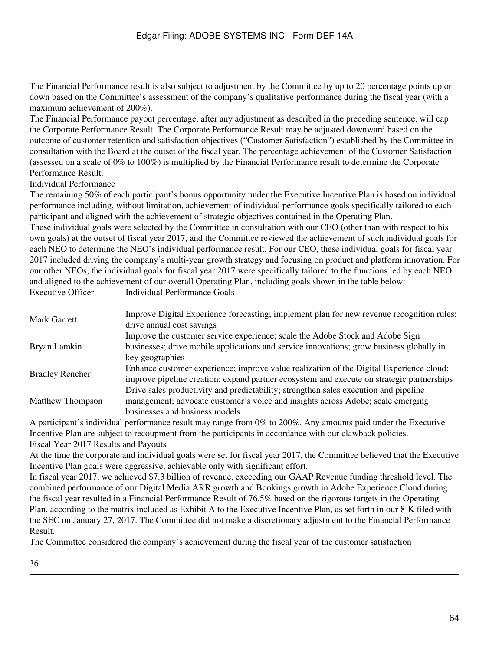The Financial Performance result is also subject to adjustment by the Committee by up to 20 percentage points up or down based on the Committee's assessment of the company's qualitative performance during the fiscal year (with a maximum achievement of 200%).

The Financial Performance payout percentage, after any adjustment as described in the preceding sentence, will cap the Corporate Performance Result. The Corporate Performance Result may be adjusted downward based on the outcome of customer retention and satisfaction objectives ("Customer Satisfaction") established by the Committee in consultation with the Board at the outset of the fiscal year. The percentage achievement of the Customer Satisfaction (assessed on a scale of 0% to 100%) is multiplied by the Financial Performance result to determine the Corporate Performance Result.

Individual Performance

The remaining 50% of each participant's bonus opportunity under the Executive Incentive Plan is based on individual performance including, without limitation, achievement of individual performance goals specifically tailored to each participant and aligned with the achievement of strategic objectives contained in the Operating Plan.

These individual goals were selected by the Committee in consultation with our CEO (other than with respect to his own goals) at the outset of fiscal year 2017, and the Committee reviewed the achievement of such individual goals for each NEO to determine the NEO's individual performance result. For our CEO, these individual goals for fiscal year 2017 included driving the company's multi-year growth strategy and focusing on product and platform innovation. For our other NEOs, the individual goals for fiscal year 2017 were specifically tailored to the functions led by each NEO and aligned to the achievement of our overall Operating Plan, including goals shown in the table below:<br>Executive Officer Individual Performance Goals Individual Performance Goals

| Mark Garrett            | Improve Digital Experience forecasting; implement plan for new revenue recognition rules;<br>drive annual cost savings                                                                                    |
|-------------------------|-----------------------------------------------------------------------------------------------------------------------------------------------------------------------------------------------------------|
| Bryan Lamkin            | Improve the customer service experience; scale the Adobe Stock and Adobe Sign<br>businesses; drive mobile applications and service innovations; grow business globally in                                 |
| <b>Bradley Rencher</b>  | key geographies<br>Enhance customer experience; improve value realization of the Digital Experience cloud;<br>improve pipeline creation; expand partner ecosystem and execute on strategic partnerships   |
| <b>Matthew Thompson</b> | Drive sales productivity and predictability; strengthen sales execution and pipeline<br>management; advocate customer's voice and insights across Adobe; scale emerging<br>businesses and business models |

A participant's individual performance result may range from 0% to 200%. Any amounts paid under the Executive Incentive Plan are subject to recoupment from the participants in accordance with our clawback policies. Fiscal Year 2017 Results and Payouts

At the time the corporate and individual goals were set for fiscal year 2017, the Committee believed that the Executive Incentive Plan goals were aggressive, achievable only with significant effort.

In fiscal year 2017, we achieved \$7.3 billion of revenue, exceeding our GAAP Revenue funding threshold level. The combined performance of our Digital Media ARR growth and Bookings growth in Adobe Experience Cloud during the fiscal year resulted in a Financial Performance Result of 76.5% based on the rigorous targets in the Operating Plan, according to the matrix included as Exhibit A to the Executive Incentive Plan, as set forth in our 8-K filed with the SEC on January 27, 2017. The Committee did not make a discretionary adjustment to the Financial Performance Result.

The Committee considered the company's achievement during the fiscal year of the customer satisfaction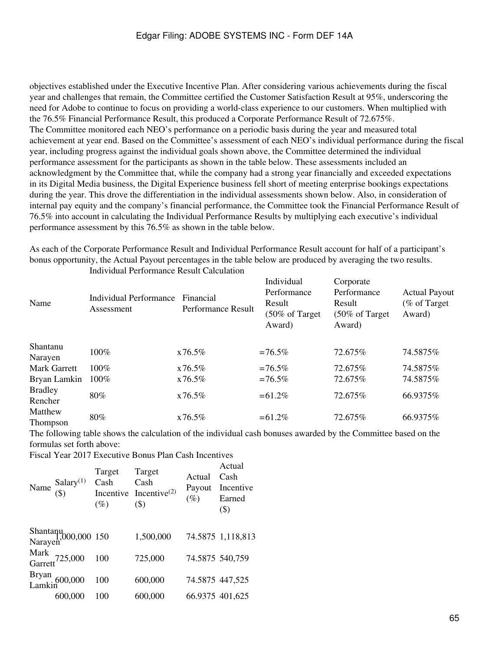objectives established under the Executive Incentive Plan. After considering various achievements during the fiscal year and challenges that remain, the Committee certified the Customer Satisfaction Result at 95%, underscoring the need for Adobe to continue to focus on providing a world-class experience to our customers. When multiplied with the 76.5% Financial Performance Result, this produced a Corporate Performance Result of 72.675%. The Committee monitored each NEO's performance on a periodic basis during the year and measured total achievement at year end. Based on the Committee's assessment of each NEO's individual performance during the fiscal year, including progress against the individual goals shown above, the Committee determined the individual performance assessment for the participants as shown in the table below. These assessments included an acknowledgment by the Committee that, while the company had a strong year financially and exceeded expectations in its Digital Media business, the Digital Experience business fell short of meeting enterprise bookings expectations during the year. This drove the differentiation in the individual assessments shown below. Also, in consideration of internal pay equity and the company's financial performance, the Committee took the Financial Performance Result of 76.5% into account in calculating the Individual Performance Results by multiplying each executive's individual performance assessment by this 76.5% as shown in the table below.

As each of the Corporate Performance Result and Individual Performance Result account for half of a participant's bonus opportunity, the Actual Payout percentages in the table below are produced by averaging the two results.

| Name                       | <b>Individual Performance</b><br>Assessment | Financial<br><b>Performance Result</b> | Individual<br>Performance<br>Result<br>(50% of Target)<br>Award) | Corporate<br>Performance<br>Result<br>$(50\% \text{ of Target})$<br>Award) | <b>Actual Payout</b><br>(% of Target)<br>Award) |
|----------------------------|---------------------------------------------|----------------------------------------|------------------------------------------------------------------|----------------------------------------------------------------------------|-------------------------------------------------|
| Shantanu<br>Narayen        | 100%                                        | x76.5%                                 | $=76.5\%$                                                        | 72.675%                                                                    | 74.5875%                                        |
| Mark Garrett               | $100\%$                                     | x76.5%                                 | $=76.5\%$                                                        | 72.675%                                                                    | 74.5875%                                        |
| Bryan Lamkin               | $100\%$                                     | x76.5%                                 | $=76.5\%$                                                        | 72.675%                                                                    | 74.5875%                                        |
| <b>Bradley</b><br>Rencher  | 80%                                         | x76.5%                                 | $= 61.2\%$                                                       | 72.675%                                                                    | 66.9375%                                        |
| Matthew<br><b>Thompson</b> | 80%                                         | x76.5%                                 | $= 61.2\%$                                                       | 72.675%                                                                    | 66.9375%                                        |

Individual Performance Result Calculation

The following table shows the calculation of the individual cash bonuses awarded by the Committee based on the formulas set forth above:

Fiscal Year 2017 Executive Bonus Plan Cash Incentives

| Name $\frac{\text{Salary}^{(1)}}{(\$)}$ | Target<br>Cash<br>(%) | Target<br>Cash<br>Incentive Incentive $^{(2)}$<br>$($ \$) | Actual<br>Payout<br>$(\%)$ | Actual<br>Cash<br>Incentive<br>Earned<br>$($ \$) |
|-----------------------------------------|-----------------------|-----------------------------------------------------------|----------------------------|--------------------------------------------------|
| Shantanu<br>1,000,000 150<br>Narayen    |                       | 1,500,000                                                 |                            | 74.5875 1,118,813                                |
| Mark<br>Garrett <sup>725,000</sup>      | 100                   | 725,000                                                   | 74.5875 540,759            |                                                  |
| Bryan<br>Lamkin <sup>600,000</sup>      | 100                   | 600,000                                                   | 74.5875 447,525            |                                                  |
| 600,000                                 | 100                   | 600,000                                                   | 66.9375 401,625            |                                                  |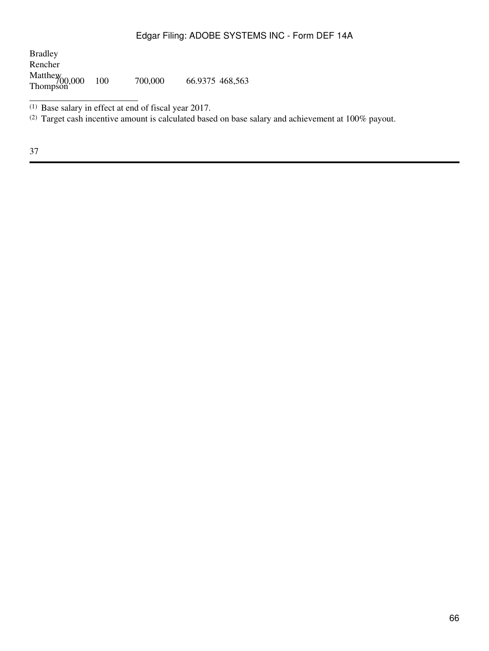Bradley Rencher Matthew Thompson 700,000 <sup>100</sup> 700,000 66.9375 468,563

(1) Base salary in effect at end of fiscal year 2017.

\_\_\_\_\_\_\_\_\_\_\_\_\_\_\_\_\_\_\_\_\_\_\_\_

(2) Target cash incentive amount is calculated based on base salary and achievement at 100% payout.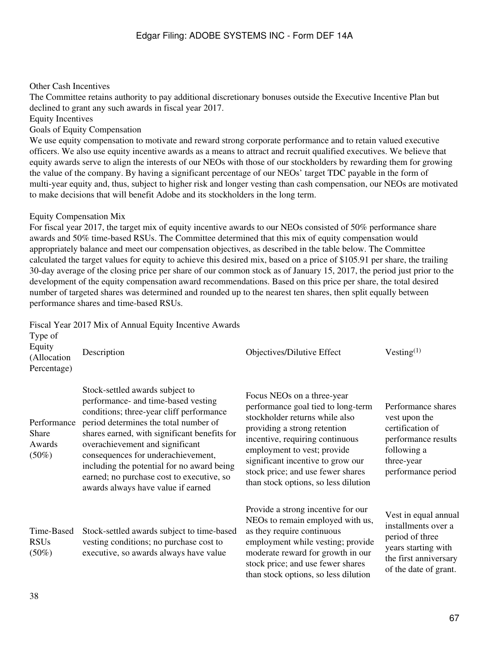### Other Cash Incentives

The Committee retains authority to pay additional discretionary bonuses outside the Executive Incentive Plan but declined to grant any such awards in fiscal year 2017.

Equity Incentives

Goals of Equity Compensation

We use equity compensation to motivate and reward strong corporate performance and to retain valued executive officers. We also use equity incentive awards as a means to attract and recruit qualified executives. We believe that equity awards serve to align the interests of our NEOs with those of our stockholders by rewarding them for growing the value of the company. By having a significant percentage of our NEOs' target TDC payable in the form of multi-year equity and, thus, subject to higher risk and longer vesting than cash compensation, our NEOs are motivated to make decisions that will benefit Adobe and its stockholders in the long term.

#### Equity Compensation Mix

For fiscal year 2017, the target mix of equity incentive awards to our NEOs consisted of 50% performance share awards and 50% time-based RSUs. The Committee determined that this mix of equity compensation would appropriately balance and meet our compensation objectives, as described in the table below. The Committee calculated the target values for equity to achieve this desired mix, based on a price of \$105.91 per share, the trailing 30-day average of the closing price per share of our common stock as of January 15, 2017, the period just prior to the development of the equity compensation award recommendations. Based on this price per share, the total desired number of targeted shares was determined and rounded up to the nearest ten shares, then split equally between performance shares and time-based RSUs.

Fiscal Year 2017 Mix of Annual Equity Incentive Awards

| Type of<br>Equity<br>(Allocation<br>Percentage)   | Description                                                                                                                                                                                                                                                                                                                                                                                                           | Objectives/Dilutive Effect                                                                                                                                                                                                                                                                                             | Vesting <sup>(1)</sup>                                                                                                                  |
|---------------------------------------------------|-----------------------------------------------------------------------------------------------------------------------------------------------------------------------------------------------------------------------------------------------------------------------------------------------------------------------------------------------------------------------------------------------------------------------|------------------------------------------------------------------------------------------------------------------------------------------------------------------------------------------------------------------------------------------------------------------------------------------------------------------------|-----------------------------------------------------------------------------------------------------------------------------------------|
| Performance<br><b>Share</b><br>Awards<br>$(50\%)$ | Stock-settled awards subject to<br>performance- and time-based vesting<br>conditions; three-year cliff performance<br>period determines the total number of<br>shares earned, with significant benefits for<br>overachievement and significant<br>consequences for underachievement,<br>including the potential for no award being<br>earned; no purchase cost to executive, so<br>awards always have value if earned | Focus NEOs on a three-year<br>performance goal tied to long-term<br>stockholder returns while also<br>providing a strong retention<br>incentive, requiring continuous<br>employment to vest; provide<br>significant incentive to grow our<br>stock price; and use fewer shares<br>than stock options, so less dilution | Performance shares<br>vest upon the<br>certification of<br>performance results<br>following a<br>three-year<br>performance period       |
| Time-Based<br><b>RSUs</b><br>$(50\%)$             | Stock-settled awards subject to time-based<br>vesting conditions; no purchase cost to<br>executive, so awards always have value                                                                                                                                                                                                                                                                                       | Provide a strong incentive for our<br>NEOs to remain employed with us,<br>as they require continuous<br>employment while vesting; provide<br>moderate reward for growth in our<br>stock price; and use fewer shares<br>than stock options, so less dilution                                                            | Vest in equal annual<br>installments over a<br>period of three<br>years starting with<br>the first anniversary<br>of the date of grant. |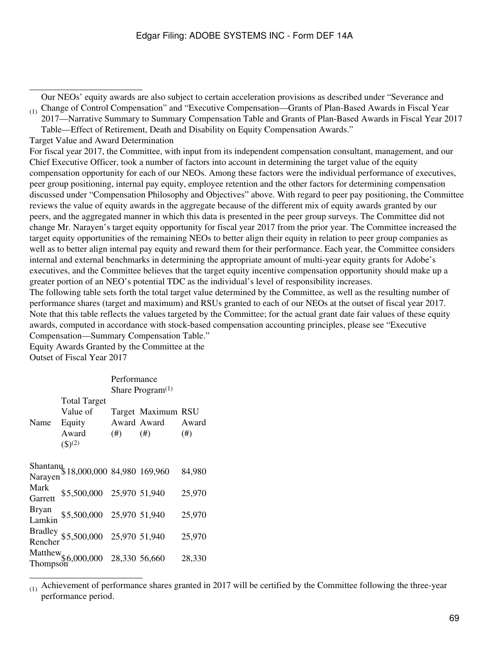$_{(1)}$  Change of Control Compensation" and "Executive Compensation—Grants of Plan-Based Awards in Fiscal Year Our NEOs' equity awards are also subject to certain acceleration provisions as described under "Severance and

2017—Narrative Summary to Summary Compensation Table and Grants of Plan-Based Awards in Fiscal Year 2017 Table—Effect of Retirement, Death and Disability on Equity Compensation Awards."

Target Value and Award Determination

\_\_\_\_\_\_\_\_\_\_\_\_\_\_\_\_\_\_\_\_\_\_\_\_\_

For fiscal year 2017, the Committee, with input from its independent compensation consultant, management, and our Chief Executive Officer, took a number of factors into account in determining the target value of the equity compensation opportunity for each of our NEOs. Among these factors were the individual performance of executives, peer group positioning, internal pay equity, employee retention and the other factors for determining compensation discussed under "Compensation Philosophy and Objectives" above. With regard to peer pay positioning, the Committee reviews the value of equity awards in the aggregate because of the different mix of equity awards granted by our peers, and the aggregated manner in which this data is presented in the peer group surveys. The Committee did not change Mr. Narayen's target equity opportunity for fiscal year 2017 from the prior year. The Committee increased the target equity opportunities of the remaining NEOs to better align their equity in relation to peer group companies as well as to better align internal pay equity and reward them for their performance. Each year, the Committee considers internal and external benchmarks in determining the appropriate amount of multi-year equity grants for Adobe's executives, and the Committee believes that the target equity incentive compensation opportunity should make up a greater portion of an NEO's potential TDC as the individual's level of responsibility increases.

The following table sets forth the total target value determined by the Committee, as well as the resulting number of performance shares (target and maximum) and RSUs granted to each of our NEOs at the outset of fiscal year 2017. Note that this table reflects the values targeted by the Committee; for the actual grant date fair values of these equity awards, computed in accordance with stock-based compensation accounting principles, please see "Executive Compensation—Summary Compensation Table."

Equity Awards Granted by the Committee at the Outset of Fiscal Year 2017

|                 |                                                                     | Performance         |                                          |                   |
|-----------------|---------------------------------------------------------------------|---------------------|------------------------------------------|-------------------|
|                 |                                                                     | Share Program $(1)$ |                                          |                   |
| Name            | <b>Total Target</b><br>Value of<br>Equity<br>Award<br>$($ \$ $)(2)$ | (#)                 | Target Maximum RSU<br>Award Award<br>(#) | Award<br>$^{(#)}$ |
| Narayen         | Shantanu 18,000,000 84,980 169,960                                  |                     |                                          | 84,980            |
| Mark<br>Garrett | \$5,500,000 25,970 51,940                                           |                     |                                          | 25,970            |
| Bryan<br>Lamkin | \$5,500,000 25,970 51,940                                           |                     |                                          | 25,970            |
|                 | Bradley \$5,500,000 25,970 51,940<br>Rencher                        |                     |                                          | 25,970            |
| Thompson        | Matthew <sub>\$6,000,000</sub> 28,330 56,660                        |                     |                                          | 28,330            |

\_\_\_\_\_\_\_\_\_\_\_\_\_\_\_\_\_\_\_\_\_\_\_\_\_

<sup>(1)</sup> Achievement of performance shares granted in 2017 will be certified by the Committee following the three-year performance period.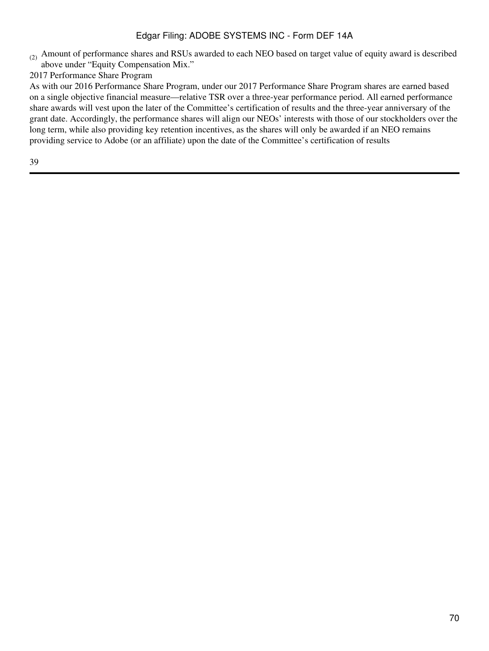- $(2)$  Amount of performance shares and RSUs awarded to each NEO based on target value of equity award is described above under "Equity Compensation Mix."
- 2017 Performance Share Program

As with our 2016 Performance Share Program, under our 2017 Performance Share Program shares are earned based on a single objective financial measure—relative TSR over a three-year performance period. All earned performance share awards will vest upon the later of the Committee's certification of results and the three-year anniversary of the grant date. Accordingly, the performance shares will align our NEOs' interests with those of our stockholders over the long term, while also providing key retention incentives, as the shares will only be awarded if an NEO remains providing service to Adobe (or an affiliate) upon the date of the Committee's certification of results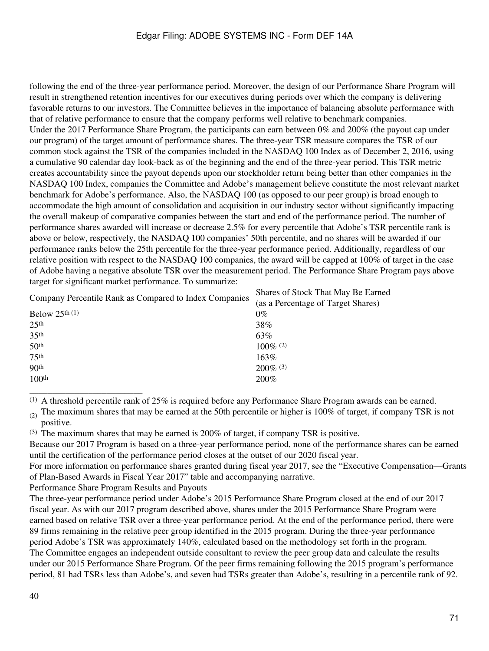following the end of the three-year performance period. Moreover, the design of our Performance Share Program will result in strengthened retention incentives for our executives during periods over which the company is delivering favorable returns to our investors. The Committee believes in the importance of balancing absolute performance with that of relative performance to ensure that the company performs well relative to benchmark companies. Under the 2017 Performance Share Program, the participants can earn between 0% and 200% (the payout cap under our program) of the target amount of performance shares. The three-year TSR measure compares the TSR of our common stock against the TSR of the companies included in the NASDAQ 100 Index as of December 2, 2016, using a cumulative 90 calendar day look-back as of the beginning and the end of the three-year period. This TSR metric creates accountability since the payout depends upon our stockholder return being better than other companies in the NASDAQ 100 Index, companies the Committee and Adobe's management believe constitute the most relevant market benchmark for Adobe's performance. Also, the NASDAQ 100 (as opposed to our peer group) is broad enough to accommodate the high amount of consolidation and acquisition in our industry sector without significantly impacting the overall makeup of comparative companies between the start and end of the performance period. The number of performance shares awarded will increase or decrease 2.5% for every percentile that Adobe's TSR percentile rank is above or below, respectively, the NASDAQ 100 companies' 50th percentile, and no shares will be awarded if our performance ranks below the 25th percentile for the three-year performance period. Additionally, regardless of our relative position with respect to the NASDAQ 100 companies, the award will be capped at 100% of target in the case of Adobe having a negative absolute TSR over the measurement period. The Performance Share Program pays above target for significant market performance. To summarize:

| Company Percentile Rank as Compared to Index Companies | Shares of Stock That May Be Earned |  |
|--------------------------------------------------------|------------------------------------|--|
|                                                        | (as a Percentage of Target Shares) |  |
| Below $25th$ (1)                                       | $0\%$                              |  |
| 25 <sup>th</sup>                                       | 38%                                |  |
| 35 <sup>th</sup>                                       | 63%                                |  |
| 50 <sup>th</sup>                                       | $100\%$ (2)                        |  |
| 75 <sup>th</sup>                                       | 163%                               |  |
| 90 <sup>th</sup>                                       | $200\%$ (3)                        |  |
| 100 <sup>th</sup>                                      | 200%                               |  |
|                                                        |                                    |  |

\_\_\_\_\_\_\_\_\_\_\_\_\_\_\_\_\_\_\_\_\_\_\_\_\_  $(1)$  A threshold percentile rank of 25% is required before any Performance Share Program awards can be earned.

(2) The maximum shares that may be earned at the 50th percentile or higher is  $100\%$  of target, if company TSR is not positive.

(3) The maximum shares that may be earned is 200% of target, if company TSR is positive.

Because our 2017 Program is based on a three-year performance period, none of the performance shares can be earned until the certification of the performance period closes at the outset of our 2020 fiscal year.

For more information on performance shares granted during fiscal year 2017, see the "Executive Compensation—Grants of Plan-Based Awards in Fiscal Year 2017" table and accompanying narrative.

Performance Share Program Results and Payouts

The three-year performance period under Adobe's 2015 Performance Share Program closed at the end of our 2017 fiscal year. As with our 2017 program described above, shares under the 2015 Performance Share Program were earned based on relative TSR over a three-year performance period. At the end of the performance period, there were 89 firms remaining in the relative peer group identified in the 2015 program. During the three-year performance period Adobe's TSR was approximately 140%, calculated based on the methodology set forth in the program. The Committee engages an independent outside consultant to review the peer group data and calculate the results under our 2015 Performance Share Program. Of the peer firms remaining following the 2015 program's performance period, 81 had TSRs less than Adobe's, and seven had TSRs greater than Adobe's, resulting in a percentile rank of 92.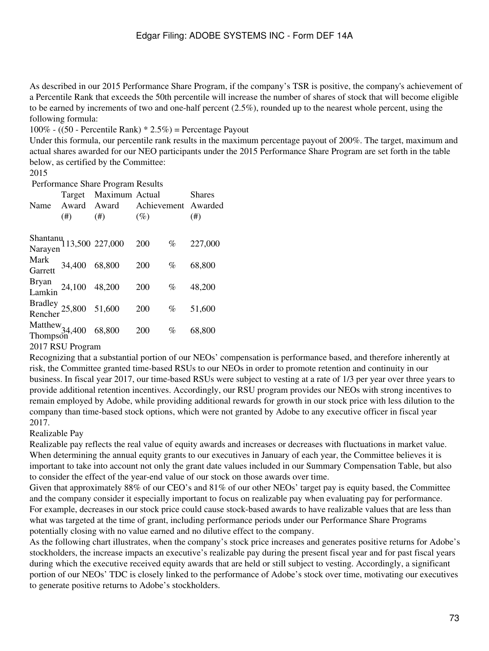As described in our 2015 Performance Share Program, if the company's TSR is positive, the company's achievement of a Percentile Rank that exceeds the 50th percentile will increase the number of shares of stock that will become eligible to be earned by increments of two and one-half percent (2.5%), rounded up to the nearest whole percent, using the following formula:

100% - ((50 - Percentile Rank) \* 2.5%) = Percentage Payout

Under this formula, our percentile rank results in the maximum percentage payout of 200%. The target, maximum and actual shares awarded for our NEO participants under the 2015 Performance Share Program are set forth in the table below, as certified by the Committee:

#### 2015

Performance Share Program Results

| Name            | Target<br>Award<br>(#)                       | Maximum Actual<br>Award<br>(#) | $(\%)$ |      | <b>Shares</b><br>Achievement Awarded<br>$^{(#)}$ |
|-----------------|----------------------------------------------|--------------------------------|--------|------|--------------------------------------------------|
|                 | Shantanu<br>13,500 227,000<br>Narayen        |                                | 200    | $\%$ | 227,000                                          |
| Mark<br>Garrett | 34,400 68,800                                |                                | 200    | $\%$ | 68,800                                           |
|                 | Bryan<br>Lamkin 24,100 48,200                |                                | 200    | $\%$ | 48,200                                           |
|                 | Bradley 25,800 51,600<br>Rencher             |                                | 200    | $\%$ | 51,600                                           |
|                 | Matthew <sub>34,400</sub> 68,800<br>Thompson |                                | 200    | %    | 68,800                                           |
| 201777          |                                              |                                |        |      |                                                  |

2017 RSU Program

Recognizing that a substantial portion of our NEOs' compensation is performance based, and therefore inherently at risk, the Committee granted time-based RSUs to our NEOs in order to promote retention and continuity in our business. In fiscal year 2017, our time-based RSUs were subject to vesting at a rate of 1/3 per year over three years to provide additional retention incentives. Accordingly, our RSU program provides our NEOs with strong incentives to remain employed by Adobe, while providing additional rewards for growth in our stock price with less dilution to the company than time-based stock options, which were not granted by Adobe to any executive officer in fiscal year 2017.

# Realizable Pay

Realizable pay reflects the real value of equity awards and increases or decreases with fluctuations in market value. When determining the annual equity grants to our executives in January of each year, the Committee believes it is important to take into account not only the grant date values included in our Summary Compensation Table, but also to consider the effect of the year-end value of our stock on those awards over time.

Given that approximately 88% of our CEO's and 81% of our other NEOs' target pay is equity based, the Committee and the company consider it especially important to focus on realizable pay when evaluating pay for performance. For example, decreases in our stock price could cause stock-based awards to have realizable values that are less than what was targeted at the time of grant, including performance periods under our Performance Share Programs potentially closing with no value earned and no dilutive effect to the company.

As the following chart illustrates, when the company's stock price increases and generates positive returns for Adobe's stockholders, the increase impacts an executive's realizable pay during the present fiscal year and for past fiscal years during which the executive received equity awards that are held or still subject to vesting. Accordingly, a significant portion of our NEOs' TDC is closely linked to the performance of Adobe's stock over time, motivating our executives to generate positive returns to Adobe's stockholders.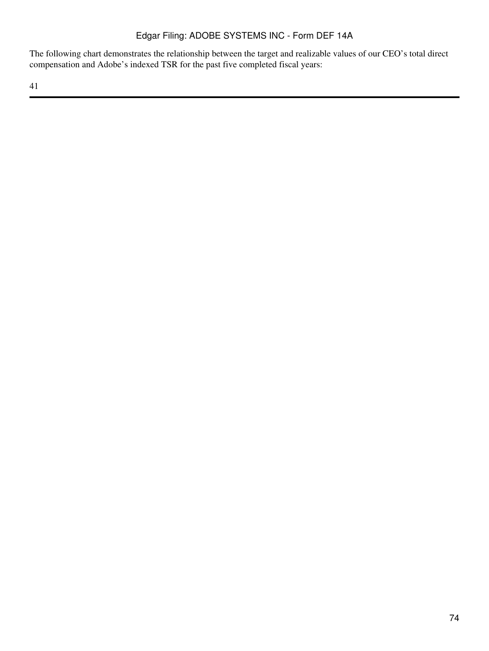The following chart demonstrates the relationship between the target and realizable values of our CEO's total direct compensation and Adobe's indexed TSR for the past five completed fiscal years: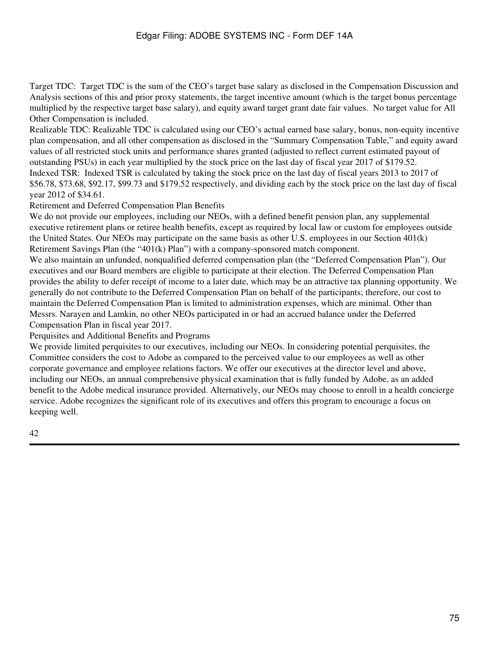Target TDC: Target TDC is the sum of the CEO's target base salary as disclosed in the Compensation Discussion and Analysis sections of this and prior proxy statements, the target incentive amount (which is the target bonus percentage multiplied by the respective target base salary), and equity award target grant date fair values. No target value for All Other Compensation is included.

Realizable TDC: Realizable TDC is calculated using our CEO's actual earned base salary, bonus, non-equity incentive plan compensation, and all other compensation as disclosed in the "Summary Compensation Table," and equity award values of all restricted stock units and performance shares granted (adjusted to reflect current estimated payout of outstanding PSUs) in each year multiplied by the stock price on the last day of fiscal year 2017 of \$179.52. Indexed TSR: Indexed TSR is calculated by taking the stock price on the last day of fiscal years 2013 to 2017 of \$56.78, \$73.68, \$92.17, \$99.73 and \$179.52 respectively, and dividing each by the stock price on the last day of fiscal

year 2012 of \$34.61.

Retirement and Deferred Compensation Plan Benefits

We do not provide our employees, including our NEOs, with a defined benefit pension plan, any supplemental executive retirement plans or retiree health benefits, except as required by local law or custom for employees outside the United States. Our NEOs may participate on the same basis as other U.S. employees in our Section 401(k) Retirement Savings Plan (the "401(k) Plan") with a company-sponsored match component.

We also maintain an unfunded, nonqualified deferred compensation plan (the "Deferred Compensation Plan"). Our executives and our Board members are eligible to participate at their election. The Deferred Compensation Plan provides the ability to defer receipt of income to a later date, which may be an attractive tax planning opportunity. We generally do not contribute to the Deferred Compensation Plan on behalf of the participants; therefore, our cost to maintain the Deferred Compensation Plan is limited to administration expenses, which are minimal. Other than Messrs. Narayen and Lamkin, no other NEOs participated in or had an accrued balance under the Deferred Compensation Plan in fiscal year 2017.

Perquisites and Additional Benefits and Programs

We provide limited perquisites to our executives, including our NEOs. In considering potential perquisites, the Committee considers the cost to Adobe as compared to the perceived value to our employees as well as other corporate governance and employee relations factors. We offer our executives at the director level and above, including our NEOs, an annual comprehensive physical examination that is fully funded by Adobe, as an added benefit to the Adobe medical insurance provided. Alternatively, our NEOs may choose to enroll in a health concierge service. Adobe recognizes the significant role of its executives and offers this program to encourage a focus on keeping well.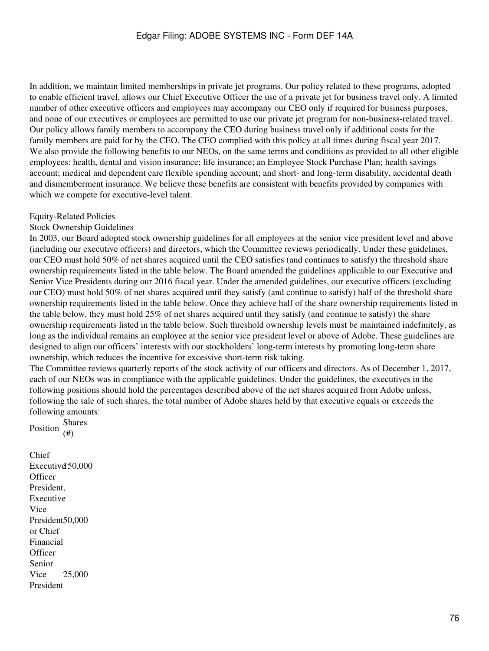In addition, we maintain limited memberships in private jet programs. Our policy related to these programs, adopted to enable efficient travel, allows our Chief Executive Officer the use of a private jet for business travel only. A limited number of other executive officers and employees may accompany our CEO only if required for business purposes, and none of our executives or employees are permitted to use our private jet program for non-business-related travel. Our policy allows family members to accompany the CEO during business travel only if additional costs for the family members are paid for by the CEO. The CEO complied with this policy at all times during fiscal year 2017. We also provide the following benefits to our NEOs, on the same terms and conditions as provided to all other eligible employees: health, dental and vision insurance; life insurance; an Employee Stock Purchase Plan; health savings account; medical and dependent care flexible spending account; and short- and long-term disability, accidental death and dismemberment insurance. We believe these benefits are consistent with benefits provided by companies with which we compete for executive-level talent.

#### Equity-Related Policies

### Stock Ownership Guidelines

In 2003, our Board adopted stock ownership guidelines for all employees at the senior vice president level and above (including our executive officers) and directors, which the Committee reviews periodically. Under these guidelines, our CEO must hold 50% of net shares acquired until the CEO satisfies (and continues to satisfy) the threshold share ownership requirements listed in the table below. The Board amended the guidelines applicable to our Executive and Senior Vice Presidents during our 2016 fiscal year. Under the amended guidelines, our executive officers (excluding our CEO) must hold 50% of net shares acquired until they satisfy (and continue to satisfy) half of the threshold share ownership requirements listed in the table below. Once they achieve half of the share ownership requirements listed in the table below, they must hold 25% of net shares acquired until they satisfy (and continue to satisfy) the share ownership requirements listed in the table below. Such threshold ownership levels must be maintained indefinitely, as long as the individual remains an employee at the senior vice president level or above of Adobe. These guidelines are designed to align our officers' interests with our stockholders' long-term interests by promoting long-term share ownership, which reduces the incentive for excessive short-term risk taking.

The Committee reviews quarterly reports of the stock activity of our officers and directors. As of December 1, 2017, each of our NEOs was in compliance with the applicable guidelines. Under the guidelines, the executives in the following positions should hold the percentages described above of the net shares acquired from Adobe unless, following the sale of such shares, the total number of Adobe shares held by that executive equals or exceeds the following amounts:

Position Shares (#)

Chief Executive 150,000 **Officer** President, Executive Vice President 50,000 or Chief Financial **Officer** Senior Vice President 25,000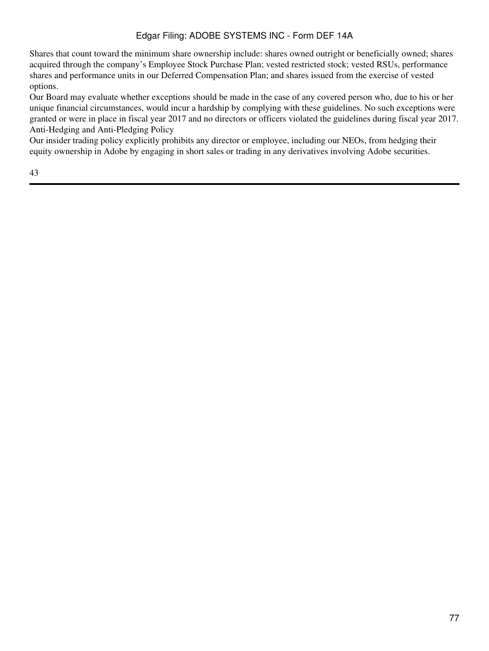Shares that count toward the minimum share ownership include: shares owned outright or beneficially owned; shares acquired through the company's Employee Stock Purchase Plan; vested restricted stock; vested RSUs, performance shares and performance units in our Deferred Compensation Plan; and shares issued from the exercise of vested options.

Our Board may evaluate whether exceptions should be made in the case of any covered person who, due to his or her unique financial circumstances, would incur a hardship by complying with these guidelines. No such exceptions were granted or were in place in fiscal year 2017 and no directors or officers violated the guidelines during fiscal year 2017. Anti-Hedging and Anti-Pledging Policy

Our insider trading policy explicitly prohibits any director or employee, including our NEOs, from hedging their equity ownership in Adobe by engaging in short sales or trading in any derivatives involving Adobe securities.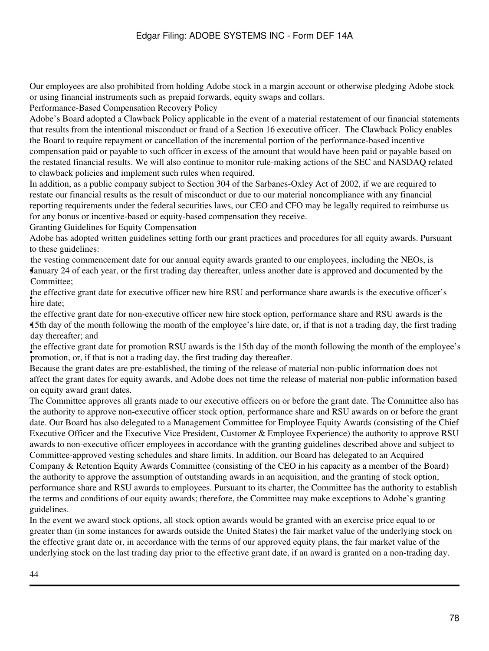Our employees are also prohibited from holding Adobe stock in a margin account or otherwise pledging Adobe stock or using financial instruments such as prepaid forwards, equity swaps and collars.

Performance-Based Compensation Recovery Policy

Adobe's Board adopted a Clawback Policy applicable in the event of a material restatement of our financial statements that results from the intentional misconduct or fraud of a Section 16 executive officer. The Clawback Policy enables the Board to require repayment or cancellation of the incremental portion of the performance-based incentive compensation paid or payable to such officer in excess of the amount that would have been paid or payable based on the restated financial results. We will also continue to monitor rule-making actions of the SEC and NASDAQ related to clawback policies and implement such rules when required.

In addition, as a public company subject to Section 304 of the Sarbanes-Oxley Act of 2002, if we are required to restate our financial results as the result of misconduct or due to our material noncompliance with any financial reporting requirements under the federal securities laws, our CEO and CFO may be legally required to reimburse us for any bonus or incentive-based or equity-based compensation they receive.

Granting Guidelines for Equity Compensation

Adobe has adopted written guidelines setting forth our grant practices and procedures for all equity awards. Pursuant to these guidelines:

• January 24 of each year, or the first trading day thereafter, unless another date is approved and documented by the the vesting commencement date for our annual equity awards granted to our employees, including the NEOs, is Committee;

• hire date; the effective grant date for executive officer new hire RSU and performance share awards is the executive officer's

• 15th day of the month following the month of the employee's hire date, or, if that is not a trading day, the first trading the effective grant date for non-executive officer new hire stock option, performance share and RSU awards is the day thereafter; and

promotion, or, if that is not a trading day, the first trading day thereafter. the effective grant date for promotion RSU awards is the 15th day of the month following the month of the employee's

Because the grant dates are pre-established, the timing of the release of material non-public information does not affect the grant dates for equity awards, and Adobe does not time the release of material non-public information based on equity award grant dates.

The Committee approves all grants made to our executive officers on or before the grant date. The Committee also has the authority to approve non-executive officer stock option, performance share and RSU awards on or before the grant date. Our Board has also delegated to a Management Committee for Employee Equity Awards (consisting of the Chief Executive Officer and the Executive Vice President, Customer & Employee Experience) the authority to approve RSU awards to non-executive officer employees in accordance with the granting guidelines described above and subject to Committee-approved vesting schedules and share limits. In addition, our Board has delegated to an Acquired Company & Retention Equity Awards Committee (consisting of the CEO in his capacity as a member of the Board) the authority to approve the assumption of outstanding awards in an acquisition, and the granting of stock option, performance share and RSU awards to employees. Pursuant to its charter, the Committee has the authority to establish the terms and conditions of our equity awards; therefore, the Committee may make exceptions to Adobe's granting guidelines.

In the event we award stock options, all stock option awards would be granted with an exercise price equal to or greater than (in some instances for awards outside the United States) the fair market value of the underlying stock on the effective grant date or, in accordance with the terms of our approved equity plans, the fair market value of the underlying stock on the last trading day prior to the effective grant date, if an award is granted on a non-trading day.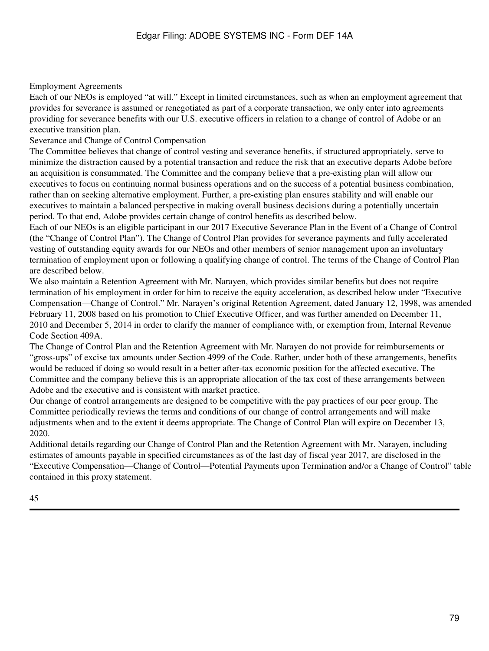# Employment Agreements

Each of our NEOs is employed "at will." Except in limited circumstances, such as when an employment agreement that provides for severance is assumed or renegotiated as part of a corporate transaction, we only enter into agreements providing for severance benefits with our U.S. executive officers in relation to a change of control of Adobe or an executive transition plan.

Severance and Change of Control Compensation

The Committee believes that change of control vesting and severance benefits, if structured appropriately, serve to minimize the distraction caused by a potential transaction and reduce the risk that an executive departs Adobe before an acquisition is consummated. The Committee and the company believe that a pre-existing plan will allow our executives to focus on continuing normal business operations and on the success of a potential business combination, rather than on seeking alternative employment. Further, a pre-existing plan ensures stability and will enable our executives to maintain a balanced perspective in making overall business decisions during a potentially uncertain period. To that end, Adobe provides certain change of control benefits as described below.

Each of our NEOs is an eligible participant in our 2017 Executive Severance Plan in the Event of a Change of Control (the "Change of Control Plan"). The Change of Control Plan provides for severance payments and fully accelerated vesting of outstanding equity awards for our NEOs and other members of senior management upon an involuntary termination of employment upon or following a qualifying change of control. The terms of the Change of Control Plan are described below.

We also maintain a Retention Agreement with Mr. Narayen, which provides similar benefits but does not require termination of his employment in order for him to receive the equity acceleration, as described below under "Executive Compensation—Change of Control." Mr. Narayen's original Retention Agreement, dated January 12, 1998, was amended February 11, 2008 based on his promotion to Chief Executive Officer, and was further amended on December 11, 2010 and December 5, 2014 in order to clarify the manner of compliance with, or exemption from, Internal Revenue Code Section 409A.

The Change of Control Plan and the Retention Agreement with Mr. Narayen do not provide for reimbursements or "gross-ups" of excise tax amounts under Section 4999 of the Code. Rather, under both of these arrangements, benefits would be reduced if doing so would result in a better after-tax economic position for the affected executive. The Committee and the company believe this is an appropriate allocation of the tax cost of these arrangements between Adobe and the executive and is consistent with market practice.

Our change of control arrangements are designed to be competitive with the pay practices of our peer group. The Committee periodically reviews the terms and conditions of our change of control arrangements and will make adjustments when and to the extent it deems appropriate. The Change of Control Plan will expire on December 13, 2020.

Additional details regarding our Change of Control Plan and the Retention Agreement with Mr. Narayen, including estimates of amounts payable in specified circumstances as of the last day of fiscal year 2017, are disclosed in the "Executive Compensation—Change of Control—Potential Payments upon Termination and/or a Change of Control" table contained in this proxy statement.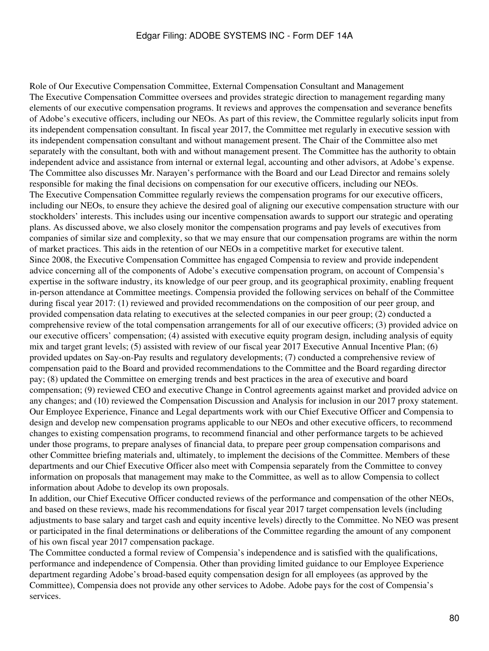Role of Our Executive Compensation Committee, External Compensation Consultant and Management The Executive Compensation Committee oversees and provides strategic direction to management regarding many elements of our executive compensation programs. It reviews and approves the compensation and severance benefits of Adobe's executive officers, including our NEOs. As part of this review, the Committee regularly solicits input from its independent compensation consultant. In fiscal year 2017, the Committee met regularly in executive session with its independent compensation consultant and without management present. The Chair of the Committee also met separately with the consultant, both with and without management present. The Committee has the authority to obtain independent advice and assistance from internal or external legal, accounting and other advisors, at Adobe's expense. The Committee also discusses Mr. Narayen's performance with the Board and our Lead Director and remains solely responsible for making the final decisions on compensation for our executive officers, including our NEOs. The Executive Compensation Committee regularly reviews the compensation programs for our executive officers, including our NEOs, to ensure they achieve the desired goal of aligning our executive compensation structure with our stockholders' interests. This includes using our incentive compensation awards to support our strategic and operating plans. As discussed above, we also closely monitor the compensation programs and pay levels of executives from companies of similar size and complexity, so that we may ensure that our compensation programs are within the norm of market practices. This aids in the retention of our NEOs in a competitive market for executive talent. Since 2008, the Executive Compensation Committee has engaged Compensia to review and provide independent advice concerning all of the components of Adobe's executive compensation program, on account of Compensia's expertise in the software industry, its knowledge of our peer group, and its geographical proximity, enabling frequent in-person attendance at Committee meetings. Compensia provided the following services on behalf of the Committee during fiscal year 2017: (1) reviewed and provided recommendations on the composition of our peer group, and provided compensation data relating to executives at the selected companies in our peer group; (2) conducted a comprehensive review of the total compensation arrangements for all of our executive officers; (3) provided advice on our executive officers' compensation; (4) assisted with executive equity program design, including analysis of equity mix and target grant levels; (5) assisted with review of our fiscal year 2017 Executive Annual Incentive Plan; (6) provided updates on Say-on-Pay results and regulatory developments; (7) conducted a comprehensive review of compensation paid to the Board and provided recommendations to the Committee and the Board regarding director pay; (8) updated the Committee on emerging trends and best practices in the area of executive and board compensation; (9) reviewed CEO and executive Change in Control agreements against market and provided advice on any changes; and (10) reviewed the Compensation Discussion and Analysis for inclusion in our 2017 proxy statement. Our Employee Experience, Finance and Legal departments work with our Chief Executive Officer and Compensia to design and develop new compensation programs applicable to our NEOs and other executive officers, to recommend changes to existing compensation programs, to recommend financial and other performance targets to be achieved under those programs, to prepare analyses of financial data, to prepare peer group compensation comparisons and other Committee briefing materials and, ultimately, to implement the decisions of the Committee. Members of these departments and our Chief Executive Officer also meet with Compensia separately from the Committee to convey information on proposals that management may make to the Committee, as well as to allow Compensia to collect information about Adobe to develop its own proposals.

In addition, our Chief Executive Officer conducted reviews of the performance and compensation of the other NEOs, and based on these reviews, made his recommendations for fiscal year 2017 target compensation levels (including adjustments to base salary and target cash and equity incentive levels) directly to the Committee. No NEO was present or participated in the final determinations or deliberations of the Committee regarding the amount of any component of his own fiscal year 2017 compensation package.

The Committee conducted a formal review of Compensia's independence and is satisfied with the qualifications, performance and independence of Compensia. Other than providing limited guidance to our Employee Experience department regarding Adobe's broad-based equity compensation design for all employees (as approved by the Committee), Compensia does not provide any other services to Adobe. Adobe pays for the cost of Compensia's services.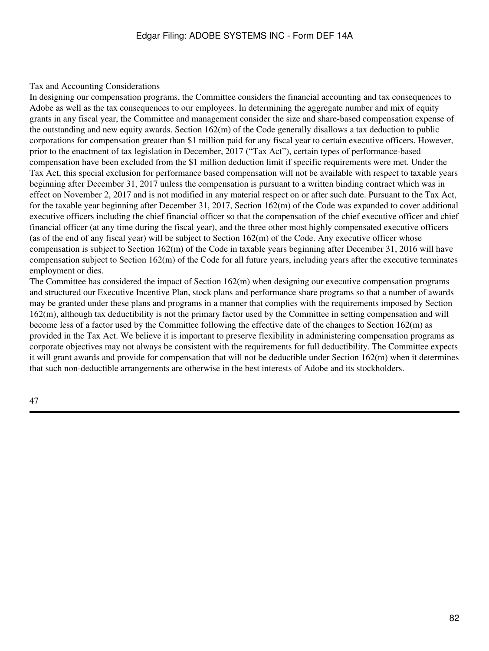#### Tax and Accounting Considerations

In designing our compensation programs, the Committee considers the financial accounting and tax consequences to Adobe as well as the tax consequences to our employees. In determining the aggregate number and mix of equity grants in any fiscal year, the Committee and management consider the size and share-based compensation expense of the outstanding and new equity awards. Section 162(m) of the Code generally disallows a tax deduction to public corporations for compensation greater than \$1 million paid for any fiscal year to certain executive officers. However, prior to the enactment of tax legislation in December, 2017 ("Tax Act"), certain types of performance-based compensation have been excluded from the \$1 million deduction limit if specific requirements were met. Under the Tax Act, this special exclusion for performance based compensation will not be available with respect to taxable years beginning after December 31, 2017 unless the compensation is pursuant to a written binding contract which was in effect on November 2, 2017 and is not modified in any material respect on or after such date. Pursuant to the Tax Act, for the taxable year beginning after December 31, 2017, Section 162(m) of the Code was expanded to cover additional executive officers including the chief financial officer so that the compensation of the chief executive officer and chief financial officer (at any time during the fiscal year), and the three other most highly compensated executive officers (as of the end of any fiscal year) will be subject to Section 162(m) of the Code. Any executive officer whose compensation is subject to Section 162(m) of the Code in taxable years beginning after December 31, 2016 will have compensation subject to Section  $162(m)$  of the Code for all future years, including years after the executive terminates employment or dies.

The Committee has considered the impact of Section 162(m) when designing our executive compensation programs and structured our Executive Incentive Plan, stock plans and performance share programs so that a number of awards may be granted under these plans and programs in a manner that complies with the requirements imposed by Section 162(m), although tax deductibility is not the primary factor used by the Committee in setting compensation and will become less of a factor used by the Committee following the effective date of the changes to Section 162(m) as provided in the Tax Act. We believe it is important to preserve flexibility in administering compensation programs as corporate objectives may not always be consistent with the requirements for full deductibility. The Committee expects it will grant awards and provide for compensation that will not be deductible under Section 162(m) when it determines that such non-deductible arrangements are otherwise in the best interests of Adobe and its stockholders.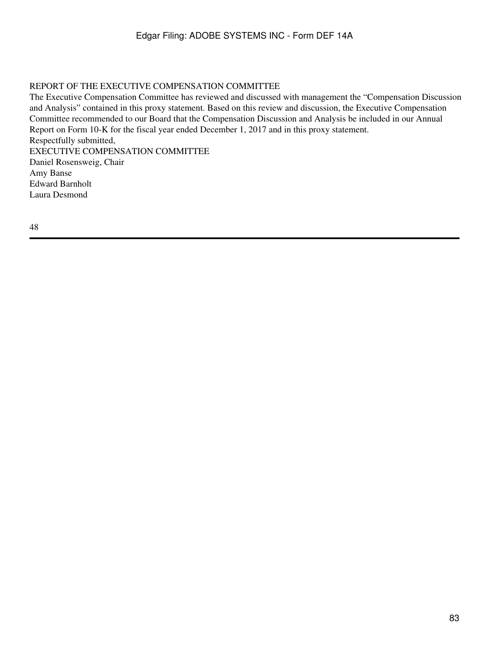# REPORT OF THE EXECUTIVE COMPENSATION COMMITTEE

The Executive Compensation Committee has reviewed and discussed with management the "Compensation Discussion and Analysis" contained in this proxy statement. Based on this review and discussion, the Executive Compensation Committee recommended to our Board that the Compensation Discussion and Analysis be included in our Annual Report on Form 10-K for the fiscal year ended December 1, 2017 and in this proxy statement. Respectfully submitted, EXECUTIVE COMPENSATION COMMITTEE Daniel Rosensweig, Chair Amy Banse Edward Barnholt Laura Desmond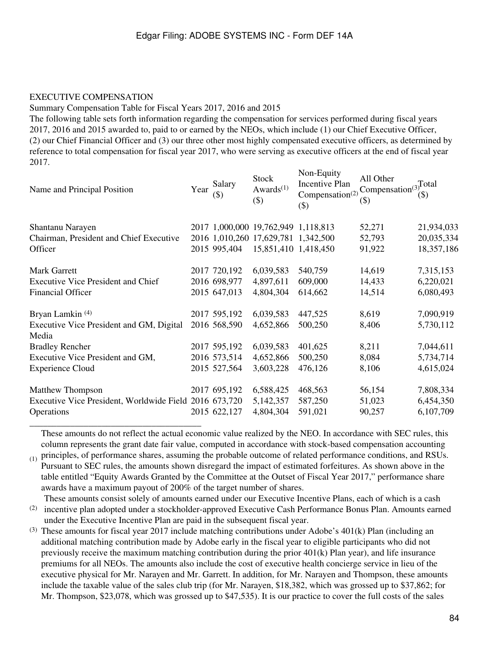#### EXECUTIVE COMPENSATION

#### Summary Compensation Table for Fiscal Years 2017, 2016 and 2015

The following table sets forth information regarding the compensation for services performed during fiscal years 2017, 2016 and 2015 awarded to, paid to or earned by the NEOs, which include (1) our Chief Executive Officer, (2) our Chief Financial Officer and (3) our three other most highly compensated executive officers, as determined by reference to total compensation for fiscal year 2017, who were serving as executive officers at the end of fiscal year 2017.

 $\mathbf{H} = \mathbf{H} \cdot \mathbf{H}$ 

| Name and Principal Position                            | Year | Salary<br>$(\$)$ | <b>Stock</b><br>Awards $(1)$<br>$(\$)$ | $N$ on-Equity<br>Incentive Plan<br>Compensation <sup>(2)</sup><br>$($ \$) | All Other<br>Compensation $(3)$<br>$(\$)$ | Total<br>$($ \$) |
|--------------------------------------------------------|------|------------------|----------------------------------------|---------------------------------------------------------------------------|-------------------------------------------|------------------|
| Shantanu Narayen                                       |      |                  | 2017 1,000,000 19,762,949 1,118,813    |                                                                           | 52,271                                    | 21,934,033       |
| Chairman, President and Chief Executive                |      |                  | 2016 1,010,260 17,629,781 1,342,500    |                                                                           | 52,793                                    | 20,035,334       |
| Officer                                                |      | 2015 995,404     | 15,851,410 1,418,450                   |                                                                           | 91,922                                    | 18,357,186       |
| Mark Garrett                                           |      | 2017 720,192     | 6,039,583                              | 540,759                                                                   | 14,619                                    | 7,315,153        |
| <b>Executive Vice President and Chief</b>              |      | 2016 698,977     | 4,897,611                              | 609,000                                                                   | 14,433                                    | 6,220,021        |
| <b>Financial Officer</b>                               |      | 2015 647,013     | 4,804,304                              | 614,662                                                                   | 14,514                                    | 6,080,493        |
| Bryan Lamkin $(4)$                                     |      | 2017 595,192     | 6,039,583                              | 447,525                                                                   | 8,619                                     | 7,090,919        |
| Executive Vice President and GM, Digital<br>Media      |      | 2016 568,590     | 4,652,866                              | 500,250                                                                   | 8,406                                     | 5,730,112        |
| <b>Bradley Rencher</b>                                 |      | 2017 595,192     | 6,039,583                              | 401,625                                                                   | 8,211                                     | 7,044,611        |
| Executive Vice President and GM,                       |      | 2016 573,514     | 4,652,866                              | 500,250                                                                   | 8,084                                     | 5,734,714        |
| <b>Experience Cloud</b>                                |      | 2015 527,564     | 3,603,228                              | 476,126                                                                   | 8,106                                     | 4,615,024        |
| <b>Matthew Thompson</b>                                |      | 2017 695,192     | 6,588,425                              | 468,563                                                                   | 56,154                                    | 7,808,334        |
| Executive Vice President, Worldwide Field 2016 673,720 |      |                  | 5,142,357                              | 587,250                                                                   | 51,023                                    | 6,454,350        |
| Operations                                             |      | 2015 622,127     | 4,804,304                              | 591,021                                                                   | 90,257                                    | 6,107,709        |
|                                                        |      |                  |                                        |                                                                           |                                           |                  |

These amounts do not reflect the actual economic value realized by the NEO. In accordance with SEC rules, this column represents the grant date fair value, computed in accordance with stock-based compensation accounting

 $_{(1)}$  principles, of performance shares, assuming the probable outcome of related performance conditions, and RSUs. Pursuant to SEC rules, the amounts shown disregard the impact of estimated forfeitures. As shown above in the table entitled "Equity Awards Granted by the Committee at the Outset of Fiscal Year 2017," performance share awards have a maximum payout of 200% of the target number of shares.

These amounts consist solely of amounts earned under our Executive Incentive Plans, each of which is a cash

<sup>(2)</sup> incentive plan adopted under a stockholder-approved Executive Cash Performance Bonus Plan. Amounts earned under the Executive Incentive Plan are paid in the subsequent fiscal year.

(3) These amounts for fiscal year 2017 include matching contributions under Adobe's 401(k) Plan (including an additional matching contribution made by Adobe early in the fiscal year to eligible participants who did not previously receive the maximum matching contribution during the prior 401(k) Plan year), and life insurance premiums for all NEOs. The amounts also include the cost of executive health concierge service in lieu of the executive physical for Mr. Narayen and Mr. Garrett. In addition, for Mr. Narayen and Thompson, these amounts include the taxable value of the sales club trip (for Mr. Narayen, \$18,382, which was grossed up to \$37,862; for Mr. Thompson, \$23,078, which was grossed up to \$47,535). It is our practice to cover the full costs of the sales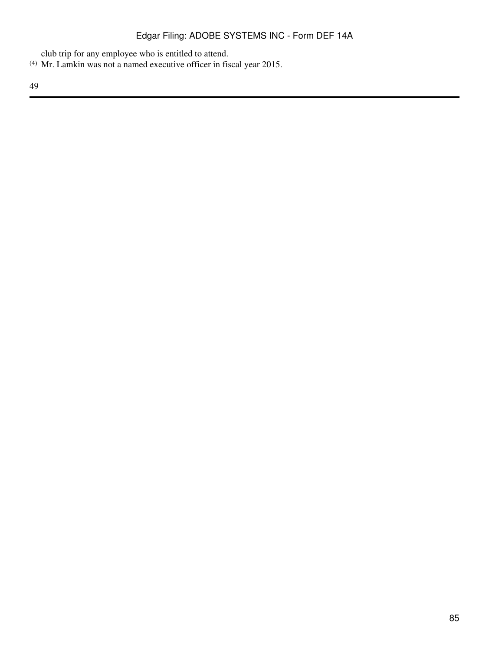club trip for any employee who is entitled to attend.

(4) Mr. Lamkin was not a named executive officer in fiscal year 2015.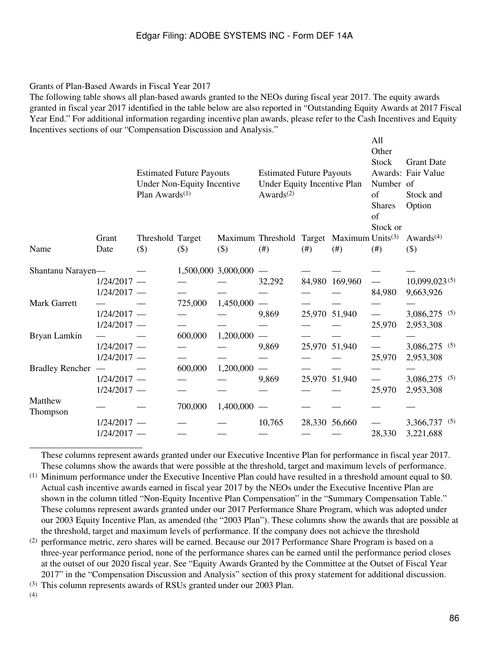#### Grants of Plan-Based Awards in Fiscal Year 2017

The following table shows all plan-based awards granted to the NEOs during fiscal year 2017. The equity awards granted in fiscal year 2017 identified in the table below are also reported in "Outstanding Equity Awards at 2017 Fiscal Year End." For additional information regarding incentive plan awards, please refer to the Cash Incentives and Equity Incentives sections of our "Compensation Discussion and Analysis."

 $\Delta$ 11

|                        |                                | Plan Awards <sup>(1)</sup> | <b>Estimated Future Payouts</b><br>Under Non-Equity Incentive |                     | <b>Estimated Future Payouts</b><br>Under Equity Incentive Plan<br>Awards $(2)$ |        | Other<br><b>Stock</b><br>Number of<br>of<br><b>Shares</b><br>of<br>Stock or | <b>Grant Date</b><br>Awards: Fair Value<br>Stock and<br>Option |                                    |
|------------------------|--------------------------------|----------------------------|---------------------------------------------------------------|---------------------|--------------------------------------------------------------------------------|--------|-----------------------------------------------------------------------------|----------------------------------------------------------------|------------------------------------|
|                        | Grant                          | Threshold Target           |                                                               |                     | Maximum Threshold Target Maximum Units <sup>(3)</sup>                          |        |                                                                             |                                                                | Awards <sup><math>(4)</math></sup> |
| Name                   | Date                           | (3)                        | $($ \$)                                                       | $($)$               | (# )                                                                           | $(\#)$ | (# )                                                                        | (# )                                                           | $(\$)$                             |
| Shantanu Narayen-      | $1/24/2017 -$<br>$1/24/2017 -$ |                            |                                                               | 1,500,000 3,000,000 | 32,292                                                                         |        | 84,980 169,960                                                              | 84,980                                                         | $10,099,023^{(5)}$<br>9,663,926    |
| <b>Mark Garrett</b>    | $1/24/2017 -$<br>$1/24/2017 -$ |                            | 725,000                                                       | 1,450,000           | 9,869                                                                          |        | 25,970 51,940                                                               | 25,970                                                         | 3,086,275 (5)<br>2,953,308         |
| Bryan Lamkin           | $1/24/2017 -$<br>$1/24/2017 -$ |                            | 600,000                                                       | 1,200,000           | 9,869                                                                          |        | 25,970 51,940                                                               | 25,970                                                         | 3,086,275 (5)<br>2,953,308         |
| <b>Bradley Rencher</b> | $1/24/2017 -$<br>$1/24/2017 -$ |                            | 600,000                                                       | 1,200,000           | 9,869                                                                          |        | 25,970 51,940                                                               | 25,970                                                         | 3,086,275 (5)<br>2,953,308         |
| Matthew<br>Thompson    |                                |                            | 700,000                                                       | 1,400,000           |                                                                                |        |                                                                             |                                                                |                                    |
|                        | $1/24/2017 -$<br>$1/24/2017 -$ |                            |                                                               |                     | 10,765                                                                         |        | 28,330 56,660                                                               | 28,330                                                         | 3,366,737 (5)<br>3,221,688         |
|                        |                                |                            |                                                               |                     |                                                                                |        |                                                                             |                                                                |                                    |

These columns represent awards granted under our Executive Incentive Plan for performance in fiscal year 2017. These columns show the awards that were possible at the threshold, target and maximum levels of performance.

(2) performance metric, zero shares will be earned. Because our 2017 Performance Share Program is based on a three-year performance period, none of the performance shares can be earned until the performance period closes at the outset of our 2020 fiscal year. See "Equity Awards Granted by the Committee at the Outset of Fiscal Year 2017" in the "Compensation Discussion and Analysis" section of this proxy statement for additional discussion.

(3) This column represents awards of RSUs granted under our 2003 Plan.

(4)

<sup>(1)</sup> Minimum performance under the Executive Incentive Plan could have resulted in a threshold amount equal to \$0. Actual cash incentive awards earned in fiscal year 2017 by the NEOs under the Executive Incentive Plan are shown in the column titled "Non-Equity Incentive Plan Compensation" in the "Summary Compensation Table." These columns represent awards granted under our 2017 Performance Share Program, which was adopted under our 2003 Equity Incentive Plan, as amended (the "2003 Plan"). These columns show the awards that are possible at the threshold, target and maximum levels of performance. If the company does not achieve the threshold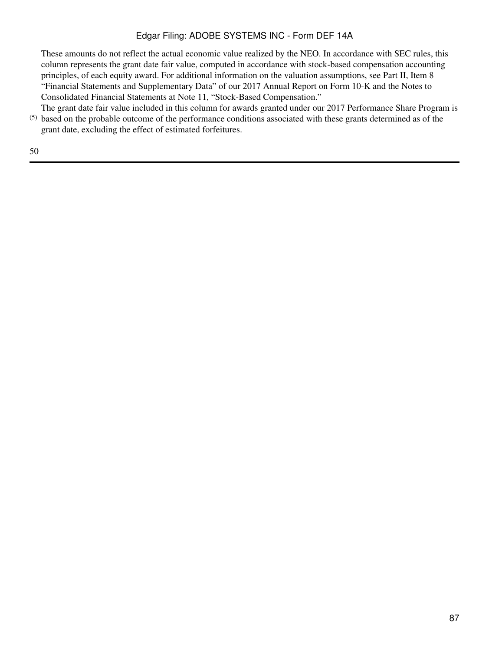These amounts do not reflect the actual economic value realized by the NEO. In accordance with SEC rules, this column represents the grant date fair value, computed in accordance with stock-based compensation accounting principles, of each equity award. For additional information on the valuation assumptions, see Part II, Item 8 "Financial Statements and Supplementary Data" of our 2017 Annual Report on Form 10-K and the Notes to Consolidated Financial Statements at Note 11, "Stock-Based Compensation."

(5) based on the probable outcome of the performance conditions associated with these grants determined as of the The grant date fair value included in this column for awards granted under our 2017 Performance Share Program is grant date, excluding the effect of estimated forfeitures.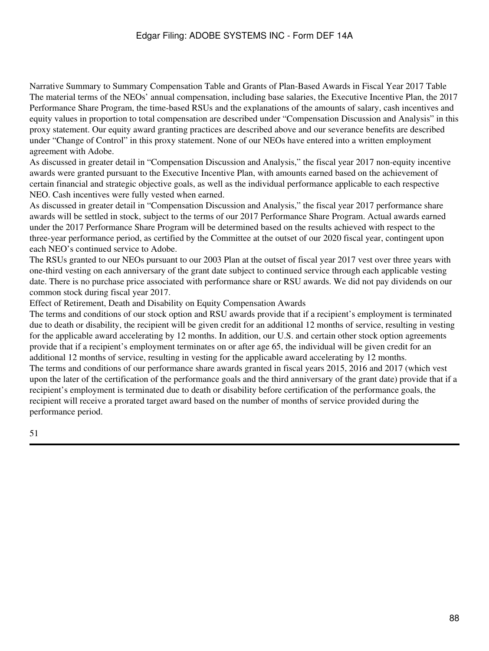Narrative Summary to Summary Compensation Table and Grants of Plan-Based Awards in Fiscal Year 2017 Table The material terms of the NEOs' annual compensation, including base salaries, the Executive Incentive Plan, the 2017 Performance Share Program, the time-based RSUs and the explanations of the amounts of salary, cash incentives and equity values in proportion to total compensation are described under "Compensation Discussion and Analysis" in this proxy statement. Our equity award granting practices are described above and our severance benefits are described under "Change of Control" in this proxy statement. None of our NEOs have entered into a written employment agreement with Adobe.

As discussed in greater detail in "Compensation Discussion and Analysis," the fiscal year 2017 non-equity incentive awards were granted pursuant to the Executive Incentive Plan, with amounts earned based on the achievement of certain financial and strategic objective goals, as well as the individual performance applicable to each respective NEO. Cash incentives were fully vested when earned.

As discussed in greater detail in "Compensation Discussion and Analysis," the fiscal year 2017 performance share awards will be settled in stock, subject to the terms of our 2017 Performance Share Program. Actual awards earned under the 2017 Performance Share Program will be determined based on the results achieved with respect to the three-year performance period, as certified by the Committee at the outset of our 2020 fiscal year, contingent upon each NEO's continued service to Adobe.

The RSUs granted to our NEOs pursuant to our 2003 Plan at the outset of fiscal year 2017 vest over three years with one-third vesting on each anniversary of the grant date subject to continued service through each applicable vesting date. There is no purchase price associated with performance share or RSU awards. We did not pay dividends on our common stock during fiscal year 2017.

Effect of Retirement, Death and Disability on Equity Compensation Awards

The terms and conditions of our stock option and RSU awards provide that if a recipient's employment is terminated due to death or disability, the recipient will be given credit for an additional 12 months of service, resulting in vesting for the applicable award accelerating by 12 months. In addition, our U.S. and certain other stock option agreements provide that if a recipient's employment terminates on or after age 65, the individual will be given credit for an additional 12 months of service, resulting in vesting for the applicable award accelerating by 12 months. The terms and conditions of our performance share awards granted in fiscal years 2015, 2016 and 2017 (which vest upon the later of the certification of the performance goals and the third anniversary of the grant date) provide that if a recipient's employment is terminated due to death or disability before certification of the performance goals, the recipient will receive a prorated target award based on the number of months of service provided during the performance period.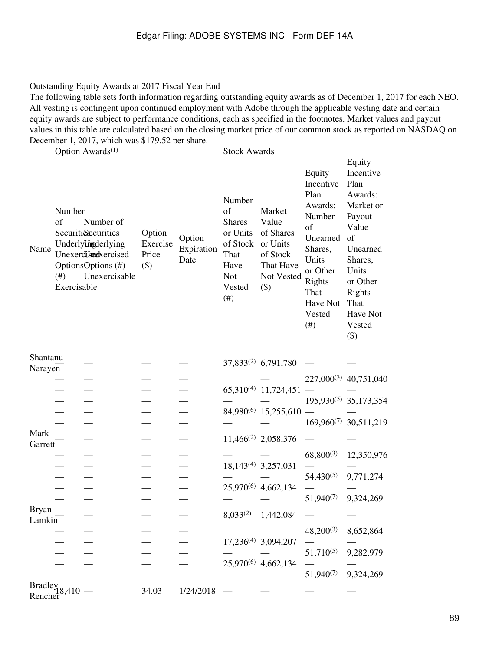#### Outstanding Equity Awards at 2017 Fiscal Year End

The following table sets forth information regarding outstanding equity awards as of December 1, 2017 for each NEO. All vesting is contingent upon continued employment with Adobe through the applicable vesting date and certain equity awards are subject to performance conditions, each as specified in the footnotes. Market values and payout values in this table are calculated based on the closing market price of our common stock as reported on NASDAQ on December 1, 2017, which was \$179.52 per share.

Option Awards<sup>(1)</sup> Stock Awards

Equity

| Name                                   | Number<br>of<br>(#)<br>Exercisable | Number of<br><b>Securiti&amp;ecurities</b><br>Underly <b>thg</b> derlying<br>Unexerdibedxercised<br>OptionsOptions (#)<br>Unexercisable | Option<br>Exercise<br>Price<br>$(\$)$ | Option<br>Expiration<br>Date | Number<br>of<br><b>Shares</b><br>or Units<br>of Stock or Units<br>That<br>Have<br><b>Not</b><br>Vested<br>$(\#)$ | Market<br>Value<br>of Shares<br>of Stock<br>That Have<br>Not Vested<br>$($ \$ | Equity<br>Incentive<br>Plan<br>Awards:<br>Number<br>of<br>Unearned<br>Shares,<br>Units<br>or Other<br>Rights<br>That<br>Have Not<br>Vested<br>(# ) | Incentive<br>Plan<br>Awards:<br>Market or<br>Payout<br>Value<br>of<br>Unearned<br>Shares,<br>Units<br>or Other<br>Rights<br>That<br>Have Not<br>Vested<br>$(\$)$ |
|----------------------------------------|------------------------------------|-----------------------------------------------------------------------------------------------------------------------------------------|---------------------------------------|------------------------------|------------------------------------------------------------------------------------------------------------------|-------------------------------------------------------------------------------|----------------------------------------------------------------------------------------------------------------------------------------------------|------------------------------------------------------------------------------------------------------------------------------------------------------------------|
| Shantanu<br>Narayen                    |                                    |                                                                                                                                         |                                       |                              |                                                                                                                  | 37,833 <sup>(2)</sup> 6,791,780                                               |                                                                                                                                                    |                                                                                                                                                                  |
|                                        |                                    |                                                                                                                                         |                                       |                              |                                                                                                                  |                                                                               |                                                                                                                                                    | 227,000 <sup>(3)</sup> 40,751,040                                                                                                                                |
|                                        |                                    |                                                                                                                                         |                                       |                              |                                                                                                                  | $65,310^{(4)}$ 11,724,451                                                     |                                                                                                                                                    |                                                                                                                                                                  |
|                                        |                                    |                                                                                                                                         |                                       |                              |                                                                                                                  |                                                                               |                                                                                                                                                    | $195,930^{(5)}$ 35,173,354                                                                                                                                       |
|                                        |                                    |                                                                                                                                         |                                       |                              |                                                                                                                  | 84,980 <sup>(6)</sup> 15,255,610                                              |                                                                                                                                                    |                                                                                                                                                                  |
|                                        |                                    |                                                                                                                                         |                                       |                              |                                                                                                                  |                                                                               |                                                                                                                                                    | 169,960 <sup>(7)</sup> 30,511,219                                                                                                                                |
| Mark<br>Garrett                        |                                    |                                                                                                                                         |                                       |                              |                                                                                                                  | $11,466^{(2)}$ 2,058,376                                                      |                                                                                                                                                    |                                                                                                                                                                  |
|                                        |                                    |                                                                                                                                         |                                       |                              |                                                                                                                  |                                                                               | $68,800^{(3)}$                                                                                                                                     | 12,350,976                                                                                                                                                       |
|                                        |                                    |                                                                                                                                         |                                       |                              |                                                                                                                  | $18,143^{(4)}$ 3,257,031                                                      |                                                                                                                                                    |                                                                                                                                                                  |
|                                        |                                    |                                                                                                                                         |                                       |                              |                                                                                                                  |                                                                               | $54,430^{(5)}$                                                                                                                                     | 9,771,274                                                                                                                                                        |
|                                        |                                    |                                                                                                                                         |                                       |                              |                                                                                                                  | 25,970 <sup>(6)</sup> 4,662,134                                               |                                                                                                                                                    |                                                                                                                                                                  |
|                                        |                                    |                                                                                                                                         |                                       |                              |                                                                                                                  |                                                                               | $51,940^{(7)}$                                                                                                                                     | 9,324,269                                                                                                                                                        |
| <b>Bryan</b><br>Lamkin                 |                                    |                                                                                                                                         |                                       |                              | $8,033^{(2)}$                                                                                                    | 1,442,084                                                                     |                                                                                                                                                    |                                                                                                                                                                  |
|                                        |                                    |                                                                                                                                         |                                       |                              |                                                                                                                  |                                                                               | $48,200^{(3)}$                                                                                                                                     | 8,652,864                                                                                                                                                        |
|                                        |                                    |                                                                                                                                         |                                       |                              |                                                                                                                  | 17,236 <sup>(4)</sup> 3,094,207                                               |                                                                                                                                                    |                                                                                                                                                                  |
|                                        |                                    |                                                                                                                                         |                                       |                              |                                                                                                                  | 25,970 <sup>(6)</sup> 4,662,134                                               | $51,710^{(5)}$                                                                                                                                     | 9,282,979                                                                                                                                                        |
|                                        |                                    |                                                                                                                                         |                                       |                              |                                                                                                                  |                                                                               | $51,940^{(7)}$                                                                                                                                     | 9,324,269                                                                                                                                                        |
| $\text{Bradley}_{18,410}$ —<br>Rencher |                                    |                                                                                                                                         | 34.03                                 | 1/24/2018                    |                                                                                                                  |                                                                               |                                                                                                                                                    |                                                                                                                                                                  |
|                                        |                                    |                                                                                                                                         |                                       |                              |                                                                                                                  |                                                                               |                                                                                                                                                    |                                                                                                                                                                  |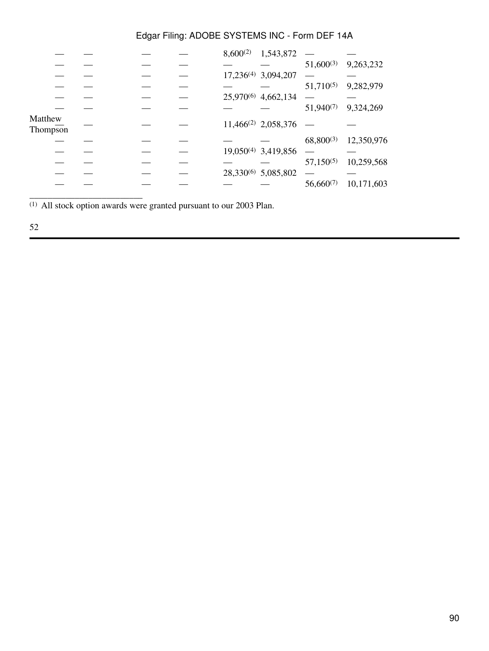|  | $8,600^{(2)}$ | 1,543,872 |                                                                                                                                                                             |            |
|--|---------------|-----------|-----------------------------------------------------------------------------------------------------------------------------------------------------------------------------|------------|
|  |               |           | $51,600^{(3)}$                                                                                                                                                              | 9,263,232  |
|  |               |           |                                                                                                                                                                             |            |
|  |               |           | $51,710^{(5)}$                                                                                                                                                              | 9,282,979  |
|  |               |           |                                                                                                                                                                             |            |
|  |               |           | $51,940^{(7)}$                                                                                                                                                              | 9,324,269  |
|  |               |           |                                                                                                                                                                             |            |
|  |               |           | $68,800^{(3)}$                                                                                                                                                              | 12,350,976 |
|  |               |           |                                                                                                                                                                             |            |
|  |               |           | $57,150^{(5)}$                                                                                                                                                              | 10,259,568 |
|  |               |           |                                                                                                                                                                             |            |
|  |               |           | $56,660^{(7)}$                                                                                                                                                              | 10,171,603 |
|  |               |           | 17,236 <sup>(4)</sup> 3,094,207<br>25,970 <sup>(6)</sup> 4,662,134<br>11,466 <sup>(2)</sup> 2,058,376<br>19,050 <sup>(4)</sup> 3,419,856<br>28,330 <sup>(6)</sup> 5,085,802 |            |

(1) All stock option awards were granted pursuant to our 2003 Plan.

# 52

\_\_\_\_\_\_\_\_\_\_\_\_\_\_\_\_\_\_\_\_\_\_\_\_\_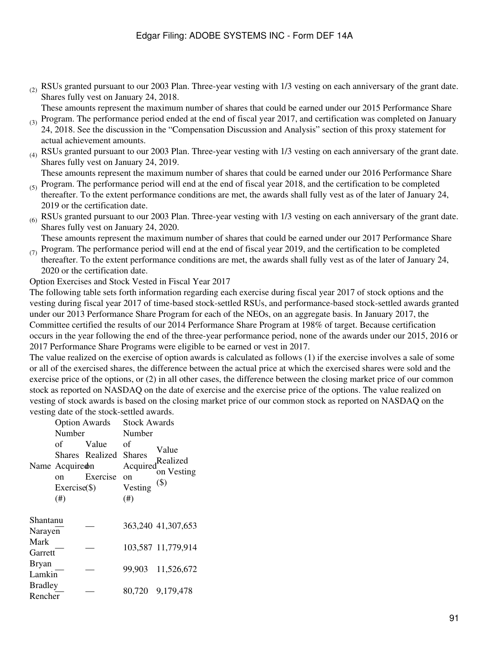$(2)$  RSUs granted pursuant to our 2003 Plan. Three-year vesting with 1/3 vesting on each anniversary of the grant date. Shares fully vest on January 24, 2018.

These amounts represent the maximum number of shares that could be earned under our 2015 Performance Share

- $(3)$  Program. The performance period ended at the end of fiscal year 2017, and certification was completed on January 24, 2018. See the discussion in the "Compensation Discussion and Analysis" section of this proxy statement for actual achievement amounts.
- $_{(4)}$  RSUs granted pursuant to our 2003 Plan. Three-year vesting with 1/3 vesting on each anniversary of the grant date. Shares fully vest on January 24, 2019.

 $_{(5)}$  Program. The performance period will end at the end of fiscal year 2018, and the certification to be completed These amounts represent the maximum number of shares that could be earned under our 2016 Performance Share

- thereafter. To the extent performance conditions are met, the awards shall fully vest as of the later of January 24, 2019 or the certification date.
- $_{(6)}$  RSUs granted pursuant to our 2003 Plan. Three-year vesting with 1/3 vesting on each anniversary of the grant date. Shares fully vest on January 24, 2020.

 $(7)$  Program. The performance period will end at the end of fiscal year 2019, and the certification to be completed These amounts represent the maximum number of shares that could be earned under our 2017 Performance Share

thereafter. To the extent performance conditions are met, the awards shall fully vest as of the later of January 24, 2020 or the certification date.

#### Option Exercises and Stock Vested in Fiscal Year 2017

The following table sets forth information regarding each exercise during fiscal year 2017 of stock options and the vesting during fiscal year 2017 of time-based stock-settled RSUs, and performance-based stock-settled awards granted under our 2013 Performance Share Program for each of the NEOs, on an aggregate basis. In January 2017, the Committee certified the results of our 2014 Performance Share Program at 198% of target. Because certification occurs in the year following the end of the three-year performance period, none of the awards under our 2015, 2016 or 2017 Performance Share Programs were eligible to be earned or vest in 2017.

The value realized on the exercise of option awards is calculated as follows (1) if the exercise involves a sale of some or all of the exercised shares, the difference between the actual price at which the exercised shares were sold and the exercise price of the options, or (2) in all other cases, the difference between the closing market price of our common stock as reported on NASDAQ on the date of exercise and the exercise price of the options. The value realized on vesting of stock awards is based on the closing market price of our common stock as reported on NASDAQ on the vesting date of the stock-settled awards.

|                           | Number<br>оf<br>Name Acquiredn<br>on<br>Exercise(<br>(# ) | <b>Option Awards</b><br>Value<br>Shares Realized<br>Exercise | <b>Stock Awards</b><br>Number<br>оf<br><b>Shares</b><br>Acquired<br>on<br>Vesting<br>(# ) | Value<br>Realized<br>on Vesting<br>$($ \$) |
|---------------------------|-----------------------------------------------------------|--------------------------------------------------------------|-------------------------------------------------------------------------------------------|--------------------------------------------|
| Shantanu<br>Narayen       |                                                           |                                                              |                                                                                           | 363,240 41,307,653                         |
| Mark<br>Garrett           |                                                           |                                                              |                                                                                           | 103,587 11,779,914                         |
| <b>Bryan</b><br>Lamkin    |                                                           |                                                              | 99,903                                                                                    | 11,526,672                                 |
| <b>Bradley</b><br>Rencher |                                                           |                                                              | 80.720                                                                                    | 9,179,478                                  |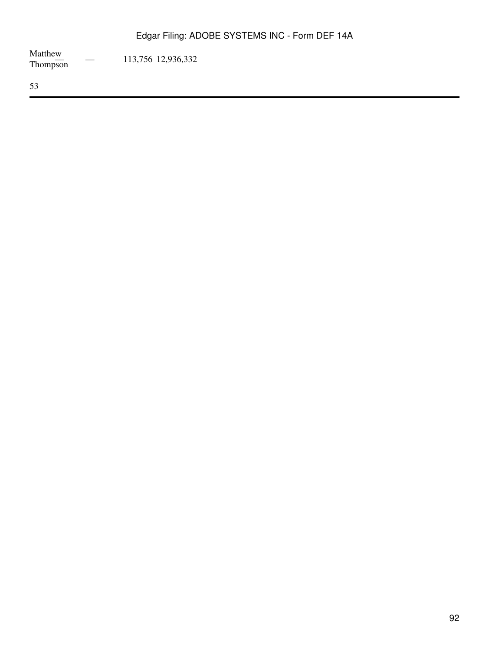Matthew<br>Thompson  $-$  113,756 12,936,332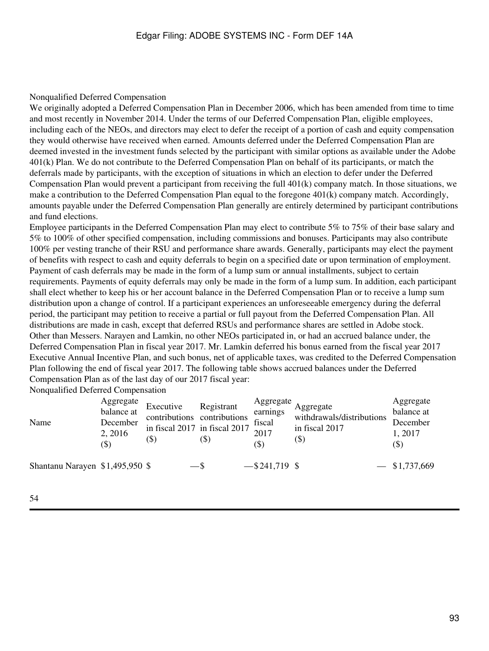#### Nonqualified Deferred Compensation

We originally adopted a Deferred Compensation Plan in December 2006, which has been amended from time to time and most recently in November 2014. Under the terms of our Deferred Compensation Plan, eligible employees, including each of the NEOs, and directors may elect to defer the receipt of a portion of cash and equity compensation they would otherwise have received when earned. Amounts deferred under the Deferred Compensation Plan are deemed invested in the investment funds selected by the participant with similar options as available under the Adobe 401(k) Plan. We do not contribute to the Deferred Compensation Plan on behalf of its participants, or match the deferrals made by participants, with the exception of situations in which an election to defer under the Deferred Compensation Plan would prevent a participant from receiving the full 401(k) company match. In those situations, we make a contribution to the Deferred Compensation Plan equal to the foregone 401(k) company match. Accordingly, amounts payable under the Deferred Compensation Plan generally are entirely determined by participant contributions and fund elections.

Employee participants in the Deferred Compensation Plan may elect to contribute 5% to 75% of their base salary and 5% to 100% of other specified compensation, including commissions and bonuses. Participants may also contribute 100% per vesting tranche of their RSU and performance share awards. Generally, participants may elect the payment of benefits with respect to cash and equity deferrals to begin on a specified date or upon termination of employment. Payment of cash deferrals may be made in the form of a lump sum or annual installments, subject to certain requirements. Payments of equity deferrals may only be made in the form of a lump sum. In addition, each participant shall elect whether to keep his or her account balance in the Deferred Compensation Plan or to receive a lump sum distribution upon a change of control. If a participant experiences an unforeseeable emergency during the deferral period, the participant may petition to receive a partial or full payout from the Deferred Compensation Plan. All distributions are made in cash, except that deferred RSUs and performance shares are settled in Adobe stock. Other than Messers. Narayen and Lamkin, no other NEOs participated in, or had an accrued balance under, the Deferred Compensation Plan in fiscal year 2017. Mr. Lamkin deferred his bonus earned from the fiscal year 2017 Executive Annual Incentive Plan, and such bonus, net of applicable taxes, was credited to the Deferred Compensation Plan following the end of fiscal year 2017. The following table shows accrued balances under the Deferred Compensation Plan as of the last day of our 2017 fiscal year:

Nonqualified Deferred Compensation

| Name                             | Aggregate<br>balance at<br>December<br>2, 2016<br>$(\$)$ | Executive<br>contributions contributions<br>in fiscal 2017 in fiscal 2017<br>(\$) | Registrant<br>$\left( \text{\$}\right)$ | Aggregate<br>earnings<br>fiscal<br>2017<br>$(\$)$ | Aggregate<br>withdrawals/distributions<br>in fiscal 2017<br>$(\$)$ | Aggregate<br>balance at<br>December<br>1, 2017<br>(\$) |
|----------------------------------|----------------------------------------------------------|-----------------------------------------------------------------------------------|-----------------------------------------|---------------------------------------------------|--------------------------------------------------------------------|--------------------------------------------------------|
| Shantanu Narayen $$1,495,950$ \$ |                                                          |                                                                                   | $-$ \$                                  | $-$ \$241,719 \$                                  |                                                                    | $-$ \$1,737,669                                        |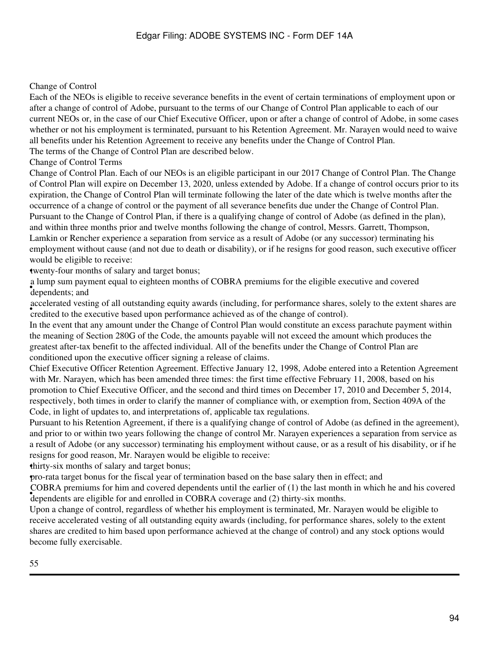### Change of Control

Each of the NEOs is eligible to receive severance benefits in the event of certain terminations of employment upon or after a change of control of Adobe, pursuant to the terms of our Change of Control Plan applicable to each of our current NEOs or, in the case of our Chief Executive Officer, upon or after a change of control of Adobe, in some cases whether or not his employment is terminated, pursuant to his Retention Agreement. Mr. Narayen would need to waive all benefits under his Retention Agreement to receive any benefits under the Change of Control Plan. The terms of the Change of Control Plan are described below.

Change of Control Terms

Change of Control Plan. Each of our NEOs is an eligible participant in our 2017 Change of Control Plan. The Change of Control Plan will expire on December 13, 2020, unless extended by Adobe. If a change of control occurs prior to its expiration, the Change of Control Plan will terminate following the later of the date which is twelve months after the occurrence of a change of control or the payment of all severance benefits due under the Change of Control Plan. Pursuant to the Change of Control Plan, if there is a qualifying change of control of Adobe (as defined in the plan), and within three months prior and twelve months following the change of control, Messrs. Garrett, Thompson, Lamkin or Rencher experience a separation from service as a result of Adobe (or any successor) terminating his employment without cause (and not due to death or disability), or if he resigns for good reason, such executive officer would be eligible to receive:

•twenty-four months of salary and target bonus;

e tamp sam pay. a lump sum payment equal to eighteen months of COBRA premiums for the eligible executive and covered

accelerated vesting of an outstanding equity awards (incruding, for performance shares, credited to the executive based upon performance achieved as of the change of control). accelerated vesting of all outstanding equity awards (including, for performance shares, solely to the extent shares are

In the event that any amount under the Change of Control Plan would constitute an excess parachute payment within the meaning of Section 280G of the Code, the amounts payable will not exceed the amount which produces the greatest after-tax benefit to the affected individual. All of the benefits under the Change of Control Plan are conditioned upon the executive officer signing a release of claims.

Chief Executive Officer Retention Agreement. Effective January 12, 1998, Adobe entered into a Retention Agreement with Mr. Narayen, which has been amended three times: the first time effective February 11, 2008, based on his promotion to Chief Executive Officer, and the second and third times on December 17, 2010 and December 5, 2014, respectively, both times in order to clarify the manner of compliance with, or exemption from, Section 409A of the Code, in light of updates to, and interpretations of, applicable tax regulations.

Pursuant to his Retention Agreement, if there is a qualifying change of control of Adobe (as defined in the agreement), and prior to or within two years following the change of control Mr. Narayen experiences a separation from service as a result of Adobe (or any successor) terminating his employment without cause, or as a result of his disability, or if he resigns for good reason, Mr. Narayen would be eligible to receive:

•thirty-six months of salary and target bonus;

•pro-rata target bonus for the fiscal year of termination based on the base salary then in effect; and

• dependents are eligible for and enrolled in COBRA coverage and (2) thirty-six months. COBRA premiums for him and covered dependents until the earlier of (1) the last month in which he and his covered

Upon a change of control, regardless of whether his employment is terminated, Mr. Narayen would be eligible to receive accelerated vesting of all outstanding equity awards (including, for performance shares, solely to the extent shares are credited to him based upon performance achieved at the change of control) and any stock options would become fully exercisable.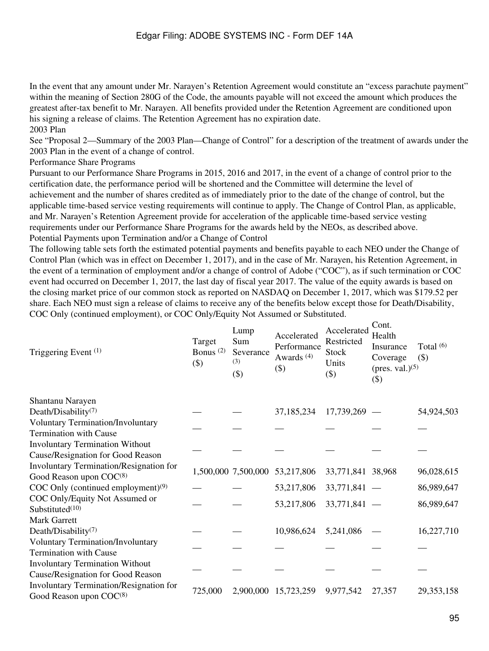In the event that any amount under Mr. Narayen's Retention Agreement would constitute an "excess parachute payment" within the meaning of Section 280G of the Code, the amounts payable will not exceed the amount which produces the greatest after-tax benefit to Mr. Narayen. All benefits provided under the Retention Agreement are conditioned upon his signing a release of claims. The Retention Agreement has no expiration date.

# 2003 Plan

See "Proposal 2—Summary of the 2003 Plan—Change of Control" for a description of the treatment of awards under the 2003 Plan in the event of a change of control.

Performance Share Programs

Pursuant to our Performance Share Programs in 2015, 2016 and 2017, in the event of a change of control prior to the certification date, the performance period will be shortened and the Committee will determine the level of achievement and the number of shares credited as of immediately prior to the date of the change of control, but the applicable time-based service vesting requirements will continue to apply. The Change of Control Plan, as applicable, and Mr. Narayen's Retention Agreement provide for acceleration of the applicable time-based service vesting requirements under our Performance Share Programs for the awards held by the NEOs, as described above. Potential Payments upon Termination and/or a Change of Control

The following table sets forth the estimated potential payments and benefits payable to each NEO under the Change of Control Plan (which was in effect on December 1, 2017), and in the case of Mr. Narayen, his Retention Agreement, in the event of a termination of employment and/or a change of control of Adobe ("COC"), as if such termination or COC event had occurred on December 1, 2017, the last day of fiscal year 2017. The value of the equity awards is based on the closing market price of our common stock as reported on NASDAQ on December 1, 2017, which was \$179.52 per share. Each NEO must sign a release of claims to receive any of the benefits below except those for Death/Disability, COC Only (continued employment), or COC Only/Equity Not Assumed or Substituted.

| Triggering Event <sup>(1)</sup>                                                       | Target<br>Bonus $(2)$<br>$(\$)$ | Lump<br>Sum<br>Severance<br>(3)<br>$(\$)$ | Accelerated<br>Performance<br>Awards <sup>(4)</sup><br>$(\$)$ | Accelerated<br>Restricted<br><b>Stock</b><br>Units<br>$(\$)$ | CONU.<br>Health<br>Insurance<br>Coverage<br>(pres. val.) $(5)$<br>$(\$)$ | Total $(6)$<br>$(\$)$ |
|---------------------------------------------------------------------------------------|---------------------------------|-------------------------------------------|---------------------------------------------------------------|--------------------------------------------------------------|--------------------------------------------------------------------------|-----------------------|
| Shantanu Narayen                                                                      |                                 |                                           |                                                               |                                                              |                                                                          |                       |
| Death/Disability <sup>(7)</sup>                                                       |                                 |                                           | 37,185,234                                                    | 17,739,269                                                   |                                                                          | 54,924,503            |
| <b>Voluntary Termination/Involuntary</b>                                              |                                 |                                           |                                                               |                                                              |                                                                          |                       |
| <b>Termination with Cause</b>                                                         |                                 |                                           |                                                               |                                                              |                                                                          |                       |
| <b>Involuntary Termination Without</b>                                                |                                 |                                           |                                                               |                                                              |                                                                          |                       |
| Cause/Resignation for Good Reason                                                     |                                 |                                           |                                                               |                                                              |                                                                          |                       |
| Involuntary Termination/Resignation for                                               |                                 |                                           | 1,500,000 7,500,000 53,217,806                                | 33,771,841 38,968                                            |                                                                          | 96,028,615            |
| Good Reason upon COC <sup>(8)</sup>                                                   |                                 |                                           |                                                               |                                                              |                                                                          |                       |
| COC Only (continued employment) $(9)$                                                 |                                 |                                           | 53,217,806                                                    | $33,771,841 -$                                               |                                                                          | 86,989,647            |
| COC Only/Equity Not Assumed or<br>Substituted <sup>(10)</sup>                         |                                 |                                           | 53,217,806                                                    | $33,771,841 -$                                               |                                                                          | 86,989,647            |
| <b>Mark Garrett</b>                                                                   |                                 |                                           |                                                               |                                                              |                                                                          |                       |
| Death/Disability <sup>(7)</sup>                                                       |                                 |                                           | 10,986,624                                                    | 5,241,086                                                    |                                                                          | 16,227,710            |
| <b>Voluntary Termination/Involuntary</b>                                              |                                 |                                           |                                                               |                                                              |                                                                          |                       |
| <b>Termination with Cause</b>                                                         |                                 |                                           |                                                               |                                                              |                                                                          |                       |
| <b>Involuntary Termination Without</b>                                                |                                 |                                           |                                                               |                                                              |                                                                          |                       |
| Cause/Resignation for Good Reason                                                     |                                 |                                           |                                                               |                                                              |                                                                          |                       |
| <b>Involuntary Termination/Resignation for</b><br>Good Reason upon COC <sup>(8)</sup> | 725,000                         |                                           | 2,900,000 15,723,259                                          | 9,977,542                                                    | 27,357                                                                   | 29, 353, 158          |

 $C_{\alpha+1}$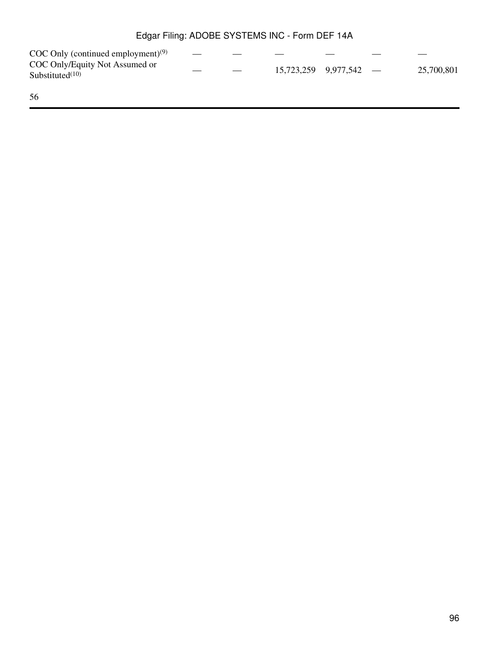| Edgar Filing: ADOBE SYSTEMS INC - Form DEF 14A       |  |  |  |                            |  |            |  |  |  |  |  |
|------------------------------------------------------|--|--|--|----------------------------|--|------------|--|--|--|--|--|
| $COC$ Only (continued employment) <sup>(9)</sup>     |  |  |  |                            |  |            |  |  |  |  |  |
| COC Only/Equity Not Assumed or<br>Substituted $(10)$ |  |  |  | $15,723,259$ $9,977,542$ — |  | 25,700,801 |  |  |  |  |  |
| 56                                                   |  |  |  |                            |  |            |  |  |  |  |  |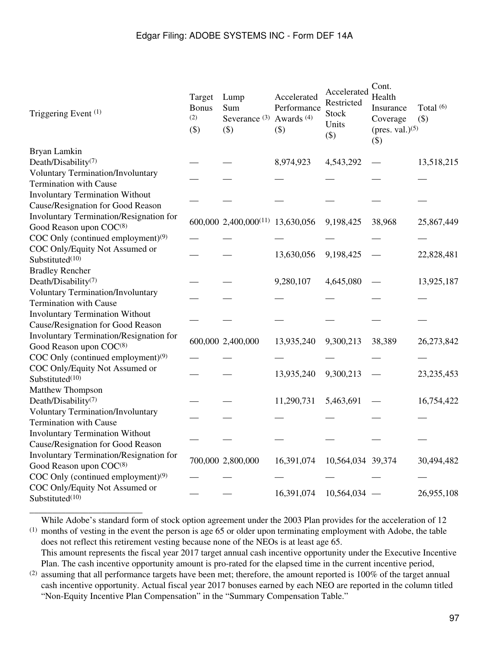| Triggering Event (1)                           | Target<br><b>Bonus</b><br>(2)<br>$(\$)$ | Lump<br>Sum<br>Severance $(3)$<br>$(\$)$     | Accelerated<br>Performance<br>Awards <sup>(4)</sup><br>$(\$)$ | Accelerated<br>Restricted<br><b>Stock</b><br>Units<br>$(\$)$ | Cont.<br>Health<br>Insurance<br>Coverage<br>(pres. val.) $(5)$<br>$(\$)$ | Total <sup>(6)</sup><br>$(\$)$ |
|------------------------------------------------|-----------------------------------------|----------------------------------------------|---------------------------------------------------------------|--------------------------------------------------------------|--------------------------------------------------------------------------|--------------------------------|
| Bryan Lamkin                                   |                                         |                                              |                                                               |                                                              |                                                                          |                                |
| Death/Disability <sup>(7)</sup>                |                                         |                                              | 8,974,923                                                     | 4,543,292                                                    |                                                                          | 13,518,215                     |
| Voluntary Termination/Involuntary              |                                         |                                              |                                                               |                                                              |                                                                          |                                |
| <b>Termination with Cause</b>                  |                                         |                                              |                                                               |                                                              |                                                                          |                                |
| <b>Involuntary Termination Without</b>         |                                         |                                              |                                                               |                                                              |                                                                          |                                |
| Cause/Resignation for Good Reason              |                                         |                                              |                                                               |                                                              |                                                                          |                                |
| Involuntary Termination/Resignation for        |                                         | 600,000 2,400,000 <sup>(11)</sup> 13,630,056 |                                                               | 9,198,425                                                    | 38,968                                                                   | 25,867,449                     |
| Good Reason upon COC(8)                        |                                         |                                              |                                                               |                                                              |                                                                          |                                |
| COC Only (continued employment) <sup>(9)</sup> |                                         |                                              |                                                               |                                                              |                                                                          |                                |
| COC Only/Equity Not Assumed or                 |                                         |                                              | 13,630,056                                                    | 9,198,425                                                    |                                                                          | 22,828,481                     |
| Substituted <sup>(10)</sup>                    |                                         |                                              |                                                               |                                                              |                                                                          |                                |
| <b>Bradley Rencher</b>                         |                                         |                                              |                                                               |                                                              |                                                                          |                                |
| Death/Disability <sup>(7)</sup>                |                                         |                                              | 9,280,107                                                     | 4,645,080                                                    |                                                                          | 13,925,187                     |
| <b>Voluntary Termination/Involuntary</b>       |                                         |                                              |                                                               |                                                              |                                                                          |                                |
| <b>Termination with Cause</b>                  |                                         |                                              |                                                               |                                                              |                                                                          |                                |
| <b>Involuntary Termination Without</b>         |                                         |                                              |                                                               |                                                              |                                                                          |                                |
| Cause/Resignation for Good Reason              |                                         |                                              |                                                               |                                                              |                                                                          |                                |
| Involuntary Termination/Resignation for        |                                         | 600,000 2,400,000                            | 13,935,240                                                    | 9,300,213                                                    | 38,389                                                                   | 26,273,842                     |
| Good Reason upon COC(8)                        |                                         |                                              |                                                               |                                                              |                                                                          |                                |
| COC Only (continued employment) $(9)$          |                                         |                                              |                                                               |                                                              |                                                                          |                                |
| COC Only/Equity Not Assumed or                 |                                         |                                              | 13,935,240                                                    | 9,300,213                                                    |                                                                          | 23, 235, 453                   |
| Substituted <sup>(10)</sup>                    |                                         |                                              |                                                               |                                                              |                                                                          |                                |
| Matthew Thompson                               |                                         |                                              |                                                               |                                                              |                                                                          |                                |
| Death/Disability <sup>(7)</sup>                |                                         |                                              | 11,290,731                                                    | 5,463,691                                                    |                                                                          | 16,754,422                     |
| Voluntary Termination/Involuntary              |                                         |                                              |                                                               |                                                              |                                                                          |                                |
| <b>Termination with Cause</b>                  |                                         |                                              |                                                               |                                                              |                                                                          |                                |
| <b>Involuntary Termination Without</b>         |                                         |                                              |                                                               |                                                              |                                                                          |                                |
| Cause/Resignation for Good Reason              |                                         |                                              |                                                               |                                                              |                                                                          |                                |
| Involuntary Termination/Resignation for        |                                         | 700,000 2,800,000                            | 16,391,074                                                    | 10,564,034 39,374                                            |                                                                          | 30,494,482                     |
| Good Reason upon COC(8)                        |                                         |                                              |                                                               |                                                              |                                                                          |                                |
| COC Only (continued employment) <sup>(9)</sup> |                                         |                                              |                                                               |                                                              |                                                                          |                                |
| COC Only/Equity Not Assumed or                 |                                         |                                              | 16,391,074                                                    | $10,564,034$ –                                               |                                                                          | 26,955,108                     |
| Substituted <sup>(10)</sup>                    |                                         |                                              |                                                               |                                                              |                                                                          |                                |

 $<sup>(1)</sup>$  months of vesting in the event the person is age 65 or older upon terminating employment with Adobe, the table</sup> While Adobe's standard form of stock option agreement under the 2003 Plan provides for the acceleration of 12 does not reflect this retirement vesting because none of the NEOs is at least age 65.

\_\_\_\_\_\_\_\_\_\_\_\_\_\_\_\_\_\_\_\_\_\_\_\_\_

This amount represents the fiscal year 2017 target annual cash incentive opportunity under the Executive Incentive Plan. The cash incentive opportunity amount is pro-rated for the elapsed time in the current incentive period,

 $^{(2)}$  assuming that all performance targets have been met; therefore, the amount reported is 100% of the target annual cash incentive opportunity. Actual fiscal year 2017 bonuses earned by each NEO are reported in the column titled "Non-Equity Incentive Plan Compensation" in the "Summary Compensation Table."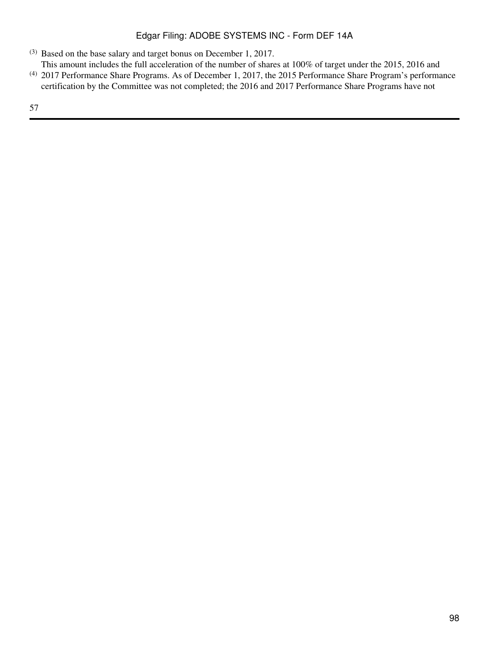- (3) Based on the base salary and target bonus on December 1, 2017.
- This amount includes the full acceleration of the number of shares at 100% of target under the 2015, 2016 and
- (4) 2017 Performance Share Programs. As of December 1, 2017, the 2015 Performance Share Program's performance certification by the Committee was not completed; the 2016 and 2017 Performance Share Programs have not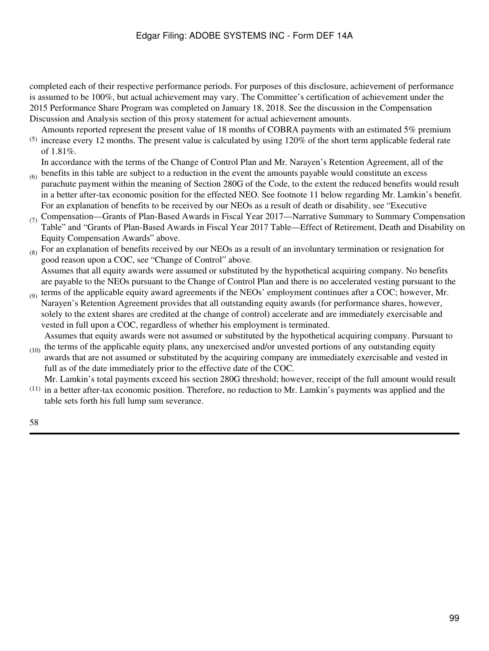completed each of their respective performance periods. For purposes of this disclosure, achievement of performance is assumed to be 100%, but actual achievement may vary. The Committee's certification of achievement under the 2015 Performance Share Program was completed on January 18, 2018. See the discussion in the Compensation Discussion and Analysis section of this proxy statement for actual achievement amounts.

 $(5)$  increase every 12 months. The present value is calculated by using 120% of the short term applicable federal rate Amounts reported represent the present value of 18 months of COBRA payments with an estimated 5% premium of 1.81%.

In accordance with the terms of the Change of Control Plan and Mr. Narayen's Retention Agreement, all of the

- $_{(6)}$  benefits in this table are subject to a reduction in the event the amounts payable would constitute an excess parachute payment within the meaning of Section 280G of the Code, to the extent the reduced benefits would result in a better after-tax economic position for the effected NEO. See footnote 11 below regarding Mr. Lamkin's benefit. For an explanation of benefits to be received by our NEOs as a result of death or disability, see "Executive
- (7) Compensation—Grants of Plan-Based Awards in Fiscal Year 2017—Narrative Summary to Summary Compensation Table" and "Grants of Plan-Based Awards in Fiscal Year 2017 Table—Effect of Retirement, Death and Disability on Equity Compensation Awards" above.
- $(8)$  For an explanation of benefits received by our NEOs as a result of an involuntary termination or resignation for good reason upon a COC, see "Change of Control" above. Assumes that all equity awards were assumed or substituted by the hypothetical acquiring company. No benefits

(9) are payable to the NEOs pursuant to the Change of Control Plan and there is no accelerated vesting pursuant to the terms of the applicable equity award agreements if the NEOs' employment continues after a COC; however, Mr.

Narayen's Retention Agreement provides that all outstanding equity awards (for performance shares, however, solely to the extent shares are credited at the change of control) accelerate and are immediately exercisable and vested in full upon a COC, regardless of whether his employment is terminated.

 $(10)$ Assumes that equity awards were not assumed or substituted by the hypothetical acquiring company. Pursuant to the terms of the applicable equity plans, any unexercised and/or unvested portions of any outstanding equity

- awards that are not assumed or substituted by the acquiring company are immediately exercisable and vested in full as of the date immediately prior to the effective date of the COC.
- (11) in a better after-tax economic position. Therefore, no reduction to Mr. Lamkin's payments was applied and the Mr. Lamkin's total payments exceed his section 280G threshold; however, receipt of the full amount would result table sets forth his full lump sum severance.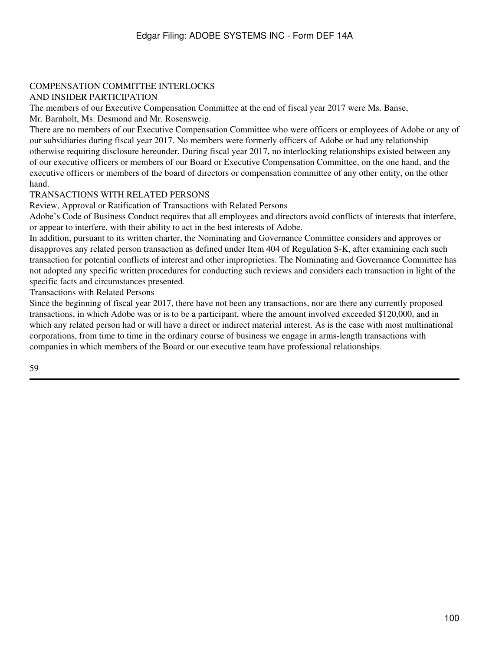#### COMPENSATION COMMITTEE INTERLOCKS AND INSIDER PARTICIPATION

The members of our Executive Compensation Committee at the end of fiscal year 2017 were Ms. Banse,

Mr. Barnholt, Ms. Desmond and Mr. Rosensweig.

There are no members of our Executive Compensation Committee who were officers or employees of Adobe or any of our subsidiaries during fiscal year 2017. No members were formerly officers of Adobe or had any relationship otherwise requiring disclosure hereunder. During fiscal year 2017, no interlocking relationships existed between any of our executive officers or members of our Board or Executive Compensation Committee, on the one hand, and the executive officers or members of the board of directors or compensation committee of any other entity, on the other hand.

# TRANSACTIONS WITH RELATED PERSONS

Review, Approval or Ratification of Transactions with Related Persons

Adobe's Code of Business Conduct requires that all employees and directors avoid conflicts of interests that interfere, or appear to interfere, with their ability to act in the best interests of Adobe.

In addition, pursuant to its written charter, the Nominating and Governance Committee considers and approves or disapproves any related person transaction as defined under Item 404 of Regulation S-K, after examining each such transaction for potential conflicts of interest and other improprieties. The Nominating and Governance Committee has not adopted any specific written procedures for conducting such reviews and considers each transaction in light of the specific facts and circumstances presented.

Transactions with Related Persons

Since the beginning of fiscal year 2017, there have not been any transactions, nor are there any currently proposed transactions, in which Adobe was or is to be a participant, where the amount involved exceeded \$120,000, and in which any related person had or will have a direct or indirect material interest. As is the case with most multinational corporations, from time to time in the ordinary course of business we engage in arms-length transactions with companies in which members of the Board or our executive team have professional relationships.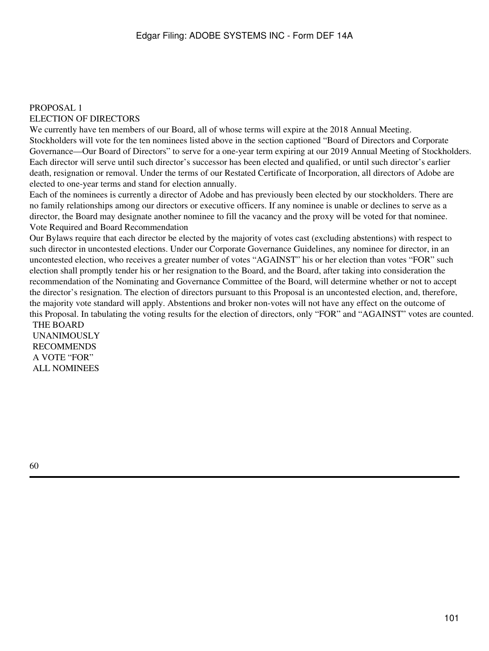#### PROPOSAL 1

#### ELECTION OF DIRECTORS

We currently have ten members of our Board, all of whose terms will expire at the 2018 Annual Meeting. Stockholders will vote for the ten nominees listed above in the section captioned "Board of Directors and Corporate Governance—Our Board of Directors" to serve for a one-year term expiring at our 2019 Annual Meeting of Stockholders. Each director will serve until such director's successor has been elected and qualified, or until such director's earlier death, resignation or removal. Under the terms of our Restated Certificate of Incorporation, all directors of Adobe are elected to one-year terms and stand for election annually.

Each of the nominees is currently a director of Adobe and has previously been elected by our stockholders. There are no family relationships among our directors or executive officers. If any nominee is unable or declines to serve as a director, the Board may designate another nominee to fill the vacancy and the proxy will be voted for that nominee. Vote Required and Board Recommendation

Our Bylaws require that each director be elected by the majority of votes cast (excluding abstentions) with respect to such director in uncontested elections. Under our Corporate Governance Guidelines, any nominee for director, in an uncontested election, who receives a greater number of votes "AGAINST" his or her election than votes "FOR" such election shall promptly tender his or her resignation to the Board, and the Board, after taking into consideration the recommendation of the Nominating and Governance Committee of the Board, will determine whether or not to accept the director's resignation. The election of directors pursuant to this Proposal is an uncontested election, and, therefore, the majority vote standard will apply. Abstentions and broker non-votes will not have any effect on the outcome of this Proposal. In tabulating the voting results for the election of directors, only "FOR" and "AGAINST" votes are counted. THE BOARD

UNANIMOUSLY RECOMMENDS A VOTE "FOR" ALL NOMINEES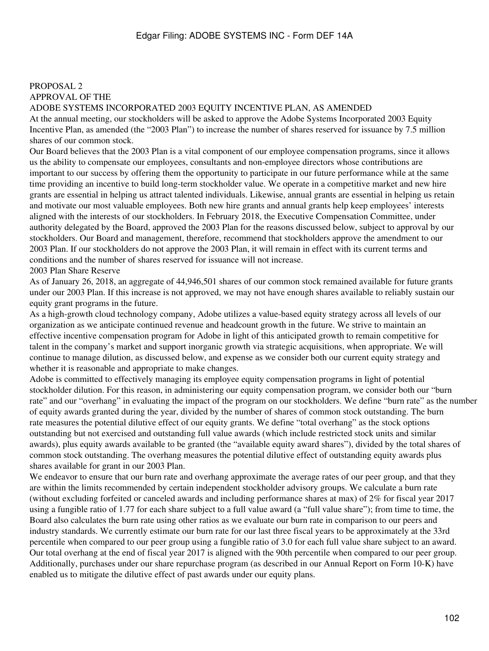# PROPOSAL 2 APPROVAL OF THE

#### ADOBE SYSTEMS INCORPORATED 2003 EQUITY INCENTIVE PLAN, AS AMENDED

At the annual meeting, our stockholders will be asked to approve the Adobe Systems Incorporated 2003 Equity Incentive Plan, as amended (the "2003 Plan") to increase the number of shares reserved for issuance by 7.5 million shares of our common stock.

Our Board believes that the 2003 Plan is a vital component of our employee compensation programs, since it allows us the ability to compensate our employees, consultants and non-employee directors whose contributions are important to our success by offering them the opportunity to participate in our future performance while at the same time providing an incentive to build long-term stockholder value. We operate in a competitive market and new hire grants are essential in helping us attract talented individuals. Likewise, annual grants are essential in helping us retain and motivate our most valuable employees. Both new hire grants and annual grants help keep employees' interests aligned with the interests of our stockholders. In February 2018, the Executive Compensation Committee, under authority delegated by the Board, approved the 2003 Plan for the reasons discussed below, subject to approval by our stockholders. Our Board and management, therefore, recommend that stockholders approve the amendment to our 2003 Plan. If our stockholders do not approve the 2003 Plan, it will remain in effect with its current terms and conditions and the number of shares reserved for issuance will not increase.

2003 Plan Share Reserve

As of January 26, 2018, an aggregate of 44,946,501 shares of our common stock remained available for future grants under our 2003 Plan. If this increase is not approved, we may not have enough shares available to reliably sustain our equity grant programs in the future.

As a high-growth cloud technology company, Adobe utilizes a value-based equity strategy across all levels of our organization as we anticipate continued revenue and headcount growth in the future. We strive to maintain an effective incentive compensation program for Adobe in light of this anticipated growth to remain competitive for talent in the company's market and support inorganic growth via strategic acquisitions, when appropriate. We will continue to manage dilution, as discussed below, and expense as we consider both our current equity strategy and whether it is reasonable and appropriate to make changes.

Adobe is committed to effectively managing its employee equity compensation programs in light of potential stockholder dilution. For this reason, in administering our equity compensation program, we consider both our "burn rate" and our "overhang" in evaluating the impact of the program on our stockholders. We define "burn rate" as the number of equity awards granted during the year, divided by the number of shares of common stock outstanding. The burn rate measures the potential dilutive effect of our equity grants. We define "total overhang" as the stock options outstanding but not exercised and outstanding full value awards (which include restricted stock units and similar awards), plus equity awards available to be granted (the "available equity award shares"), divided by the total shares of common stock outstanding. The overhang measures the potential dilutive effect of outstanding equity awards plus shares available for grant in our 2003 Plan.

We endeavor to ensure that our burn rate and overhang approximate the average rates of our peer group, and that they are within the limits recommended by certain independent stockholder advisory groups. We calculate a burn rate (without excluding forfeited or canceled awards and including performance shares at max) of 2% for fiscal year 2017 using a fungible ratio of 1.77 for each share subject to a full value award (a "full value share"); from time to time, the Board also calculates the burn rate using other ratios as we evaluate our burn rate in comparison to our peers and industry standards. We currently estimate our burn rate for our last three fiscal years to be approximately at the 33rd percentile when compared to our peer group using a fungible ratio of 3.0 for each full value share subject to an award. Our total overhang at the end of fiscal year 2017 is aligned with the 90th percentile when compared to our peer group. Additionally, purchases under our share repurchase program (as described in our Annual Report on Form 10-K) have enabled us to mitigate the dilutive effect of past awards under our equity plans.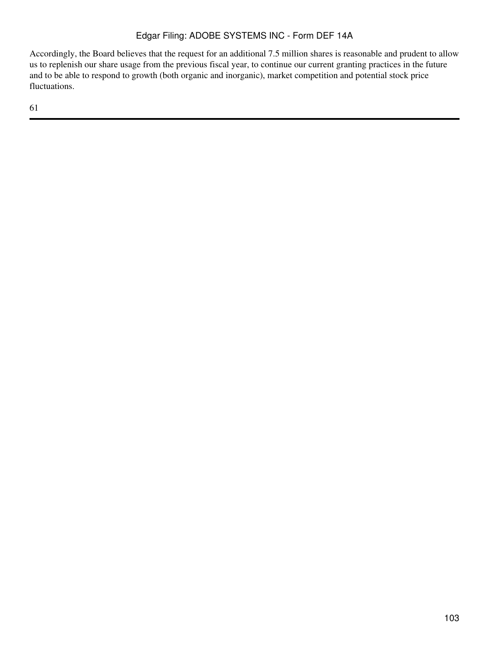Accordingly, the Board believes that the request for an additional 7.5 million shares is reasonable and prudent to allow us to replenish our share usage from the previous fiscal year, to continue our current granting practices in the future and to be able to respond to growth (both organic and inorganic), market competition and potential stock price fluctuations.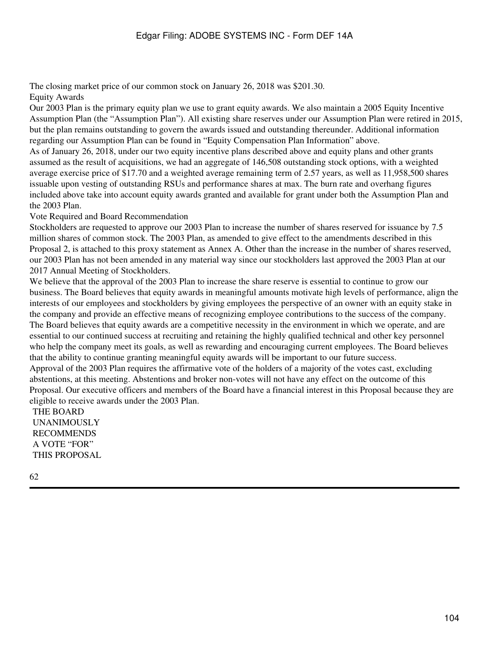The closing market price of our common stock on January 26, 2018 was \$201.30. Equity Awards

Our 2003 Plan is the primary equity plan we use to grant equity awards. We also maintain a 2005 Equity Incentive Assumption Plan (the "Assumption Plan"). All existing share reserves under our Assumption Plan were retired in 2015, but the plan remains outstanding to govern the awards issued and outstanding thereunder. Additional information regarding our Assumption Plan can be found in "Equity Compensation Plan Information" above. As of January 26, 2018, under our two equity incentive plans described above and equity plans and other grants

assumed as the result of acquisitions, we had an aggregate of 146,508 outstanding stock options, with a weighted average exercise price of \$17.70 and a weighted average remaining term of 2.57 years, as well as 11,958,500 shares issuable upon vesting of outstanding RSUs and performance shares at max. The burn rate and overhang figures included above take into account equity awards granted and available for grant under both the Assumption Plan and the 2003 Plan.

Vote Required and Board Recommendation

Stockholders are requested to approve our 2003 Plan to increase the number of shares reserved for issuance by 7.5 million shares of common stock. The 2003 Plan, as amended to give effect to the amendments described in this Proposal 2, is attached to this proxy statement as Annex A. Other than the increase in the number of shares reserved, our 2003 Plan has not been amended in any material way since our stockholders last approved the 2003 Plan at our 2017 Annual Meeting of Stockholders.

We believe that the approval of the 2003 Plan to increase the share reserve is essential to continue to grow our business. The Board believes that equity awards in meaningful amounts motivate high levels of performance, align the interests of our employees and stockholders by giving employees the perspective of an owner with an equity stake in the company and provide an effective means of recognizing employee contributions to the success of the company. The Board believes that equity awards are a competitive necessity in the environment in which we operate, and are essential to our continued success at recruiting and retaining the highly qualified technical and other key personnel who help the company meet its goals, as well as rewarding and encouraging current employees. The Board believes that the ability to continue granting meaningful equity awards will be important to our future success. Approval of the 2003 Plan requires the affirmative vote of the holders of a majority of the votes cast, excluding abstentions, at this meeting. Abstentions and broker non-votes will not have any effect on the outcome of this Proposal. Our executive officers and members of the Board have a financial interest in this Proposal because they are eligible to receive awards under the 2003 Plan.

THE BOARD UNANIMOUSLY RECOMMENDS A VOTE "FOR" THIS PROPOSAL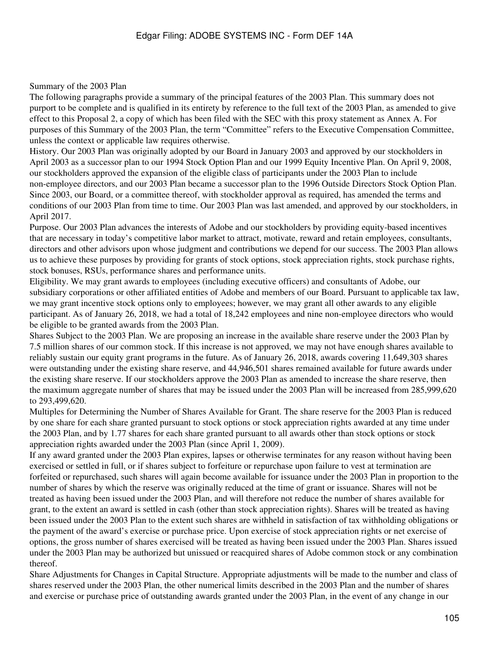#### Summary of the 2003 Plan

The following paragraphs provide a summary of the principal features of the 2003 Plan. This summary does not purport to be complete and is qualified in its entirety by reference to the full text of the 2003 Plan, as amended to give effect to this Proposal 2, a copy of which has been filed with the SEC with this proxy statement as Annex A. For purposes of this Summary of the 2003 Plan, the term "Committee" refers to the Executive Compensation Committee, unless the context or applicable law requires otherwise.

History. Our 2003 Plan was originally adopted by our Board in January 2003 and approved by our stockholders in April 2003 as a successor plan to our 1994 Stock Option Plan and our 1999 Equity Incentive Plan. On April 9, 2008, our stockholders approved the expansion of the eligible class of participants under the 2003 Plan to include non-employee directors, and our 2003 Plan became a successor plan to the 1996 Outside Directors Stock Option Plan. Since 2003, our Board, or a committee thereof, with stockholder approval as required, has amended the terms and conditions of our 2003 Plan from time to time. Our 2003 Plan was last amended, and approved by our stockholders, in April 2017.

Purpose. Our 2003 Plan advances the interests of Adobe and our stockholders by providing equity-based incentives that are necessary in today's competitive labor market to attract, motivate, reward and retain employees, consultants, directors and other advisors upon whose judgment and contributions we depend for our success. The 2003 Plan allows us to achieve these purposes by providing for grants of stock options, stock appreciation rights, stock purchase rights, stock bonuses, RSUs, performance shares and performance units.

Eligibility. We may grant awards to employees (including executive officers) and consultants of Adobe, our subsidiary corporations or other affiliated entities of Adobe and members of our Board. Pursuant to applicable tax law, we may grant incentive stock options only to employees; however, we may grant all other awards to any eligible participant. As of January 26, 2018, we had a total of 18,242 employees and nine non-employee directors who would be eligible to be granted awards from the 2003 Plan.

Shares Subject to the 2003 Plan. We are proposing an increase in the available share reserve under the 2003 Plan by 7.5 million shares of our common stock. If this increase is not approved, we may not have enough shares available to reliably sustain our equity grant programs in the future. As of January 26, 2018, awards covering 11,649,303 shares were outstanding under the existing share reserve, and 44,946,501 shares remained available for future awards under the existing share reserve. If our stockholders approve the 2003 Plan as amended to increase the share reserve, then the maximum aggregate number of shares that may be issued under the 2003 Plan will be increased from 285,999,620 to 293,499,620.

Multiples for Determining the Number of Shares Available for Grant. The share reserve for the 2003 Plan is reduced by one share for each share granted pursuant to stock options or stock appreciation rights awarded at any time under the 2003 Plan, and by 1.77 shares for each share granted pursuant to all awards other than stock options or stock appreciation rights awarded under the 2003 Plan (since April 1, 2009).

If any award granted under the 2003 Plan expires, lapses or otherwise terminates for any reason without having been exercised or settled in full, or if shares subject to forfeiture or repurchase upon failure to vest at termination are forfeited or repurchased, such shares will again become available for issuance under the 2003 Plan in proportion to the number of shares by which the reserve was originally reduced at the time of grant or issuance. Shares will not be treated as having been issued under the 2003 Plan, and will therefore not reduce the number of shares available for grant, to the extent an award is settled in cash (other than stock appreciation rights). Shares will be treated as having been issued under the 2003 Plan to the extent such shares are withheld in satisfaction of tax withholding obligations or the payment of the award's exercise or purchase price. Upon exercise of stock appreciation rights or net exercise of options, the gross number of shares exercised will be treated as having been issued under the 2003 Plan. Shares issued under the 2003 Plan may be authorized but unissued or reacquired shares of Adobe common stock or any combination thereof.

Share Adjustments for Changes in Capital Structure. Appropriate adjustments will be made to the number and class of shares reserved under the 2003 Plan, the other numerical limits described in the 2003 Plan and the number of shares and exercise or purchase price of outstanding awards granted under the 2003 Plan, in the event of any change in our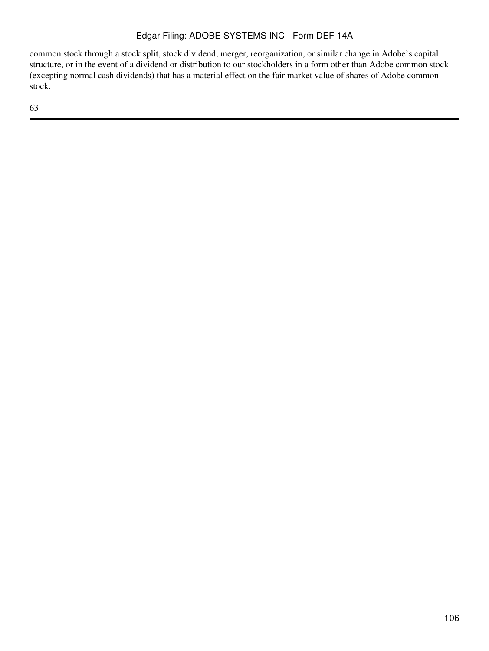common stock through a stock split, stock dividend, merger, reorganization, or similar change in Adobe's capital structure, or in the event of a dividend or distribution to our stockholders in a form other than Adobe common stock (excepting normal cash dividends) that has a material effect on the fair market value of shares of Adobe common stock.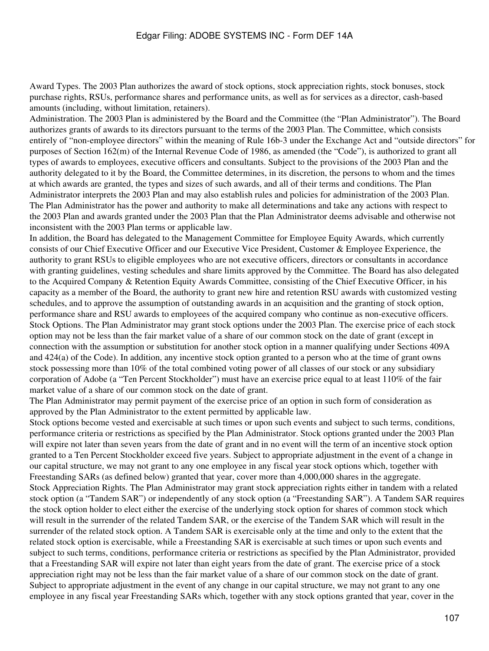Award Types. The 2003 Plan authorizes the award of stock options, stock appreciation rights, stock bonuses, stock purchase rights, RSUs, performance shares and performance units, as well as for services as a director, cash-based amounts (including, without limitation, retainers).

Administration. The 2003 Plan is administered by the Board and the Committee (the "Plan Administrator"). The Board authorizes grants of awards to its directors pursuant to the terms of the 2003 Plan. The Committee, which consists entirely of "non-employee directors" within the meaning of Rule 16b-3 under the Exchange Act and "outside directors" for purposes of Section 162(m) of the Internal Revenue Code of 1986, as amended (the "Code"), is authorized to grant all types of awards to employees, executive officers and consultants. Subject to the provisions of the 2003 Plan and the authority delegated to it by the Board, the Committee determines, in its discretion, the persons to whom and the times at which awards are granted, the types and sizes of such awards, and all of their terms and conditions. The Plan Administrator interprets the 2003 Plan and may also establish rules and policies for administration of the 2003 Plan. The Plan Administrator has the power and authority to make all determinations and take any actions with respect to the 2003 Plan and awards granted under the 2003 Plan that the Plan Administrator deems advisable and otherwise not inconsistent with the 2003 Plan terms or applicable law.

In addition, the Board has delegated to the Management Committee for Employee Equity Awards, which currently consists of our Chief Executive Officer and our Executive Vice President, Customer & Employee Experience, the authority to grant RSUs to eligible employees who are not executive officers, directors or consultants in accordance with granting guidelines, vesting schedules and share limits approved by the Committee. The Board has also delegated to the Acquired Company & Retention Equity Awards Committee, consisting of the Chief Executive Officer, in his capacity as a member of the Board, the authority to grant new hire and retention RSU awards with customized vesting schedules, and to approve the assumption of outstanding awards in an acquisition and the granting of stock option, performance share and RSU awards to employees of the acquired company who continue as non-executive officers. Stock Options. The Plan Administrator may grant stock options under the 2003 Plan. The exercise price of each stock option may not be less than the fair market value of a share of our common stock on the date of grant (except in connection with the assumption or substitution for another stock option in a manner qualifying under Sections 409A and 424(a) of the Code). In addition, any incentive stock option granted to a person who at the time of grant owns stock possessing more than 10% of the total combined voting power of all classes of our stock or any subsidiary corporation of Adobe (a "Ten Percent Stockholder") must have an exercise price equal to at least 110% of the fair market value of a share of our common stock on the date of grant.

The Plan Administrator may permit payment of the exercise price of an option in such form of consideration as approved by the Plan Administrator to the extent permitted by applicable law.

Stock options become vested and exercisable at such times or upon such events and subject to such terms, conditions, performance criteria or restrictions as specified by the Plan Administrator. Stock options granted under the 2003 Plan will expire not later than seven years from the date of grant and in no event will the term of an incentive stock option granted to a Ten Percent Stockholder exceed five years. Subject to appropriate adjustment in the event of a change in our capital structure, we may not grant to any one employee in any fiscal year stock options which, together with Freestanding SARs (as defined below) granted that year, cover more than 4,000,000 shares in the aggregate. Stock Appreciation Rights. The Plan Administrator may grant stock appreciation rights either in tandem with a related stock option (a "Tandem SAR") or independently of any stock option (a "Freestanding SAR"). A Tandem SAR requires the stock option holder to elect either the exercise of the underlying stock option for shares of common stock which will result in the surrender of the related Tandem SAR, or the exercise of the Tandem SAR which will result in the surrender of the related stock option. A Tandem SAR is exercisable only at the time and only to the extent that the related stock option is exercisable, while a Freestanding SAR is exercisable at such times or upon such events and subject to such terms, conditions, performance criteria or restrictions as specified by the Plan Administrator, provided that a Freestanding SAR will expire not later than eight years from the date of grant. The exercise price of a stock appreciation right may not be less than the fair market value of a share of our common stock on the date of grant. Subject to appropriate adjustment in the event of any change in our capital structure, we may not grant to any one employee in any fiscal year Freestanding SARs which, together with any stock options granted that year, cover in the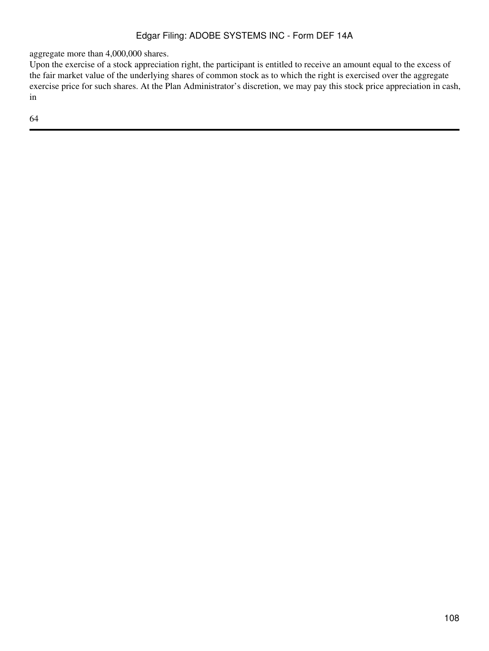aggregate more than 4,000,000 shares.

Upon the exercise of a stock appreciation right, the participant is entitled to receive an amount equal to the excess of the fair market value of the underlying shares of common stock as to which the right is exercised over the aggregate exercise price for such shares. At the Plan Administrator's discretion, we may pay this stock price appreciation in cash, in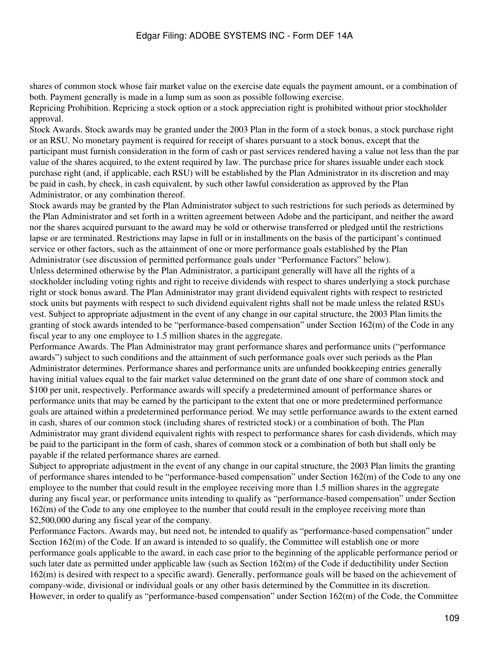shares of common stock whose fair market value on the exercise date equals the payment amount, or a combination of both. Payment generally is made in a lump sum as soon as possible following exercise.

Repricing Prohibition. Repricing a stock option or a stock appreciation right is prohibited without prior stockholder approval.

Stock Awards. Stock awards may be granted under the 2003 Plan in the form of a stock bonus, a stock purchase right or an RSU. No monetary payment is required for receipt of shares pursuant to a stock bonus, except that the participant must furnish consideration in the form of cash or past services rendered having a value not less than the par value of the shares acquired, to the extent required by law. The purchase price for shares issuable under each stock purchase right (and, if applicable, each RSU) will be established by the Plan Administrator in its discretion and may be paid in cash, by check, in cash equivalent, by such other lawful consideration as approved by the Plan Administrator, or any combination thereof.

Stock awards may be granted by the Plan Administrator subject to such restrictions for such periods as determined by the Plan Administrator and set forth in a written agreement between Adobe and the participant, and neither the award nor the shares acquired pursuant to the award may be sold or otherwise transferred or pledged until the restrictions lapse or are terminated. Restrictions may lapse in full or in installments on the basis of the participant's continued service or other factors, such as the attainment of one or more performance goals established by the Plan Administrator (see discussion of permitted performance goals under "Performance Factors" below). Unless determined otherwise by the Plan Administrator, a participant generally will have all the rights of a stockholder including voting rights and right to receive dividends with respect to shares underlying a stock purchase right or stock bonus award. The Plan Administrator may grant dividend equivalent rights with respect to restricted stock units but payments with respect to such dividend equivalent rights shall not be made unless the related RSUs vest. Subject to appropriate adjustment in the event of any change in our capital structure, the 2003 Plan limits the granting of stock awards intended to be "performance-based compensation" under Section 162(m) of the Code in any fiscal year to any one employee to 1.5 million shares in the aggregate.

Performance Awards. The Plan Administrator may grant performance shares and performance units ("performance awards") subject to such conditions and the attainment of such performance goals over such periods as the Plan Administrator determines. Performance shares and performance units are unfunded bookkeeping entries generally having initial values equal to the fair market value determined on the grant date of one share of common stock and \$100 per unit, respectively. Performance awards will specify a predetermined amount of performance shares or performance units that may be earned by the participant to the extent that one or more predetermined performance goals are attained within a predetermined performance period. We may settle performance awards to the extent earned in cash, shares of our common stock (including shares of restricted stock) or a combination of both. The Plan Administrator may grant dividend equivalent rights with respect to performance shares for cash dividends, which may be paid to the participant in the form of cash, shares of common stock or a combination of both but shall only be payable if the related performance shares are earned.

Subject to appropriate adjustment in the event of any change in our capital structure, the 2003 Plan limits the granting of performance shares intended to be "performance-based compensation" under Section 162(m) of the Code to any one employee to the number that could result in the employee receiving more than 1.5 million shares in the aggregate during any fiscal year, or performance units intending to qualify as "performance-based compensation" under Section 162(m) of the Code to any one employee to the number that could result in the employee receiving more than \$2,500,000 during any fiscal year of the company.

Performance Factors. Awards may, but need not, be intended to qualify as "performance-based compensation" under Section 162(m) of the Code. If an award is intended to so qualify, the Committee will establish one or more performance goals applicable to the award, in each case prior to the beginning of the applicable performance period or such later date as permitted under applicable law (such as Section 162(m) of the Code if deductibility under Section 162(m) is desired with respect to a specific award). Generally, performance goals will be based on the achievement of company-wide, divisional or individual goals or any other basis determined by the Committee in its discretion. However, in order to qualify as "performance-based compensation" under Section 162(m) of the Code, the Committee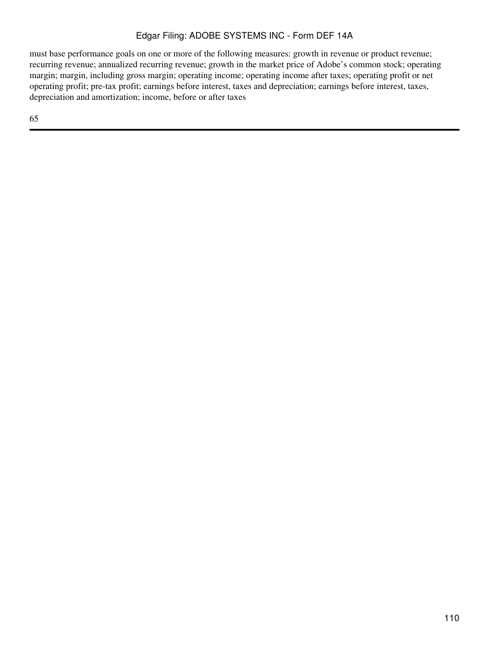must base performance goals on one or more of the following measures: growth in revenue or product revenue; recurring revenue; annualized recurring revenue; growth in the market price of Adobe's common stock; operating margin; margin, including gross margin; operating income; operating income after taxes; operating profit or net operating profit; pre-tax profit; earnings before interest, taxes and depreciation; earnings before interest, taxes, depreciation and amortization; income, before or after taxes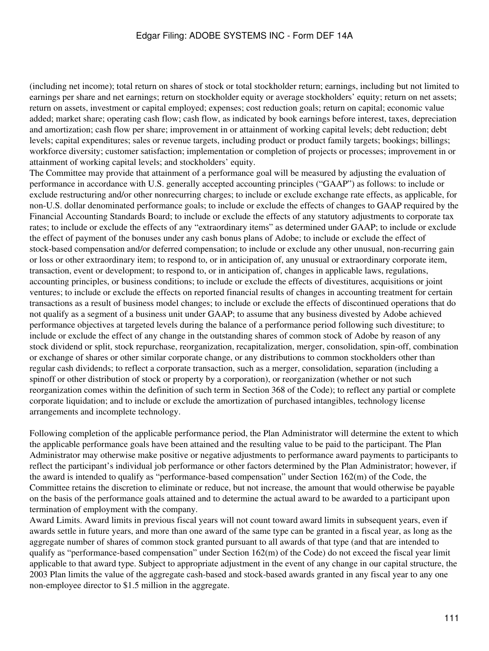(including net income); total return on shares of stock or total stockholder return; earnings, including but not limited to earnings per share and net earnings; return on stockholder equity or average stockholders' equity; return on net assets; return on assets, investment or capital employed; expenses; cost reduction goals; return on capital; economic value added; market share; operating cash flow; cash flow, as indicated by book earnings before interest, taxes, depreciation and amortization; cash flow per share; improvement in or attainment of working capital levels; debt reduction; debt levels; capital expenditures; sales or revenue targets, including product or product family targets; bookings; billings; workforce diversity; customer satisfaction; implementation or completion of projects or processes; improvement in or attainment of working capital levels; and stockholders' equity.

The Committee may provide that attainment of a performance goal will be measured by adjusting the evaluation of performance in accordance with U.S. generally accepted accounting principles ("GAAP") as follows: to include or exclude restructuring and/or other nonrecurring charges; to include or exclude exchange rate effects, as applicable, for non-U.S. dollar denominated performance goals; to include or exclude the effects of changes to GAAP required by the Financial Accounting Standards Board; to include or exclude the effects of any statutory adjustments to corporate tax rates; to include or exclude the effects of any "extraordinary items" as determined under GAAP; to include or exclude the effect of payment of the bonuses under any cash bonus plans of Adobe; to include or exclude the effect of stock-based compensation and/or deferred compensation; to include or exclude any other unusual, non-recurring gain or loss or other extraordinary item; to respond to, or in anticipation of, any unusual or extraordinary corporate item, transaction, event or development; to respond to, or in anticipation of, changes in applicable laws, regulations, accounting principles, or business conditions; to include or exclude the effects of divestitures, acquisitions or joint ventures; to include or exclude the effects on reported financial results of changes in accounting treatment for certain transactions as a result of business model changes; to include or exclude the effects of discontinued operations that do not qualify as a segment of a business unit under GAAP; to assume that any business divested by Adobe achieved performance objectives at targeted levels during the balance of a performance period following such divestiture; to include or exclude the effect of any change in the outstanding shares of common stock of Adobe by reason of any stock dividend or split, stock repurchase, reorganization, recapitalization, merger, consolidation, spin-off, combination or exchange of shares or other similar corporate change, or any distributions to common stockholders other than regular cash dividends; to reflect a corporate transaction, such as a merger, consolidation, separation (including a spinoff or other distribution of stock or property by a corporation), or reorganization (whether or not such reorganization comes within the definition of such term in Section 368 of the Code); to reflect any partial or complete corporate liquidation; and to include or exclude the amortization of purchased intangibles, technology license arrangements and incomplete technology.

Following completion of the applicable performance period, the Plan Administrator will determine the extent to which the applicable performance goals have been attained and the resulting value to be paid to the participant. The Plan Administrator may otherwise make positive or negative adjustments to performance award payments to participants to reflect the participant's individual job performance or other factors determined by the Plan Administrator; however, if the award is intended to qualify as "performance-based compensation" under Section 162(m) of the Code, the Committee retains the discretion to eliminate or reduce, but not increase, the amount that would otherwise be payable on the basis of the performance goals attained and to determine the actual award to be awarded to a participant upon termination of employment with the company.

Award Limits. Award limits in previous fiscal years will not count toward award limits in subsequent years, even if awards settle in future years, and more than one award of the same type can be granted in a fiscal year, as long as the aggregate number of shares of common stock granted pursuant to all awards of that type (and that are intended to qualify as "performance-based compensation" under Section 162(m) of the Code) do not exceed the fiscal year limit applicable to that award type. Subject to appropriate adjustment in the event of any change in our capital structure, the 2003 Plan limits the value of the aggregate cash-based and stock-based awards granted in any fiscal year to any one non-employee director to \$1.5 million in the aggregate.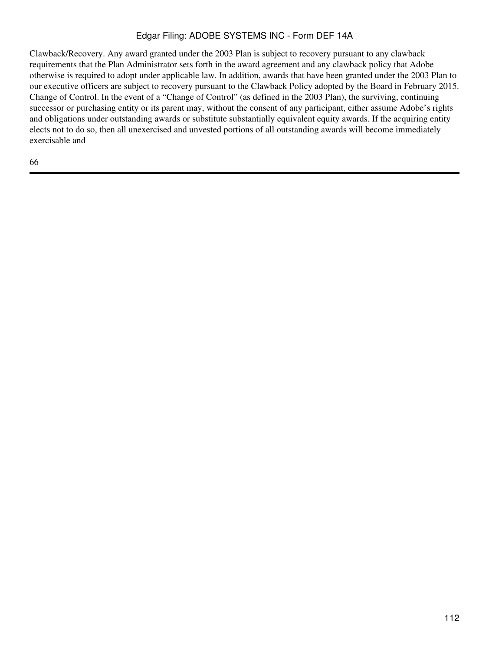Clawback/Recovery. Any award granted under the 2003 Plan is subject to recovery pursuant to any clawback requirements that the Plan Administrator sets forth in the award agreement and any clawback policy that Adobe otherwise is required to adopt under applicable law. In addition, awards that have been granted under the 2003 Plan to our executive officers are subject to recovery pursuant to the Clawback Policy adopted by the Board in February 2015. Change of Control. In the event of a "Change of Control" (as defined in the 2003 Plan), the surviving, continuing successor or purchasing entity or its parent may, without the consent of any participant, either assume Adobe's rights and obligations under outstanding awards or substitute substantially equivalent equity awards. If the acquiring entity elects not to do so, then all unexercised and unvested portions of all outstanding awards will become immediately exercisable and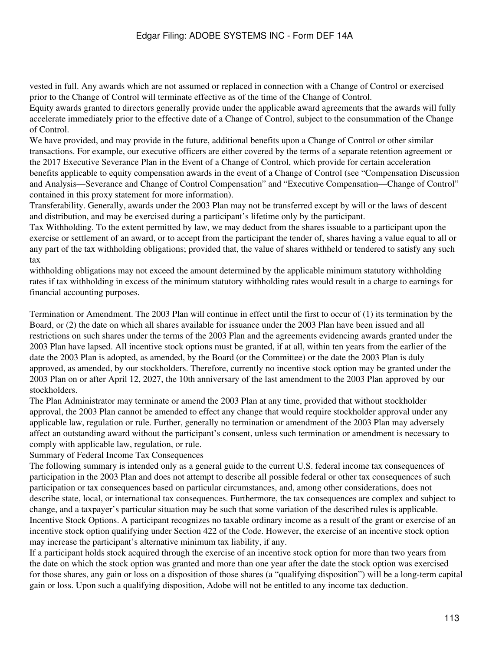vested in full. Any awards which are not assumed or replaced in connection with a Change of Control or exercised prior to the Change of Control will terminate effective as of the time of the Change of Control.

Equity awards granted to directors generally provide under the applicable award agreements that the awards will fully accelerate immediately prior to the effective date of a Change of Control, subject to the consummation of the Change of Control.

We have provided, and may provide in the future, additional benefits upon a Change of Control or other similar transactions. For example, our executive officers are either covered by the terms of a separate retention agreement or the 2017 Executive Severance Plan in the Event of a Change of Control, which provide for certain acceleration benefits applicable to equity compensation awards in the event of a Change of Control (see "Compensation Discussion and Analysis—Severance and Change of Control Compensation" and "Executive Compensation—Change of Control" contained in this proxy statement for more information).

Transferability. Generally, awards under the 2003 Plan may not be transferred except by will or the laws of descent and distribution, and may be exercised during a participant's lifetime only by the participant.

Tax Withholding. To the extent permitted by law, we may deduct from the shares issuable to a participant upon the exercise or settlement of an award, or to accept from the participant the tender of, shares having a value equal to all or any part of the tax withholding obligations; provided that, the value of shares withheld or tendered to satisfy any such tax

withholding obligations may not exceed the amount determined by the applicable minimum statutory withholding rates if tax withholding in excess of the minimum statutory withholding rates would result in a charge to earnings for financial accounting purposes.

Termination or Amendment. The 2003 Plan will continue in effect until the first to occur of (1) its termination by the Board, or (2) the date on which all shares available for issuance under the 2003 Plan have been issued and all restrictions on such shares under the terms of the 2003 Plan and the agreements evidencing awards granted under the 2003 Plan have lapsed. All incentive stock options must be granted, if at all, within ten years from the earlier of the date the 2003 Plan is adopted, as amended, by the Board (or the Committee) or the date the 2003 Plan is duly approved, as amended, by our stockholders. Therefore, currently no incentive stock option may be granted under the 2003 Plan on or after April 12, 2027, the 10th anniversary of the last amendment to the 2003 Plan approved by our stockholders.

The Plan Administrator may terminate or amend the 2003 Plan at any time, provided that without stockholder approval, the 2003 Plan cannot be amended to effect any change that would require stockholder approval under any applicable law, regulation or rule. Further, generally no termination or amendment of the 2003 Plan may adversely affect an outstanding award without the participant's consent, unless such termination or amendment is necessary to comply with applicable law, regulation, or rule.

Summary of Federal Income Tax Consequences

The following summary is intended only as a general guide to the current U.S. federal income tax consequences of participation in the 2003 Plan and does not attempt to describe all possible federal or other tax consequences of such participation or tax consequences based on particular circumstances, and, among other considerations, does not describe state, local, or international tax consequences. Furthermore, the tax consequences are complex and subject to change, and a taxpayer's particular situation may be such that some variation of the described rules is applicable. Incentive Stock Options. A participant recognizes no taxable ordinary income as a result of the grant or exercise of an incentive stock option qualifying under Section 422 of the Code. However, the exercise of an incentive stock option may increase the participant's alternative minimum tax liability, if any.

If a participant holds stock acquired through the exercise of an incentive stock option for more than two years from the date on which the stock option was granted and more than one year after the date the stock option was exercised for those shares, any gain or loss on a disposition of those shares (a "qualifying disposition") will be a long-term capital gain or loss. Upon such a qualifying disposition, Adobe will not be entitled to any income tax deduction.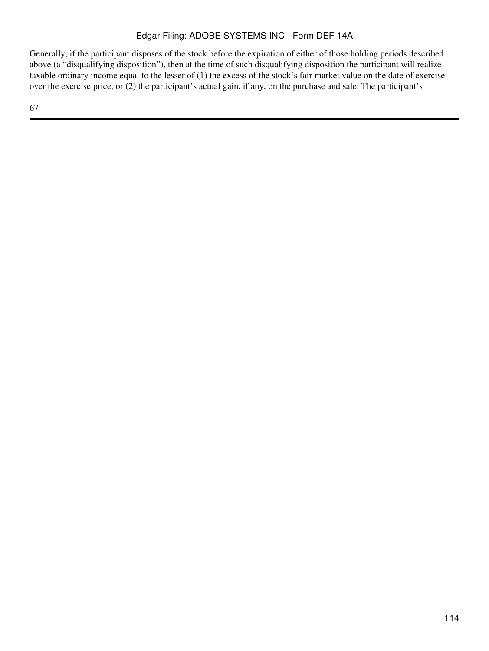Generally, if the participant disposes of the stock before the expiration of either of those holding periods described above (a "disqualifying disposition"), then at the time of such disqualifying disposition the participant will realize taxable ordinary income equal to the lesser of (1) the excess of the stock's fair market value on the date of exercise over the exercise price, or (2) the participant's actual gain, if any, on the purchase and sale. The participant's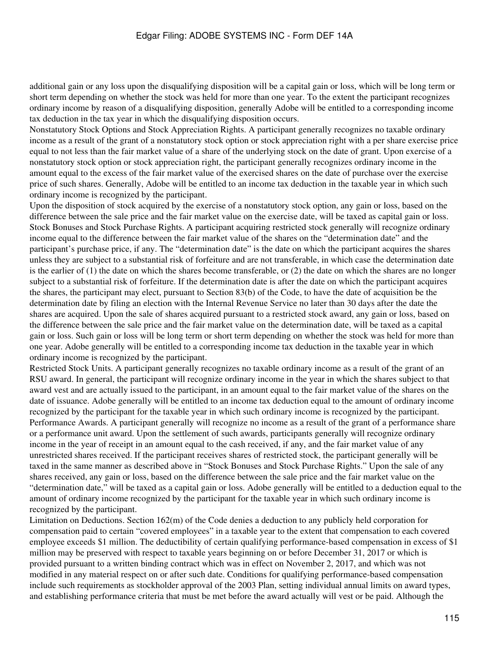additional gain or any loss upon the disqualifying disposition will be a capital gain or loss, which will be long term or short term depending on whether the stock was held for more than one year. To the extent the participant recognizes ordinary income by reason of a disqualifying disposition, generally Adobe will be entitled to a corresponding income tax deduction in the tax year in which the disqualifying disposition occurs.

Nonstatutory Stock Options and Stock Appreciation Rights. A participant generally recognizes no taxable ordinary income as a result of the grant of a nonstatutory stock option or stock appreciation right with a per share exercise price equal to not less than the fair market value of a share of the underlying stock on the date of grant. Upon exercise of a nonstatutory stock option or stock appreciation right, the participant generally recognizes ordinary income in the amount equal to the excess of the fair market value of the exercised shares on the date of purchase over the exercise price of such shares. Generally, Adobe will be entitled to an income tax deduction in the taxable year in which such ordinary income is recognized by the participant.

Upon the disposition of stock acquired by the exercise of a nonstatutory stock option, any gain or loss, based on the difference between the sale price and the fair market value on the exercise date, will be taxed as capital gain or loss. Stock Bonuses and Stock Purchase Rights. A participant acquiring restricted stock generally will recognize ordinary income equal to the difference between the fair market value of the shares on the "determination date" and the participant's purchase price, if any. The "determination date" is the date on which the participant acquires the shares unless they are subject to a substantial risk of forfeiture and are not transferable, in which case the determination date is the earlier of (1) the date on which the shares become transferable, or (2) the date on which the shares are no longer subject to a substantial risk of forfeiture. If the determination date is after the date on which the participant acquires the shares, the participant may elect, pursuant to Section 83(b) of the Code, to have the date of acquisition be the determination date by filing an election with the Internal Revenue Service no later than 30 days after the date the shares are acquired. Upon the sale of shares acquired pursuant to a restricted stock award, any gain or loss, based on the difference between the sale price and the fair market value on the determination date, will be taxed as a capital gain or loss. Such gain or loss will be long term or short term depending on whether the stock was held for more than one year. Adobe generally will be entitled to a corresponding income tax deduction in the taxable year in which ordinary income is recognized by the participant.

Restricted Stock Units. A participant generally recognizes no taxable ordinary income as a result of the grant of an RSU award. In general, the participant will recognize ordinary income in the year in which the shares subject to that award vest and are actually issued to the participant, in an amount equal to the fair market value of the shares on the date of issuance. Adobe generally will be entitled to an income tax deduction equal to the amount of ordinary income recognized by the participant for the taxable year in which such ordinary income is recognized by the participant. Performance Awards. A participant generally will recognize no income as a result of the grant of a performance share or a performance unit award. Upon the settlement of such awards, participants generally will recognize ordinary income in the year of receipt in an amount equal to the cash received, if any, and the fair market value of any unrestricted shares received. If the participant receives shares of restricted stock, the participant generally will be taxed in the same manner as described above in "Stock Bonuses and Stock Purchase Rights." Upon the sale of any shares received, any gain or loss, based on the difference between the sale price and the fair market value on the "determination date," will be taxed as a capital gain or loss. Adobe generally will be entitled to a deduction equal to the amount of ordinary income recognized by the participant for the taxable year in which such ordinary income is recognized by the participant.

Limitation on Deductions. Section 162(m) of the Code denies a deduction to any publicly held corporation for compensation paid to certain "covered employees" in a taxable year to the extent that compensation to each covered employee exceeds \$1 million. The deductibility of certain qualifying performance-based compensation in excess of \$1 million may be preserved with respect to taxable years beginning on or before December 31, 2017 or which is provided pursuant to a written binding contract which was in effect on November 2, 2017, and which was not modified in any material respect on or after such date. Conditions for qualifying performance-based compensation include such requirements as stockholder approval of the 2003 Plan, setting individual annual limits on award types, and establishing performance criteria that must be met before the award actually will vest or be paid. Although the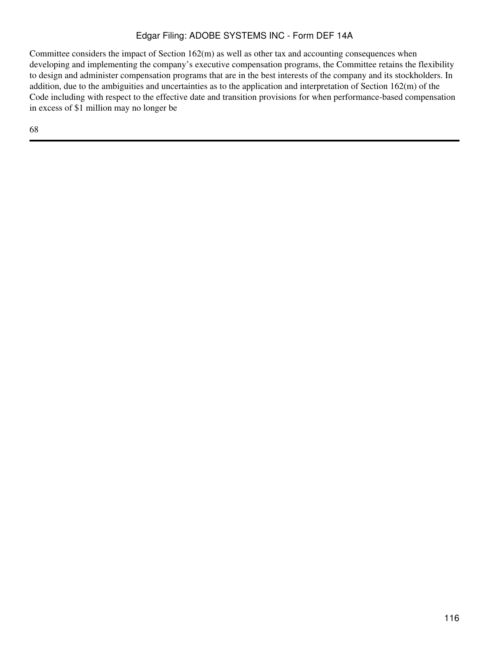Committee considers the impact of Section 162(m) as well as other tax and accounting consequences when developing and implementing the company's executive compensation programs, the Committee retains the flexibility to design and administer compensation programs that are in the best interests of the company and its stockholders. In addition, due to the ambiguities and uncertainties as to the application and interpretation of Section 162(m) of the Code including with respect to the effective date and transition provisions for when performance-based compensation in excess of \$1 million may no longer be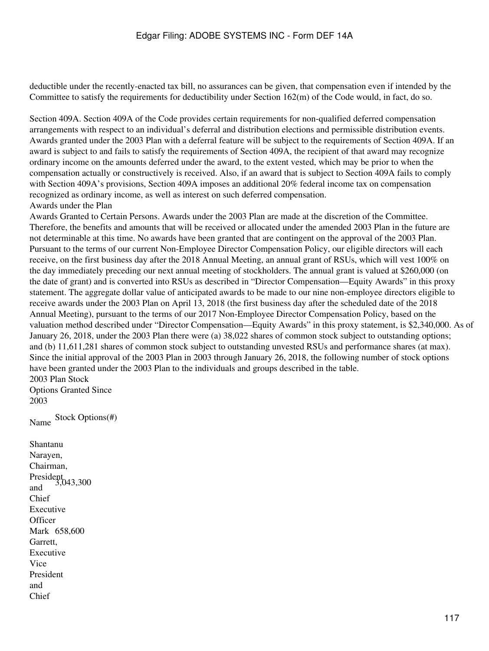deductible under the recently-enacted tax bill, no assurances can be given, that compensation even if intended by the Committee to satisfy the requirements for deductibility under Section 162(m) of the Code would, in fact, do so.

Section 409A. Section 409A of the Code provides certain requirements for non-qualified deferred compensation arrangements with respect to an individual's deferral and distribution elections and permissible distribution events. Awards granted under the 2003 Plan with a deferral feature will be subject to the requirements of Section 409A. If an award is subject to and fails to satisfy the requirements of Section 409A, the recipient of that award may recognize ordinary income on the amounts deferred under the award, to the extent vested, which may be prior to when the compensation actually or constructively is received. Also, if an award that is subject to Section 409A fails to comply with Section 409A's provisions, Section 409A imposes an additional 20% federal income tax on compensation recognized as ordinary income, as well as interest on such deferred compensation. Awards under the Plan

Awards Granted to Certain Persons. Awards under the 2003 Plan are made at the discretion of the Committee. Therefore, the benefits and amounts that will be received or allocated under the amended 2003 Plan in the future are not determinable at this time. No awards have been granted that are contingent on the approval of the 2003 Plan. Pursuant to the terms of our current Non-Employee Director Compensation Policy, our eligible directors will each receive, on the first business day after the 2018 Annual Meeting, an annual grant of RSUs, which will vest 100% on the day immediately preceding our next annual meeting of stockholders. The annual grant is valued at \$260,000 (on the date of grant) and is converted into RSUs as described in "Director Compensation—Equity Awards" in this proxy statement. The aggregate dollar value of anticipated awards to be made to our nine non-employee directors eligible to receive awards under the 2003 Plan on April 13, 2018 (the first business day after the scheduled date of the 2018 Annual Meeting), pursuant to the terms of our 2017 Non-Employee Director Compensation Policy, based on the valuation method described under "Director Compensation—Equity Awards" in this proxy statement, is \$2,340,000. As of January 26, 2018, under the 2003 Plan there were (a) 38,022 shares of common stock subject to outstanding options; and (b) 11,611,281 shares of common stock subject to outstanding unvested RSUs and performance shares (at max). Since the initial approval of the 2003 Plan in 2003 through January 26, 2018, the following number of stock options have been granted under the 2003 Plan to the individuals and groups described in the table. 2003 Plan Stock

Options Granted Since 2003

Stock Options(#) Name

Shantanu Narayen, Chairman, President<br>3,043,300 and Chief Executive **Officer** Mark 658,600 Garrett, Executive Vice President and Chief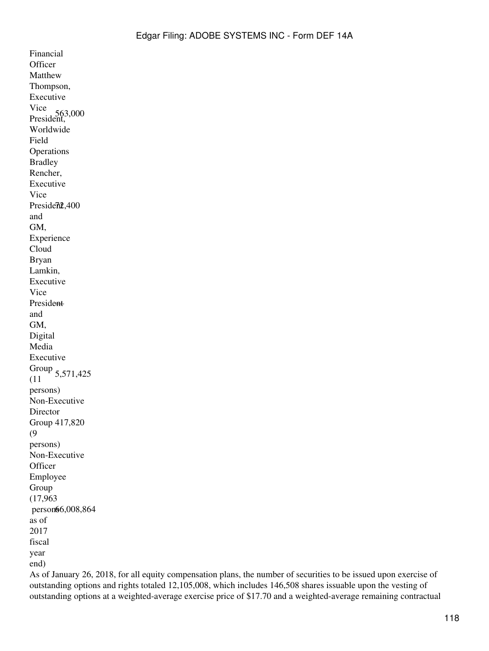Financial **Officer** Matthew Thompson, Executive Vice President, 563,000 Worldwide Field **Operations** Bradley Rencher, Executive Vice President, 400 and GM, Experience Cloud Bryan Lamkin, Executive Vice President and GM, Digital Media Executive Group 5,571,425 (11 persons) Non-Executive Director Group 417,820 (9 persons) Non-Executive **Officer** Employee Group (17,963 person66,008,864 as of 2017 fiscal year end)

As of January 26, 2018, for all equity compensation plans, the number of securities to be issued upon exercise of outstanding options and rights totaled 12,105,008, which includes 146,508 shares issuable upon the vesting of outstanding options at a weighted-average exercise price of \$17.70 and a weighted-average remaining contractual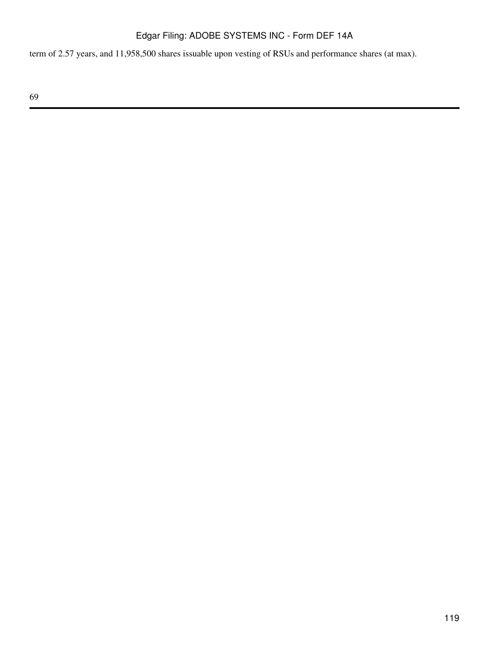term of 2.57 years, and 11,958,500 shares issuable upon vesting of RSUs and performance shares (at max).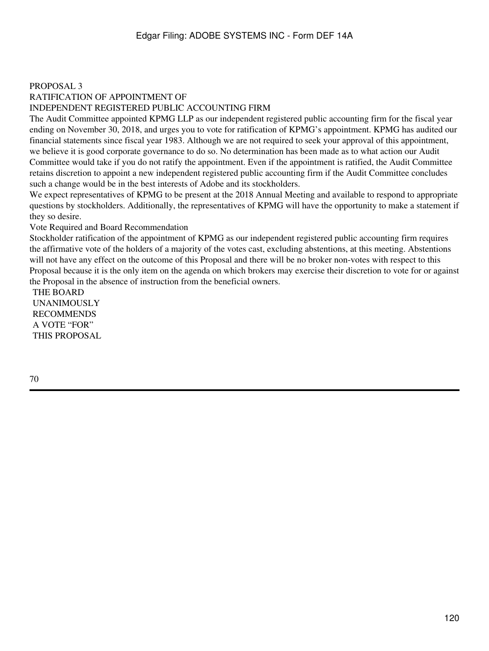### PROPOSAL 3

# RATIFICATION OF APPOINTMENT OF

#### INDEPENDENT REGISTERED PUBLIC ACCOUNTING FIRM

The Audit Committee appointed KPMG LLP as our independent registered public accounting firm for the fiscal year ending on November 30, 2018, and urges you to vote for ratification of KPMG's appointment. KPMG has audited our financial statements since fiscal year 1983. Although we are not required to seek your approval of this appointment, we believe it is good corporate governance to do so. No determination has been made as to what action our Audit Committee would take if you do not ratify the appointment. Even if the appointment is ratified, the Audit Committee retains discretion to appoint a new independent registered public accounting firm if the Audit Committee concludes such a change would be in the best interests of Adobe and its stockholders.

We expect representatives of KPMG to be present at the 2018 Annual Meeting and available to respond to appropriate questions by stockholders. Additionally, the representatives of KPMG will have the opportunity to make a statement if they so desire.

#### Vote Required and Board Recommendation

Stockholder ratification of the appointment of KPMG as our independent registered public accounting firm requires the affirmative vote of the holders of a majority of the votes cast, excluding abstentions, at this meeting. Abstentions will not have any effect on the outcome of this Proposal and there will be no broker non-votes with respect to this Proposal because it is the only item on the agenda on which brokers may exercise their discretion to vote for or against the Proposal in the absence of instruction from the beneficial owners.

THE BOARD UNANIMOUSLY RECOMMENDS A VOTE "FOR" THIS PROPOSAL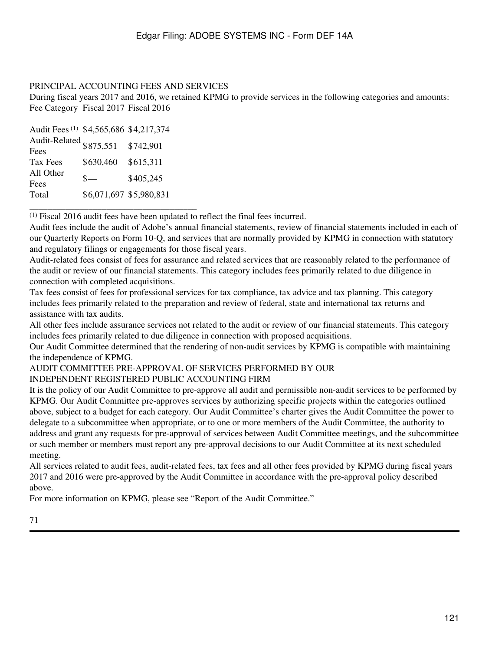### PRINCIPAL ACCOUNTING FEES AND SERVICES

During fiscal years 2017 and 2016, we retained KPMG to provide services in the following categories and amounts: Fee Category Fiscal 2017 Fiscal 2016

| Audit Fees <sup>(1)</sup> \$4,565,686 \$4,217,374 |                         |           |
|---------------------------------------------------|-------------------------|-----------|
| Audit-Related \$875,551                           |                         | \$742,901 |
| Fees                                              |                         |           |
| Tax Fees                                          | \$630,460               | \$615,311 |
| All Other                                         | $\mathbf{s}$ —          | \$405,245 |
| Fees                                              |                         |           |
| Total                                             | \$6,071,697 \$5,980,831 |           |

\_\_\_\_\_\_\_\_\_\_\_\_\_\_\_\_\_\_\_\_\_\_\_\_\_\_\_\_\_\_\_\_\_\_\_\_\_

(1) Fiscal 2016 audit fees have been updated to reflect the final fees incurred.

Audit fees include the audit of Adobe's annual financial statements, review of financial statements included in each of our Quarterly Reports on Form 10-Q, and services that are normally provided by KPMG in connection with statutory and regulatory filings or engagements for those fiscal years.

Audit-related fees consist of fees for assurance and related services that are reasonably related to the performance of the audit or review of our financial statements. This category includes fees primarily related to due diligence in connection with completed acquisitions.

Tax fees consist of fees for professional services for tax compliance, tax advice and tax planning. This category includes fees primarily related to the preparation and review of federal, state and international tax returns and assistance with tax audits.

All other fees include assurance services not related to the audit or review of our financial statements. This category includes fees primarily related to due diligence in connection with proposed acquisitions.

Our Audit Committee determined that the rendering of non-audit services by KPMG is compatible with maintaining the independence of KPMG.

# AUDIT COMMITTEE PRE-APPROVAL OF SERVICES PERFORMED BY OUR

INDEPENDENT REGISTERED PUBLIC ACCOUNTING FIRM

It is the policy of our Audit Committee to pre-approve all audit and permissible non-audit services to be performed by KPMG. Our Audit Committee pre-approves services by authorizing specific projects within the categories outlined above, subject to a budget for each category. Our Audit Committee's charter gives the Audit Committee the power to delegate to a subcommittee when appropriate, or to one or more members of the Audit Committee, the authority to address and grant any requests for pre-approval of services between Audit Committee meetings, and the subcommittee or such member or members must report any pre-approval decisions to our Audit Committee at its next scheduled meeting.

All services related to audit fees, audit-related fees, tax fees and all other fees provided by KPMG during fiscal years 2017 and 2016 were pre-approved by the Audit Committee in accordance with the pre-approval policy described above.

For more information on KPMG, please see "Report of the Audit Committee."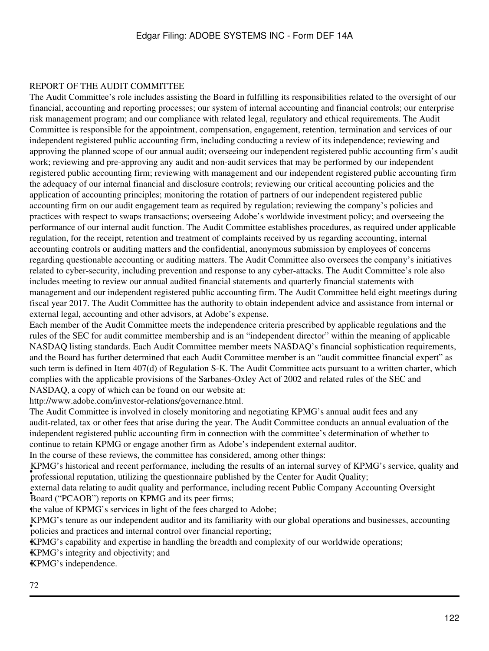### REPORT OF THE AUDIT COMMITTEE

The Audit Committee's role includes assisting the Board in fulfilling its responsibilities related to the oversight of our financial, accounting and reporting processes; our system of internal accounting and financial controls; our enterprise risk management program; and our compliance with related legal, regulatory and ethical requirements. The Audit Committee is responsible for the appointment, compensation, engagement, retention, termination and services of our independent registered public accounting firm, including conducting a review of its independence; reviewing and approving the planned scope of our annual audit; overseeing our independent registered public accounting firm's audit work; reviewing and pre-approving any audit and non-audit services that may be performed by our independent registered public accounting firm; reviewing with management and our independent registered public accounting firm the adequacy of our internal financial and disclosure controls; reviewing our critical accounting policies and the application of accounting principles; monitoring the rotation of partners of our independent registered public accounting firm on our audit engagement team as required by regulation; reviewing the company's policies and practices with respect to swaps transactions; overseeing Adobe's worldwide investment policy; and overseeing the performance of our internal audit function. The Audit Committee establishes procedures, as required under applicable regulation, for the receipt, retention and treatment of complaints received by us regarding accounting, internal accounting controls or auditing matters and the confidential, anonymous submission by employees of concerns regarding questionable accounting or auditing matters. The Audit Committee also oversees the company's initiatives related to cyber-security, including prevention and response to any cyber-attacks. The Audit Committee's role also includes meeting to review our annual audited financial statements and quarterly financial statements with management and our independent registered public accounting firm. The Audit Committee held eight meetings during fiscal year 2017. The Audit Committee has the authority to obtain independent advice and assistance from internal or external legal, accounting and other advisors, at Adobe's expense.

Each member of the Audit Committee meets the independence criteria prescribed by applicable regulations and the rules of the SEC for audit committee membership and is an "independent director" within the meaning of applicable NASDAQ listing standards. Each Audit Committee member meets NASDAQ's financial sophistication requirements, and the Board has further determined that each Audit Committee member is an "audit committee financial expert" as such term is defined in Item 407(d) of Regulation S-K. The Audit Committee acts pursuant to a written charter, which complies with the applicable provisions of the Sarbanes-Oxley Act of 2002 and related rules of the SEC and NASDAQ, a copy of which can be found on our website at:

http://www.adobe.com/investor-relations/governance.html.

The Audit Committee is involved in closely monitoring and negotiating KPMG's annual audit fees and any audit-related, tax or other fees that arise during the year. The Audit Committee conducts an annual evaluation of the independent registered public accounting firm in connection with the committee's determination of whether to continue to retain KPMG or engage another firm as Adobe's independent external auditor.

In the course of these reviews, the committee has considered, among other things:

professional reputation, utilizing the questionnaire published by the Center for Audit Quality; KPMG's historical and recent performance, including the results of an internal survey of KPMG's service, quality and

• Board ("PCAOB") reports on KPMG and its peer firms; external data relating to audit quality and performance, including recent Public Company Accounting Oversight

•the value of KPMG's services in light of the fees charged to Adobe;

policies and practices and internal control over financial reporting; KPMG's tenure as our independent auditor and its familiarity with our global operations and businesses, accounting

•KPMG's capability and expertise in handling the breadth and complexity of our worldwide operations;

•KPMG's integrity and objectivity; and

•KPMG's independence.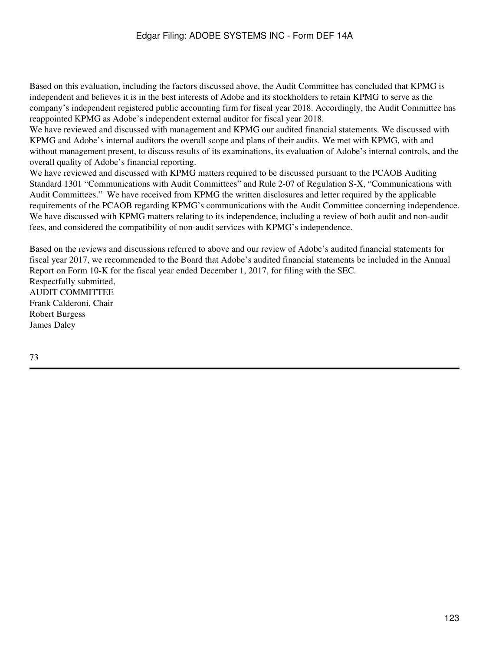Based on this evaluation, including the factors discussed above, the Audit Committee has concluded that KPMG is independent and believes it is in the best interests of Adobe and its stockholders to retain KPMG to serve as the company's independent registered public accounting firm for fiscal year 2018. Accordingly, the Audit Committee has reappointed KPMG as Adobe's independent external auditor for fiscal year 2018.

We have reviewed and discussed with management and KPMG our audited financial statements. We discussed with KPMG and Adobe's internal auditors the overall scope and plans of their audits. We met with KPMG, with and without management present, to discuss results of its examinations, its evaluation of Adobe's internal controls, and the overall quality of Adobe's financial reporting.

We have reviewed and discussed with KPMG matters required to be discussed pursuant to the PCAOB Auditing Standard 1301 "Communications with Audit Committees" and Rule 2-07 of Regulation S-X, "Communications with Audit Committees." We have received from KPMG the written disclosures and letter required by the applicable requirements of the PCAOB regarding KPMG's communications with the Audit Committee concerning independence. We have discussed with KPMG matters relating to its independence, including a review of both audit and non-audit fees, and considered the compatibility of non-audit services with KPMG's independence.

Based on the reviews and discussions referred to above and our review of Adobe's audited financial statements for fiscal year 2017, we recommended to the Board that Adobe's audited financial statements be included in the Annual Report on Form 10-K for the fiscal year ended December 1, 2017, for filing with the SEC. Respectfully submitted, AUDIT COMMITTEE Frank Calderoni, Chair

Robert Burgess James Daley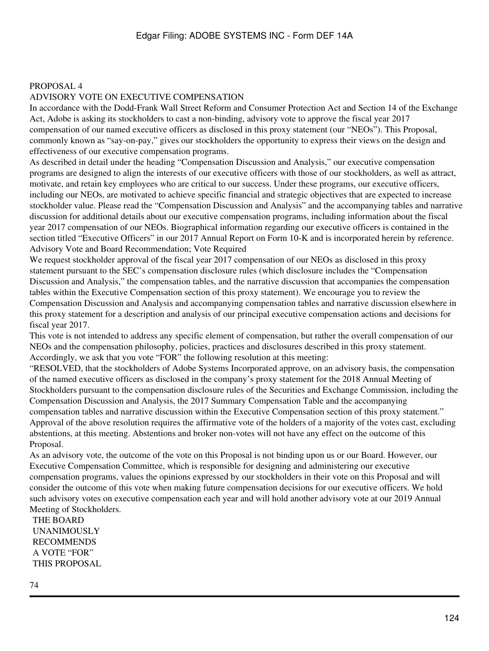# PROPOSAL 4 ADVISORY VOTE ON EXECUTIVE COMPENSATION

In accordance with the Dodd-Frank Wall Street Reform and Consumer Protection Act and Section 14 of the Exchange Act, Adobe is asking its stockholders to cast a non-binding, advisory vote to approve the fiscal year 2017 compensation of our named executive officers as disclosed in this proxy statement (our "NEOs"). This Proposal, commonly known as "say-on-pay," gives our stockholders the opportunity to express their views on the design and effectiveness of our executive compensation programs.

As described in detail under the heading "Compensation Discussion and Analysis," our executive compensation programs are designed to align the interests of our executive officers with those of our stockholders, as well as attract, motivate, and retain key employees who are critical to our success. Under these programs, our executive officers, including our NEOs, are motivated to achieve specific financial and strategic objectives that are expected to increase stockholder value. Please read the "Compensation Discussion and Analysis" and the accompanying tables and narrative discussion for additional details about our executive compensation programs, including information about the fiscal year 2017 compensation of our NEOs. Biographical information regarding our executive officers is contained in the section titled "Executive Officers" in our 2017 Annual Report on Form 10-K and is incorporated herein by reference. Advisory Vote and Board Recommendation; Vote Required

We request stockholder approval of the fiscal year 2017 compensation of our NEOs as disclosed in this proxy statement pursuant to the SEC's compensation disclosure rules (which disclosure includes the "Compensation Discussion and Analysis," the compensation tables, and the narrative discussion that accompanies the compensation tables within the Executive Compensation section of this proxy statement). We encourage you to review the Compensation Discussion and Analysis and accompanying compensation tables and narrative discussion elsewhere in this proxy statement for a description and analysis of our principal executive compensation actions and decisions for fiscal year 2017.

This vote is not intended to address any specific element of compensation, but rather the overall compensation of our NEOs and the compensation philosophy, policies, practices and disclosures described in this proxy statement. Accordingly, we ask that you vote "FOR" the following resolution at this meeting:

"RESOLVED, that the stockholders of Adobe Systems Incorporated approve, on an advisory basis, the compensation of the named executive officers as disclosed in the company's proxy statement for the 2018 Annual Meeting of Stockholders pursuant to the compensation disclosure rules of the Securities and Exchange Commission, including the Compensation Discussion and Analysis, the 2017 Summary Compensation Table and the accompanying compensation tables and narrative discussion within the Executive Compensation section of this proxy statement." Approval of the above resolution requires the affirmative vote of the holders of a majority of the votes cast, excluding abstentions, at this meeting. Abstentions and broker non-votes will not have any effect on the outcome of this Proposal.

As an advisory vote, the outcome of the vote on this Proposal is not binding upon us or our Board. However, our Executive Compensation Committee, which is responsible for designing and administering our executive compensation programs, values the opinions expressed by our stockholders in their vote on this Proposal and will consider the outcome of this vote when making future compensation decisions for our executive officers. We hold such advisory votes on executive compensation each year and will hold another advisory vote at our 2019 Annual Meeting of Stockholders.

THE BOARD UNANIMOUSLY RECOMMENDS A VOTE "FOR" THIS PROPOSAL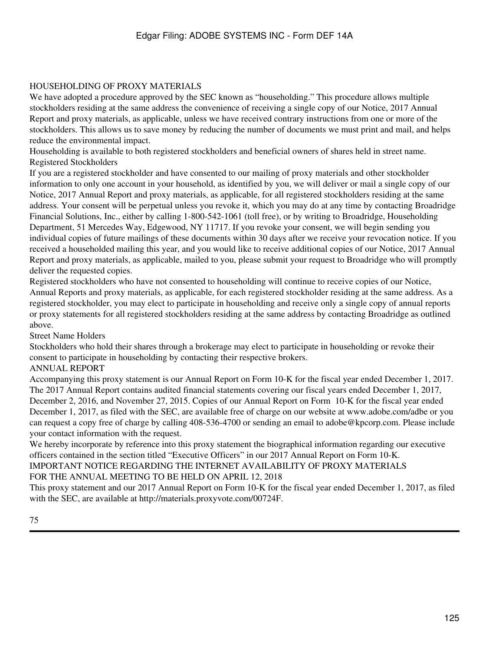### HOUSEHOLDING OF PROXY MATERIALS

We have adopted a procedure approved by the SEC known as "householding." This procedure allows multiple stockholders residing at the same address the convenience of receiving a single copy of our Notice, 2017 Annual Report and proxy materials, as applicable, unless we have received contrary instructions from one or more of the stockholders. This allows us to save money by reducing the number of documents we must print and mail, and helps reduce the environmental impact.

Householding is available to both registered stockholders and beneficial owners of shares held in street name. Registered Stockholders

If you are a registered stockholder and have consented to our mailing of proxy materials and other stockholder information to only one account in your household, as identified by you, we will deliver or mail a single copy of our Notice, 2017 Annual Report and proxy materials, as applicable, for all registered stockholders residing at the same address. Your consent will be perpetual unless you revoke it, which you may do at any time by contacting Broadridge Financial Solutions, Inc., either by calling 1-800-542-1061 (toll free), or by writing to Broadridge, Householding Department, 51 Mercedes Way, Edgewood, NY 11717. If you revoke your consent, we will begin sending you individual copies of future mailings of these documents within 30 days after we receive your revocation notice. If you received a householded mailing this year, and you would like to receive additional copies of our Notice, 2017 Annual Report and proxy materials, as applicable, mailed to you, please submit your request to Broadridge who will promptly deliver the requested copies.

Registered stockholders who have not consented to householding will continue to receive copies of our Notice, Annual Reports and proxy materials, as applicable, for each registered stockholder residing at the same address. As a registered stockholder, you may elect to participate in householding and receive only a single copy of annual reports or proxy statements for all registered stockholders residing at the same address by contacting Broadridge as outlined above.

### Street Name Holders

Stockholders who hold their shares through a brokerage may elect to participate in householding or revoke their consent to participate in householding by contacting their respective brokers.

### ANNUAL REPORT

Accompanying this proxy statement is our Annual Report on Form 10-K for the fiscal year ended December 1, 2017. The 2017 Annual Report contains audited financial statements covering our fiscal years ended December 1, 2017, December 2, 2016, and November 27, 2015. Copies of our Annual Report on Form 10-K for the fiscal year ended December 1, 2017, as filed with the SEC, are available free of charge on our website at www.adobe.com/adbe or you can request a copy free of charge by calling 408-536-4700 or sending an email to adobe@kpcorp.com. Please include your contact information with the request.

We hereby incorporate by reference into this proxy statement the biographical information regarding our executive officers contained in the section titled "Executive Officers" in our 2017 Annual Report on Form 10-K.

IMPORTANT NOTICE REGARDING THE INTERNET AVAILABILITY OF PROXY MATERIALS FOR THE ANNUAL MEETING TO BE HELD ON APRIL 12, 2018

This proxy statement and our 2017 Annual Report on Form 10-K for the fiscal year ended December 1, 2017, as filed with the SEC, are available at http://materials.proxyvote.com/00724F.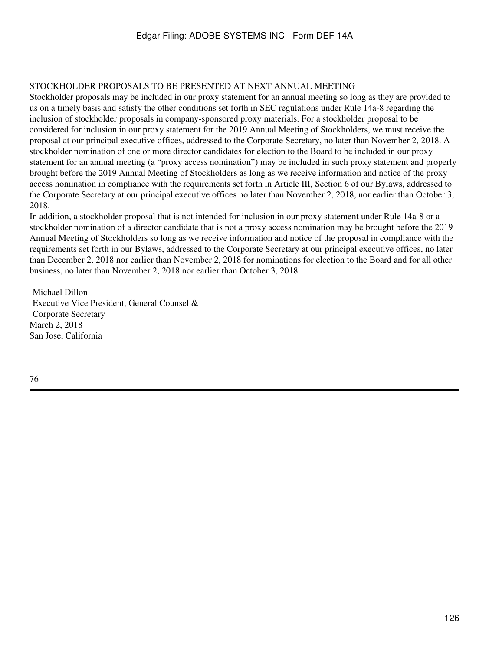### STOCKHOLDER PROPOSALS TO BE PRESENTED AT NEXT ANNUAL MEETING

Stockholder proposals may be included in our proxy statement for an annual meeting so long as they are provided to us on a timely basis and satisfy the other conditions set forth in SEC regulations under Rule 14a-8 regarding the inclusion of stockholder proposals in company-sponsored proxy materials. For a stockholder proposal to be considered for inclusion in our proxy statement for the 2019 Annual Meeting of Stockholders, we must receive the proposal at our principal executive offices, addressed to the Corporate Secretary, no later than November 2, 2018. A stockholder nomination of one or more director candidates for election to the Board to be included in our proxy statement for an annual meeting (a "proxy access nomination") may be included in such proxy statement and properly brought before the 2019 Annual Meeting of Stockholders as long as we receive information and notice of the proxy access nomination in compliance with the requirements set forth in Article III, Section 6 of our Bylaws, addressed to the Corporate Secretary at our principal executive offices no later than November 2, 2018, nor earlier than October 3, 2018.

In addition, a stockholder proposal that is not intended for inclusion in our proxy statement under Rule 14a-8 or a stockholder nomination of a director candidate that is not a proxy access nomination may be brought before the 2019 Annual Meeting of Stockholders so long as we receive information and notice of the proposal in compliance with the requirements set forth in our Bylaws, addressed to the Corporate Secretary at our principal executive offices, no later than December 2, 2018 nor earlier than November 2, 2018 for nominations for election to the Board and for all other business, no later than November 2, 2018 nor earlier than October 3, 2018.

Michael Dillon Executive Vice President, General Counsel & Corporate Secretary March 2, 2018 San Jose, California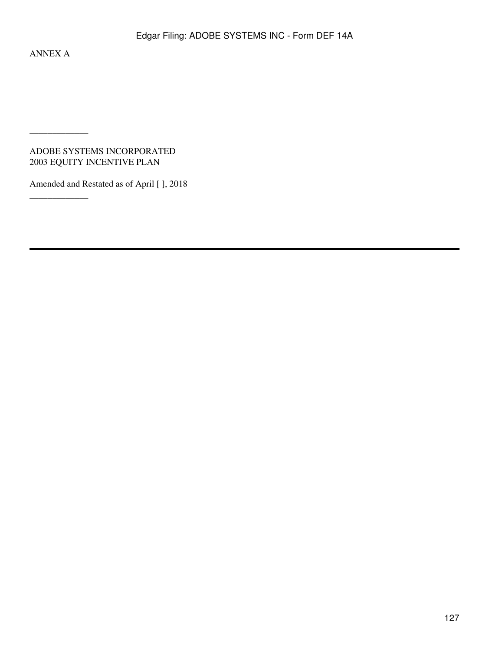ANNEX A

 $\overline{\phantom{a}}$  , where  $\overline{\phantom{a}}$ 

\_\_\_\_\_\_\_\_\_\_\_\_\_

ADOBE SYSTEMS INCORPORATED 2003 EQUITY INCENTIVE PLAN

Amended and Restated as of April [ ], 2018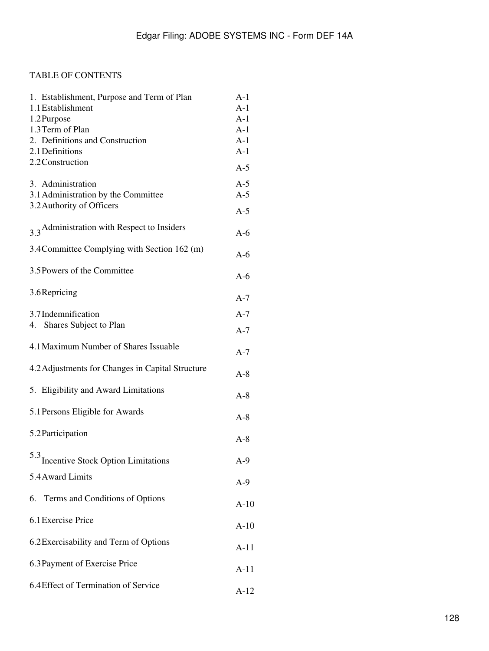# TABLE OF CONTENTS

| 1. Establishment, Purpose and Term of Plan<br>1.1 Establishment<br>1.2 Purpose<br>1.3 Term of Plan<br>2. Definitions and Construction<br>2.1 Definitions | $A-1$<br>$A-1$<br>$A-1$<br>$A-1$<br>$A-1$<br>$A-1$ |
|----------------------------------------------------------------------------------------------------------------------------------------------------------|----------------------------------------------------|
| 2.2 Construction                                                                                                                                         | $A-5$                                              |
| 3. Administration<br>3.1 Administration by the Committee<br>3.2 Authority of Officers                                                                    | $A-5$<br>$A-5$                                     |
|                                                                                                                                                          | $A-5$                                              |
| 3.3 Administration with Respect to Insiders                                                                                                              | $A-6$                                              |
| 3.4 Committee Complying with Section 162 (m)                                                                                                             | $A-6$                                              |
| 3.5 Powers of the Committee                                                                                                                              | $A-6$                                              |
| 3.6 Repricing                                                                                                                                            | $A-7$                                              |
| 3.7 Indemnification                                                                                                                                      | $A-7$                                              |
| 4. Shares Subject to Plan                                                                                                                                | $A-7$                                              |
| 4.1 Maximum Number of Shares Issuable                                                                                                                    | $A-7$                                              |
| 4.2 Adjustments for Changes in Capital Structure                                                                                                         | $A-8$                                              |
| 5. Eligibility and Award Limitations                                                                                                                     | $A-8$                                              |
| 5.1 Persons Eligible for Awards                                                                                                                          | $A-8$                                              |
| 5.2 Participation                                                                                                                                        | $A-8$                                              |
| 5.3 Incentive Stock Option Limitations                                                                                                                   | $A-9$                                              |
| 5.4 Award Limits                                                                                                                                         | $A-9$                                              |
| 6. Terms and Conditions of Options                                                                                                                       | $A-10$                                             |
| 6.1 Exercise Price                                                                                                                                       |                                                    |
|                                                                                                                                                          | $A-10$                                             |
| 6.2 Exercisability and Term of Options                                                                                                                   | $A-11$                                             |
| 6.3 Payment of Exercise Price                                                                                                                            | $A-11$                                             |
| 6.4 Effect of Termination of Service                                                                                                                     | $A-12$                                             |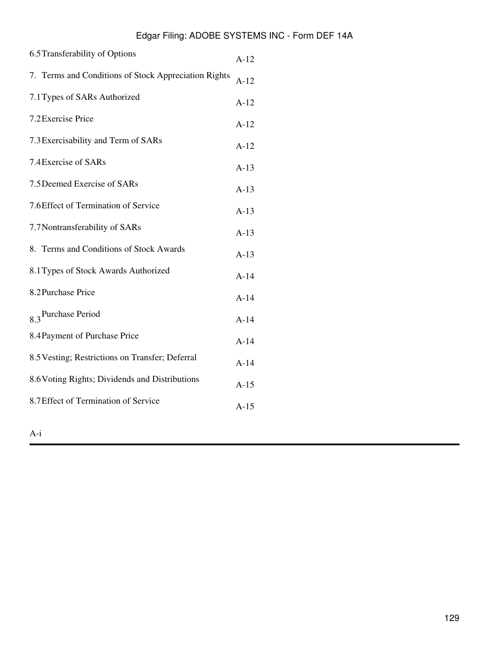| 6.5 Transferability of Options                       |        |
|------------------------------------------------------|--------|
| 7. Terms and Conditions of Stock Appreciation Rights | $A-12$ |
| 7.1 Types of SARs Authorized                         | $A-12$ |
| 7.2 Exercise Price                                   | $A-12$ |
| 7.3 Exercisability and Term of SARs                  | $A-12$ |
| 7.4 Exercise of SARs                                 | $A-13$ |
| 7.5 Deemed Exercise of SARs                          | $A-13$ |
| 7.6 Effect of Termination of Service                 | $A-13$ |
| 7.7 Nontransferability of SARs                       | $A-13$ |
| 8. Terms and Conditions of Stock Awards              | $A-13$ |
| 8.1 Types of Stock Awards Authorized                 | $A-14$ |
| 8.2 Purchase Price                                   | $A-14$ |
| 8 <sub>3</sub> Purchase Period                       | $A-14$ |
| 8.4 Payment of Purchase Price                        | $A-14$ |
| 8.5 Vesting; Restrictions on Transfer; Deferral      | $A-14$ |
| 8.6 Voting Rights; Dividends and Distributions       | $A-15$ |
| 8.7 Effect of Termination of Service                 |        |
|                                                      |        |

A-i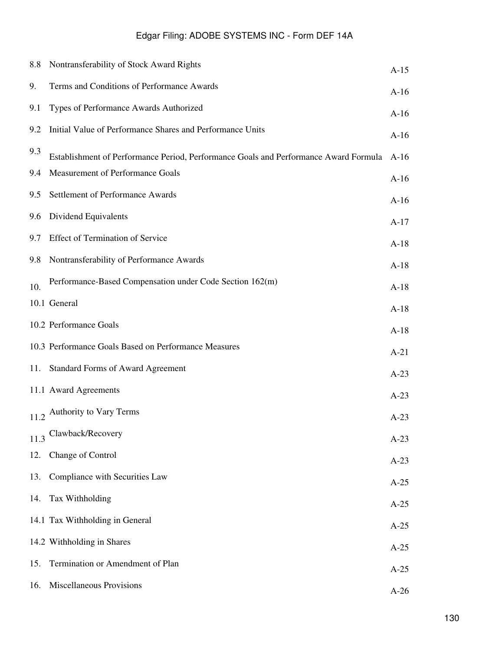|      | 8.8 Nontransferability of Stock Award Rights                                         | $A-15$ |
|------|--------------------------------------------------------------------------------------|--------|
| 9.   | Terms and Conditions of Performance Awards                                           | $A-16$ |
| 9.1  | Types of Performance Awards Authorized                                               | $A-16$ |
| 9.2  | Initial Value of Performance Shares and Performance Units                            | $A-16$ |
| 9.3  | Establishment of Performance Period, Performance Goals and Performance Award Formula | $A-16$ |
| 9.4  | Measurement of Performance Goals                                                     | $A-16$ |
| 9.5  | Settlement of Performance Awards                                                     | $A-16$ |
| 9.6  | Dividend Equivalents                                                                 | $A-17$ |
| 9.7  | <b>Effect of Termination of Service</b>                                              | $A-18$ |
| 9.8  | Nontransferability of Performance Awards                                             | $A-18$ |
| 10.  | Performance-Based Compensation under Code Section 162(m)                             | $A-18$ |
|      | 10.1 General                                                                         | $A-18$ |
|      | 10.2 Performance Goals                                                               | $A-18$ |
|      | 10.3 Performance Goals Based on Performance Measures                                 | $A-21$ |
| 11.  | <b>Standard Forms of Award Agreement</b>                                             | $A-23$ |
|      | 11.1 Award Agreements                                                                | $A-23$ |
|      | 11.2 Authority to Vary Terms                                                         | $A-23$ |
| 11.3 | Clawback/Recovery                                                                    | $A-23$ |
| 12.  | Change of Control                                                                    | $A-23$ |
| 13.  | Compliance with Securities Law                                                       | $A-25$ |
| 14.  | Tax Withholding                                                                      | $A-25$ |
|      | 14.1 Tax Withholding in General                                                      | $A-25$ |
|      | 14.2 Withholding in Shares                                                           | $A-25$ |
| 15.  | Termination or Amendment of Plan                                                     | $A-25$ |
| 16.  | Miscellaneous Provisions                                                             | $A-26$ |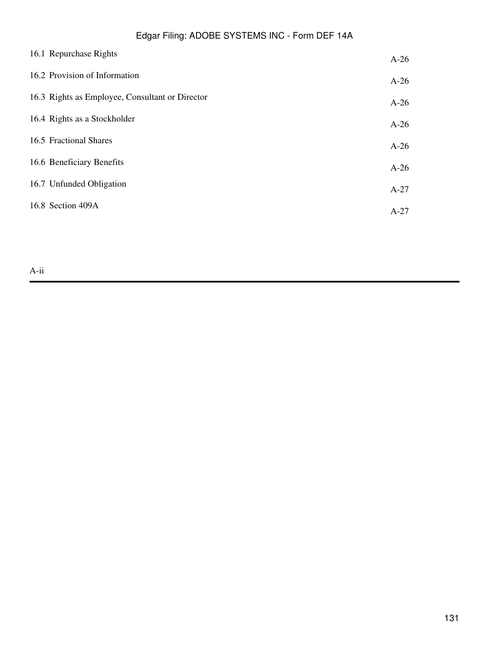| 16.1 Repurchase Rights                          | $A-26$ |
|-------------------------------------------------|--------|
| 16.2 Provision of Information                   | $A-26$ |
| 16.3 Rights as Employee, Consultant or Director | $A-26$ |
| 16.4 Rights as a Stockholder                    | $A-26$ |
| 16.5 Fractional Shares                          | $A-26$ |
| 16.6 Beneficiary Benefits                       | $A-26$ |
| 16.7 Unfunded Obligation                        | $A-27$ |
| 16.8 Section 409A                               | $A-27$ |
|                                                 |        |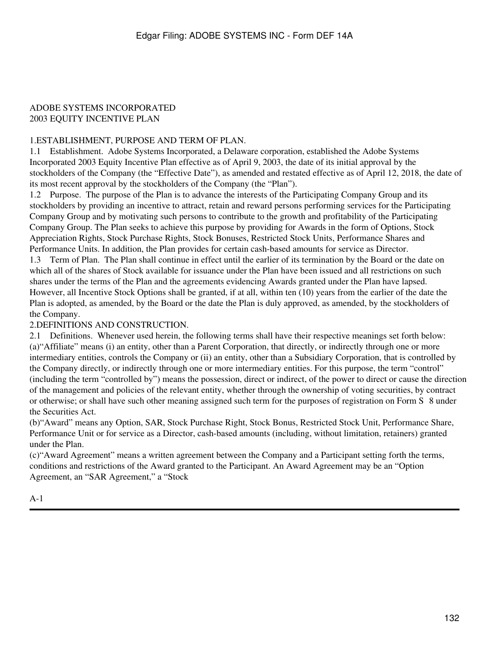#### ADOBE SYSTEMS INCORPORATED 2003 EQUITY INCENTIVE PLAN

### 1.ESTABLISHMENT, PURPOSE AND TERM OF PLAN.

1.1 Establishment. Adobe Systems Incorporated, a Delaware corporation, established the Adobe Systems Incorporated 2003 Equity Incentive Plan effective as of April 9, 2003, the date of its initial approval by the stockholders of the Company (the "Effective Date"), as amended and restated effective as of April 12, 2018, the date of its most recent approval by the stockholders of the Company (the "Plan").

1.2 Purpose. The purpose of the Plan is to advance the interests of the Participating Company Group and its stockholders by providing an incentive to attract, retain and reward persons performing services for the Participating Company Group and by motivating such persons to contribute to the growth and profitability of the Participating Company Group. The Plan seeks to achieve this purpose by providing for Awards in the form of Options, Stock Appreciation Rights, Stock Purchase Rights, Stock Bonuses, Restricted Stock Units, Performance Shares and Performance Units. In addition, the Plan provides for certain cash-based amounts for service as Director. 1.3 Term of Plan. The Plan shall continue in effect until the earlier of its termination by the Board or the date on which all of the shares of Stock available for issuance under the Plan have been issued and all restrictions on such shares under the terms of the Plan and the agreements evidencing Awards granted under the Plan have lapsed. However, all Incentive Stock Options shall be granted, if at all, within ten (10) years from the earlier of the date the Plan is adopted, as amended, by the Board or the date the Plan is duly approved, as amended, by the stockholders of the Company.

### 2.DEFINITIONS AND CONSTRUCTION.

2.1 Definitions. Whenever used herein, the following terms shall have their respective meanings set forth below: (a)"Affiliate" means (i) an entity, other than a Parent Corporation, that directly, or indirectly through one or more intermediary entities, controls the Company or (ii) an entity, other than a Subsidiary Corporation, that is controlled by the Company directly, or indirectly through one or more intermediary entities. For this purpose, the term "control" (including the term "controlled by") means the possession, direct or indirect, of the power to direct or cause the direction of the management and policies of the relevant entity, whether through the ownership of voting securities, by contract or otherwise; or shall have such other meaning assigned such term for the purposes of registration on Form S‑8 under the Securities Act.

(b)"Award" means any Option, SAR, Stock Purchase Right, Stock Bonus, Restricted Stock Unit, Performance Share, Performance Unit or for service as a Director, cash-based amounts (including, without limitation, retainers) granted under the Plan.

(c)"Award Agreement" means a written agreement between the Company and a Participant setting forth the terms, conditions and restrictions of the Award granted to the Participant. An Award Agreement may be an "Option Agreement, an "SAR Agreement," a "Stock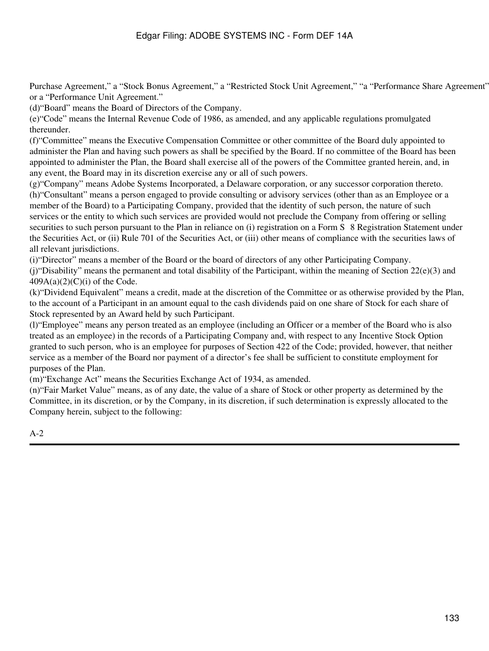Purchase Agreement," a "Stock Bonus Agreement," a "Restricted Stock Unit Agreement," "a "Performance Share Agreement" or a "Performance Unit Agreement."

(d)"Board" means the Board of Directors of the Company.

(e)"Code" means the Internal Revenue Code of 1986, as amended, and any applicable regulations promulgated thereunder.

(f)"Committee" means the Executive Compensation Committee or other committee of the Board duly appointed to administer the Plan and having such powers as shall be specified by the Board. If no committee of the Board has been appointed to administer the Plan, the Board shall exercise all of the powers of the Committee granted herein, and, in any event, the Board may in its discretion exercise any or all of such powers.

(g)"Company" means Adobe Systems Incorporated, a Delaware corporation, or any successor corporation thereto. (h)"Consultant" means a person engaged to provide consulting or advisory services (other than as an Employee or a member of the Board) to a Participating Company, provided that the identity of such person, the nature of such services or the entity to which such services are provided would not preclude the Company from offering or selling securities to such person pursuant to the Plan in reliance on (i) registration on a Form S & Registration Statement under the Securities Act, or (ii) Rule 701 of the Securities Act, or (iii) other means of compliance with the securities laws of all relevant jurisdictions.

(i)"Director" means a member of the Board or the board of directors of any other Participating Company.

(i) "Disability" means the permanent and total disability of the Participant, within the meaning of Section  $22(e)(3)$  and  $409A(a)(2)(C)(i)$  of the Code.

(k)"Dividend Equivalent" means a credit, made at the discretion of the Committee or as otherwise provided by the Plan, to the account of a Participant in an amount equal to the cash dividends paid on one share of Stock for each share of Stock represented by an Award held by such Participant.

(l)"Employee" means any person treated as an employee (including an Officer or a member of the Board who is also treated as an employee) in the records of a Participating Company and, with respect to any Incentive Stock Option granted to such person, who is an employee for purposes of Section 422 of the Code; provided, however, that neither service as a member of the Board nor payment of a director's fee shall be sufficient to constitute employment for purposes of the Plan.

(m)"Exchange Act" means the Securities Exchange Act of 1934, as amended.

(n)"Fair Market Value" means, as of any date, the value of a share of Stock or other property as determined by the Committee, in its discretion, or by the Company, in its discretion, if such determination is expressly allocated to the Company herein, subject to the following: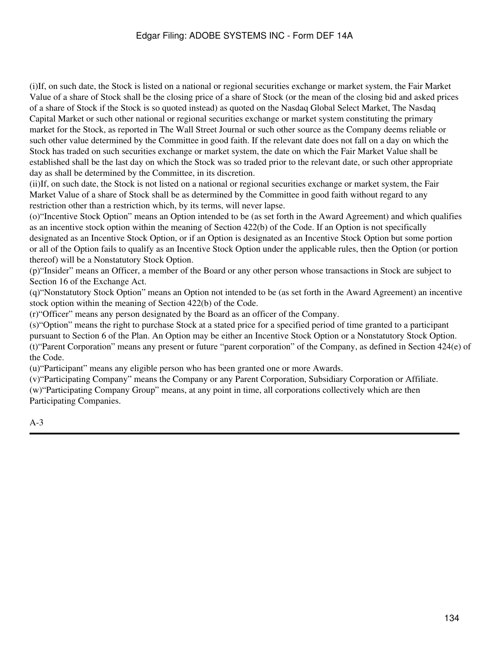(i)If, on such date, the Stock is listed on a national or regional securities exchange or market system, the Fair Market Value of a share of Stock shall be the closing price of a share of Stock (or the mean of the closing bid and asked prices of a share of Stock if the Stock is so quoted instead) as quoted on the Nasdaq Global Select Market, The Nasdaq Capital Market or such other national or regional securities exchange or market system constituting the primary market for the Stock, as reported in The Wall Street Journal or such other source as the Company deems reliable or such other value determined by the Committee in good faith. If the relevant date does not fall on a day on which the Stock has traded on such securities exchange or market system, the date on which the Fair Market Value shall be established shall be the last day on which the Stock was so traded prior to the relevant date, or such other appropriate day as shall be determined by the Committee, in its discretion.

(ii)If, on such date, the Stock is not listed on a national or regional securities exchange or market system, the Fair Market Value of a share of Stock shall be as determined by the Committee in good faith without regard to any restriction other than a restriction which, by its terms, will never lapse.

(o)"Incentive Stock Option" means an Option intended to be (as set forth in the Award Agreement) and which qualifies as an incentive stock option within the meaning of Section 422(b) of the Code. If an Option is not specifically designated as an Incentive Stock Option, or if an Option is designated as an Incentive Stock Option but some portion or all of the Option fails to qualify as an Incentive Stock Option under the applicable rules, then the Option (or portion thereof) will be a Nonstatutory Stock Option.

(p)"Insider" means an Officer, a member of the Board or any other person whose transactions in Stock are subject to Section 16 of the Exchange Act.

(q)"Nonstatutory Stock Option" means an Option not intended to be (as set forth in the Award Agreement) an incentive stock option within the meaning of Section 422(b) of the Code.

(r)"Officer" means any person designated by the Board as an officer of the Company.

(s)"Option" means the right to purchase Stock at a stated price for a specified period of time granted to a participant pursuant to Section 6 of the Plan. An Option may be either an Incentive Stock Option or a Nonstatutory Stock Option. (t)"Parent Corporation" means any present or future "parent corporation" of the Company, as defined in Section 424(e) of the Code.

(u)"Participant" means any eligible person who has been granted one or more Awards.

(v)"Participating Company" means the Company or any Parent Corporation, Subsidiary Corporation or Affiliate. (w)"Participating Company Group" means, at any point in time, all corporations collectively which are then Participating Companies.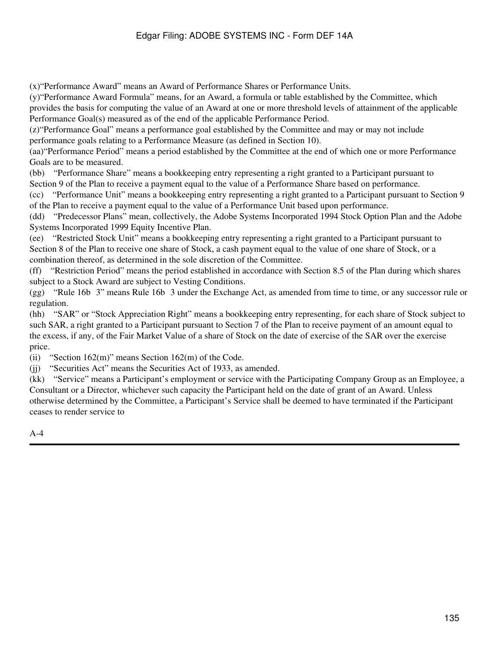(x)"Performance Award" means an Award of Performance Shares or Performance Units.

(y)"Performance Award Formula" means, for an Award, a formula or table established by the Committee, which provides the basis for computing the value of an Award at one or more threshold levels of attainment of the applicable Performance Goal(s) measured as of the end of the applicable Performance Period.

(z)"Performance Goal" means a performance goal established by the Committee and may or may not include performance goals relating to a Performance Measure (as defined in Section 10).

(aa)"Performance Period" means a period established by the Committee at the end of which one or more Performance Goals are to be measured.

(bb) "Performance Share" means a bookkeeping entry representing a right granted to a Participant pursuant to Section 9 of the Plan to receive a payment equal to the value of a Performance Share based on performance.

(cc) "Performance Unit" means a bookkeeping entry representing a right granted to a Participant pursuant to Section 9 of the Plan to receive a payment equal to the value of a Performance Unit based upon performance.

(dd) "Predecessor Plans" mean, collectively, the Adobe Systems Incorporated 1994 Stock Option Plan and the Adobe Systems Incorporated 1999 Equity Incentive Plan.

(ee) "Restricted Stock Unit" means a bookkeeping entry representing a right granted to a Participant pursuant to Section 8 of the Plan to receive one share of Stock, a cash payment equal to the value of one share of Stock, or a combination thereof, as determined in the sole discretion of the Committee.

(ff) "Restriction Period" means the period established in accordance with Section 8.5 of the Plan during which shares subject to a Stock Award are subject to Vesting Conditions.

(gg) "Rule 16b‑3" means Rule 16b‑3 under the Exchange Act, as amended from time to time, or any successor rule or regulation.

(hh) "SAR" or "Stock Appreciation Right" means a bookkeeping entry representing, for each share of Stock subject to such SAR, a right granted to a Participant pursuant to Section 7 of the Plan to receive payment of an amount equal to the excess, if any, of the Fair Market Value of a share of Stock on the date of exercise of the SAR over the exercise price.

(ii) "Section  $162(m)$ " means Section  $162(m)$  of the Code.

(jj) "Securities Act" means the Securities Act of 1933, as amended.

(kk) "Service" means a Participant's employment or service with the Participating Company Group as an Employee, a Consultant or a Director, whichever such capacity the Participant held on the date of grant of an Award. Unless otherwise determined by the Committee, a Participant's Service shall be deemed to have terminated if the Participant ceases to render service to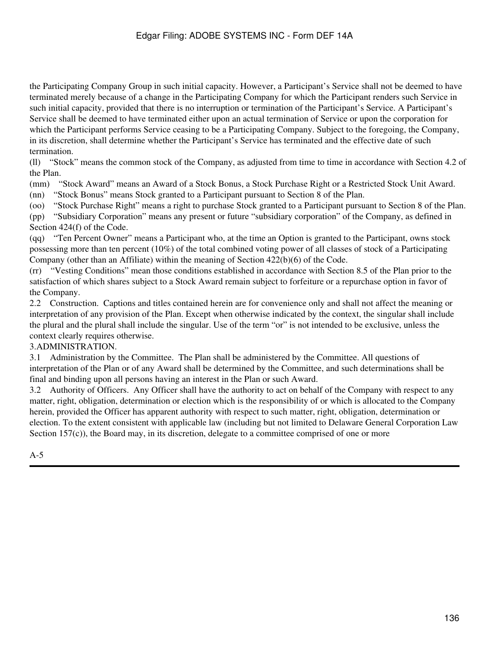the Participating Company Group in such initial capacity. However, a Participant's Service shall not be deemed to have terminated merely because of a change in the Participating Company for which the Participant renders such Service in such initial capacity, provided that there is no interruption or termination of the Participant's Service. A Participant's Service shall be deemed to have terminated either upon an actual termination of Service or upon the corporation for which the Participant performs Service ceasing to be a Participating Company. Subject to the foregoing, the Company, in its discretion, shall determine whether the Participant's Service has terminated and the effective date of such termination.

(ll) "Stock" means the common stock of the Company, as adjusted from time to time in accordance with Section 4.2 of the Plan.

(mm) "Stock Award" means an Award of a Stock Bonus, a Stock Purchase Right or a Restricted Stock Unit Award.

(nn) "Stock Bonus" means Stock granted to a Participant pursuant to Section 8 of the Plan.

(oo) "Stock Purchase Right" means a right to purchase Stock granted to a Participant pursuant to Section 8 of the Plan.

(pp) "Subsidiary Corporation" means any present or future "subsidiary corporation" of the Company, as defined in Section 424(f) of the Code.

(qq) "Ten Percent Owner" means a Participant who, at the time an Option is granted to the Participant, owns stock possessing more than ten percent (10%) of the total combined voting power of all classes of stock of a Participating Company (other than an Affiliate) within the meaning of Section  $422(b)(6)$  of the Code.

(rr) "Vesting Conditions" mean those conditions established in accordance with Section 8.5 of the Plan prior to the satisfaction of which shares subject to a Stock Award remain subject to forfeiture or a repurchase option in favor of the Company.

2.2 Construction. Captions and titles contained herein are for convenience only and shall not affect the meaning or interpretation of any provision of the Plan. Except when otherwise indicated by the context, the singular shall include the plural and the plural shall include the singular. Use of the term "or" is not intended to be exclusive, unless the context clearly requires otherwise.

### 3.ADMINISTRATION.

3.1 Administration by the Committee. The Plan shall be administered by the Committee. All questions of interpretation of the Plan or of any Award shall be determined by the Committee, and such determinations shall be final and binding upon all persons having an interest in the Plan or such Award.

3.2 Authority of Officers. Any Officer shall have the authority to act on behalf of the Company with respect to any matter, right, obligation, determination or election which is the responsibility of or which is allocated to the Company herein, provided the Officer has apparent authority with respect to such matter, right, obligation, determination or election. To the extent consistent with applicable law (including but not limited to Delaware General Corporation Law Section 157(c)), the Board may, in its discretion, delegate to a committee comprised of one or more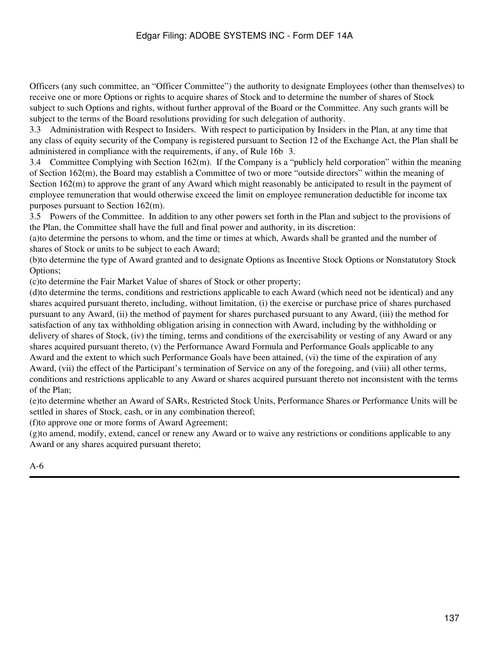Officers (any such committee, an "Officer Committee") the authority to designate Employees (other than themselves) to receive one or more Options or rights to acquire shares of Stock and to determine the number of shares of Stock subject to such Options and rights, without further approval of the Board or the Committee. Any such grants will be subject to the terms of the Board resolutions providing for such delegation of authority.

3.3 Administration with Respect to Insiders. With respect to participation by Insiders in the Plan, at any time that any class of equity security of the Company is registered pursuant to Section 12 of the Exchange Act, the Plan shall be administered in compliance with the requirements, if any, of Rule 16b‑3.

3.4 Committee Complying with Section 162(m). If the Company is a "publicly held corporation" within the meaning of Section 162(m), the Board may establish a Committee of two or more "outside directors" within the meaning of Section 162(m) to approve the grant of any Award which might reasonably be anticipated to result in the payment of employee remuneration that would otherwise exceed the limit on employee remuneration deductible for income tax purposes pursuant to Section 162(m).

3.5 Powers of the Committee. In addition to any other powers set forth in the Plan and subject to the provisions of the Plan, the Committee shall have the full and final power and authority, in its discretion:

(a)to determine the persons to whom, and the time or times at which, Awards shall be granted and the number of shares of Stock or units to be subject to each Award;

(b)to determine the type of Award granted and to designate Options as Incentive Stock Options or Nonstatutory Stock Options;

(c)to determine the Fair Market Value of shares of Stock or other property;

(d)to determine the terms, conditions and restrictions applicable to each Award (which need not be identical) and any shares acquired pursuant thereto, including, without limitation, (i) the exercise or purchase price of shares purchased pursuant to any Award, (ii) the method of payment for shares purchased pursuant to any Award, (iii) the method for satisfaction of any tax withholding obligation arising in connection with Award, including by the withholding or delivery of shares of Stock, (iv) the timing, terms and conditions of the exercisability or vesting of any Award or any shares acquired pursuant thereto, (v) the Performance Award Formula and Performance Goals applicable to any Award and the extent to which such Performance Goals have been attained, (vi) the time of the expiration of any Award, (vii) the effect of the Participant's termination of Service on any of the foregoing, and (viii) all other terms, conditions and restrictions applicable to any Award or shares acquired pursuant thereto not inconsistent with the terms of the Plan;

(e)to determine whether an Award of SARs, Restricted Stock Units, Performance Shares or Performance Units will be settled in shares of Stock, cash, or in any combination thereof;

(f)to approve one or more forms of Award Agreement;

(g)to amend, modify, extend, cancel or renew any Award or to waive any restrictions or conditions applicable to any Award or any shares acquired pursuant thereto;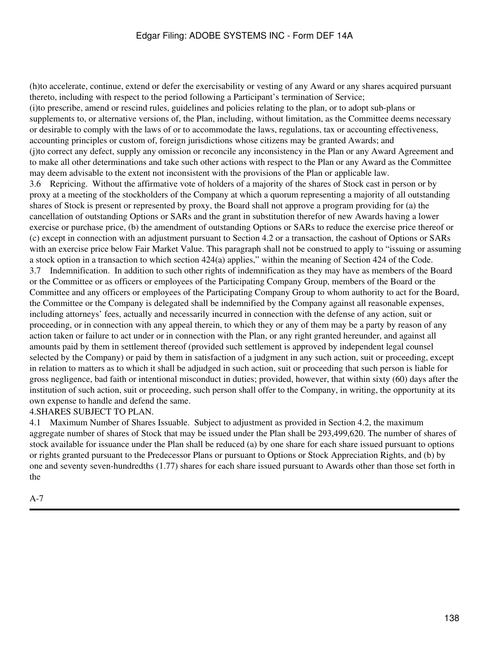(h)to accelerate, continue, extend or defer the exercisability or vesting of any Award or any shares acquired pursuant thereto, including with respect to the period following a Participant's termination of Service; (i)to prescribe, amend or rescind rules, guidelines and policies relating to the plan, or to adopt sub-plans or supplements to, or alternative versions of, the Plan, including, without limitation, as the Committee deems necessary or desirable to comply with the laws of or to accommodate the laws, regulations, tax or accounting effectiveness, accounting principles or custom of, foreign jurisdictions whose citizens may be granted Awards; and (j)to correct any defect, supply any omission or reconcile any inconsistency in the Plan or any Award Agreement and to make all other determinations and take such other actions with respect to the Plan or any Award as the Committee may deem advisable to the extent not inconsistent with the provisions of the Plan or applicable law. 3.6 Repricing. Without the affirmative vote of holders of a majority of the shares of Stock cast in person or by proxy at a meeting of the stockholders of the Company at which a quorum representing a majority of all outstanding shares of Stock is present or represented by proxy, the Board shall not approve a program providing for (a) the cancellation of outstanding Options or SARs and the grant in substitution therefor of new Awards having a lower exercise or purchase price, (b) the amendment of outstanding Options or SARs to reduce the exercise price thereof or (c) except in connection with an adjustment pursuant to Section 4.2 or a transaction, the cashout of Options or SARs with an exercise price below Fair Market Value. This paragraph shall not be construed to apply to "issuing or assuming a stock option in a transaction to which section 424(a) applies," within the meaning of Section 424 of the Code. 3.7 Indemnification. In addition to such other rights of indemnification as they may have as members of the Board or the Committee or as officers or employees of the Participating Company Group, members of the Board or the Committee and any officers or employees of the Participating Company Group to whom authority to act for the Board, the Committee or the Company is delegated shall be indemnified by the Company against all reasonable expenses, including attorneys' fees, actually and necessarily incurred in connection with the defense of any action, suit or proceeding, or in connection with any appeal therein, to which they or any of them may be a party by reason of any action taken or failure to act under or in connection with the Plan, or any right granted hereunder, and against all amounts paid by them in settlement thereof (provided such settlement is approved by independent legal counsel selected by the Company) or paid by them in satisfaction of a judgment in any such action, suit or proceeding, except in relation to matters as to which it shall be adjudged in such action, suit or proceeding that such person is liable for gross negligence, bad faith or intentional misconduct in duties; provided, however, that within sixty (60) days after the institution of such action, suit or proceeding, such person shall offer to the Company, in writing, the opportunity at its own expense to handle and defend the same.

#### 4.SHARES SUBJECT TO PLAN.

4.1 Maximum Number of Shares Issuable. Subject to adjustment as provided in Section 4.2, the maximum aggregate number of shares of Stock that may be issued under the Plan shall be 293,499,620. The number of shares of stock available for issuance under the Plan shall be reduced (a) by one share for each share issued pursuant to options or rights granted pursuant to the Predecessor Plans or pursuant to Options or Stock Appreciation Rights, and (b) by one and seventy seven-hundredths (1.77) shares for each share issued pursuant to Awards other than those set forth in the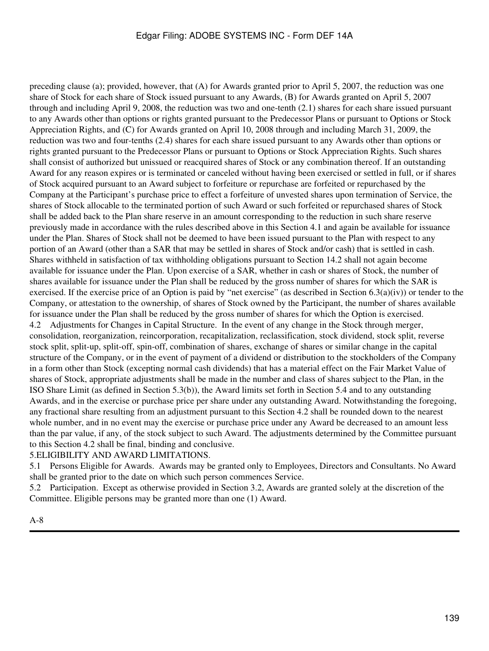preceding clause (a); provided, however, that (A) for Awards granted prior to April 5, 2007, the reduction was one share of Stock for each share of Stock issued pursuant to any Awards, (B) for Awards granted on April 5, 2007 through and including April 9, 2008, the reduction was two and one-tenth (2.1) shares for each share issued pursuant to any Awards other than options or rights granted pursuant to the Predecessor Plans or pursuant to Options or Stock Appreciation Rights, and (C) for Awards granted on April 10, 2008 through and including March 31, 2009, the reduction was two and four-tenths (2.4) shares for each share issued pursuant to any Awards other than options or rights granted pursuant to the Predecessor Plans or pursuant to Options or Stock Appreciation Rights. Such shares shall consist of authorized but unissued or reacquired shares of Stock or any combination thereof. If an outstanding Award for any reason expires or is terminated or canceled without having been exercised or settled in full, or if shares of Stock acquired pursuant to an Award subject to forfeiture or repurchase are forfeited or repurchased by the Company at the Participant's purchase price to effect a forfeiture of unvested shares upon termination of Service, the shares of Stock allocable to the terminated portion of such Award or such forfeited or repurchased shares of Stock shall be added back to the Plan share reserve in an amount corresponding to the reduction in such share reserve previously made in accordance with the rules described above in this Section 4.1 and again be available for issuance under the Plan. Shares of Stock shall not be deemed to have been issued pursuant to the Plan with respect to any portion of an Award (other than a SAR that may be settled in shares of Stock and/or cash) that is settled in cash. Shares withheld in satisfaction of tax withholding obligations pursuant to Section 14.2 shall not again become available for issuance under the Plan. Upon exercise of a SAR, whether in cash or shares of Stock, the number of shares available for issuance under the Plan shall be reduced by the gross number of shares for which the SAR is exercised. If the exercise price of an Option is paid by "net exercise" (as described in Section  $(6.3(a)(iv))$ ) or tender to the Company, or attestation to the ownership, of shares of Stock owned by the Participant, the number of shares available for issuance under the Plan shall be reduced by the gross number of shares for which the Option is exercised. 4.2 Adjustments for Changes in Capital Structure. In the event of any change in the Stock through merger, consolidation, reorganization, reincorporation, recapitalization, reclassification, stock dividend, stock split, reverse stock split, split-up, split-off, spin-off, combination of shares, exchange of shares or similar change in the capital structure of the Company, or in the event of payment of a dividend or distribution to the stockholders of the Company in a form other than Stock (excepting normal cash dividends) that has a material effect on the Fair Market Value of shares of Stock, appropriate adjustments shall be made in the number and class of shares subject to the Plan, in the ISO Share Limit (as defined in Section 5.3(b)), the Award limits set forth in Section 5.4 and to any outstanding Awards, and in the exercise or purchase price per share under any outstanding Award. Notwithstanding the foregoing, any fractional share resulting from an adjustment pursuant to this Section 4.2 shall be rounded down to the nearest whole number, and in no event may the exercise or purchase price under any Award be decreased to an amount less than the par value, if any, of the stock subject to such Award. The adjustments determined by the Committee pursuant to this Section 4.2 shall be final, binding and conclusive.

#### 5.ELIGIBILITY AND AWARD LIMITATIONS.

5.1 Persons Eligible for Awards. Awards may be granted only to Employees, Directors and Consultants. No Award shall be granted prior to the date on which such person commences Service.

5.2 Participation. Except as otherwise provided in Section 3.2, Awards are granted solely at the discretion of the Committee. Eligible persons may be granted more than one (1) Award.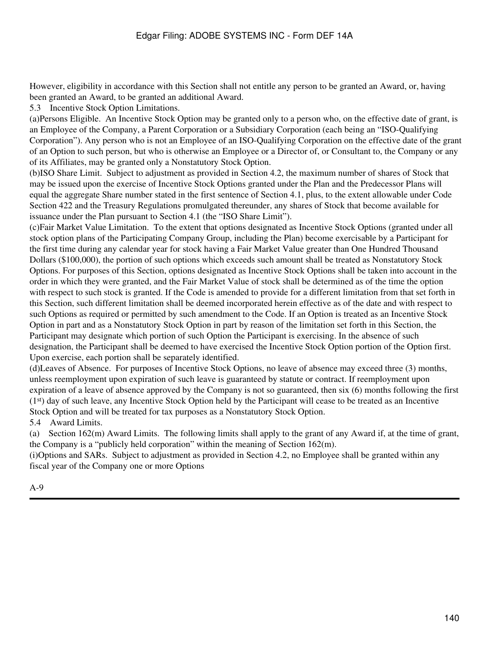However, eligibility in accordance with this Section shall not entitle any person to be granted an Award, or, having been granted an Award, to be granted an additional Award.

5.3 Incentive Stock Option Limitations.

(a)Persons Eligible. An Incentive Stock Option may be granted only to a person who, on the effective date of grant, is an Employee of the Company, a Parent Corporation or a Subsidiary Corporation (each being an "ISO-Qualifying Corporation"). Any person who is not an Employee of an ISO-Qualifying Corporation on the effective date of the grant of an Option to such person, but who is otherwise an Employee or a Director of, or Consultant to, the Company or any of its Affiliates, may be granted only a Nonstatutory Stock Option.

(b)ISO Share Limit. Subject to adjustment as provided in Section 4.2, the maximum number of shares of Stock that may be issued upon the exercise of Incentive Stock Options granted under the Plan and the Predecessor Plans will equal the aggregate Share number stated in the first sentence of Section 4.1, plus, to the extent allowable under Code Section 422 and the Treasury Regulations promulgated thereunder, any shares of Stock that become available for issuance under the Plan pursuant to Section 4.1 (the "ISO Share Limit").

(c)Fair Market Value Limitation. To the extent that options designated as Incentive Stock Options (granted under all stock option plans of the Participating Company Group, including the Plan) become exercisable by a Participant for the first time during any calendar year for stock having a Fair Market Value greater than One Hundred Thousand Dollars (\$100,000), the portion of such options which exceeds such amount shall be treated as Nonstatutory Stock Options. For purposes of this Section, options designated as Incentive Stock Options shall be taken into account in the order in which they were granted, and the Fair Market Value of stock shall be determined as of the time the option with respect to such stock is granted. If the Code is amended to provide for a different limitation from that set forth in this Section, such different limitation shall be deemed incorporated herein effective as of the date and with respect to such Options as required or permitted by such amendment to the Code. If an Option is treated as an Incentive Stock Option in part and as a Nonstatutory Stock Option in part by reason of the limitation set forth in this Section, the Participant may designate which portion of such Option the Participant is exercising. In the absence of such designation, the Participant shall be deemed to have exercised the Incentive Stock Option portion of the Option first. Upon exercise, each portion shall be separately identified.

(d)Leaves of Absence. For purposes of Incentive Stock Options, no leave of absence may exceed three (3) months, unless reemployment upon expiration of such leave is guaranteed by statute or contract. If reemployment upon expiration of a leave of absence approved by the Company is not so guaranteed, then six (6) months following the first (1st) day of such leave, any Incentive Stock Option held by the Participant will cease to be treated as an Incentive Stock Option and will be treated for tax purposes as a Nonstatutory Stock Option.

# 5.4 Award Limits.

(a) Section 162(m) Award Limits. The following limits shall apply to the grant of any Award if, at the time of grant, the Company is a "publicly held corporation" within the meaning of Section 162(m).

(i)Options and SARs. Subject to adjustment as provided in Section 4.2, no Employee shall be granted within any fiscal year of the Company one or more Options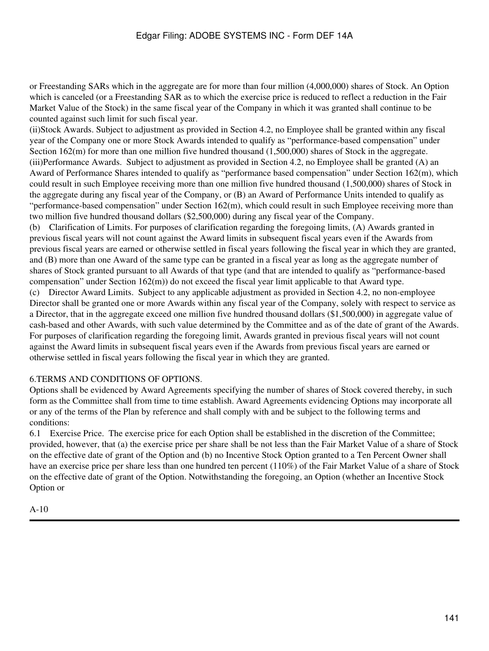or Freestanding SARs which in the aggregate are for more than four million (4,000,000) shares of Stock. An Option which is canceled (or a Freestanding SAR as to which the exercise price is reduced to reflect a reduction in the Fair Market Value of the Stock) in the same fiscal year of the Company in which it was granted shall continue to be counted against such limit for such fiscal year.

(ii)Stock Awards. Subject to adjustment as provided in Section 4.2, no Employee shall be granted within any fiscal year of the Company one or more Stock Awards intended to qualify as "performance-based compensation" under Section 162(m) for more than one million five hundred thousand (1,500,000) shares of Stock in the aggregate. (iii)Performance Awards. Subject to adjustment as provided in Section 4.2, no Employee shall be granted (A) an Award of Performance Shares intended to qualify as "performance based compensation" under Section 162(m), which could result in such Employee receiving more than one million five hundred thousand (1,500,000) shares of Stock in the aggregate during any fiscal year of the Company, or (B) an Award of Performance Units intended to qualify as "performance-based compensation" under Section 162(m), which could result in such Employee receiving more than two million five hundred thousand dollars (\$2,500,000) during any fiscal year of the Company.

(b) Clarification of Limits. For purposes of clarification regarding the foregoing limits, (A) Awards granted in previous fiscal years will not count against the Award limits in subsequent fiscal years even if the Awards from previous fiscal years are earned or otherwise settled in fiscal years following the fiscal year in which they are granted, and (B) more than one Award of the same type can be granted in a fiscal year as long as the aggregate number of shares of Stock granted pursuant to all Awards of that type (and that are intended to qualify as "performance-based compensation" under Section 162(m)) do not exceed the fiscal year limit applicable to that Award type. (c) Director Award Limits. Subject to any applicable adjustment as provided in Section 4.2, no non-employee Director shall be granted one or more Awards within any fiscal year of the Company, solely with respect to service as a Director, that in the aggregate exceed one million five hundred thousand dollars (\$1,500,000) in aggregate value of cash-based and other Awards, with such value determined by the Committee and as of the date of grant of the Awards. For purposes of clarification regarding the foregoing limit, Awards granted in previous fiscal years will not count against the Award limits in subsequent fiscal years even if the Awards from previous fiscal years are earned or otherwise settled in fiscal years following the fiscal year in which they are granted.

### 6.TERMS AND CONDITIONS OF OPTIONS.

Options shall be evidenced by Award Agreements specifying the number of shares of Stock covered thereby, in such form as the Committee shall from time to time establish. Award Agreements evidencing Options may incorporate all or any of the terms of the Plan by reference and shall comply with and be subject to the following terms and conditions:

6.1 Exercise Price. The exercise price for each Option shall be established in the discretion of the Committee; provided, however, that (a) the exercise price per share shall be not less than the Fair Market Value of a share of Stock on the effective date of grant of the Option and (b) no Incentive Stock Option granted to a Ten Percent Owner shall have an exercise price per share less than one hundred ten percent (110%) of the Fair Market Value of a share of Stock on the effective date of grant of the Option. Notwithstanding the foregoing, an Option (whether an Incentive Stock Option or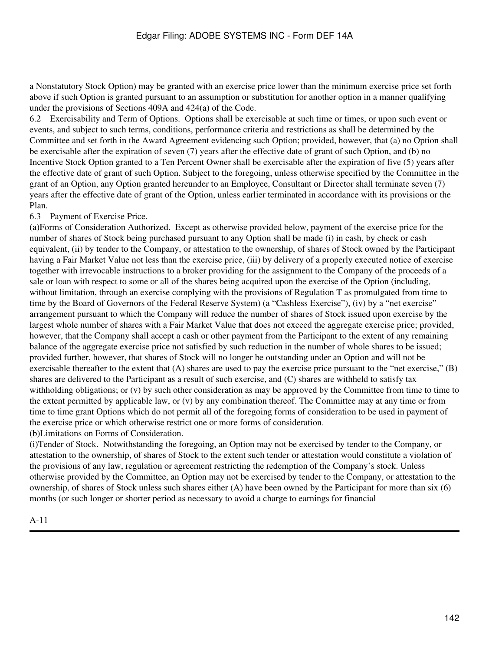a Nonstatutory Stock Option) may be granted with an exercise price lower than the minimum exercise price set forth above if such Option is granted pursuant to an assumption or substitution for another option in a manner qualifying under the provisions of Sections 409A and 424(a) of the Code.

6.2 Exercisability and Term of Options. Options shall be exercisable at such time or times, or upon such event or events, and subject to such terms, conditions, performance criteria and restrictions as shall be determined by the Committee and set forth in the Award Agreement evidencing such Option; provided, however, that (a) no Option shall be exercisable after the expiration of seven (7) years after the effective date of grant of such Option, and (b) no Incentive Stock Option granted to a Ten Percent Owner shall be exercisable after the expiration of five (5) years after the effective date of grant of such Option. Subject to the foregoing, unless otherwise specified by the Committee in the grant of an Option, any Option granted hereunder to an Employee, Consultant or Director shall terminate seven (7) years after the effective date of grant of the Option, unless earlier terminated in accordance with its provisions or the Plan.

6.3 Payment of Exercise Price.

(a)Forms of Consideration Authorized. Except as otherwise provided below, payment of the exercise price for the number of shares of Stock being purchased pursuant to any Option shall be made (i) in cash, by check or cash equivalent, (ii) by tender to the Company, or attestation to the ownership, of shares of Stock owned by the Participant having a Fair Market Value not less than the exercise price, (iii) by delivery of a properly executed notice of exercise together with irrevocable instructions to a broker providing for the assignment to the Company of the proceeds of a sale or loan with respect to some or all of the shares being acquired upon the exercise of the Option (including, without limitation, through an exercise complying with the provisions of Regulation T as promulgated from time to time by the Board of Governors of the Federal Reserve System) (a "Cashless Exercise"), (iv) by a "net exercise" arrangement pursuant to which the Company will reduce the number of shares of Stock issued upon exercise by the largest whole number of shares with a Fair Market Value that does not exceed the aggregate exercise price; provided, however, that the Company shall accept a cash or other payment from the Participant to the extent of any remaining balance of the aggregate exercise price not satisfied by such reduction in the number of whole shares to be issued; provided further, however, that shares of Stock will no longer be outstanding under an Option and will not be exercisable thereafter to the extent that  $(A)$  shares are used to pay the exercise price pursuant to the "net exercise,"  $(B)$ shares are delivered to the Participant as a result of such exercise, and (C) shares are withheld to satisfy tax withholding obligations; or  $(v)$  by such other consideration as may be approved by the Committee from time to time to the extent permitted by applicable law, or (v) by any combination thereof. The Committee may at any time or from time to time grant Options which do not permit all of the foregoing forms of consideration to be used in payment of the exercise price or which otherwise restrict one or more forms of consideration. (b)Limitations on Forms of Consideration.

(i)Tender of Stock. Notwithstanding the foregoing, an Option may not be exercised by tender to the Company, or attestation to the ownership, of shares of Stock to the extent such tender or attestation would constitute a violation of the provisions of any law, regulation or agreement restricting the redemption of the Company's stock. Unless otherwise provided by the Committee, an Option may not be exercised by tender to the Company, or attestation to the ownership, of shares of Stock unless such shares either (A) have been owned by the Participant for more than six (6) months (or such longer or shorter period as necessary to avoid a charge to earnings for financial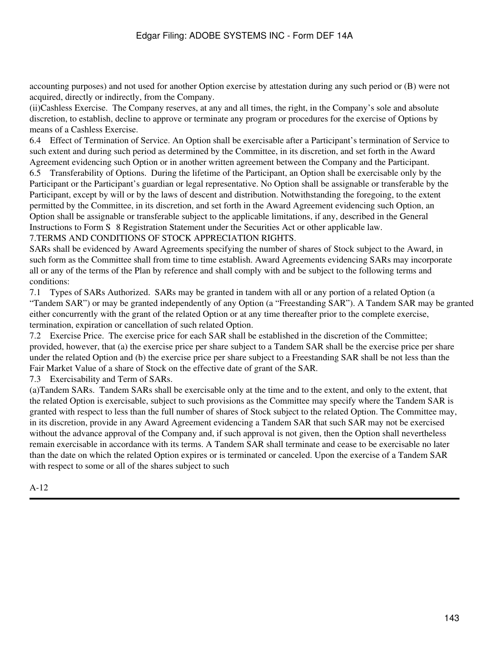accounting purposes) and not used for another Option exercise by attestation during any such period or (B) were not acquired, directly or indirectly, from the Company.

(ii)Cashless Exercise. The Company reserves, at any and all times, the right, in the Company's sole and absolute discretion, to establish, decline to approve or terminate any program or procedures for the exercise of Options by means of a Cashless Exercise.

6.4 Effect of Termination of Service. An Option shall be exercisable after a Participant's termination of Service to such extent and during such period as determined by the Committee, in its discretion, and set forth in the Award Agreement evidencing such Option or in another written agreement between the Company and the Participant.

6.5 Transferability of Options. During the lifetime of the Participant, an Option shall be exercisable only by the Participant or the Participant's guardian or legal representative. No Option shall be assignable or transferable by the Participant, except by will or by the laws of descent and distribution. Notwithstanding the foregoing, to the extent permitted by the Committee, in its discretion, and set forth in the Award Agreement evidencing such Option, an Option shall be assignable or transferable subject to the applicable limitations, if any, described in the General Instructions to Form S‑8 Registration Statement under the Securities Act or other applicable law.

### 7.TERMS AND CONDITIONS OF STOCK APPRECIATION RIGHTS.

SARs shall be evidenced by Award Agreements specifying the number of shares of Stock subject to the Award, in such form as the Committee shall from time to time establish. Award Agreements evidencing SARs may incorporate all or any of the terms of the Plan by reference and shall comply with and be subject to the following terms and conditions:

7.1 Types of SARs Authorized. SARs may be granted in tandem with all or any portion of a related Option (a "Tandem SAR") or may be granted independently of any Option (a "Freestanding SAR"). A Tandem SAR may be granted either concurrently with the grant of the related Option or at any time thereafter prior to the complete exercise, termination, expiration or cancellation of such related Option.

7.2 Exercise Price. The exercise price for each SAR shall be established in the discretion of the Committee; provided, however, that (a) the exercise price per share subject to a Tandem SAR shall be the exercise price per share under the related Option and (b) the exercise price per share subject to a Freestanding SAR shall be not less than the Fair Market Value of a share of Stock on the effective date of grant of the SAR.

7.3 Exercisability and Term of SARs.

(a)Tandem SARs. Tandem SARs shall be exercisable only at the time and to the extent, and only to the extent, that the related Option is exercisable, subject to such provisions as the Committee may specify where the Tandem SAR is granted with respect to less than the full number of shares of Stock subject to the related Option. The Committee may, in its discretion, provide in any Award Agreement evidencing a Tandem SAR that such SAR may not be exercised without the advance approval of the Company and, if such approval is not given, then the Option shall nevertheless remain exercisable in accordance with its terms. A Tandem SAR shall terminate and cease to be exercisable no later than the date on which the related Option expires or is terminated or canceled. Upon the exercise of a Tandem SAR with respect to some or all of the shares subject to such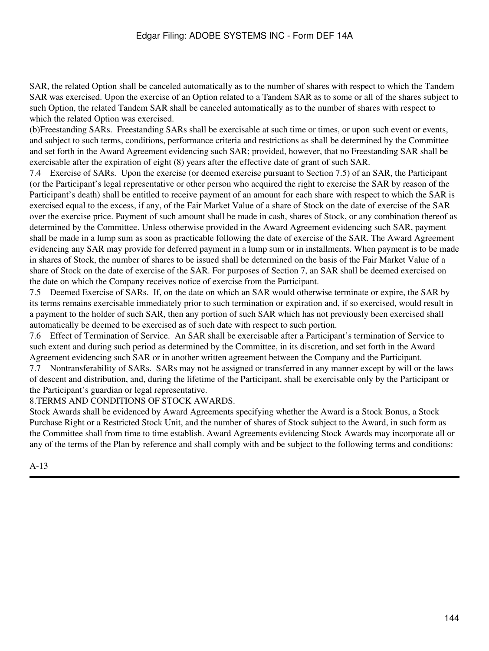SAR, the related Option shall be canceled automatically as to the number of shares with respect to which the Tandem SAR was exercised. Upon the exercise of an Option related to a Tandem SAR as to some or all of the shares subject to such Option, the related Tandem SAR shall be canceled automatically as to the number of shares with respect to which the related Option was exercised.

(b)Freestanding SARs. Freestanding SARs shall be exercisable at such time or times, or upon such event or events, and subject to such terms, conditions, performance criteria and restrictions as shall be determined by the Committee and set forth in the Award Agreement evidencing such SAR; provided, however, that no Freestanding SAR shall be exercisable after the expiration of eight (8) years after the effective date of grant of such SAR.

7.4 Exercise of SARs. Upon the exercise (or deemed exercise pursuant to Section 7.5) of an SAR, the Participant (or the Participant's legal representative or other person who acquired the right to exercise the SAR by reason of the Participant's death) shall be entitled to receive payment of an amount for each share with respect to which the SAR is exercised equal to the excess, if any, of the Fair Market Value of a share of Stock on the date of exercise of the SAR over the exercise price. Payment of such amount shall be made in cash, shares of Stock, or any combination thereof as determined by the Committee. Unless otherwise provided in the Award Agreement evidencing such SAR, payment shall be made in a lump sum as soon as practicable following the date of exercise of the SAR. The Award Agreement evidencing any SAR may provide for deferred payment in a lump sum or in installments. When payment is to be made in shares of Stock, the number of shares to be issued shall be determined on the basis of the Fair Market Value of a share of Stock on the date of exercise of the SAR. For purposes of Section 7, an SAR shall be deemed exercised on the date on which the Company receives notice of exercise from the Participant.

7.5 Deemed Exercise of SARs. If, on the date on which an SAR would otherwise terminate or expire, the SAR by its terms remains exercisable immediately prior to such termination or expiration and, if so exercised, would result in a payment to the holder of such SAR, then any portion of such SAR which has not previously been exercised shall automatically be deemed to be exercised as of such date with respect to such portion.

7.6 Effect of Termination of Service. An SAR shall be exercisable after a Participant's termination of Service to such extent and during such period as determined by the Committee, in its discretion, and set forth in the Award Agreement evidencing such SAR or in another written agreement between the Company and the Participant.

7.7 Nontransferability of SARs. SARs may not be assigned or transferred in any manner except by will or the laws of descent and distribution, and, during the lifetime of the Participant, shall be exercisable only by the Participant or the Participant's guardian or legal representative.

8.TERMS AND CONDITIONS OF STOCK AWARDS.

Stock Awards shall be evidenced by Award Agreements specifying whether the Award is a Stock Bonus, a Stock Purchase Right or a Restricted Stock Unit, and the number of shares of Stock subject to the Award, in such form as the Committee shall from time to time establish. Award Agreements evidencing Stock Awards may incorporate all or any of the terms of the Plan by reference and shall comply with and be subject to the following terms and conditions: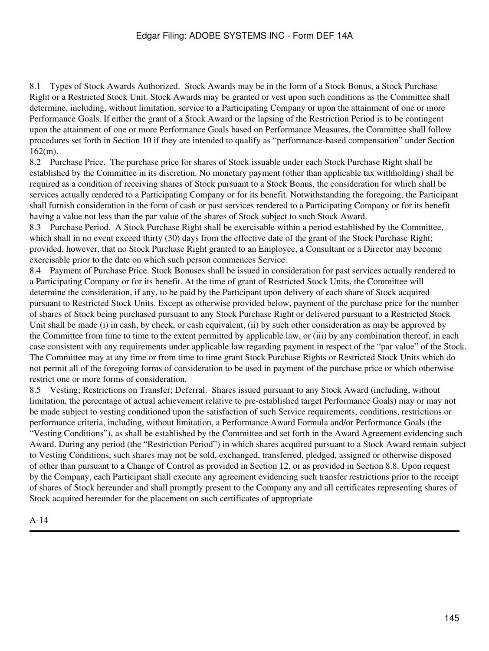8.1 Types of Stock Awards Authorized. Stock Awards may be in the form of a Stock Bonus, a Stock Purchase Right or a Restricted Stock Unit. Stock Awards may be granted or vest upon such conditions as the Committee shall determine, including, without limitation, service to a Participating Company or upon the attainment of one or more Performance Goals. If either the grant of a Stock Award or the lapsing of the Restriction Period is to be contingent upon the attainment of one or more Performance Goals based on Performance Measures, the Committee shall follow procedures set forth in Section 10 if they are intended to qualify as "performance-based compensation" under Section 162(m).

8.2 Purchase Price. The purchase price for shares of Stock issuable under each Stock Purchase Right shall be established by the Committee in its discretion. No monetary payment (other than applicable tax withholding) shall be required as a condition of receiving shares of Stock pursuant to a Stock Bonus, the consideration for which shall be services actually rendered to a Participating Company or for its benefit. Notwithstanding the foregoing, the Participant shall furnish consideration in the form of cash or past services rendered to a Participating Company or for its benefit having a value not less than the par value of the shares of Stock subject to such Stock Award.

8.3 Purchase Period. A Stock Purchase Right shall be exercisable within a period established by the Committee, which shall in no event exceed thirty (30) days from the effective date of the grant of the Stock Purchase Right; provided, however, that no Stock Purchase Right granted to an Employee, a Consultant or a Director may become exercisable prior to the date on which such person commences Service.

8.4 Payment of Purchase Price. Stock Bonuses shall be issued in consideration for past services actually rendered to a Participating Company or for its benefit. At the time of grant of Restricted Stock Units, the Committee will determine the consideration, if any, to be paid by the Participant upon delivery of each share of Stock acquired pursuant to Restricted Stock Units. Except as otherwise provided below, payment of the purchase price for the number of shares of Stock being purchased pursuant to any Stock Purchase Right or delivered pursuant to a Restricted Stock Unit shall be made (i) in cash, by check, or cash equivalent, (ii) by such other consideration as may be approved by the Committee from time to time to the extent permitted by applicable law, or (iii) by any combination thereof, in each case consistent with any requirements under applicable law regarding payment in respect of the "par value" of the Stock. The Committee may at any time or from time to time grant Stock Purchase Rights or Restricted Stock Units which do not permit all of the foregoing forms of consideration to be used in payment of the purchase price or which otherwise restrict one or more forms of consideration.

8.5 Vesting; Restrictions on Transfer; Deferral. Shares issued pursuant to any Stock Award (including, without limitation, the percentage of actual achievement relative to pre-established target Performance Goals) may or may not be made subject to vesting conditioned upon the satisfaction of such Service requirements, conditions, restrictions or performance criteria, including, without limitation, a Performance Award Formula and/or Performance Goals (the "Vesting Conditions"), as shall be established by the Committee and set forth in the Award Agreement evidencing such Award. During any period (the "Restriction Period") in which shares acquired pursuant to a Stock Award remain subject to Vesting Conditions, such shares may not be sold, exchanged, transferred, pledged, assigned or otherwise disposed of other than pursuant to a Change of Control as provided in Section 12, or as provided in Section 8.8. Upon request by the Company, each Participant shall execute any agreement evidencing such transfer restrictions prior to the receipt of shares of Stock hereunder and shall promptly present to the Company any and all certificates representing shares of Stock acquired hereunder for the placement on such certificates of appropriate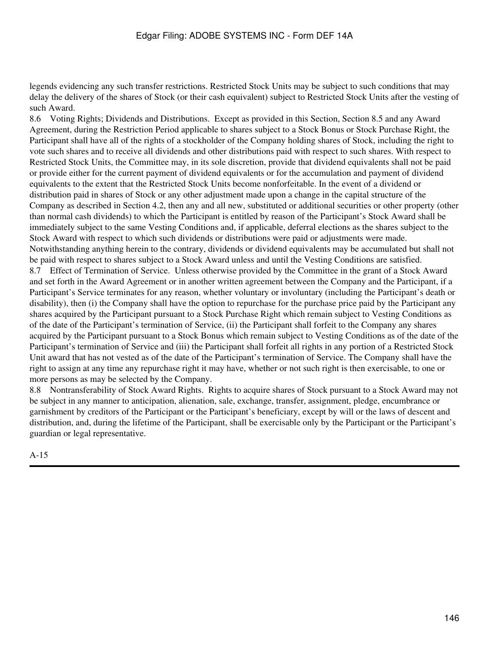legends evidencing any such transfer restrictions. Restricted Stock Units may be subject to such conditions that may delay the delivery of the shares of Stock (or their cash equivalent) subject to Restricted Stock Units after the vesting of such Award.

8.6 Voting Rights; Dividends and Distributions. Except as provided in this Section, Section 8.5 and any Award Agreement, during the Restriction Period applicable to shares subject to a Stock Bonus or Stock Purchase Right, the Participant shall have all of the rights of a stockholder of the Company holding shares of Stock, including the right to vote such shares and to receive all dividends and other distributions paid with respect to such shares. With respect to Restricted Stock Units, the Committee may, in its sole discretion, provide that dividend equivalents shall not be paid or provide either for the current payment of dividend equivalents or for the accumulation and payment of dividend equivalents to the extent that the Restricted Stock Units become nonforfeitable. In the event of a dividend or distribution paid in shares of Stock or any other adjustment made upon a change in the capital structure of the Company as described in Section 4.2, then any and all new, substituted or additional securities or other property (other than normal cash dividends) to which the Participant is entitled by reason of the Participant's Stock Award shall be immediately subject to the same Vesting Conditions and, if applicable, deferral elections as the shares subject to the Stock Award with respect to which such dividends or distributions were paid or adjustments were made. Notwithstanding anything herein to the contrary, dividends or dividend equivalents may be accumulated but shall not be paid with respect to shares subject to a Stock Award unless and until the Vesting Conditions are satisfied. 8.7 Effect of Termination of Service. Unless otherwise provided by the Committee in the grant of a Stock Award and set forth in the Award Agreement or in another written agreement between the Company and the Participant, if a Participant's Service terminates for any reason, whether voluntary or involuntary (including the Participant's death or disability), then (i) the Company shall have the option to repurchase for the purchase price paid by the Participant any shares acquired by the Participant pursuant to a Stock Purchase Right which remain subject to Vesting Conditions as of the date of the Participant's termination of Service, (ii) the Participant shall forfeit to the Company any shares acquired by the Participant pursuant to a Stock Bonus which remain subject to Vesting Conditions as of the date of the Participant's termination of Service and (iii) the Participant shall forfeit all rights in any portion of a Restricted Stock Unit award that has not vested as of the date of the Participant's termination of Service. The Company shall have the right to assign at any time any repurchase right it may have, whether or not such right is then exercisable, to one or more persons as may be selected by the Company.

8.8 Nontransferability of Stock Award Rights. Rights to acquire shares of Stock pursuant to a Stock Award may not be subject in any manner to anticipation, alienation, sale, exchange, transfer, assignment, pledge, encumbrance or garnishment by creditors of the Participant or the Participant's beneficiary, except by will or the laws of descent and distribution, and, during the lifetime of the Participant, shall be exercisable only by the Participant or the Participant's guardian or legal representative.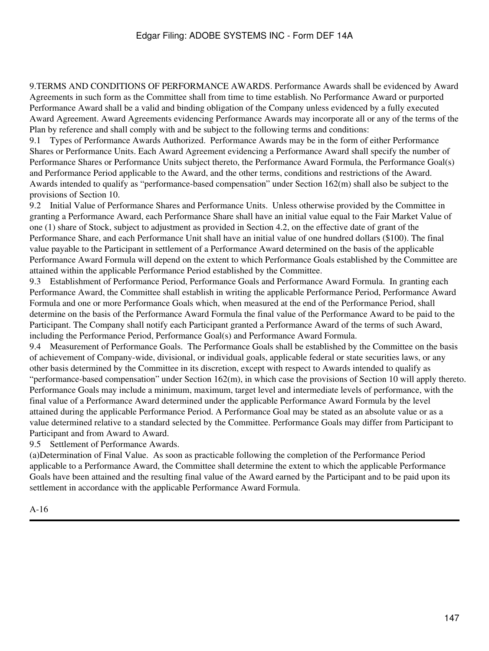9.TERMS AND CONDITIONS OF PERFORMANCE AWARDS. Performance Awards shall be evidenced by Award Agreements in such form as the Committee shall from time to time establish. No Performance Award or purported Performance Award shall be a valid and binding obligation of the Company unless evidenced by a fully executed Award Agreement. Award Agreements evidencing Performance Awards may incorporate all or any of the terms of the Plan by reference and shall comply with and be subject to the following terms and conditions:

9.1 Types of Performance Awards Authorized. Performance Awards may be in the form of either Performance Shares or Performance Units. Each Award Agreement evidencing a Performance Award shall specify the number of Performance Shares or Performance Units subject thereto, the Performance Award Formula, the Performance Goal(s) and Performance Period applicable to the Award, and the other terms, conditions and restrictions of the Award. Awards intended to qualify as "performance-based compensation" under Section 162(m) shall also be subject to the provisions of Section 10.

9.2 Initial Value of Performance Shares and Performance Units. Unless otherwise provided by the Committee in granting a Performance Award, each Performance Share shall have an initial value equal to the Fair Market Value of one (1) share of Stock, subject to adjustment as provided in Section 4.2, on the effective date of grant of the Performance Share, and each Performance Unit shall have an initial value of one hundred dollars (\$100). The final value payable to the Participant in settlement of a Performance Award determined on the basis of the applicable Performance Award Formula will depend on the extent to which Performance Goals established by the Committee are attained within the applicable Performance Period established by the Committee.

9.3 Establishment of Performance Period, Performance Goals and Performance Award Formula. In granting each Performance Award, the Committee shall establish in writing the applicable Performance Period, Performance Award Formula and one or more Performance Goals which, when measured at the end of the Performance Period, shall determine on the basis of the Performance Award Formula the final value of the Performance Award to be paid to the Participant. The Company shall notify each Participant granted a Performance Award of the terms of such Award, including the Performance Period, Performance Goal(s) and Performance Award Formula.

9.4 Measurement of Performance Goals. The Performance Goals shall be established by the Committee on the basis of achievement of Company-wide, divisional, or individual goals, applicable federal or state securities laws, or any other basis determined by the Committee in its discretion, except with respect to Awards intended to qualify as "performance-based compensation" under Section 162(m), in which case the provisions of Section 10 will apply thereto. Performance Goals may include a minimum, maximum, target level and intermediate levels of performance, with the final value of a Performance Award determined under the applicable Performance Award Formula by the level attained during the applicable Performance Period. A Performance Goal may be stated as an absolute value or as a value determined relative to a standard selected by the Committee. Performance Goals may differ from Participant to Participant and from Award to Award.

9.5 Settlement of Performance Awards.

(a)Determination of Final Value. As soon as practicable following the completion of the Performance Period applicable to a Performance Award, the Committee shall determine the extent to which the applicable Performance Goals have been attained and the resulting final value of the Award earned by the Participant and to be paid upon its settlement in accordance with the applicable Performance Award Formula.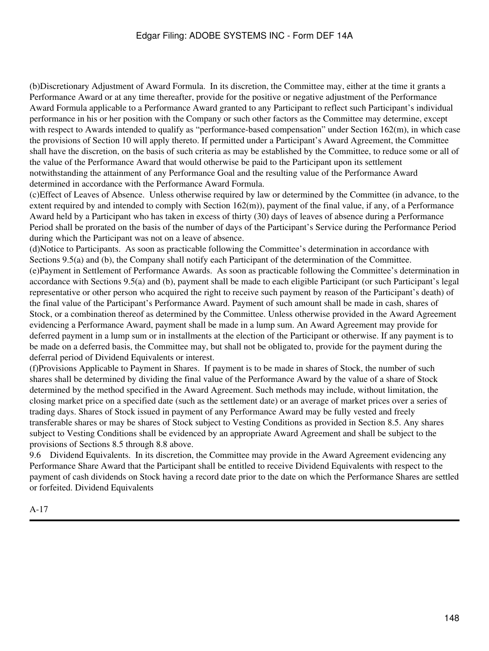(b)Discretionary Adjustment of Award Formula. In its discretion, the Committee may, either at the time it grants a Performance Award or at any time thereafter, provide for the positive or negative adjustment of the Performance Award Formula applicable to a Performance Award granted to any Participant to reflect such Participant's individual performance in his or her position with the Company or such other factors as the Committee may determine, except with respect to Awards intended to qualify as "performance-based compensation" under Section 162(m), in which case the provisions of Section 10 will apply thereto. If permitted under a Participant's Award Agreement, the Committee shall have the discretion, on the basis of such criteria as may be established by the Committee, to reduce some or all of the value of the Performance Award that would otherwise be paid to the Participant upon its settlement notwithstanding the attainment of any Performance Goal and the resulting value of the Performance Award determined in accordance with the Performance Award Formula.

(c)Effect of Leaves of Absence. Unless otherwise required by law or determined by the Committee (in advance, to the extent required by and intended to comply with Section  $162(m)$ ), payment of the final value, if any, of a Performance Award held by a Participant who has taken in excess of thirty (30) days of leaves of absence during a Performance Period shall be prorated on the basis of the number of days of the Participant's Service during the Performance Period during which the Participant was not on a leave of absence.

(d)Notice to Participants. As soon as practicable following the Committee's determination in accordance with Sections 9.5(a) and (b), the Company shall notify each Participant of the determination of the Committee. (e)Payment in Settlement of Performance Awards. As soon as practicable following the Committee's determination in accordance with Sections 9.5(a) and (b), payment shall be made to each eligible Participant (or such Participant's legal representative or other person who acquired the right to receive such payment by reason of the Participant's death) of the final value of the Participant's Performance Award. Payment of such amount shall be made in cash, shares of Stock, or a combination thereof as determined by the Committee. Unless otherwise provided in the Award Agreement evidencing a Performance Award, payment shall be made in a lump sum. An Award Agreement may provide for deferred payment in a lump sum or in installments at the election of the Participant or otherwise. If any payment is to be made on a deferred basis, the Committee may, but shall not be obligated to, provide for the payment during the deferral period of Dividend Equivalents or interest.

(f)Provisions Applicable to Payment in Shares. If payment is to be made in shares of Stock, the number of such shares shall be determined by dividing the final value of the Performance Award by the value of a share of Stock determined by the method specified in the Award Agreement. Such methods may include, without limitation, the closing market price on a specified date (such as the settlement date) or an average of market prices over a series of trading days. Shares of Stock issued in payment of any Performance Award may be fully vested and freely transferable shares or may be shares of Stock subject to Vesting Conditions as provided in Section 8.5. Any shares subject to Vesting Conditions shall be evidenced by an appropriate Award Agreement and shall be subject to the provisions of Sections 8.5 through 8.8 above.

9.6 Dividend Equivalents. In its discretion, the Committee may provide in the Award Agreement evidencing any Performance Share Award that the Participant shall be entitled to receive Dividend Equivalents with respect to the payment of cash dividends on Stock having a record date prior to the date on which the Performance Shares are settled or forfeited. Dividend Equivalents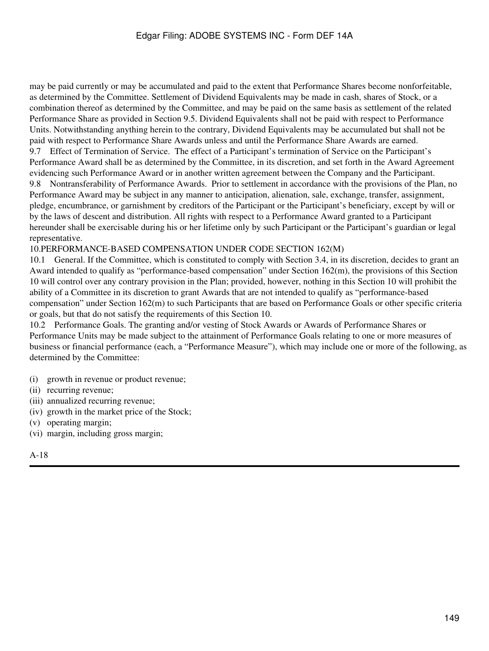may be paid currently or may be accumulated and paid to the extent that Performance Shares become nonforfeitable, as determined by the Committee. Settlement of Dividend Equivalents may be made in cash, shares of Stock, or a combination thereof as determined by the Committee, and may be paid on the same basis as settlement of the related Performance Share as provided in Section 9.5. Dividend Equivalents shall not be paid with respect to Performance Units. Notwithstanding anything herein to the contrary, Dividend Equivalents may be accumulated but shall not be paid with respect to Performance Share Awards unless and until the Performance Share Awards are earned. 9.7 Effect of Termination of Service. The effect of a Participant's termination of Service on the Participant's Performance Award shall be as determined by the Committee, in its discretion, and set forth in the Award Agreement evidencing such Performance Award or in another written agreement between the Company and the Participant. 9.8 Nontransferability of Performance Awards. Prior to settlement in accordance with the provisions of the Plan, no Performance Award may be subject in any manner to anticipation, alienation, sale, exchange, transfer, assignment, pledge, encumbrance, or garnishment by creditors of the Participant or the Participant's beneficiary, except by will or by the laws of descent and distribution. All rights with respect to a Performance Award granted to a Participant hereunder shall be exercisable during his or her lifetime only by such Participant or the Participant's guardian or legal representative.

10.PERFORMANCE-BASED COMPENSATION UNDER CODE SECTION 162(M)

10.1 General. If the Committee, which is constituted to comply with Section 3.4, in its discretion, decides to grant an Award intended to qualify as "performance-based compensation" under Section 162(m), the provisions of this Section 10 will control over any contrary provision in the Plan; provided, however, nothing in this Section 10 will prohibit the ability of a Committee in its discretion to grant Awards that are not intended to qualify as "performance-based compensation" under Section 162(m) to such Participants that are based on Performance Goals or other specific criteria or goals, but that do not satisfy the requirements of this Section 10.

10.2 Performance Goals. The granting and/or vesting of Stock Awards or Awards of Performance Shares or Performance Units may be made subject to the attainment of Performance Goals relating to one or more measures of business or financial performance (each, a "Performance Measure"), which may include one or more of the following, as determined by the Committee:

- (i) growth in revenue or product revenue;
- (ii) recurring revenue;
- (iii) annualized recurring revenue;
- (iv) growth in the market price of the Stock;
- (v) operating margin;
- (vi) margin, including gross margin;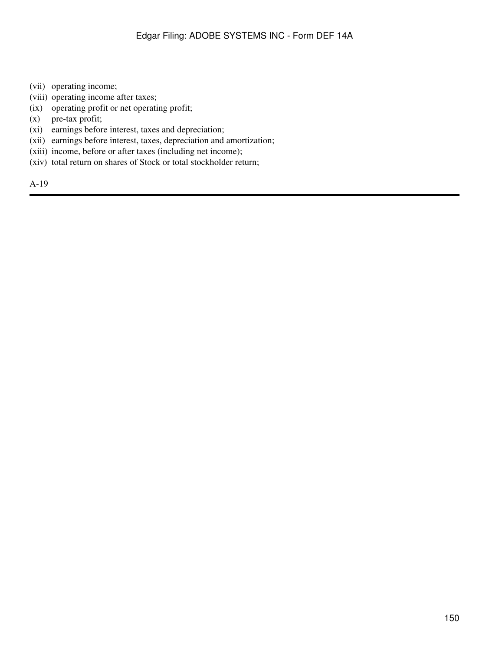- (vii) operating income;
- (viii) operating income after taxes;
- (ix) operating profit or net operating profit;
- (x) pre-tax profit;
- (xi) earnings before interest, taxes and depreciation;
- (xii) earnings before interest, taxes, depreciation and amortization;
- (xiii) income, before or after taxes (including net income);
- (xiv) total return on shares of Stock or total stockholder return;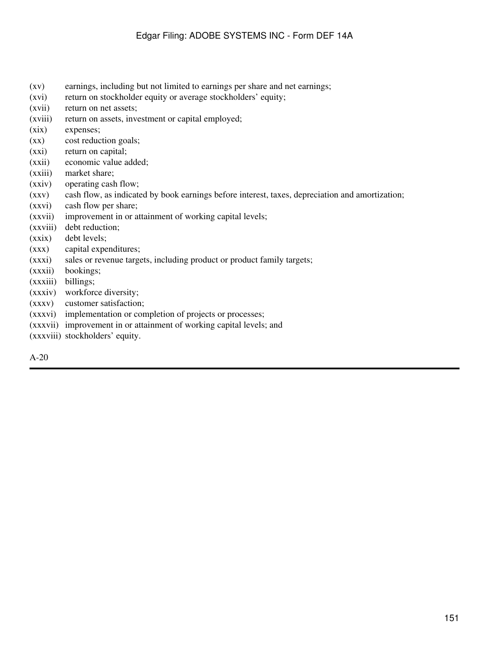- (xv) earnings, including but not limited to earnings per share and net earnings;
- (xvi) return on stockholder equity or average stockholders' equity;
- (xvii) return on net assets;
- (xviii) return on assets, investment or capital employed;
- (xix) expenses;
- (xx) cost reduction goals;
- (xxi) return on capital;
- (xxii) economic value added;
- (xxiii) market share;
- (xxiv) operating cash flow;
- (xxv) cash flow, as indicated by book earnings before interest, taxes, depreciation and amortization;
- (xxvi) cash flow per share;
- (xxvii) improvement in or attainment of working capital levels;
- (xxviii) debt reduction;
- (xxix) debt levels;
- (xxx) capital expenditures;
- (xxxi) sales or revenue targets, including product or product family targets;
- (xxxii) bookings;
- (xxxiii) billings;
- (xxxiv) workforce diversity;
- (xxxv) customer satisfaction;
- (xxxvi) implementation or completion of projects or processes;
- (xxxvii) improvement in or attainment of working capital levels; and
- (xxxviii) stockholders' equity.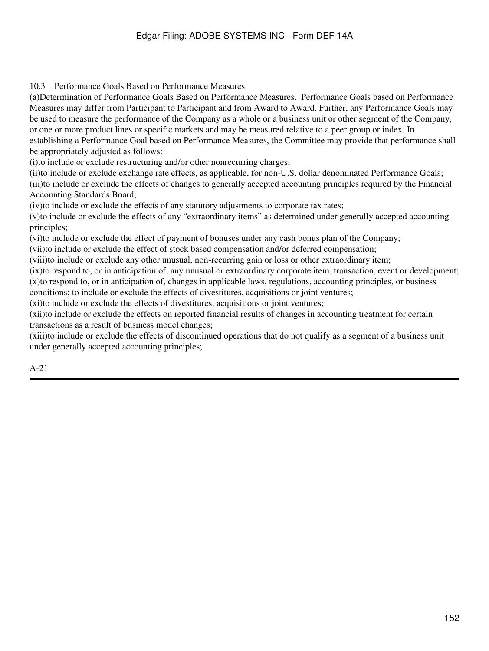10.3 Performance Goals Based on Performance Measures.

(a)Determination of Performance Goals Based on Performance Measures. Performance Goals based on Performance Measures may differ from Participant to Participant and from Award to Award. Further, any Performance Goals may be used to measure the performance of the Company as a whole or a business unit or other segment of the Company, or one or more product lines or specific markets and may be measured relative to a peer group or index. In establishing a Performance Goal based on Performance Measures, the Committee may provide that performance shall be appropriately adjusted as follows:

(i)to include or exclude restructuring and/or other nonrecurring charges;

(ii)to include or exclude exchange rate effects, as applicable, for non-U.S. dollar denominated Performance Goals; (iii)to include or exclude the effects of changes to generally accepted accounting principles required by the Financial Accounting Standards Board;

(iv)to include or exclude the effects of any statutory adjustments to corporate tax rates;

(v)to include or exclude the effects of any "extraordinary items" as determined under generally accepted accounting principles;

(vi)to include or exclude the effect of payment of bonuses under any cash bonus plan of the Company;

(vii)to include or exclude the effect of stock based compensation and/or deferred compensation;

(viii)to include or exclude any other unusual, non-recurring gain or loss or other extraordinary item;

(ix)to respond to, or in anticipation of, any unusual or extraordinary corporate item, transaction, event or development; (x)to respond to, or in anticipation of, changes in applicable laws, regulations, accounting principles, or business conditions; to include or exclude the effects of divestitures, acquisitions or joint ventures;

(xi)to include or exclude the effects of divestitures, acquisitions or joint ventures;

(xii)to include or exclude the effects on reported financial results of changes in accounting treatment for certain transactions as a result of business model changes;

(xiii)to include or exclude the effects of discontinued operations that do not qualify as a segment of a business unit under generally accepted accounting principles;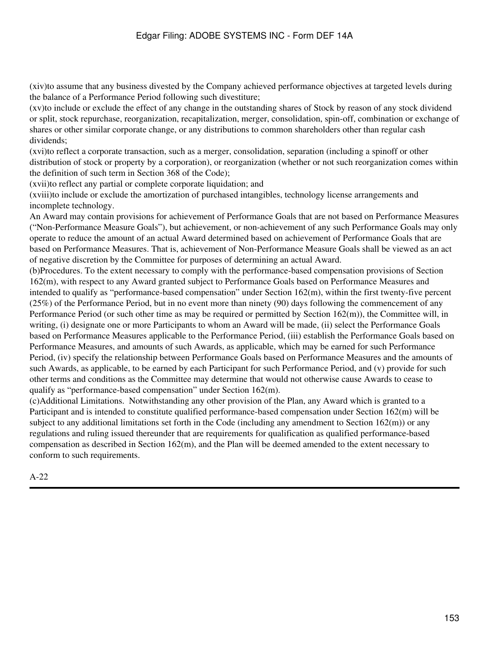(xiv)to assume that any business divested by the Company achieved performance objectives at targeted levels during the balance of a Performance Period following such divestiture;

(xv)to include or exclude the effect of any change in the outstanding shares of Stock by reason of any stock dividend or split, stock repurchase, reorganization, recapitalization, merger, consolidation, spin-off, combination or exchange of shares or other similar corporate change, or any distributions to common shareholders other than regular cash dividends;

(xvi)to reflect a corporate transaction, such as a merger, consolidation, separation (including a spinoff or other distribution of stock or property by a corporation), or reorganization (whether or not such reorganization comes within the definition of such term in Section 368 of the Code);

(xvii)to reflect any partial or complete corporate liquidation; and

(xviii)to include or exclude the amortization of purchased intangibles, technology license arrangements and incomplete technology.

An Award may contain provisions for achievement of Performance Goals that are not based on Performance Measures ("Non-Performance Measure Goals"), but achievement, or non-achievement of any such Performance Goals may only operate to reduce the amount of an actual Award determined based on achievement of Performance Goals that are based on Performance Measures. That is, achievement of Non-Performance Measure Goals shall be viewed as an act of negative discretion by the Committee for purposes of determining an actual Award.

(b)Procedures. To the extent necessary to comply with the performance-based compensation provisions of Section 162(m), with respect to any Award granted subject to Performance Goals based on Performance Measures and intended to qualify as "performance-based compensation" under Section 162(m), within the first twenty-five percent (25%) of the Performance Period, but in no event more than ninety (90) days following the commencement of any Performance Period (or such other time as may be required or permitted by Section 162(m)), the Committee will, in writing, (i) designate one or more Participants to whom an Award will be made, (ii) select the Performance Goals based on Performance Measures applicable to the Performance Period, (iii) establish the Performance Goals based on Performance Measures, and amounts of such Awards, as applicable, which may be earned for such Performance Period, (iv) specify the relationship between Performance Goals based on Performance Measures and the amounts of such Awards, as applicable, to be earned by each Participant for such Performance Period, and (v) provide for such other terms and conditions as the Committee may determine that would not otherwise cause Awards to cease to qualify as "performance-based compensation" under Section 162(m).

(c)Additional Limitations. Notwithstanding any other provision of the Plan, any Award which is granted to a Participant and is intended to constitute qualified performance-based compensation under Section 162(m) will be subject to any additional limitations set forth in the Code (including any amendment to Section  $162(m)$ ) or any regulations and ruling issued thereunder that are requirements for qualification as qualified performance-based compensation as described in Section 162(m), and the Plan will be deemed amended to the extent necessary to conform to such requirements.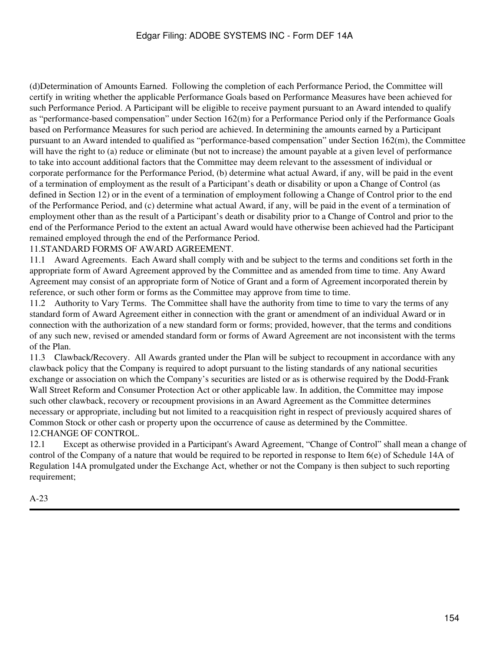(d)Determination of Amounts Earned. Following the completion of each Performance Period, the Committee will certify in writing whether the applicable Performance Goals based on Performance Measures have been achieved for such Performance Period. A Participant will be eligible to receive payment pursuant to an Award intended to qualify as "performance-based compensation" under Section 162(m) for a Performance Period only if the Performance Goals based on Performance Measures for such period are achieved. In determining the amounts earned by a Participant pursuant to an Award intended to qualified as "performance-based compensation" under Section 162(m), the Committee will have the right to (a) reduce or eliminate (but not to increase) the amount payable at a given level of performance to take into account additional factors that the Committee may deem relevant to the assessment of individual or corporate performance for the Performance Period, (b) determine what actual Award, if any, will be paid in the event of a termination of employment as the result of a Participant's death or disability or upon a Change of Control (as defined in Section 12) or in the event of a termination of employment following a Change of Control prior to the end of the Performance Period, and (c) determine what actual Award, if any, will be paid in the event of a termination of employment other than as the result of a Participant's death or disability prior to a Change of Control and prior to the end of the Performance Period to the extent an actual Award would have otherwise been achieved had the Participant remained employed through the end of the Performance Period.

### 11.STANDARD FORMS OF AWARD AGREEMENT.

11.1 Award Agreements. Each Award shall comply with and be subject to the terms and conditions set forth in the appropriate form of Award Agreement approved by the Committee and as amended from time to time. Any Award Agreement may consist of an appropriate form of Notice of Grant and a form of Agreement incorporated therein by reference, or such other form or forms as the Committee may approve from time to time.

11.2 Authority to Vary Terms. The Committee shall have the authority from time to time to vary the terms of any standard form of Award Agreement either in connection with the grant or amendment of an individual Award or in connection with the authorization of a new standard form or forms; provided, however, that the terms and conditions of any such new, revised or amended standard form or forms of Award Agreement are not inconsistent with the terms of the Plan.

11.3 Clawback/Recovery. All Awards granted under the Plan will be subject to recoupment in accordance with any clawback policy that the Company is required to adopt pursuant to the listing standards of any national securities exchange or association on which the Company's securities are listed or as is otherwise required by the Dodd-Frank Wall Street Reform and Consumer Protection Act or other applicable law. In addition, the Committee may impose such other clawback, recovery or recoupment provisions in an Award Agreement as the Committee determines necessary or appropriate, including but not limited to a reacquisition right in respect of previously acquired shares of Common Stock or other cash or property upon the occurrence of cause as determined by the Committee. 12.CHANGE OF CONTROL.

12.1 Except as otherwise provided in a Participant's Award Agreement, "Change of Control" shall mean a change of control of the Company of a nature that would be required to be reported in response to Item 6(e) of Schedule 14A of Regulation 14A promulgated under the Exchange Act, whether or not the Company is then subject to such reporting requirement;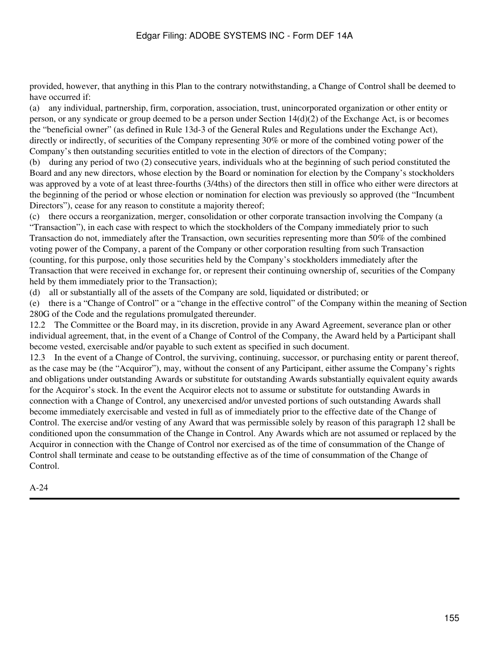provided, however, that anything in this Plan to the contrary notwithstanding, a Change of Control shall be deemed to have occurred if:

(a) any individual, partnership, firm, corporation, association, trust, unincorporated organization or other entity or person, or any syndicate or group deemed to be a person under Section 14(d)(2) of the Exchange Act, is or becomes the "beneficial owner" (as defined in Rule 13d-3 of the General Rules and Regulations under the Exchange Act), directly or indirectly, of securities of the Company representing 30% or more of the combined voting power of the Company's then outstanding securities entitled to vote in the election of directors of the Company;

(b) during any period of two (2) consecutive years, individuals who at the beginning of such period constituted the Board and any new directors, whose election by the Board or nomination for election by the Company's stockholders was approved by a vote of at least three-fourths (3/4ths) of the directors then still in office who either were directors at the beginning of the period or whose election or nomination for election was previously so approved (the "Incumbent Directors"), cease for any reason to constitute a majority thereof;

(c) there occurs a reorganization, merger, consolidation or other corporate transaction involving the Company (a "Transaction"), in each case with respect to which the stockholders of the Company immediately prior to such Transaction do not, immediately after the Transaction, own securities representing more than 50% of the combined voting power of the Company, a parent of the Company or other corporation resulting from such Transaction (counting, for this purpose, only those securities held by the Company's stockholders immediately after the Transaction that were received in exchange for, or represent their continuing ownership of, securities of the Company held by them immediately prior to the Transaction);

(d) all or substantially all of the assets of the Company are sold, liquidated or distributed; or

(e) there is a "Change of Control" or a "change in the effective control" of the Company within the meaning of Section 280G of the Code and the regulations promulgated thereunder.

12.2 The Committee or the Board may, in its discretion, provide in any Award Agreement, severance plan or other individual agreement, that, in the event of a Change of Control of the Company, the Award held by a Participant shall become vested, exercisable and/or payable to such extent as specified in such document.

12.3 In the event of a Change of Control, the surviving, continuing, successor, or purchasing entity or parent thereof, as the case may be (the "Acquiror"), may, without the consent of any Participant, either assume the Company's rights and obligations under outstanding Awards or substitute for outstanding Awards substantially equivalent equity awards for the Acquiror's stock. In the event the Acquiror elects not to assume or substitute for outstanding Awards in connection with a Change of Control, any unexercised and/or unvested portions of such outstanding Awards shall become immediately exercisable and vested in full as of immediately prior to the effective date of the Change of Control. The exercise and/or vesting of any Award that was permissible solely by reason of this paragraph 12 shall be conditioned upon the consummation of the Change in Control. Any Awards which are not assumed or replaced by the Acquiror in connection with the Change of Control nor exercised as of the time of consummation of the Change of Control shall terminate and cease to be outstanding effective as of the time of consummation of the Change of Control.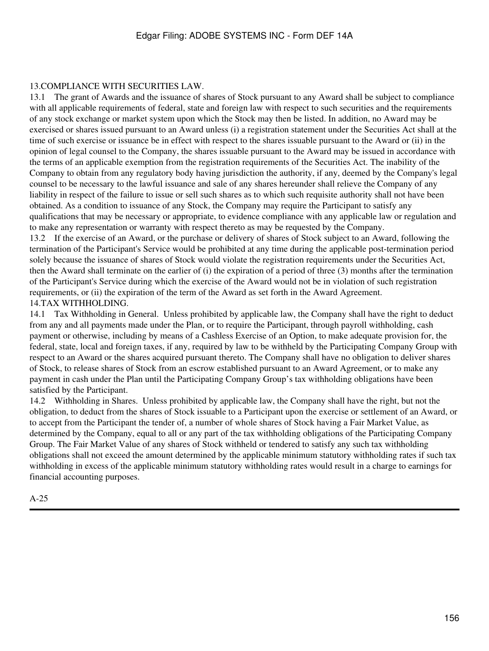# 13.COMPLIANCE WITH SECURITIES LAW.

13.1 The grant of Awards and the issuance of shares of Stock pursuant to any Award shall be subject to compliance with all applicable requirements of federal, state and foreign law with respect to such securities and the requirements of any stock exchange or market system upon which the Stock may then be listed. In addition, no Award may be exercised or shares issued pursuant to an Award unless (i) a registration statement under the Securities Act shall at the time of such exercise or issuance be in effect with respect to the shares issuable pursuant to the Award or (ii) in the opinion of legal counsel to the Company, the shares issuable pursuant to the Award may be issued in accordance with the terms of an applicable exemption from the registration requirements of the Securities Act. The inability of the Company to obtain from any regulatory body having jurisdiction the authority, if any, deemed by the Company's legal counsel to be necessary to the lawful issuance and sale of any shares hereunder shall relieve the Company of any liability in respect of the failure to issue or sell such shares as to which such requisite authority shall not have been obtained. As a condition to issuance of any Stock, the Company may require the Participant to satisfy any qualifications that may be necessary or appropriate, to evidence compliance with any applicable law or regulation and to make any representation or warranty with respect thereto as may be requested by the Company.

13.2 If the exercise of an Award, or the purchase or delivery of shares of Stock subject to an Award, following the termination of the Participant's Service would be prohibited at any time during the applicable post-termination period solely because the issuance of shares of Stock would violate the registration requirements under the Securities Act, then the Award shall terminate on the earlier of (i) the expiration of a period of three (3) months after the termination of the Participant's Service during which the exercise of the Award would not be in violation of such registration requirements, or (ii) the expiration of the term of the Award as set forth in the Award Agreement. 14.TAX WITHHOLDING.

14.1 Tax Withholding in General. Unless prohibited by applicable law, the Company shall have the right to deduct from any and all payments made under the Plan, or to require the Participant, through payroll withholding, cash payment or otherwise, including by means of a Cashless Exercise of an Option, to make adequate provision for, the federal, state, local and foreign taxes, if any, required by law to be withheld by the Participating Company Group with respect to an Award or the shares acquired pursuant thereto. The Company shall have no obligation to deliver shares of Stock, to release shares of Stock from an escrow established pursuant to an Award Agreement, or to make any payment in cash under the Plan until the Participating Company Group's tax withholding obligations have been satisfied by the Participant.

14.2 Withholding in Shares. Unless prohibited by applicable law, the Company shall have the right, but not the obligation, to deduct from the shares of Stock issuable to a Participant upon the exercise or settlement of an Award, or to accept from the Participant the tender of, a number of whole shares of Stock having a Fair Market Value, as determined by the Company, equal to all or any part of the tax withholding obligations of the Participating Company Group. The Fair Market Value of any shares of Stock withheld or tendered to satisfy any such tax withholding obligations shall not exceed the amount determined by the applicable minimum statutory withholding rates if such tax withholding in excess of the applicable minimum statutory withholding rates would result in a charge to earnings for financial accounting purposes.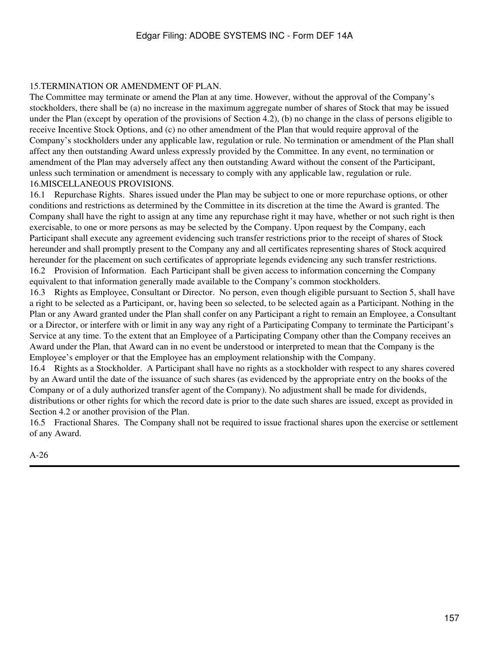### 15.TERMINATION OR AMENDMENT OF PLAN.

The Committee may terminate or amend the Plan at any time. However, without the approval of the Company's stockholders, there shall be (a) no increase in the maximum aggregate number of shares of Stock that may be issued under the Plan (except by operation of the provisions of Section 4.2), (b) no change in the class of persons eligible to receive Incentive Stock Options, and (c) no other amendment of the Plan that would require approval of the Company's stockholders under any applicable law, regulation or rule. No termination or amendment of the Plan shall affect any then outstanding Award unless expressly provided by the Committee. In any event, no termination or amendment of the Plan may adversely affect any then outstanding Award without the consent of the Participant, unless such termination or amendment is necessary to comply with any applicable law, regulation or rule. 16.MISCELLANEOUS PROVISIONS.

16.1 Repurchase Rights. Shares issued under the Plan may be subject to one or more repurchase options, or other conditions and restrictions as determined by the Committee in its discretion at the time the Award is granted. The Company shall have the right to assign at any time any repurchase right it may have, whether or not such right is then exercisable, to one or more persons as may be selected by the Company. Upon request by the Company, each Participant shall execute any agreement evidencing such transfer restrictions prior to the receipt of shares of Stock hereunder and shall promptly present to the Company any and all certificates representing shares of Stock acquired hereunder for the placement on such certificates of appropriate legends evidencing any such transfer restrictions. 16.2 Provision of Information. Each Participant shall be given access to information concerning the Company equivalent to that information generally made available to the Company's common stockholders.

16.3 Rights as Employee, Consultant or Director. No person, even though eligible pursuant to Section 5, shall have a right to be selected as a Participant, or, having been so selected, to be selected again as a Participant. Nothing in the Plan or any Award granted under the Plan shall confer on any Participant a right to remain an Employee, a Consultant or a Director, or interfere with or limit in any way any right of a Participating Company to terminate the Participant's Service at any time. To the extent that an Employee of a Participating Company other than the Company receives an Award under the Plan, that Award can in no event be understood or interpreted to mean that the Company is the Employee's employer or that the Employee has an employment relationship with the Company.

16.4 Rights as a Stockholder. A Participant shall have no rights as a stockholder with respect to any shares covered by an Award until the date of the issuance of such shares (as evidenced by the appropriate entry on the books of the Company or of a duly authorized transfer agent of the Company). No adjustment shall be made for dividends, distributions or other rights for which the record date is prior to the date such shares are issued, except as provided in Section 4.2 or another provision of the Plan.

16.5 Fractional Shares. The Company shall not be required to issue fractional shares upon the exercise or settlement of any Award.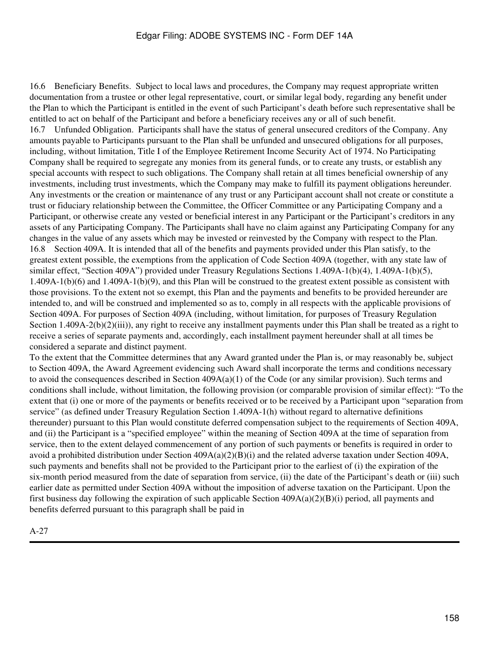16.6 Beneficiary Benefits. Subject to local laws and procedures, the Company may request appropriate written documentation from a trustee or other legal representative, court, or similar legal body, regarding any benefit under the Plan to which the Participant is entitled in the event of such Participant's death before such representative shall be entitled to act on behalf of the Participant and before a beneficiary receives any or all of such benefit. 16.7 Unfunded Obligation. Participants shall have the status of general unsecured creditors of the Company. Any amounts payable to Participants pursuant to the Plan shall be unfunded and unsecured obligations for all purposes, including, without limitation, Title I of the Employee Retirement Income Security Act of 1974. No Participating Company shall be required to segregate any monies from its general funds, or to create any trusts, or establish any special accounts with respect to such obligations. The Company shall retain at all times beneficial ownership of any investments, including trust investments, which the Company may make to fulfill its payment obligations hereunder. Any investments or the creation or maintenance of any trust or any Participant account shall not create or constitute a trust or fiduciary relationship between the Committee, the Officer Committee or any Participating Company and a Participant, or otherwise create any vested or beneficial interest in any Participant or the Participant's creditors in any assets of any Participating Company. The Participants shall have no claim against any Participating Company for any changes in the value of any assets which may be invested or reinvested by the Company with respect to the Plan. 16.8 Section 409A. It is intended that all of the benefits and payments provided under this Plan satisfy, to the greatest extent possible, the exemptions from the application of Code Section 409A (together, with any state law of similar effect, "Section 409A") provided under Treasury Regulations Sections 1.409A-1(b)(4), 1.409A-1(b)(5), 1.409A-1(b)(6) and 1.409A-1(b)(9), and this Plan will be construed to the greatest extent possible as consistent with those provisions. To the extent not so exempt, this Plan and the payments and benefits to be provided hereunder are intended to, and will be construed and implemented so as to, comply in all respects with the applicable provisions of Section 409A. For purposes of Section 409A (including, without limitation, for purposes of Treasury Regulation Section 1.409A-2(b)(2)(iii)), any right to receive any installment payments under this Plan shall be treated as a right to receive a series of separate payments and, accordingly, each installment payment hereunder shall at all times be considered a separate and distinct payment.

To the extent that the Committee determines that any Award granted under the Plan is, or may reasonably be, subject to Section 409A, the Award Agreement evidencing such Award shall incorporate the terms and conditions necessary to avoid the consequences described in Section 409A(a)(1) of the Code (or any similar provision). Such terms and conditions shall include, without limitation, the following provision (or comparable provision of similar effect): "To the extent that (i) one or more of the payments or benefits received or to be received by a Participant upon "separation from service" (as defined under Treasury Regulation Section 1.409A-1(h) without regard to alternative definitions thereunder) pursuant to this Plan would constitute deferred compensation subject to the requirements of Section 409A, and (ii) the Participant is a "specified employee" within the meaning of Section 409A at the time of separation from service, then to the extent delayed commencement of any portion of such payments or benefits is required in order to avoid a prohibited distribution under Section  $409A(a)(2)(B)(i)$  and the related adverse taxation under Section 409A, such payments and benefits shall not be provided to the Participant prior to the earliest of (i) the expiration of the six-month period measured from the date of separation from service, (ii) the date of the Participant's death or (iii) such earlier date as permitted under Section 409A without the imposition of adverse taxation on the Participant. Upon the first business day following the expiration of such applicable Section  $409A(a)(2)(B)(i)$  period, all payments and benefits deferred pursuant to this paragraph shall be paid in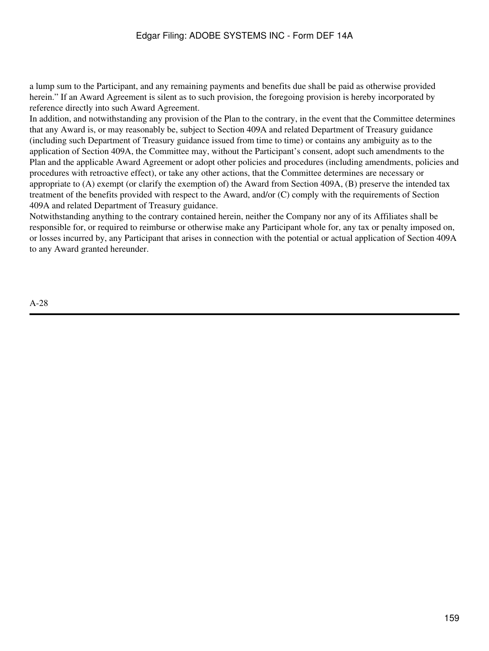a lump sum to the Participant, and any remaining payments and benefits due shall be paid as otherwise provided herein." If an Award Agreement is silent as to such provision, the foregoing provision is hereby incorporated by reference directly into such Award Agreement.

In addition, and notwithstanding any provision of the Plan to the contrary, in the event that the Committee determines that any Award is, or may reasonably be, subject to Section 409A and related Department of Treasury guidance (including such Department of Treasury guidance issued from time to time) or contains any ambiguity as to the application of Section 409A, the Committee may, without the Participant's consent, adopt such amendments to the Plan and the applicable Award Agreement or adopt other policies and procedures (including amendments, policies and procedures with retroactive effect), or take any other actions, that the Committee determines are necessary or appropriate to (A) exempt (or clarify the exemption of) the Award from Section 409A, (B) preserve the intended tax treatment of the benefits provided with respect to the Award, and/or (C) comply with the requirements of Section 409A and related Department of Treasury guidance.

Notwithstanding anything to the contrary contained herein, neither the Company nor any of its Affiliates shall be responsible for, or required to reimburse or otherwise make any Participant whole for, any tax or penalty imposed on, or losses incurred by, any Participant that arises in connection with the potential or actual application of Section 409A to any Award granted hereunder.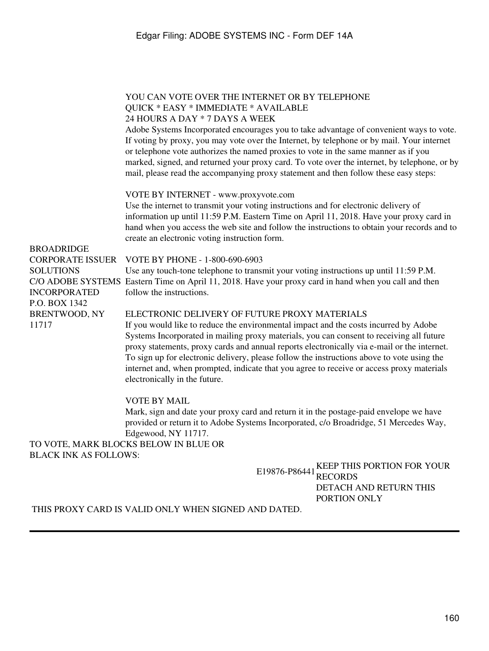### YOU CAN VOTE OVER THE INTERNET OR BY TELEPHONE QUICK \* EASY \* IMMEDIATE \* AVAILABLE 24 HOURS A DAY \* 7 DAYS A WEEK

Adobe Systems Incorporated encourages you to take advantage of convenient ways to vote. If voting by proxy, you may vote over the Internet, by telephone or by mail. Your internet or telephone vote authorizes the named proxies to vote in the same manner as if you marked, signed, and returned your proxy card. To vote over the internet, by telephone, or by mail, please read the accompanying proxy statement and then follow these easy steps:

#### VOTE BY INTERNET - www.proxyvote.com

Use the internet to transmit your voting instructions and for electronic delivery of information up until 11:59 P.M. Eastern Time on April 11, 2018. Have your proxy card in hand when you access the web site and follow the instructions to obtain your records and to create an electronic voting instruction form.

#### BROADRIDGE

**SOLUTIONS** INCORPORATED P.O. BOX 1342 BRENTWOOD, NY 11717

#### CORPORATE ISSUER VOTE BY PHONE - 1-800-690-6903

Use any touch-tone telephone to transmit your voting instructions up until 11:59 P.M. C/O ADOBE SYSTEMS Eastern Time on April 11, 2018. Have your proxy card in hand when you call and then follow the instructions.

### ELECTRONIC DELIVERY OF FUTURE PROXY MATERIALS

If you would like to reduce the environmental impact and the costs incurred by Adobe Systems Incorporated in mailing proxy materials, you can consent to receiving all future proxy statements, proxy cards and annual reports electronically via e-mail or the internet. To sign up for electronic delivery, please follow the instructions above to vote using the internet and, when prompted, indicate that you agree to receive or access proxy materials electronically in the future.

### VOTE BY MAIL

Mark, sign and date your proxy card and return it in the postage-paid envelope we have provided or return it to Adobe Systems Incorporated, c/o Broadridge, 51 Mercedes Way, Edgewood, NY 11717.

### TO VOTE, MARK BLOCKS BELOW IN BLUE OR BLACK INK AS FOLLOWS:

E19876-P86441 KEEP THIS PORTION FOR YOUR RECORDS DETACH AND RETURN THIS PORTION ONLY

THIS PROXY CARD IS VALID ONLY WHEN SIGNED AND DATED.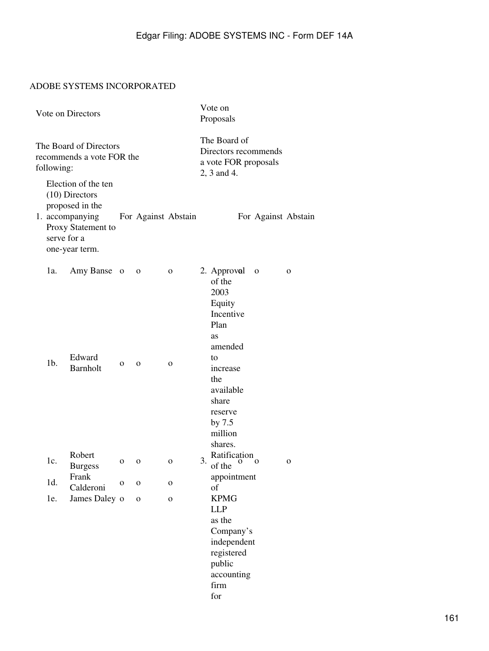# ADOBE SYSTEMS INCORPORATED

| Vote on Directors                                                 |             |                                                                                                                       |              |              |                     | Vote on<br>Proposals                                                        |                                                                                                                      |                     |   |
|-------------------------------------------------------------------|-------------|-----------------------------------------------------------------------------------------------------------------------|--------------|--------------|---------------------|-----------------------------------------------------------------------------|----------------------------------------------------------------------------------------------------------------------|---------------------|---|
| The Board of Directors<br>recommends a vote FOR the<br>following: |             |                                                                                                                       |              |              |                     | The Board of<br>Directors recommends<br>a vote FOR proposals<br>2, 3 and 4. |                                                                                                                      |                     |   |
|                                                                   | serve for a | Election of the ten<br>$(10)$ Directors<br>proposed in the<br>1. accompanying<br>Proxy Statement to<br>one-year term. |              |              | For Against Abstain |                                                                             |                                                                                                                      | For Against Abstain |   |
|                                                                   | 1a.         | Amy Banse o                                                                                                           |              | $\mathbf{O}$ | $\mathbf{O}$        |                                                                             | 2. Approval<br>of the<br>2003<br>Equity<br>Incentive<br>Plan<br>as<br>amended                                        | $\mathbf 0$         | 0 |
|                                                                   | $1b$ .      | Edward<br><b>Barnholt</b>                                                                                             | $\mathbf{O}$ | $\mathbf{O}$ | $\mathbf{O}$        |                                                                             | to<br>increase<br>the<br>available<br>share<br>reserve<br>by 7.5<br>million<br>shares.                               |                     |   |
|                                                                   | 1c.         | Robert<br><b>Burgess</b>                                                                                              | 0            | 0            | O                   | 3.                                                                          | Ratification<br>$\mathbf o$<br>of the                                                                                | o                   | 0 |
|                                                                   | 1d.         | Frank<br>Calderoni                                                                                                    | $\mathbf{o}$ | $\mathbf O$  | O                   |                                                                             | appointment<br>of                                                                                                    |                     |   |
|                                                                   | le.         | James Daley o                                                                                                         |              | $\mathbf{O}$ | $\mathbf{O}$        |                                                                             | <b>KPMG</b><br><b>LLP</b><br>as the<br>Company's<br>independent<br>registered<br>public<br>accounting<br>firm<br>for |                     |   |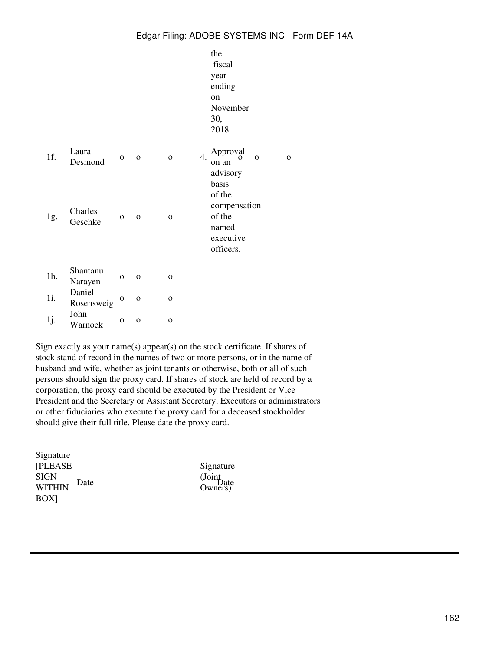|        |                      |              |              |                    | the<br>fiscal<br>year<br>ending<br>on<br>November<br>30,<br>2018.        |
|--------|----------------------|--------------|--------------|--------------------|--------------------------------------------------------------------------|
| 1f.    | Laura<br>Desmond     | $\mathbf{O}$ | $\mathbf O$  | 4.<br>$\mathbf{o}$ | Approval<br>$\Omega$<br>$\Omega$<br>on an<br>advisory<br>basis<br>of the |
| 1g.    | Charles<br>Geschke   | $\mathbf{O}$ | $\mathbf O$  | $\mathbf{o}$       | compensation<br>of the<br>named<br>executive<br>officers.                |
| $1h$ . | Shantanu<br>Narayen  | $\Omega$     | $\mathbf{o}$ | $\Omega$           |                                                                          |
| 1i.    | Daniel<br>Rosensweig | $\mathbf{o}$ | $\Omega$     | $\Omega$           |                                                                          |
| 1j.    | John<br>Warnock      | $\mathbf{O}$ | $\mathbf 0$  | $\mathbf{O}$       |                                                                          |

Sign exactly as your name(s) appear(s) on the stock certificate. If shares of stock stand of record in the names of two or more persons, or in the name of husband and wife, whether as joint tenants or otherwise, both or all of such persons should sign the proxy card. If shares of stock are held of record by a corporation, the proxy card should be executed by the President or Vice President and the Secretary or Assistant Secretary. Executors or administrators or other fiduciaries who execute the proxy card for a deceased stockholder should give their full title. Please date the proxy card.

| Signature        |      |
|------------------|------|
| <b>[PLEASE</b>   |      |
| SIGN             | Date |
| <b>WITHIN</b>    |      |
| BOX <sub>1</sub> |      |

Signature (Joint<br>Owners)